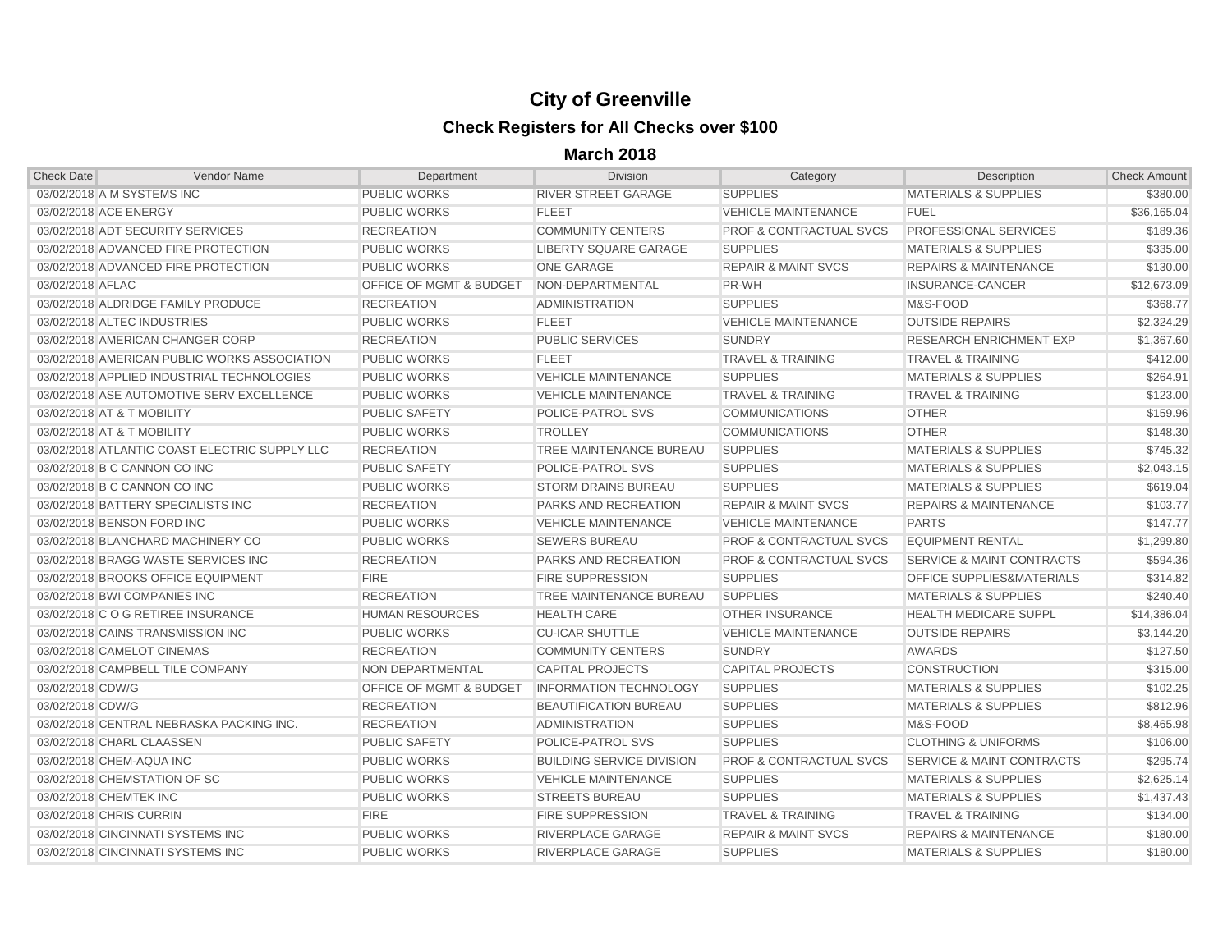## **City of Greenville Check Registers for All Checks over \$100**

**March 2018**

| <b>Check Date</b>       | <b>Vendor Name</b>                            | Department                         | <b>Division</b>                  | Category                           | Description                          | <b>Check Amount</b> |
|-------------------------|-----------------------------------------------|------------------------------------|----------------------------------|------------------------------------|--------------------------------------|---------------------|
|                         | 03/02/2018 A M SYSTEMS INC                    | <b>PUBLIC WORKS</b>                | <b>RIVER STREET GARAGE</b>       | <b>SUPPLIES</b>                    | <b>MATERIALS &amp; SUPPLIES</b>      | \$380.00            |
| 03/02/2018 ACE ENERGY   |                                               | <b>PUBLIC WORKS</b>                | <b>FLEET</b>                     | <b>VEHICLE MAINTENANCE</b>         | <b>FUEL</b>                          | \$36,165.04         |
|                         | 03/02/2018 ADT SECURITY SERVICES              | <b>RECREATION</b>                  | <b>COMMUNITY CENTERS</b>         | <b>PROF &amp; CONTRACTUAL SVCS</b> | <b>PROFESSIONAL SERVICES</b>         | \$189.36            |
|                         | 03/02/2018 ADVANCED FIRE PROTECTION           | <b>PUBLIC WORKS</b>                | <b>LIBERTY SQUARE GARAGE</b>     | <b>SUPPLIES</b>                    | <b>MATERIALS &amp; SUPPLIES</b>      | \$335.00            |
|                         | 03/02/2018 ADVANCED FIRE PROTECTION           | <b>PUBLIC WORKS</b>                | <b>ONE GARAGE</b>                | <b>REPAIR &amp; MAINT SVCS</b>     | <b>REPAIRS &amp; MAINTENANCE</b>     | \$130.00            |
| 03/02/2018 AFLAC        |                                               | <b>OFFICE OF MGMT &amp; BUDGET</b> | NON-DEPARTMENTAL                 | PR-WH                              | <b>INSURANCE-CANCER</b>              | \$12,673.09         |
|                         | 03/02/2018 ALDRIDGE FAMILY PRODUCE            | <b>RECREATION</b>                  | <b>ADMINISTRATION</b>            | <b>SUPPLIES</b>                    | M&S-FOOD                             | \$368.77            |
|                         | 03/02/2018 ALTEC INDUSTRIES                   | <b>PUBLIC WORKS</b>                | <b>FLEET</b>                     | <b>VEHICLE MAINTENANCE</b>         | <b>OUTSIDE REPAIRS</b>               | \$2,324.29          |
|                         | 03/02/2018 AMERICAN CHANGER CORP              | <b>RECREATION</b>                  | <b>PUBLIC SERVICES</b>           | <b>SUNDRY</b>                      | <b>RESEARCH ENRICHMENT EXP</b>       | \$1,367.60          |
|                         | 03/02/2018 AMERICAN PUBLIC WORKS ASSOCIATION  | <b>PUBLIC WORKS</b>                | <b>FLEET</b>                     | <b>TRAVEL &amp; TRAINING</b>       | <b>TRAVEL &amp; TRAINING</b>         | \$412.00            |
|                         | 03/02/2018 APPLIED INDUSTRIAL TECHNOLOGIES    | <b>PUBLIC WORKS</b>                | <b>VEHICLE MAINTENANCE</b>       | <b>SUPPLIES</b>                    | <b>MATERIALS &amp; SUPPLIES</b>      | \$264.91            |
|                         | 03/02/2018 ASE AUTOMOTIVE SERV EXCELLENCE     | <b>PUBLIC WORKS</b>                | <b>VEHICLE MAINTENANCE</b>       | <b>TRAVEL &amp; TRAINING</b>       | <b>TRAVEL &amp; TRAINING</b>         | \$123.00            |
|                         | 03/02/2018 AT & T MOBILITY                    | <b>PUBLIC SAFETY</b>               | POLICE-PATROL SVS                | <b>COMMUNICATIONS</b>              | <b>OTHER</b>                         | \$159.96            |
|                         | 03/02/2018 AT & T MOBILITY                    | <b>PUBLIC WORKS</b>                | <b>TROLLEY</b>                   | <b>COMMUNICATIONS</b>              | <b>OTHER</b>                         | \$148.30            |
|                         | 03/02/2018 ATLANTIC COAST ELECTRIC SUPPLY LLC | <b>RECREATION</b>                  | <b>TREE MAINTENANCE BUREAU</b>   | <b>SUPPLIES</b>                    | <b>MATERIALS &amp; SUPPLIES</b>      | \$745.32            |
|                         | 03/02/2018 B C CANNON CO INC                  | <b>PUBLIC SAFETY</b>               | <b>POLICE-PATROL SVS</b>         | <b>SUPPLIES</b>                    | <b>MATERIALS &amp; SUPPLIES</b>      | \$2,043.15          |
|                         | 03/02/2018 B C CANNON CO INC                  | <b>PUBLIC WORKS</b>                | <b>STORM DRAINS BUREAU</b>       | <b>SUPPLIES</b>                    | <b>MATERIALS &amp; SUPPLIES</b>      | \$619.04            |
|                         | 03/02/2018 BATTERY SPECIALISTS INC            | <b>RECREATION</b>                  | PARKS AND RECREATION             | <b>REPAIR &amp; MAINT SVCS</b>     | <b>REPAIRS &amp; MAINTENANCE</b>     | \$103.77            |
|                         | 03/02/2018 BENSON FORD INC                    | <b>PUBLIC WORKS</b>                | <b>VEHICLE MAINTENANCE</b>       | <b>VEHICLE MAINTENANCE</b>         | <b>PARTS</b>                         | \$147.77            |
|                         | 03/02/2018 BLANCHARD MACHINERY CO             | <b>PUBLIC WORKS</b>                | <b>SEWERS BUREAU</b>             | <b>PROF &amp; CONTRACTUAL SVCS</b> | <b>EQUIPMENT RENTAL</b>              | \$1,299.80          |
|                         | 03/02/2018 BRAGG WASTE SERVICES INC           | <b>RECREATION</b>                  | <b>PARKS AND RECREATION</b>      | <b>PROF &amp; CONTRACTUAL SVCS</b> | <b>SERVICE &amp; MAINT CONTRACTS</b> | \$594.36            |
|                         | 03/02/2018 BROOKS OFFICE EQUIPMENT            | <b>FIRE</b>                        | <b>FIRE SUPPRESSION</b>          | <b>SUPPLIES</b>                    | OFFICE SUPPLIES&MATERIALS            | \$314.82            |
|                         | 03/02/2018 BWI COMPANIES INC                  | <b>RECREATION</b>                  | TREE MAINTENANCE BUREAU          | <b>SUPPLIES</b>                    | <b>MATERIALS &amp; SUPPLIES</b>      | \$240.40            |
|                         | 03/02/2018 C O G RETIREE INSURANCE            | <b>HUMAN RESOURCES</b>             | <b>HEALTH CARE</b>               | <b>OTHER INSURANCE</b>             | <b>HEALTH MEDICARE SUPPL</b>         | \$14,386.04         |
|                         | 03/02/2018 CAINS TRANSMISSION INC             | <b>PUBLIC WORKS</b>                | <b>CU-ICAR SHUTTLE</b>           | <b>VEHICLE MAINTENANCE</b>         | <b>OUTSIDE REPAIRS</b>               | \$3,144.20          |
|                         | 03/02/2018 CAMELOT CINEMAS                    | <b>RECREATION</b>                  | <b>COMMUNITY CENTERS</b>         | <b>SUNDRY</b>                      | <b>AWARDS</b>                        | \$127.50            |
|                         | 03/02/2018 CAMPBELL TILE COMPANY              | NON DEPARTMENTAL                   | <b>CAPITAL PROJECTS</b>          | <b>CAPITAL PROJECTS</b>            | <b>CONSTRUCTION</b>                  | \$315.00            |
| 03/02/2018 CDW/G        |                                               | <b>OFFICE OF MGMT &amp; BUDGET</b> | <b>INFORMATION TECHNOLOGY</b>    | <b>SUPPLIES</b>                    | <b>MATERIALS &amp; SUPPLIES</b>      | \$102.25            |
| 03/02/2018 CDW/G        |                                               | <b>RECREATION</b>                  | <b>BEAUTIFICATION BUREAU</b>     | <b>SUPPLIES</b>                    | <b>MATERIALS &amp; SUPPLIES</b>      | \$812.96            |
|                         | 03/02/2018 CENTRAL NEBRASKA PACKING INC.      | <b>RECREATION</b>                  | <b>ADMINISTRATION</b>            | <b>SUPPLIES</b>                    | M&S-FOOD                             | \$8,465.98          |
|                         | 03/02/2018 CHARL CLAASSEN                     | <b>PUBLIC SAFETY</b>               | POLICE-PATROL SVS                | <b>SUPPLIES</b>                    | <b>CLOTHING &amp; UNIFORMS</b>       | \$106.00            |
|                         | 03/02/2018 CHEM-AQUA INC                      | <b>PUBLIC WORKS</b>                | <b>BUILDING SERVICE DIVISION</b> | <b>PROF &amp; CONTRACTUAL SVCS</b> | <b>SERVICE &amp; MAINT CONTRACTS</b> | \$295.74            |
|                         | 03/02/2018 CHEMSTATION OF SC                  | <b>PUBLIC WORKS</b>                | <b>VEHICLE MAINTENANCE</b>       | <b>SUPPLIES</b>                    | <b>MATERIALS &amp; SUPPLIES</b>      | \$2,625.14          |
| 03/02/2018 CHEMTEK INC  |                                               | <b>PUBLIC WORKS</b>                | <b>STREETS BUREAU</b>            | <b>SUPPLIES</b>                    | <b>MATERIALS &amp; SUPPLIES</b>      | \$1,437.43          |
| 03/02/2018 CHRIS CURRIN |                                               | <b>FIRE</b>                        | <b>FIRE SUPPRESSION</b>          | <b>TRAVEL &amp; TRAINING</b>       | <b>TRAVEL &amp; TRAINING</b>         | \$134.00            |
|                         | 03/02/2018 CINCINNATI SYSTEMS INC             | <b>PUBLIC WORKS</b>                | <b>RIVERPLACE GARAGE</b>         | <b>REPAIR &amp; MAINT SVCS</b>     | <b>REPAIRS &amp; MAINTENANCE</b>     | \$180.00            |
|                         | 03/02/2018 CINCINNATI SYSTEMS INC             | <b>PUBLIC WORKS</b>                | RIVERPLACE GARAGE                | <b>SUPPLIES</b>                    | <b>MATERIALS &amp; SUPPLIES</b>      | \$180.00            |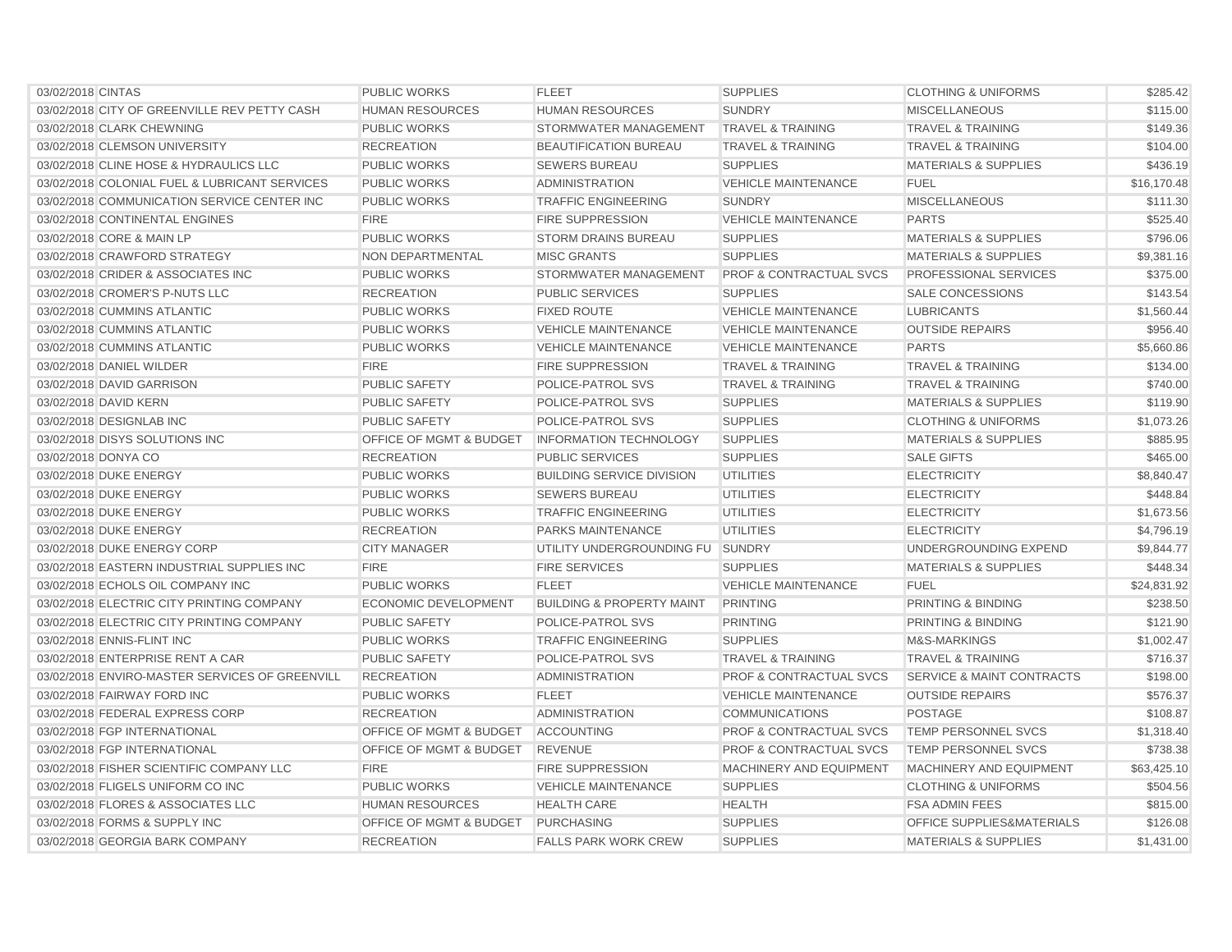| 03/02/2018 CINTAS                              | <b>PUBLIC WORKS</b>                | <b>FLEET</b>                         | <b>SUPPLIES</b>                    | <b>CLOTHING &amp; UNIFORMS</b>       | \$285.42    |
|------------------------------------------------|------------------------------------|--------------------------------------|------------------------------------|--------------------------------------|-------------|
| 03/02/2018 CITY OF GREENVILLE REV PETTY CASH   | <b>HUMAN RESOURCES</b>             | <b>HUMAN RESOURCES</b>               | <b>SUNDRY</b>                      | <b>MISCELLANEOUS</b>                 | \$115.00    |
| 03/02/2018 CLARK CHEWNING                      | <b>PUBLIC WORKS</b>                | STORMWATER MANAGEMENT                | <b>TRAVEL &amp; TRAINING</b>       | <b>TRAVEL &amp; TRAINING</b>         | \$149.36    |
| 03/02/2018 CLEMSON UNIVERSITY                  | <b>RECREATION</b>                  | <b>BEAUTIFICATION BUREAU</b>         | <b>TRAVEL &amp; TRAINING</b>       | <b>TRAVEL &amp; TRAINING</b>         | \$104.00    |
| 03/02/2018 CLINE HOSE & HYDRAULICS LLC         | <b>PUBLIC WORKS</b>                | <b>SEWERS BUREAU</b>                 | <b>SUPPLIES</b>                    | <b>MATERIALS &amp; SUPPLIES</b>      | \$436.19    |
| 03/02/2018 COLONIAL FUEL & LUBRICANT SERVICES  | <b>PUBLIC WORKS</b>                | <b>ADMINISTRATION</b>                | <b>VEHICLE MAINTENANCE</b>         | <b>FUEL</b>                          | \$16,170.48 |
| 03/02/2018 COMMUNICATION SERVICE CENTER INC    | <b>PUBLIC WORKS</b>                | <b>TRAFFIC ENGINEERING</b>           | <b>SUNDRY</b>                      | <b>MISCELLANEOUS</b>                 | \$111.30    |
| 03/02/2018 CONTINENTAL ENGINES                 | <b>FIRE</b>                        | <b>FIRE SUPPRESSION</b>              | <b>VEHICLE MAINTENANCE</b>         | <b>PARTS</b>                         | \$525.40    |
| 03/02/2018 CORE & MAIN LP                      | <b>PUBLIC WORKS</b>                | <b>STORM DRAINS BUREAU</b>           | <b>SUPPLIES</b>                    | <b>MATERIALS &amp; SUPPLIES</b>      | \$796.06    |
| 03/02/2018 CRAWFORD STRATEGY                   | NON DEPARTMENTAL                   | <b>MISC GRANTS</b>                   | <b>SUPPLIES</b>                    | <b>MATERIALS &amp; SUPPLIES</b>      | \$9,381.16  |
| 03/02/2018 CRIDER & ASSOCIATES INC             | <b>PUBLIC WORKS</b>                | STORMWATER MANAGEMENT                | <b>PROF &amp; CONTRACTUAL SVCS</b> | PROFESSIONAL SERVICES                | \$375.00    |
| 03/02/2018 CROMER'S P-NUTS LLC                 | <b>RECREATION</b>                  | PUBLIC SERVICES                      | <b>SUPPLIES</b>                    | <b>SALE CONCESSIONS</b>              | \$143.54    |
| 03/02/2018 CUMMINS ATLANTIC                    | <b>PUBLIC WORKS</b>                | <b>FIXED ROUTE</b>                   | <b>VEHICLE MAINTENANCE</b>         | <b>LUBRICANTS</b>                    | \$1,560.44  |
| 03/02/2018 CUMMINS ATLANTIC                    | <b>PUBLIC WORKS</b>                | <b>VEHICLE MAINTENANCE</b>           | <b>VEHICLE MAINTENANCE</b>         | <b>OUTSIDE REPAIRS</b>               | \$956.40    |
| 03/02/2018 CUMMINS ATLANTIC                    | <b>PUBLIC WORKS</b>                | <b>VEHICLE MAINTENANCE</b>           | <b>VEHICLE MAINTENANCE</b>         | <b>PARTS</b>                         | \$5,660.86  |
| 03/02/2018 DANIEL WILDER                       | <b>FIRE</b>                        | <b>FIRE SUPPRESSION</b>              | <b>TRAVEL &amp; TRAINING</b>       | <b>TRAVEL &amp; TRAINING</b>         | \$134.00    |
| 03/02/2018 DAVID GARRISON                      | <b>PUBLIC SAFETY</b>               | POLICE-PATROL SVS                    | <b>TRAVEL &amp; TRAINING</b>       | <b>TRAVEL &amp; TRAINING</b>         | \$740.00    |
| 03/02/2018 DAVID KERN                          | <b>PUBLIC SAFETY</b>               | <b>POLICE-PATROL SVS</b>             | <b>SUPPLIES</b>                    | <b>MATERIALS &amp; SUPPLIES</b>      | \$119.90    |
| 03/02/2018 DESIGNLAB INC                       | <b>PUBLIC SAFETY</b>               | <b>POLICE-PATROL SVS</b>             | <b>SUPPLIES</b>                    | <b>CLOTHING &amp; UNIFORMS</b>       | \$1,073.26  |
| 03/02/2018 DISYS SOLUTIONS INC                 | <b>OFFICE OF MGMT &amp; BUDGET</b> | <b>INFORMATION TECHNOLOGY</b>        | <b>SUPPLIES</b>                    | <b>MATERIALS &amp; SUPPLIES</b>      | \$885.95    |
| 03/02/2018 DONYA CO                            | <b>RECREATION</b>                  | <b>PUBLIC SERVICES</b>               | <b>SUPPLIES</b>                    | <b>SALE GIFTS</b>                    | \$465.00    |
| 03/02/2018 DUKE ENERGY                         | <b>PUBLIC WORKS</b>                | <b>BUILDING SERVICE DIVISION</b>     | <b>UTILITIES</b>                   | <b>ELECTRICITY</b>                   | \$8,840.47  |
| 03/02/2018 DUKE ENERGY                         | <b>PUBLIC WORKS</b>                | <b>SEWERS BUREAU</b>                 | <b>UTILITIES</b>                   | <b>ELECTRICITY</b>                   | \$448.84    |
| 03/02/2018 DUKE ENERGY                         | <b>PUBLIC WORKS</b>                | <b>TRAFFIC ENGINEERING</b>           | <b>UTILITIES</b>                   | <b>ELECTRICITY</b>                   | \$1,673.56  |
| 03/02/2018 DUKE ENERGY                         | <b>RECREATION</b>                  | PARKS MAINTENANCE                    | <b>UTILITIES</b>                   | <b>ELECTRICITY</b>                   | \$4,796.19  |
| 03/02/2018 DUKE ENERGY CORP                    | <b>CITY MANAGER</b>                | UTILITY UNDERGROUNDING FU SUNDRY     |                                    | UNDERGROUNDING EXPEND                | \$9,844.77  |
| 03/02/2018 EASTERN INDUSTRIAL SUPPLIES INC     | <b>FIRE</b>                        | <b>FIRE SERVICES</b>                 | <b>SUPPLIES</b>                    | <b>MATERIALS &amp; SUPPLIES</b>      | \$448.34    |
| 03/02/2018 ECHOLS OIL COMPANY INC              | <b>PUBLIC WORKS</b>                | <b>FLEET</b>                         | <b>VEHICLE MAINTENANCE</b>         | <b>FUEL</b>                          | \$24,831.92 |
| 03/02/2018 ELECTRIC CITY PRINTING COMPANY      | <b>ECONOMIC DEVELOPMENT</b>        | <b>BUILDING &amp; PROPERTY MAINT</b> | <b>PRINTING</b>                    | PRINTING & BINDING                   | \$238.50    |
| 03/02/2018 ELECTRIC CITY PRINTING COMPANY      | <b>PUBLIC SAFETY</b>               | POLICE-PATROL SVS                    | <b>PRINTING</b>                    | PRINTING & BINDING                   | \$121.90    |
| 03/02/2018 ENNIS-FLINT INC                     | <b>PUBLIC WORKS</b>                | <b>TRAFFIC ENGINEERING</b>           | <b>SUPPLIES</b>                    | <b>M&amp;S-MARKINGS</b>              | \$1,002.47  |
| 03/02/2018 ENTERPRISE RENT A CAR               | <b>PUBLIC SAFETY</b>               | POLICE-PATROL SVS                    | <b>TRAVEL &amp; TRAINING</b>       | <b>TRAVEL &amp; TRAINING</b>         | \$716.37    |
| 03/02/2018 ENVIRO-MASTER SERVICES OF GREENVILL | <b>RECREATION</b>                  | <b>ADMINISTRATION</b>                | <b>PROF &amp; CONTRACTUAL SVCS</b> | <b>SERVICE &amp; MAINT CONTRACTS</b> | \$198.00    |
| 03/02/2018 FAIRWAY FORD INC                    | <b>PUBLIC WORKS</b>                | <b>FLEET</b>                         | <b>VEHICLE MAINTENANCE</b>         | <b>OUTSIDE REPAIRS</b>               | \$576.37    |
| 03/02/2018 FEDERAL EXPRESS CORP                | <b>RECREATION</b>                  | <b>ADMINISTRATION</b>                | <b>COMMUNICATIONS</b>              | <b>POSTAGE</b>                       | \$108.87    |
| 03/02/2018 FGP INTERNATIONAL                   | OFFICE OF MGMT & BUDGET            | <b>ACCOUNTING</b>                    | <b>PROF &amp; CONTRACTUAL SVCS</b> | TEMP PERSONNEL SVCS                  | \$1,318.40  |
| 03/02/2018 FGP INTERNATIONAL                   | OFFICE OF MGMT & BUDGET            | <b>REVENUE</b>                       | <b>PROF &amp; CONTRACTUAL SVCS</b> | TEMP PERSONNEL SVCS                  | \$738.38    |
| 03/02/2018 FISHER SCIENTIFIC COMPANY LLC       | <b>FIRE</b>                        | <b>FIRE SUPPRESSION</b>              | MACHINERY AND EQUIPMENT            | MACHINERY AND EQUIPMENT              | \$63,425.10 |
| 03/02/2018 FLIGELS UNIFORM CO INC              | <b>PUBLIC WORKS</b>                | <b>VEHICLE MAINTENANCE</b>           | <b>SUPPLIES</b>                    | <b>CLOTHING &amp; UNIFORMS</b>       | \$504.56    |
| 03/02/2018 FLORES & ASSOCIATES LLC             | <b>HUMAN RESOURCES</b>             | <b>HEALTH CARE</b>                   | <b>HEALTH</b>                      | <b>FSA ADMIN FEES</b>                | \$815.00    |
| 03/02/2018 FORMS & SUPPLY INC                  | <b>OFFICE OF MGMT &amp; BUDGET</b> | <b>PURCHASING</b>                    | <b>SUPPLIES</b>                    | <b>OFFICE SUPPLIES&amp;MATERIALS</b> | \$126.08    |
| 03/02/2018 GEORGIA BARK COMPANY                | <b>RECREATION</b>                  | <b>FALLS PARK WORK CREW</b>          | <b>SUPPLIES</b>                    | <b>MATERIALS &amp; SUPPLIES</b>      | \$1,431.00  |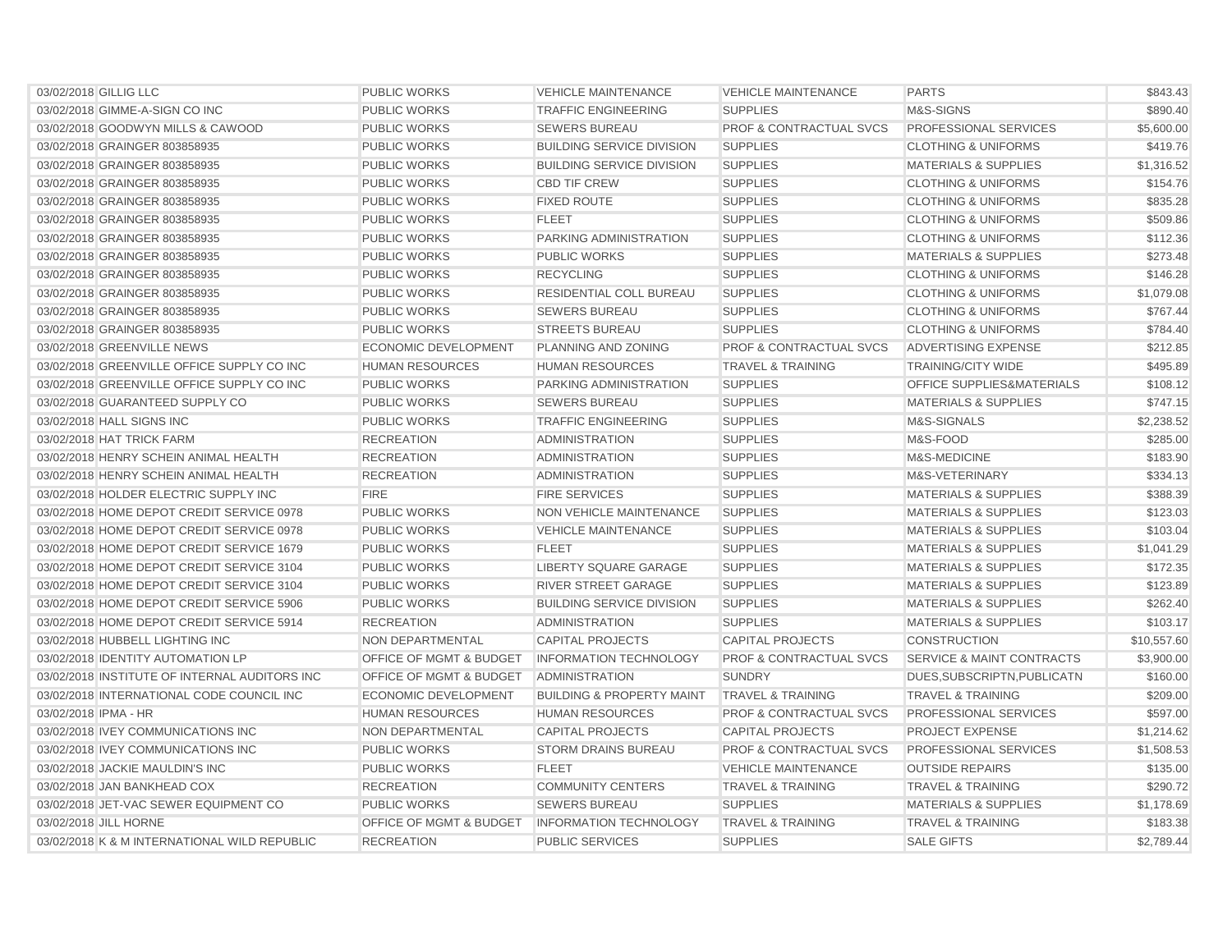| 03/02/2018 GILLIG LLC                         | <b>PUBLIC WORKS</b>                | <b>VEHICLE MAINTENANCE</b>           | <b>VEHICLE MAINTENANCE</b>         | <b>PARTS</b>                         | \$843.43    |
|-----------------------------------------------|------------------------------------|--------------------------------------|------------------------------------|--------------------------------------|-------------|
| 03/02/2018 GIMME-A-SIGN CO INC                | <b>PUBLIC WORKS</b>                | <b>TRAFFIC ENGINEERING</b>           | <b>SUPPLIES</b>                    | M&S-SIGNS                            | \$890.40    |
| 03/02/2018 GOODWYN MILLS & CAWOOD             | <b>PUBLIC WORKS</b>                | <b>SEWERS BUREAU</b>                 | <b>PROF &amp; CONTRACTUAL SVCS</b> | <b>PROFESSIONAL SERVICES</b>         | \$5,600.00  |
| 03/02/2018 GRAINGER 803858935                 | <b>PUBLIC WORKS</b>                | <b>BUILDING SERVICE DIVISION</b>     | <b>SUPPLIES</b>                    | <b>CLOTHING &amp; UNIFORMS</b>       | \$419.76    |
| 03/02/2018 GRAINGER 803858935                 | <b>PUBLIC WORKS</b>                | <b>BUILDING SERVICE DIVISION</b>     | <b>SUPPLIES</b>                    | <b>MATERIALS &amp; SUPPLIES</b>      | \$1,316.52  |
| 03/02/2018 GRAINGER 803858935                 | <b>PUBLIC WORKS</b>                | <b>CBD TIF CREW</b>                  | <b>SUPPLIES</b>                    | <b>CLOTHING &amp; UNIFORMS</b>       | \$154.76    |
| 03/02/2018 GRAINGER 803858935                 | <b>PUBLIC WORKS</b>                | <b>FIXED ROUTE</b>                   | <b>SUPPLIES</b>                    | <b>CLOTHING &amp; UNIFORMS</b>       | \$835.28    |
| 03/02/2018 GRAINGER 803858935                 | <b>PUBLIC WORKS</b>                | <b>FLEET</b>                         | <b>SUPPLIES</b>                    | <b>CLOTHING &amp; UNIFORMS</b>       | \$509.86    |
| 03/02/2018 GRAINGER 803858935                 | <b>PUBLIC WORKS</b>                | PARKING ADMINISTRATION               | <b>SUPPLIES</b>                    | <b>CLOTHING &amp; UNIFORMS</b>       | \$112.36    |
| 03/02/2018 GRAINGER 803858935                 | <b>PUBLIC WORKS</b>                | <b>PUBLIC WORKS</b>                  | <b>SUPPLIES</b>                    | <b>MATERIALS &amp; SUPPLIES</b>      | \$273.48    |
| 03/02/2018 GRAINGER 803858935                 | <b>PUBLIC WORKS</b>                | <b>RECYCLING</b>                     | <b>SUPPLIES</b>                    | <b>CLOTHING &amp; UNIFORMS</b>       | \$146.28    |
| 03/02/2018 GRAINGER 803858935                 | <b>PUBLIC WORKS</b>                | <b>RESIDENTIAL COLL BUREAU</b>       | <b>SUPPLIES</b>                    | <b>CLOTHING &amp; UNIFORMS</b>       | \$1.079.08  |
| 03/02/2018 GRAINGER 803858935                 | <b>PUBLIC WORKS</b>                | <b>SEWERS BUREAU</b>                 | <b>SUPPLIES</b>                    | <b>CLOTHING &amp; UNIFORMS</b>       | \$767.44    |
| 03/02/2018 GRAINGER 803858935                 | <b>PUBLIC WORKS</b>                | <b>STREETS BUREAU</b>                | <b>SUPPLIES</b>                    | <b>CLOTHING &amp; UNIFORMS</b>       | \$784.40    |
| 03/02/2018 GREENVILLE NEWS                    | <b>ECONOMIC DEVELOPMENT</b>        | <b>PLANNING AND ZONING</b>           | <b>PROF &amp; CONTRACTUAL SVCS</b> | ADVERTISING EXPENSE                  | \$212.85    |
| 03/02/2018 GREENVILLE OFFICE SUPPLY CO INC    | <b>HUMAN RESOURCES</b>             | <b>HUMAN RESOURCES</b>               | <b>TRAVEL &amp; TRAINING</b>       | <b>TRAINING/CITY WIDE</b>            | \$495.89    |
| 03/02/2018 GREENVILLE OFFICE SUPPLY CO INC    | <b>PUBLIC WORKS</b>                | PARKING ADMINISTRATION               | <b>SUPPLIES</b>                    | <b>OFFICE SUPPLIES&amp;MATERIALS</b> | \$108.12    |
| 03/02/2018 GUARANTEED SUPPLY CO               | <b>PUBLIC WORKS</b>                | <b>SEWERS BUREAU</b>                 | <b>SUPPLIES</b>                    | <b>MATERIALS &amp; SUPPLIES</b>      | \$747.15    |
| 03/02/2018 HALL SIGNS INC                     | <b>PUBLIC WORKS</b>                | <b>TRAFFIC ENGINEERING</b>           | <b>SUPPLIES</b>                    | M&S-SIGNALS                          | \$2,238.52  |
| 03/02/2018 HAT TRICK FARM                     | <b>RECREATION</b>                  | <b>ADMINISTRATION</b>                | <b>SUPPLIES</b>                    | M&S-FOOD                             | \$285.00    |
| 03/02/2018 HENRY SCHEIN ANIMAL HEALTH         | <b>RECREATION</b>                  | <b>ADMINISTRATION</b>                | <b>SUPPLIES</b>                    | M&S-MEDICINE                         | \$183.90    |
| 03/02/2018 HENRY SCHEIN ANIMAL HEALTH         | <b>RECREATION</b>                  | <b>ADMINISTRATION</b>                | <b>SUPPLIES</b>                    | M&S-VETERINARY                       | \$334.13    |
| 03/02/2018 HOLDER ELECTRIC SUPPLY INC         | <b>FIRE</b>                        | <b>FIRE SERVICES</b>                 | <b>SUPPLIES</b>                    | <b>MATERIALS &amp; SUPPLIES</b>      | \$388.39    |
| 03/02/2018 HOME DEPOT CREDIT SERVICE 0978     | <b>PUBLIC WORKS</b>                | NON VEHICLE MAINTENANCE              | <b>SUPPLIES</b>                    | <b>MATERIALS &amp; SUPPLIES</b>      | \$123.03    |
| 03/02/2018 HOME DEPOT CREDIT SERVICE 0978     | <b>PUBLIC WORKS</b>                | <b>VEHICLE MAINTENANCE</b>           | <b>SUPPLIES</b>                    | <b>MATERIALS &amp; SUPPLIES</b>      | \$103.04    |
| 03/02/2018 HOME DEPOT CREDIT SERVICE 1679     | <b>PUBLIC WORKS</b>                | <b>FLEET</b>                         | <b>SUPPLIES</b>                    | <b>MATERIALS &amp; SUPPLIES</b>      | \$1.041.29  |
| 03/02/2018 HOME DEPOT CREDIT SERVICE 3104     | <b>PUBLIC WORKS</b>                | LIBERTY SQUARE GARAGE                | <b>SUPPLIES</b>                    | <b>MATERIALS &amp; SUPPLIES</b>      | \$172.35    |
| 03/02/2018 HOME DEPOT CREDIT SERVICE 3104     | <b>PUBLIC WORKS</b>                | <b>RIVER STREET GARAGE</b>           | <b>SUPPLIES</b>                    | <b>MATERIALS &amp; SUPPLIES</b>      | \$123.89    |
| 03/02/2018 HOME DEPOT CREDIT SERVICE 5906     | <b>PUBLIC WORKS</b>                | <b>BUILDING SERVICE DIVISION</b>     | <b>SUPPLIES</b>                    | <b>MATERIALS &amp; SUPPLIES</b>      | \$262.40    |
| 03/02/2018 HOME DEPOT CREDIT SERVICE 5914     | <b>RECREATION</b>                  | <b>ADMINISTRATION</b>                | <b>SUPPLIES</b>                    | <b>MATERIALS &amp; SUPPLIES</b>      | \$103.17    |
| 03/02/2018 HUBBELL LIGHTING INC               | NON DEPARTMENTAL                   | <b>CAPITAL PROJECTS</b>              | <b>CAPITAL PROJECTS</b>            | <b>CONSTRUCTION</b>                  | \$10,557.60 |
| 03/02/2018 IDENTITY AUTOMATION LP             | OFFICE OF MGMT & BUDGET            | <b>INFORMATION TECHNOLOGY</b>        | <b>PROF &amp; CONTRACTUAL SVCS</b> | SERVICE & MAINT CONTRACTS            | \$3,900.00  |
| 03/02/2018 INSTITUTE OF INTERNAL AUDITORS INC | OFFICE OF MGMT & BUDGET            | <b>ADMINISTRATION</b>                | <b>SUNDRY</b>                      | DUES, SUBSCRIPTN, PUBLICATN          | \$160.00    |
| 03/02/2018 INTERNATIONAL CODE COUNCIL INC     | <b>ECONOMIC DEVELOPMENT</b>        | <b>BUILDING &amp; PROPERTY MAINT</b> | <b>TRAVEL &amp; TRAINING</b>       | <b>TRAVEL &amp; TRAINING</b>         | \$209.00    |
| 03/02/2018 IPMA - HR                          | <b>HUMAN RESOURCES</b>             | <b>HUMAN RESOURCES</b>               | <b>PROF &amp; CONTRACTUAL SVCS</b> | PROFESSIONAL SERVICES                | \$597.00    |
| 03/02/2018 IVEY COMMUNICATIONS INC            | NON DEPARTMENTAL                   | <b>CAPITAL PROJECTS</b>              | <b>CAPITAL PROJECTS</b>            | PROJECT EXPENSE                      | \$1,214.62  |
| 03/02/2018 IVEY COMMUNICATIONS INC            | <b>PUBLIC WORKS</b>                | <b>STORM DRAINS BUREAU</b>           | <b>PROF &amp; CONTRACTUAL SVCS</b> | <b>PROFESSIONAL SERVICES</b>         | \$1,508.53  |
| 03/02/2018 JACKIE MAULDIN'S INC               | <b>PUBLIC WORKS</b>                | <b>FLEET</b>                         | <b>VEHICLE MAINTENANCE</b>         | <b>OUTSIDE REPAIRS</b>               | \$135.00    |
| 03/02/2018 JAN BANKHEAD COX                   | <b>RECREATION</b>                  | <b>COMMUNITY CENTERS</b>             | <b>TRAVEL &amp; TRAINING</b>       | <b>TRAVEL &amp; TRAINING</b>         | \$290.72    |
| 03/02/2018 JET-VAC SEWER EQUIPMENT CO         | <b>PUBLIC WORKS</b>                | <b>SEWERS BUREAU</b>                 | <b>SUPPLIES</b>                    | <b>MATERIALS &amp; SUPPLIES</b>      | \$1.178.69  |
| 03/02/2018 JILL HORNE                         | <b>OFFICE OF MGMT &amp; BUDGET</b> | <b>INFORMATION TECHNOLOGY</b>        | <b>TRAVEL &amp; TRAINING</b>       | <b>TRAVEL &amp; TRAINING</b>         | \$183.38    |
| 03/02/2018 K & M INTERNATIONAL WILD REPUBLIC  | <b>RECREATION</b>                  | <b>PUBLIC SERVICES</b>               | <b>SUPPLIES</b>                    | <b>SALE GIFTS</b>                    | \$2,789.44  |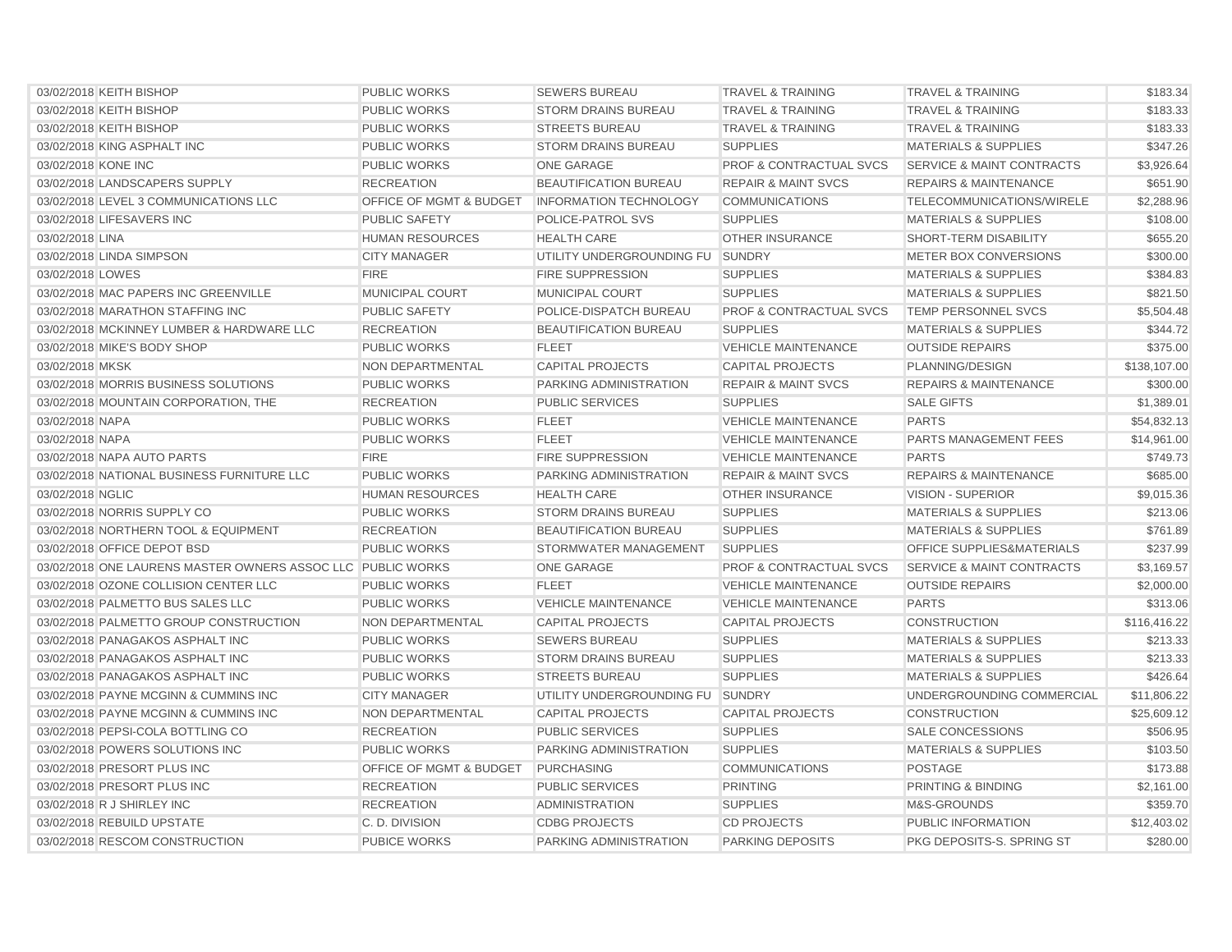| 03/02/2018 KEITH BISHOP                                     | <b>PUBLIC WORKS</b>                | <b>SEWERS BUREAU</b>             | <b>TRAVEL &amp; TRAINING</b>       | <b>TRAVEL &amp; TRAINING</b>         | \$183.34     |
|-------------------------------------------------------------|------------------------------------|----------------------------------|------------------------------------|--------------------------------------|--------------|
| 03/02/2018 KEITH BISHOP                                     | <b>PUBLIC WORKS</b>                | <b>STORM DRAINS BUREAU</b>       | <b>TRAVEL &amp; TRAINING</b>       | <b>TRAVEL &amp; TRAINING</b>         | \$183.33     |
| 03/02/2018 KEITH BISHOP                                     | <b>PUBLIC WORKS</b>                | <b>STREETS BUREAU</b>            | <b>TRAVEL &amp; TRAINING</b>       | <b>TRAVEL &amp; TRAINING</b>         | \$183.33     |
| 03/02/2018 KING ASPHALT INC                                 | <b>PUBLIC WORKS</b>                | <b>STORM DRAINS BUREAU</b>       | <b>SUPPLIES</b>                    | <b>MATERIALS &amp; SUPPLIES</b>      | \$347.26     |
| 03/02/2018 KONE INC                                         | <b>PUBLIC WORKS</b>                | <b>ONE GARAGE</b>                | <b>PROF &amp; CONTRACTUAL SVCS</b> | SERVICE & MAINT CONTRACTS            | \$3,926.64   |
| 03/02/2018 LANDSCAPERS SUPPLY                               | <b>RECREATION</b>                  | <b>BEAUTIFICATION BUREAU</b>     | <b>REPAIR &amp; MAINT SVCS</b>     | <b>REPAIRS &amp; MAINTENANCE</b>     | \$651.90     |
| 03/02/2018 LEVEL 3 COMMUNICATIONS LLC                       | OFFICE OF MGMT & BUDGET            | <b>INFORMATION TECHNOLOGY</b>    | <b>COMMUNICATIONS</b>              | TELECOMMUNICATIONS/WIRELE            | \$2,288.96   |
| 03/02/2018 LIFESAVERS INC                                   | <b>PUBLIC SAFETY</b>               | <b>POLICE-PATROL SVS</b>         | <b>SUPPLIES</b>                    | <b>MATERIALS &amp; SUPPLIES</b>      | \$108.00     |
| 03/02/2018 LINA                                             | <b>HUMAN RESOURCES</b>             | <b>HEALTH CARE</b>               | <b>OTHER INSURANCE</b>             | <b>SHORT-TERM DISABILITY</b>         | \$655.20     |
| 03/02/2018 LINDA SIMPSON                                    | <b>CITY MANAGER</b>                | UTILITY UNDERGROUNDING FU SUNDRY |                                    | METER BOX CONVERSIONS                | \$300.00     |
| 03/02/2018 LOWES                                            | <b>FIRE</b>                        | <b>FIRE SUPPRESSION</b>          | <b>SUPPLIES</b>                    | <b>MATERIALS &amp; SUPPLIES</b>      | \$384.83     |
| 03/02/2018 MAC PAPERS INC GREENVILLE                        | MUNICIPAL COURT                    | MUNICIPAL COURT                  | <b>SUPPLIES</b>                    | <b>MATERIALS &amp; SUPPLIES</b>      | \$821.50     |
| 03/02/2018 MARATHON STAFFING INC                            | <b>PUBLIC SAFETY</b>               | POLICE-DISPATCH BUREAU           | <b>PROF &amp; CONTRACTUAL SVCS</b> | TEMP PERSONNEL SVCS                  | \$5,504.48   |
| 03/02/2018 MCKINNEY LUMBER & HARDWARE LLC                   | <b>RECREATION</b>                  | <b>BEAUTIFICATION BUREAU</b>     | <b>SUPPLIES</b>                    | <b>MATERIALS &amp; SUPPLIES</b>      | \$344.72     |
| 03/02/2018 MIKE'S BODY SHOP                                 | <b>PUBLIC WORKS</b>                | <b>FLEET</b>                     | <b>VEHICLE MAINTENANCE</b>         | <b>OUTSIDE REPAIRS</b>               | \$375.00     |
| 03/02/2018 MKSK                                             | <b>NON DEPARTMENTAL</b>            | <b>CAPITAL PROJECTS</b>          | <b>CAPITAL PROJECTS</b>            | PLANNING/DESIGN                      | \$138,107.00 |
| 03/02/2018 MORRIS BUSINESS SOLUTIONS                        | <b>PUBLIC WORKS</b>                | <b>PARKING ADMINISTRATION</b>    | <b>REPAIR &amp; MAINT SVCS</b>     | <b>REPAIRS &amp; MAINTENANCE</b>     | \$300.00     |
| 03/02/2018 MOUNTAIN CORPORATION, THE                        | <b>RECREATION</b>                  | <b>PUBLIC SERVICES</b>           | <b>SUPPLIES</b>                    | <b>SALE GIFTS</b>                    | \$1,389.01   |
| 03/02/2018 NAPA                                             | <b>PUBLIC WORKS</b>                | <b>FLEET</b>                     | <b>VEHICLE MAINTENANCE</b>         | <b>PARTS</b>                         | \$54,832.13  |
| 03/02/2018 NAPA                                             | <b>PUBLIC WORKS</b>                | <b>FLEET</b>                     | <b>VEHICLE MAINTENANCE</b>         | <b>PARTS MANAGEMENT FEES</b>         | \$14,961.00  |
| 03/02/2018 NAPA AUTO PARTS                                  | <b>FIRE</b>                        | <b>FIRE SUPPRESSION</b>          | <b>VEHICLE MAINTENANCE</b>         | <b>PARTS</b>                         | \$749.73     |
| 03/02/2018 NATIONAL BUSINESS FURNITURE LLC                  | <b>PUBLIC WORKS</b>                | PARKING ADMINISTRATION           | <b>REPAIR &amp; MAINT SVCS</b>     | <b>REPAIRS &amp; MAINTENANCE</b>     | \$685.00     |
| 03/02/2018 NGLIC                                            | <b>HUMAN RESOURCES</b>             | <b>HEALTH CARE</b>               | <b>OTHER INSURANCE</b>             | <b>VISION - SUPERIOR</b>             | \$9,015.36   |
| 03/02/2018 NORRIS SUPPLY CO                                 | <b>PUBLIC WORKS</b>                | <b>STORM DRAINS BUREAU</b>       | <b>SUPPLIES</b>                    | <b>MATERIALS &amp; SUPPLIES</b>      | \$213.06     |
| 03/02/2018 NORTHERN TOOL & EQUIPMENT                        | <b>RECREATION</b>                  | <b>BEAUTIFICATION BUREAU</b>     | <b>SUPPLIES</b>                    | <b>MATERIALS &amp; SUPPLIES</b>      | \$761.89     |
| 03/02/2018 OFFICE DEPOT BSD                                 | <b>PUBLIC WORKS</b>                | STORMWATER MANAGEMENT            | <b>SUPPLIES</b>                    | <b>OFFICE SUPPLIES&amp;MATERIALS</b> | \$237.99     |
| 03/02/2018 ONE LAURENS MASTER OWNERS ASSOC LLC PUBLIC WORKS |                                    | <b>ONE GARAGE</b>                | <b>PROF &amp; CONTRACTUAL SVCS</b> | <b>SERVICE &amp; MAINT CONTRACTS</b> | \$3,169.57   |
| 03/02/2018 OZONE COLLISION CENTER LLC                       | <b>PUBLIC WORKS</b>                | <b>FLEET</b>                     | <b>VEHICLE MAINTENANCE</b>         | <b>OUTSIDE REPAIRS</b>               | \$2,000.00   |
| 03/02/2018 PALMETTO BUS SALES LLC                           | <b>PUBLIC WORKS</b>                | <b>VEHICLE MAINTENANCE</b>       | <b>VEHICLE MAINTENANCE</b>         | <b>PARTS</b>                         | \$313.06     |
| 03/02/2018 PALMETTO GROUP CONSTRUCTION                      | NON DEPARTMENTAL                   | <b>CAPITAL PROJECTS</b>          | <b>CAPITAL PROJECTS</b>            | <b>CONSTRUCTION</b>                  | \$116,416.22 |
| 03/02/2018 PANAGAKOS ASPHALT INC                            | <b>PUBLIC WORKS</b>                | <b>SEWERS BUREAU</b>             | <b>SUPPLIES</b>                    | <b>MATERIALS &amp; SUPPLIES</b>      | \$213.33     |
| 03/02/2018 PANAGAKOS ASPHALT INC                            | <b>PUBLIC WORKS</b>                | <b>STORM DRAINS BUREAU</b>       | <b>SUPPLIES</b>                    | <b>MATERIALS &amp; SUPPLIES</b>      | \$213.33     |
| 03/02/2018 PANAGAKOS ASPHALT INC                            | <b>PUBLIC WORKS</b>                | <b>STREETS BUREAU</b>            | <b>SUPPLIES</b>                    | <b>MATERIALS &amp; SUPPLIES</b>      | \$426.64     |
| 03/02/2018 PAYNE MCGINN & CUMMINS INC                       | <b>CITY MANAGER</b>                | UTILITY UNDERGROUNDING FU SUNDRY |                                    | UNDERGROUNDING COMMERCIAL            | \$11,806.22  |
| 03/02/2018 PAYNE MCGINN & CUMMINS INC                       | NON DEPARTMENTAL                   | <b>CAPITAL PROJECTS</b>          | <b>CAPITAL PROJECTS</b>            | <b>CONSTRUCTION</b>                  | \$25,609.12  |
| 03/02/2018 PEPSI-COLA BOTTLING CO                           | <b>RECREATION</b>                  | <b>PUBLIC SERVICES</b>           | <b>SUPPLIES</b>                    | <b>SALE CONCESSIONS</b>              | \$506.95     |
| 03/02/2018 POWERS SOLUTIONS INC                             | <b>PUBLIC WORKS</b>                | PARKING ADMINISTRATION           | <b>SUPPLIES</b>                    | <b>MATERIALS &amp; SUPPLIES</b>      | \$103.50     |
| 03/02/2018 PRESORT PLUS INC                                 | <b>OFFICE OF MGMT &amp; BUDGET</b> | <b>PURCHASING</b>                | <b>COMMUNICATIONS</b>              | <b>POSTAGE</b>                       | \$173.88     |
| 03/02/2018 PRESORT PLUS INC                                 | <b>RECREATION</b>                  | <b>PUBLIC SERVICES</b>           | <b>PRINTING</b>                    | PRINTING & BINDING                   | \$2,161.00   |
| 03/02/2018 R J SHIRLEY INC                                  | <b>RECREATION</b>                  | <b>ADMINISTRATION</b>            | <b>SUPPLIES</b>                    | M&S-GROUNDS                          | \$359.70     |
| 03/02/2018 REBUILD UPSTATE                                  | C. D. DIVISION                     | <b>CDBG PROJECTS</b>             | <b>CD PROJECTS</b>                 | PUBLIC INFORMATION                   | \$12,403.02  |
| 03/02/2018 RESCOM CONSTRUCTION                              | <b>PUBICE WORKS</b>                | PARKING ADMINISTRATION           | <b>PARKING DEPOSITS</b>            | PKG DEPOSITS-S. SPRING ST            | \$280.00     |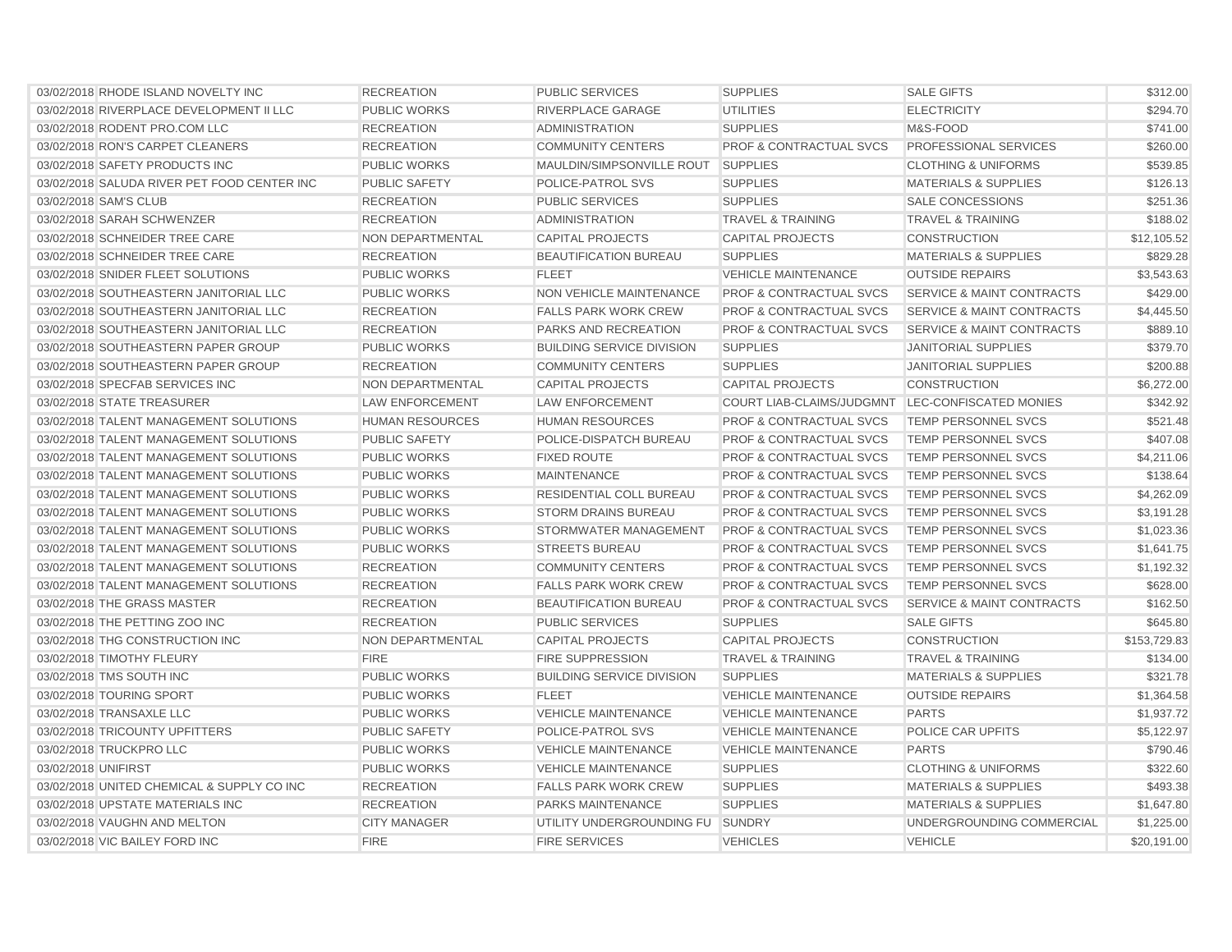| 03/02/2018 RHODE ISLAND NOVELTY INC         | <b>RECREATION</b>       | <b>PUBLIC SERVICES</b>           | <b>SUPPLIES</b>                                  | <b>SALE GIFTS</b>                    | \$312.00     |
|---------------------------------------------|-------------------------|----------------------------------|--------------------------------------------------|--------------------------------------|--------------|
| 03/02/2018 RIVERPLACE DEVELOPMENT II LLC    | <b>PUBLIC WORKS</b>     | <b>RIVERPLACE GARAGE</b>         | <b>UTILITIES</b>                                 | <b>ELECTRICITY</b>                   | \$294.70     |
| 03/02/2018 RODENT PRO.COM LLC               | <b>RECREATION</b>       | <b>ADMINISTRATION</b>            | <b>SUPPLIES</b>                                  | M&S-FOOD                             | \$741.00     |
| 03/02/2018 RON'S CARPET CLEANERS            | <b>RECREATION</b>       | <b>COMMUNITY CENTERS</b>         | <b>PROF &amp; CONTRACTUAL SVCS</b>               | PROFESSIONAL SERVICES                | \$260.00     |
| 03/02/2018 SAFETY PRODUCTS INC              | <b>PUBLIC WORKS</b>     | MAULDIN/SIMPSONVILLE ROUT        | <b>SUPPLIES</b>                                  | <b>CLOTHING &amp; UNIFORMS</b>       | \$539.85     |
| 03/02/2018 SALUDA RIVER PET FOOD CENTER INC | <b>PUBLIC SAFETY</b>    | POLICE-PATROL SVS                | <b>SUPPLIES</b>                                  | <b>MATERIALS &amp; SUPPLIES</b>      | \$126.13     |
| 03/02/2018 SAM'S CLUB                       | <b>RECREATION</b>       | <b>PUBLIC SERVICES</b>           | <b>SUPPLIES</b>                                  | <b>SALE CONCESSIONS</b>              | \$251.36     |
| 03/02/2018 SARAH SCHWENZER                  | <b>RECREATION</b>       | ADMINISTRATION                   | <b>TRAVEL &amp; TRAINING</b>                     | <b>TRAVEL &amp; TRAINING</b>         | \$188.02     |
| 03/02/2018 SCHNEIDER TREE CARE              | <b>NON DEPARTMENTAL</b> | <b>CAPITAL PROJECTS</b>          | <b>CAPITAL PROJECTS</b>                          | <b>CONSTRUCTION</b>                  | \$12,105.52  |
| 03/02/2018 SCHNEIDER TREE CARE              | <b>RECREATION</b>       | <b>BEAUTIFICATION BUREAU</b>     | <b>SUPPLIES</b>                                  | <b>MATERIALS &amp; SUPPLIES</b>      | \$829.28     |
| 03/02/2018 SNIDER FLEET SOLUTIONS           | <b>PUBLIC WORKS</b>     | <b>FLEET</b>                     | <b>VEHICLE MAINTENANCE</b>                       | <b>OUTSIDE REPAIRS</b>               | \$3,543.63   |
| 03/02/2018 SOUTHEASTERN JANITORIAL LLC      | <b>PUBLIC WORKS</b>     | NON VEHICLE MAINTENANCE          | <b>PROF &amp; CONTRACTUAL SVCS</b>               | <b>SERVICE &amp; MAINT CONTRACTS</b> | \$429.00     |
| 03/02/2018 SOUTHEASTERN JANITORIAL LLC      | <b>RECREATION</b>       | <b>FALLS PARK WORK CREW</b>      | <b>PROF &amp; CONTRACTUAL SVCS</b>               | <b>SERVICE &amp; MAINT CONTRACTS</b> | \$4,445.50   |
| 03/02/2018 SOUTHEASTERN JANITORIAL LLC      | <b>RECREATION</b>       | PARKS AND RECREATION             | <b>PROF &amp; CONTRACTUAL SVCS</b>               | <b>SERVICE &amp; MAINT CONTRACTS</b> | \$889.10     |
| 03/02/2018 SOUTHEASTERN PAPER GROUP         | <b>PUBLIC WORKS</b>     | <b>BUILDING SERVICE DIVISION</b> | <b>SUPPLIES</b>                                  | <b>JANITORIAL SUPPLIES</b>           | \$379.70     |
| 03/02/2018 SOUTHEASTERN PAPER GROUP         | <b>RECREATION</b>       | <b>COMMUNITY CENTERS</b>         | <b>SUPPLIES</b>                                  | <b>JANITORIAL SUPPLIES</b>           | \$200.88     |
| 03/02/2018 SPECFAB SERVICES INC             | NON DEPARTMENTAL        | <b>CAPITAL PROJECTS</b>          | <b>CAPITAL PROJECTS</b>                          | <b>CONSTRUCTION</b>                  | \$6,272.00   |
| 03/02/2018 STATE TREASURER                  | <b>LAW ENFORCEMENT</b>  | LAW ENFORCEMENT                  | COURT LIAB-CLAIMS/JUDGMNT LEC-CONFISCATED MONIES |                                      | \$342.92     |
| 03/02/2018 TALENT MANAGEMENT SOLUTIONS      | <b>HUMAN RESOURCES</b>  | <b>HUMAN RESOURCES</b>           | <b>PROF &amp; CONTRACTUAL SVCS</b>               | TEMP PERSONNEL SVCS                  | \$521.48     |
| 03/02/2018 TALENT MANAGEMENT SOLUTIONS      | <b>PUBLIC SAFETY</b>    | POLICE-DISPATCH BUREAU           | <b>PROF &amp; CONTRACTUAL SVCS</b>               | <b>TEMP PERSONNEL SVCS</b>           | \$407.08     |
| 03/02/2018 TALENT MANAGEMENT SOLUTIONS      | <b>PUBLIC WORKS</b>     | <b>FIXED ROUTE</b>               | <b>PROF &amp; CONTRACTUAL SVCS</b>               | TEMP PERSONNEL SVCS                  | \$4,211.06   |
| 03/02/2018 TALENT MANAGEMENT SOLUTIONS      | <b>PUBLIC WORKS</b>     | <b>MAINTENANCE</b>               | <b>PROF &amp; CONTRACTUAL SVCS</b>               | TEMP PERSONNEL SVCS                  | \$138.64     |
| 03/02/2018 TALENT MANAGEMENT SOLUTIONS      | <b>PUBLIC WORKS</b>     | <b>RESIDENTIAL COLL BUREAU</b>   | <b>PROF &amp; CONTRACTUAL SVCS</b>               | <b>TEMP PERSONNEL SVCS</b>           | \$4,262.09   |
| 03/02/2018 TALENT MANAGEMENT SOLUTIONS      | <b>PUBLIC WORKS</b>     | <b>STORM DRAINS BUREAU</b>       | <b>PROF &amp; CONTRACTUAL SVCS</b>               | <b>TEMP PERSONNEL SVCS</b>           | \$3,191.28   |
| 03/02/2018 TALENT MANAGEMENT SOLUTIONS      | <b>PUBLIC WORKS</b>     | STORMWATER MANAGEMENT            | <b>PROF &amp; CONTRACTUAL SVCS</b>               | TEMP PERSONNEL SVCS                  | \$1,023.36   |
| 03/02/2018 TALENT MANAGEMENT SOLUTIONS      | <b>PUBLIC WORKS</b>     | <b>STREETS BUREAU</b>            | <b>PROF &amp; CONTRACTUAL SVCS</b>               | TEMP PERSONNEL SVCS                  | \$1,641.75   |
| 03/02/2018 TALENT MANAGEMENT SOLUTIONS      | <b>RECREATION</b>       | <b>COMMUNITY CENTERS</b>         | PROF & CONTRACTUAL SVCS                          | <b>TEMP PERSONNEL SVCS</b>           | \$1,192.32   |
| 03/02/2018 TALENT MANAGEMENT SOLUTIONS      | <b>RECREATION</b>       | <b>FALLS PARK WORK CREW</b>      | <b>PROF &amp; CONTRACTUAL SVCS</b>               | <b>TEMP PERSONNEL SVCS</b>           | \$628.00     |
| 03/02/2018 THE GRASS MASTER                 | <b>RECREATION</b>       | <b>BEAUTIFICATION BUREAU</b>     | <b>PROF &amp; CONTRACTUAL SVCS</b>               | <b>SERVICE &amp; MAINT CONTRACTS</b> | \$162.50     |
| 03/02/2018 THE PETTING ZOO INC              | <b>RECREATION</b>       | <b>PUBLIC SERVICES</b>           | <b>SUPPLIES</b>                                  | <b>SALE GIFTS</b>                    | \$645.80     |
| 03/02/2018 THG CONSTRUCTION INC             | <b>NON DEPARTMENTAL</b> | <b>CAPITAL PROJECTS</b>          | <b>CAPITAL PROJECTS</b>                          | <b>CONSTRUCTION</b>                  | \$153,729.83 |
| 03/02/2018 TIMOTHY FLEURY                   | <b>FIRE</b>             | <b>FIRE SUPPRESSION</b>          | <b>TRAVEL &amp; TRAINING</b>                     | <b>TRAVEL &amp; TRAINING</b>         | \$134.00     |
| 03/02/2018 TMS SOUTH INC                    | <b>PUBLIC WORKS</b>     | <b>BUILDING SERVICE DIVISION</b> | <b>SUPPLIES</b>                                  | <b>MATERIALS &amp; SUPPLIES</b>      | \$321.78     |
| 03/02/2018 TOURING SPORT                    | <b>PUBLIC WORKS</b>     | <b>FLEET</b>                     | <b>VEHICLE MAINTENANCE</b>                       | <b>OUTSIDE REPAIRS</b>               | \$1,364.58   |
| 03/02/2018 TRANSAXLE LLC                    | <b>PUBLIC WORKS</b>     | <b>VEHICLE MAINTENANCE</b>       | <b>VEHICLE MAINTENANCE</b>                       | <b>PARTS</b>                         | \$1,937.72   |
| 03/02/2018 TRICOUNTY UPFITTERS              | <b>PUBLIC SAFETY</b>    | POLICE-PATROL SVS                | <b>VEHICLE MAINTENANCE</b>                       | POLICE CAR UPFITS                    | \$5,122.97   |
| 03/02/2018 TRUCKPRO LLC                     | <b>PUBLIC WORKS</b>     | <b>VEHICLE MAINTENANCE</b>       | <b>VEHICLE MAINTENANCE</b>                       | <b>PARTS</b>                         | \$790.46     |
| 03/02/2018 UNIFIRST                         | <b>PUBLIC WORKS</b>     | <b>VEHICLE MAINTENANCE</b>       | <b>SUPPLIES</b>                                  | <b>CLOTHING &amp; UNIFORMS</b>       | \$322.60     |
| 03/02/2018 UNITED CHEMICAL & SUPPLY CO INC  | <b>RECREATION</b>       | <b>FALLS PARK WORK CREW</b>      | <b>SUPPLIES</b>                                  | <b>MATERIALS &amp; SUPPLIES</b>      | \$493.38     |
| 03/02/2018 UPSTATE MATERIALS INC            | <b>RECREATION</b>       | <b>PARKS MAINTENANCE</b>         | <b>SUPPLIES</b>                                  | <b>MATERIALS &amp; SUPPLIES</b>      | \$1,647.80   |
| 03/02/2018 VAUGHN AND MELTON                | <b>CITY MANAGER</b>     | UTILITY UNDERGROUNDING FU SUNDRY |                                                  | UNDERGROUNDING COMMERCIAL            | \$1,225.00   |
| 03/02/2018 VIC BAILEY FORD INC              | <b>FIRE</b>             | <b>FIRE SERVICES</b>             | <b>VEHICLES</b>                                  | <b>VEHICLE</b>                       | \$20,191.00  |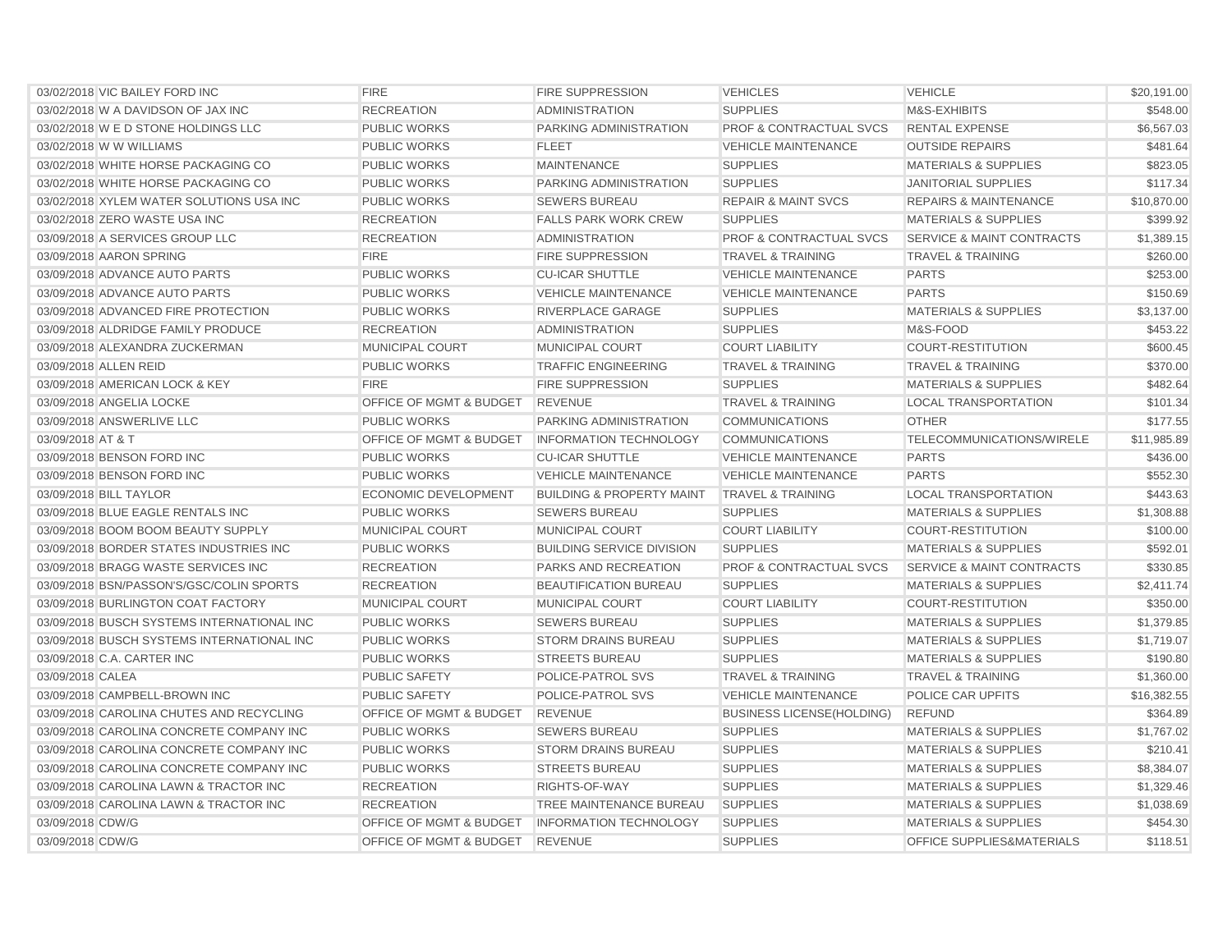| 03/02/2018 VIC BAILEY FORD INC             | <b>FIRE</b>             | <b>FIRE SUPPRESSION</b>              | <b>VEHICLES</b>                    | <b>VEHICLE</b>                       | \$20,191.00 |
|--------------------------------------------|-------------------------|--------------------------------------|------------------------------------|--------------------------------------|-------------|
| 03/02/2018 W A DAVIDSON OF JAX INC         | <b>RECREATION</b>       | <b>ADMINISTRATION</b>                | <b>SUPPLIES</b>                    | M&S-EXHIBITS                         | \$548.00    |
| 03/02/2018 W E D STONE HOLDINGS LLC        | <b>PUBLIC WORKS</b>     | PARKING ADMINISTRATION               | <b>PROF &amp; CONTRACTUAL SVCS</b> | <b>RENTAL EXPENSE</b>                | \$6,567.03  |
| 03/02/2018 W W WILLIAMS                    | <b>PUBLIC WORKS</b>     | <b>FLEET</b>                         | <b>VEHICLE MAINTENANCE</b>         | <b>OUTSIDE REPAIRS</b>               | \$481.64    |
| 03/02/2018 WHITE HORSE PACKAGING CO        | <b>PUBLIC WORKS</b>     | <b>MAINTENANCE</b>                   | <b>SUPPLIES</b>                    | <b>MATERIALS &amp; SUPPLIES</b>      | \$823.05    |
| 03/02/2018 WHITE HORSE PACKAGING CO        | <b>PUBLIC WORKS</b>     | PARKING ADMINISTRATION               | <b>SUPPLIES</b>                    | <b>JANITORIAL SUPPLIES</b>           | \$117.34    |
| 03/02/2018 XYLEM WATER SOLUTIONS USA INC   | <b>PUBLIC WORKS</b>     | <b>SEWERS BUREAU</b>                 | <b>REPAIR &amp; MAINT SVCS</b>     | <b>REPAIRS &amp; MAINTENANCE</b>     | \$10,870.00 |
| 03/02/2018 ZERO WASTE USA INC              | <b>RECREATION</b>       | <b>FALLS PARK WORK CREW</b>          | <b>SUPPLIES</b>                    | <b>MATERIALS &amp; SUPPLIES</b>      | \$399.92    |
| 03/09/2018 A SERVICES GROUP LLC            | <b>RECREATION</b>       | <b>ADMINISTRATION</b>                | <b>PROF &amp; CONTRACTUAL SVCS</b> | <b>SERVICE &amp; MAINT CONTRACTS</b> | \$1,389.15  |
| 03/09/2018 AARON SPRING                    | <b>FIRE</b>             | <b>FIRE SUPPRESSION</b>              | <b>TRAVEL &amp; TRAINING</b>       | <b>TRAVEL &amp; TRAINING</b>         | \$260.00    |
| 03/09/2018 ADVANCE AUTO PARTS              | <b>PUBLIC WORKS</b>     | <b>CU-ICAR SHUTTLE</b>               | <b>VEHICLE MAINTENANCE</b>         | <b>PARTS</b>                         | \$253.00    |
| 03/09/2018 ADVANCE AUTO PARTS              | <b>PUBLIC WORKS</b>     | <b>VEHICLE MAINTENANCE</b>           | <b>VEHICLE MAINTENANCE</b>         | <b>PARTS</b>                         | \$150.69    |
| 03/09/2018 ADVANCED FIRE PROTECTION        | <b>PUBLIC WORKS</b>     | RIVERPLACE GARAGE                    | <b>SUPPLIES</b>                    | <b>MATERIALS &amp; SUPPLIES</b>      | \$3,137.00  |
| 03/09/2018 ALDRIDGE FAMILY PRODUCE         | <b>RECREATION</b>       | <b>ADMINISTRATION</b>                | <b>SUPPLIES</b>                    | M&S-FOOD                             | \$453.22    |
| 03/09/2018 ALEXANDRA ZUCKERMAN             | MUNICIPAL COURT         | MUNICIPAL COURT                      | <b>COURT LIABILITY</b>             | <b>COURT-RESTITUTION</b>             | \$600.45    |
| 03/09/2018 ALLEN REID                      | <b>PUBLIC WORKS</b>     | <b>TRAFFIC ENGINEERING</b>           | <b>TRAVEL &amp; TRAINING</b>       | <b>TRAVEL &amp; TRAINING</b>         | \$370.00    |
| 03/09/2018 AMERICAN LOCK & KEY             | <b>FIRE</b>             | <b>FIRE SUPPRESSION</b>              | <b>SUPPLIES</b>                    | <b>MATERIALS &amp; SUPPLIES</b>      | \$482.64    |
| 03/09/2018 ANGELIA LOCKE                   | OFFICE OF MGMT & BUDGET | <b>REVENUE</b>                       | <b>TRAVEL &amp; TRAINING</b>       | <b>LOCAL TRANSPORTATION</b>          | \$101.34    |
| 03/09/2018 ANSWERLIVE LLC                  | <b>PUBLIC WORKS</b>     | PARKING ADMINISTRATION               | <b>COMMUNICATIONS</b>              | <b>OTHER</b>                         | \$177.55    |
| 03/09/2018 AT & T                          | OFFICE OF MGMT & BUDGET | <b>INFORMATION TECHNOLOGY</b>        | <b>COMMUNICATIONS</b>              | TELECOMMUNICATIONS/WIRELE            | \$11,985.89 |
| 03/09/2018 BENSON FORD INC                 | <b>PUBLIC WORKS</b>     | <b>CU-ICAR SHUTTLE</b>               | <b>VEHICLE MAINTENANCE</b>         | <b>PARTS</b>                         | \$436.00    |
| 03/09/2018 BENSON FORD INC                 | <b>PUBLIC WORKS</b>     | <b>VEHICLE MAINTENANCE</b>           | <b>VEHICLE MAINTENANCE</b>         | <b>PARTS</b>                         | \$552.30    |
| 03/09/2018 BILL TAYLOR                     | ECONOMIC DEVELOPMENT    | <b>BUILDING &amp; PROPERTY MAINT</b> | <b>TRAVEL &amp; TRAINING</b>       | <b>LOCAL TRANSPORTATION</b>          | \$443.63    |
| 03/09/2018 BLUE EAGLE RENTALS INC          | <b>PUBLIC WORKS</b>     | <b>SEWERS BUREAU</b>                 | <b>SUPPLIES</b>                    | <b>MATERIALS &amp; SUPPLIES</b>      | \$1,308.88  |
| 03/09/2018 BOOM BOOM BEAUTY SUPPLY         | <b>MUNICIPAL COURT</b>  | <b>MUNICIPAL COURT</b>               | <b>COURT LIABILITY</b>             | <b>COURT-RESTITUTION</b>             | \$100.00    |
| 03/09/2018 BORDER STATES INDUSTRIES INC    | <b>PUBLIC WORKS</b>     | <b>BUILDING SERVICE DIVISION</b>     | <b>SUPPLIES</b>                    | <b>MATERIALS &amp; SUPPLIES</b>      | \$592.01    |
| 03/09/2018 BRAGG WASTE SERVICES INC        | <b>RECREATION</b>       | <b>PARKS AND RECREATION</b>          | <b>PROF &amp; CONTRACTUAL SVCS</b> | <b>SERVICE &amp; MAINT CONTRACTS</b> | \$330.85    |
| 03/09/2018 BSN/PASSON'S/GSC/COLIN SPORTS   | <b>RECREATION</b>       | <b>BEAUTIFICATION BUREAU</b>         | <b>SUPPLIES</b>                    | <b>MATERIALS &amp; SUPPLIES</b>      | \$2,411.74  |
| 03/09/2018 BURLINGTON COAT FACTORY         | MUNICIPAL COURT         | MUNICIPAL COURT                      | <b>COURT LIABILITY</b>             | <b>COURT-RESTITUTION</b>             | \$350.00    |
| 03/09/2018 BUSCH SYSTEMS INTERNATIONAL INC | <b>PUBLIC WORKS</b>     | <b>SEWERS BUREAU</b>                 | <b>SUPPLIES</b>                    | <b>MATERIALS &amp; SUPPLIES</b>      | \$1,379.85  |
| 03/09/2018 BUSCH SYSTEMS INTERNATIONAL INC | <b>PUBLIC WORKS</b>     | <b>STORM DRAINS BUREAU</b>           | <b>SUPPLIES</b>                    | <b>MATERIALS &amp; SUPPLIES</b>      | \$1,719.07  |
| 03/09/2018 C.A. CARTER INC                 | <b>PUBLIC WORKS</b>     | <b>STREETS BUREAU</b>                | <b>SUPPLIES</b>                    | <b>MATERIALS &amp; SUPPLIES</b>      | \$190.80    |
| 03/09/2018 CALEA                           | <b>PUBLIC SAFETY</b>    | POLICE-PATROL SVS                    | <b>TRAVEL &amp; TRAINING</b>       | <b>TRAVEL &amp; TRAINING</b>         | \$1,360.00  |
| 03/09/2018 CAMPBELL-BROWN INC              | <b>PUBLIC SAFETY</b>    | POLICE-PATROL SVS                    | <b>VEHICLE MAINTENANCE</b>         | POLICE CAR UPFITS                    | \$16,382.55 |
| 03/09/2018 CAROLINA CHUTES AND RECYCLING   | OFFICE OF MGMT & BUDGET | <b>REVENUE</b>                       | <b>BUSINESS LICENSE(HOLDING)</b>   | <b>REFUND</b>                        | \$364.89    |
| 03/09/2018 CAROLINA CONCRETE COMPANY INC   | <b>PUBLIC WORKS</b>     | <b>SEWERS BUREAU</b>                 | <b>SUPPLIES</b>                    | <b>MATERIALS &amp; SUPPLIES</b>      | \$1,767.02  |
| 03/09/2018 CAROLINA CONCRETE COMPANY INC   | <b>PUBLIC WORKS</b>     | <b>STORM DRAINS BUREAU</b>           | <b>SUPPLIES</b>                    | <b>MATERIALS &amp; SUPPLIES</b>      | \$210.41    |
| 03/09/2018 CAROLINA CONCRETE COMPANY INC   | <b>PUBLIC WORKS</b>     | <b>STREETS BUREAU</b>                | <b>SUPPLIES</b>                    | <b>MATERIALS &amp; SUPPLIES</b>      | \$8,384.07  |
| 03/09/2018 CAROLINA LAWN & TRACTOR INC     | <b>RECREATION</b>       | RIGHTS-OF-WAY                        | <b>SUPPLIES</b>                    | <b>MATERIALS &amp; SUPPLIES</b>      | \$1,329.46  |
| 03/09/2018 CAROLINA LAWN & TRACTOR INC     | <b>RECREATION</b>       | <b>TREE MAINTENANCE BUREAU</b>       | <b>SUPPLIES</b>                    | <b>MATERIALS &amp; SUPPLIES</b>      | \$1,038.69  |
| 03/09/2018 CDW/G                           | OFFICE OF MGMT & BUDGET | <b>INFORMATION TECHNOLOGY</b>        | <b>SUPPLIES</b>                    | <b>MATERIALS &amp; SUPPLIES</b>      | \$454.30    |
| 03/09/2018 CDW/G                           | OFFICE OF MGMT & BUDGET | <b>REVENUE</b>                       | <b>SUPPLIES</b>                    | <b>OFFICE SUPPLIES&amp;MATERIALS</b> | \$118.51    |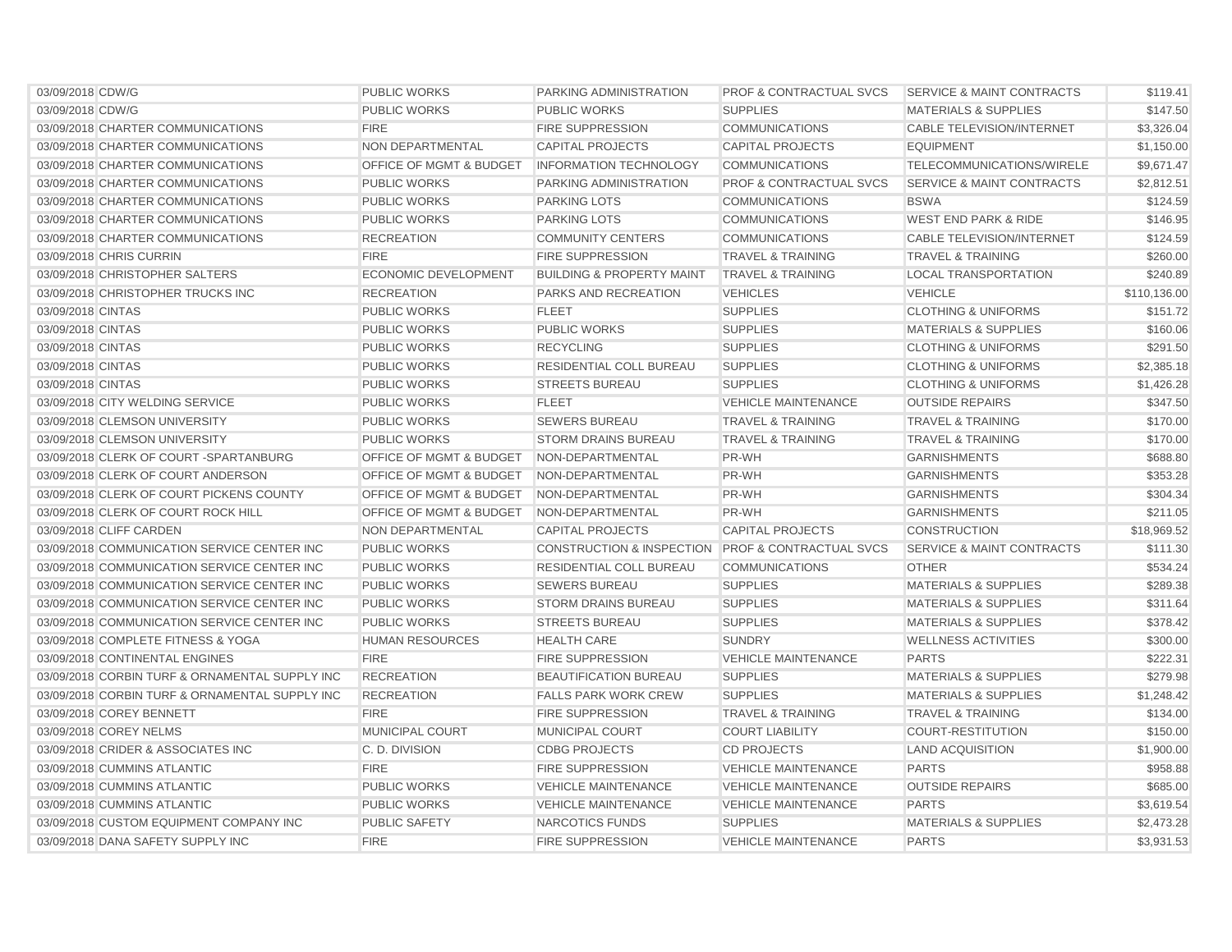| 03/09/2018 CDW/G                               | <b>PUBLIC WORKS</b>                | PARKING ADMINISTRATION                            | <b>PROF &amp; CONTRACTUAL SVCS</b> | <b>SERVICE &amp; MAINT CONTRACTS</b> | \$119.41     |
|------------------------------------------------|------------------------------------|---------------------------------------------------|------------------------------------|--------------------------------------|--------------|
| 03/09/2018 CDW/G                               | <b>PUBLIC WORKS</b>                | <b>PUBLIC WORKS</b>                               | <b>SUPPLIES</b>                    | <b>MATERIALS &amp; SUPPLIES</b>      | \$147.50     |
| 03/09/2018 CHARTER COMMUNICATIONS              | <b>FIRE</b>                        | <b>FIRE SUPPRESSION</b>                           | <b>COMMUNICATIONS</b>              | CABLE TELEVISION/INTERNET            | \$3,326.04   |
| 03/09/2018 CHARTER COMMUNICATIONS              | NON DEPARTMENTAL                   | <b>CAPITAL PROJECTS</b>                           | <b>CAPITAL PROJECTS</b>            | <b>EQUIPMENT</b>                     | \$1,150.00   |
| 03/09/2018 CHARTER COMMUNICATIONS              | OFFICE OF MGMT & BUDGET            | <b>INFORMATION TECHNOLOGY</b>                     | <b>COMMUNICATIONS</b>              | TELECOMMUNICATIONS/WIRELE            | \$9,671.47   |
| 03/09/2018 CHARTER COMMUNICATIONS              | <b>PUBLIC WORKS</b>                | PARKING ADMINISTRATION                            | <b>PROF &amp; CONTRACTUAL SVCS</b> | <b>SERVICE &amp; MAINT CONTRACTS</b> | \$2,812.51   |
| 03/09/2018 CHARTER COMMUNICATIONS              | <b>PUBLIC WORKS</b>                | <b>PARKING LOTS</b>                               | <b>COMMUNICATIONS</b>              | <b>BSWA</b>                          | \$124.59     |
| 03/09/2018 CHARTER COMMUNICATIONS              | <b>PUBLIC WORKS</b>                | <b>PARKING LOTS</b>                               | <b>COMMUNICATIONS</b>              | <b>WEST END PARK &amp; RIDE</b>      | \$146.95     |
| 03/09/2018 CHARTER COMMUNICATIONS              | <b>RECREATION</b>                  | <b>COMMUNITY CENTERS</b>                          | <b>COMMUNICATIONS</b>              | <b>CABLE TELEVISION/INTERNET</b>     | \$124.59     |
| 03/09/2018 CHRIS CURRIN                        | <b>FIRE</b>                        | <b>FIRE SUPPRESSION</b>                           | <b>TRAVEL &amp; TRAINING</b>       | <b>TRAVEL &amp; TRAINING</b>         | \$260.00     |
| 03/09/2018 CHRISTOPHER SALTERS                 | <b>ECONOMIC DEVELOPMENT</b>        | <b>BUILDING &amp; PROPERTY MAINT</b>              | <b>TRAVEL &amp; TRAINING</b>       | <b>LOCAL TRANSPORTATION</b>          | \$240.89     |
| 03/09/2018 CHRISTOPHER TRUCKS INC              | <b>RECREATION</b>                  | <b>PARKS AND RECREATION</b>                       | <b>VEHICLES</b>                    | <b>VEHICLE</b>                       | \$110,136.00 |
| 03/09/2018 CINTAS                              | <b>PUBLIC WORKS</b>                | <b>FLEET</b>                                      | <b>SUPPLIES</b>                    | <b>CLOTHING &amp; UNIFORMS</b>       | \$151.72     |
| 03/09/2018 CINTAS                              | <b>PUBLIC WORKS</b>                | <b>PUBLIC WORKS</b>                               | <b>SUPPLIES</b>                    | <b>MATERIALS &amp; SUPPLIES</b>      | \$160.06     |
| 03/09/2018 CINTAS                              | <b>PUBLIC WORKS</b>                | <b>RECYCLING</b>                                  | <b>SUPPLIES</b>                    | <b>CLOTHING &amp; UNIFORMS</b>       | \$291.50     |
| 03/09/2018 CINTAS                              | <b>PUBLIC WORKS</b>                | <b>RESIDENTIAL COLL BUREAU</b>                    | <b>SUPPLIES</b>                    | <b>CLOTHING &amp; UNIFORMS</b>       | \$2,385.18   |
| 03/09/2018 CINTAS                              | <b>PUBLIC WORKS</b>                | <b>STREETS BUREAU</b>                             | <b>SUPPLIES</b>                    | <b>CLOTHING &amp; UNIFORMS</b>       | \$1,426.28   |
| 03/09/2018 CITY WELDING SERVICE                | <b>PUBLIC WORKS</b>                | <b>FLEET</b>                                      | <b>VEHICLE MAINTENANCE</b>         | <b>OUTSIDE REPAIRS</b>               | \$347.50     |
| 03/09/2018 CLEMSON UNIVERSITY                  | <b>PUBLIC WORKS</b>                | <b>SEWERS BUREAU</b>                              | <b>TRAVEL &amp; TRAINING</b>       | <b>TRAVEL &amp; TRAINING</b>         | \$170.00     |
| 03/09/2018 CLEMSON UNIVERSITY                  | <b>PUBLIC WORKS</b>                | <b>STORM DRAINS BUREAU</b>                        | <b>TRAVEL &amp; TRAINING</b>       | <b>TRAVEL &amp; TRAINING</b>         | \$170.00     |
| 03/09/2018 CLERK OF COURT -SPARTANBURG         | <b>OFFICE OF MGMT &amp; BUDGET</b> | NON-DEPARTMENTAL                                  | PR-WH                              | <b>GARNISHMENTS</b>                  | \$688.80     |
| 03/09/2018 CLERK OF COURT ANDERSON             | <b>OFFICE OF MGMT &amp; BUDGET</b> | NON-DEPARTMENTAL                                  | PR-WH                              | <b>GARNISHMENTS</b>                  | \$353.28     |
| 03/09/2018 CLERK OF COURT PICKENS COUNTY       | OFFICE OF MGMT & BUDGET            | NON-DEPARTMENTAL                                  | PR-WH                              | <b>GARNISHMENTS</b>                  | \$304.34     |
| 03/09/2018 CLERK OF COURT ROCK HILL            | OFFICE OF MGMT & BUDGET            | NON-DEPARTMENTAL                                  | PR-WH                              | <b>GARNISHMENTS</b>                  | \$211.05     |
| 03/09/2018 CLIFF CARDEN                        | <b>NON DEPARTMENTAL</b>            | <b>CAPITAL PROJECTS</b>                           | <b>CAPITAL PROJECTS</b>            | <b>CONSTRUCTION</b>                  | \$18,969.52  |
| 03/09/2018 COMMUNICATION SERVICE CENTER INC    | <b>PUBLIC WORKS</b>                | CONSTRUCTION & INSPECTION PROF & CONTRACTUAL SVCS |                                    | <b>SERVICE &amp; MAINT CONTRACTS</b> | \$111.30     |
| 03/09/2018 COMMUNICATION SERVICE CENTER INC    | <b>PUBLIC WORKS</b>                | RESIDENTIAL COLL BUREAU                           | <b>COMMUNICATIONS</b>              | <b>OTHER</b>                         | \$534.24     |
| 03/09/2018 COMMUNICATION SERVICE CENTER INC    | <b>PUBLIC WORKS</b>                | <b>SEWERS BUREAU</b>                              | <b>SUPPLIES</b>                    | <b>MATERIALS &amp; SUPPLIES</b>      | \$289.38     |
| 03/09/2018 COMMUNICATION SERVICE CENTER INC    | <b>PUBLIC WORKS</b>                | <b>STORM DRAINS BUREAU</b>                        | <b>SUPPLIES</b>                    | <b>MATERIALS &amp; SUPPLIES</b>      | \$311.64     |
| 03/09/2018 COMMUNICATION SERVICE CENTER INC    | <b>PUBLIC WORKS</b>                | <b>STREETS BUREAU</b>                             | <b>SUPPLIES</b>                    | <b>MATERIALS &amp; SUPPLIES</b>      | \$378.42     |
| 03/09/2018 COMPLETE FITNESS & YOGA             | <b>HUMAN RESOURCES</b>             | <b>HEALTH CARE</b>                                | <b>SUNDRY</b>                      | <b>WELLNESS ACTIVITIES</b>           | \$300.00     |
| 03/09/2018 CONTINENTAL ENGINES                 | <b>FIRE</b>                        | <b>FIRE SUPPRESSION</b>                           | <b>VEHICLE MAINTENANCE</b>         | <b>PARTS</b>                         | \$222.31     |
| 03/09/2018 CORBIN TURF & ORNAMENTAL SUPPLY INC | <b>RECREATION</b>                  | <b>BEAUTIFICATION BUREAU</b>                      | <b>SUPPLIES</b>                    | <b>MATERIALS &amp; SUPPLIES</b>      | \$279.98     |
| 03/09/2018 CORBIN TURF & ORNAMENTAL SUPPLY INC | <b>RECREATION</b>                  | <b>FALLS PARK WORK CREW</b>                       | <b>SUPPLIES</b>                    | <b>MATERIALS &amp; SUPPLIES</b>      | \$1,248.42   |
| 03/09/2018 COREY BENNETT                       | <b>FIRE</b>                        | <b>FIRE SUPPRESSION</b>                           | <b>TRAVEL &amp; TRAINING</b>       | <b>TRAVEL &amp; TRAINING</b>         | \$134.00     |
| 03/09/2018 COREY NELMS                         | MUNICIPAL COURT                    | MUNICIPAL COURT                                   | <b>COURT LIABILITY</b>             | <b>COURT-RESTITUTION</b>             | \$150.00     |
| 03/09/2018 CRIDER & ASSOCIATES INC             | C. D. DIVISION                     | <b>CDBG PROJECTS</b>                              | <b>CD PROJECTS</b>                 | <b>LAND ACQUISITION</b>              | \$1,900.00   |
| 03/09/2018 CUMMINS ATLANTIC                    | <b>FIRE</b>                        | <b>FIRE SUPPRESSION</b>                           | <b>VEHICLE MAINTENANCE</b>         | <b>PARTS</b>                         | \$958.88     |
| 03/09/2018 CUMMINS ATLANTIC                    | <b>PUBLIC WORKS</b>                | <b>VEHICLE MAINTENANCE</b>                        | <b>VEHICLE MAINTENANCE</b>         | <b>OUTSIDE REPAIRS</b>               | \$685.00     |
| 03/09/2018 CUMMINS ATLANTIC                    | <b>PUBLIC WORKS</b>                | <b>VEHICLE MAINTENANCE</b>                        | <b>VEHICLE MAINTENANCE</b>         | <b>PARTS</b>                         | \$3,619.54   |
| 03/09/2018 CUSTOM EQUIPMENT COMPANY INC        | <b>PUBLIC SAFETY</b>               | NARCOTICS FUNDS                                   | <b>SUPPLIES</b>                    | <b>MATERIALS &amp; SUPPLIES</b>      | \$2,473.28   |
| 03/09/2018 DANA SAFETY SUPPLY INC              | <b>FIRE</b>                        | <b>FIRE SUPPRESSION</b>                           | <b>VEHICLE MAINTENANCE</b>         | <b>PARTS</b>                         | \$3,931.53   |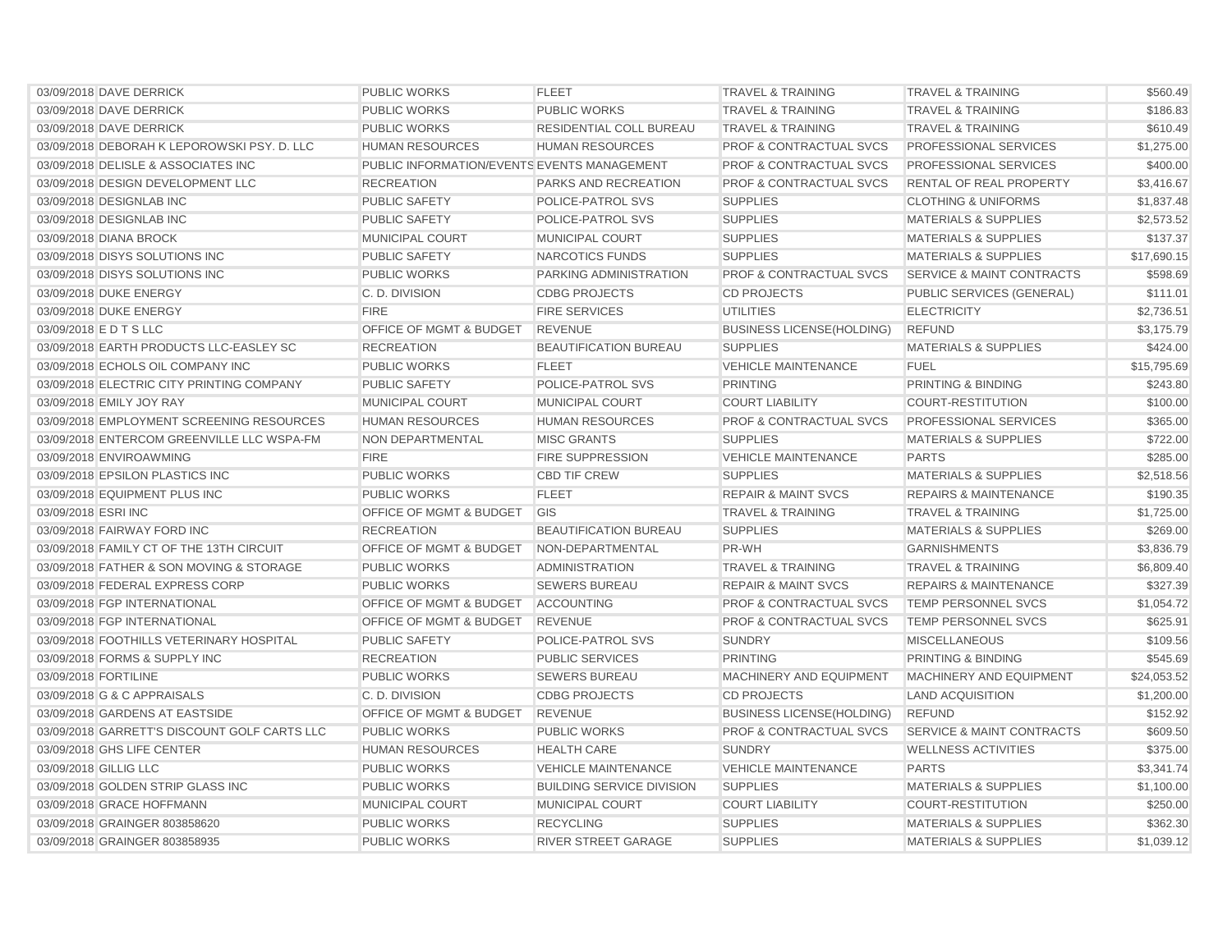| 03/09/2018 DAVE DERRICK                      | <b>PUBLIC WORKS</b>                         | <b>FLEET</b>                     | <b>TRAVEL &amp; TRAINING</b>       | <b>TRAVEL &amp; TRAINING</b>         | \$560.49    |
|----------------------------------------------|---------------------------------------------|----------------------------------|------------------------------------|--------------------------------------|-------------|
| 03/09/2018 DAVE DERRICK                      | <b>PUBLIC WORKS</b>                         | <b>PUBLIC WORKS</b>              | <b>TRAVEL &amp; TRAINING</b>       | <b>TRAVEL &amp; TRAINING</b>         | \$186.83    |
| 03/09/2018 DAVE DERRICK                      | <b>PUBLIC WORKS</b>                         | <b>RESIDENTIAL COLL BUREAU</b>   | <b>TRAVEL &amp; TRAINING</b>       | <b>TRAVEL &amp; TRAINING</b>         | \$610.49    |
| 03/09/2018 DEBORAH K LEPOROWSKI PSY, D. LLC  | <b>HUMAN RESOURCES</b>                      | <b>HUMAN RESOURCES</b>           | <b>PROF &amp; CONTRACTUAL SVCS</b> | PROFESSIONAL SERVICES                | \$1,275.00  |
| 03/09/2018 DELISLE & ASSOCIATES INC          | PUBLIC INFORMATION/EVENTS EVENTS MANAGEMENT |                                  | <b>PROF &amp; CONTRACTUAL SVCS</b> | PROFESSIONAL SERVICES                | \$400.00    |
| 03/09/2018 DESIGN DEVELOPMENT LLC            | <b>RECREATION</b>                           | PARKS AND RECREATION             | <b>PROF &amp; CONTRACTUAL SVCS</b> | RENTAL OF REAL PROPERTY              | \$3,416.67  |
| 03/09/2018 DESIGNLAB INC                     | <b>PUBLIC SAFETY</b>                        | POLICE-PATROL SVS                | <b>SUPPLIES</b>                    | <b>CLOTHING &amp; UNIFORMS</b>       | \$1,837.48  |
| 03/09/2018 DESIGNLAB INC                     | PUBLIC SAFETY                               | POLICE-PATROL SVS                | <b>SUPPLIES</b>                    | <b>MATERIALS &amp; SUPPLIES</b>      | \$2,573.52  |
| 03/09/2018 DIANA BROCK                       | <b>MUNICIPAL COURT</b>                      | <b>MUNICIPAL COURT</b>           | <b>SUPPLIES</b>                    | <b>MATERIALS &amp; SUPPLIES</b>      | \$137.37    |
| 03/09/2018 DISYS SOLUTIONS INC               | <b>PUBLIC SAFETY</b>                        | NARCOTICS FUNDS                  | <b>SUPPLIES</b>                    | <b>MATERIALS &amp; SUPPLIES</b>      | \$17,690.15 |
| 03/09/2018 DISYS SOLUTIONS INC               | <b>PUBLIC WORKS</b>                         | PARKING ADMINISTRATION           | <b>PROF &amp; CONTRACTUAL SVCS</b> | <b>SERVICE &amp; MAINT CONTRACTS</b> | \$598.69    |
| 03/09/2018 DUKE ENERGY                       | C. D. DIVISION                              | <b>CDBG PROJECTS</b>             | <b>CD PROJECTS</b>                 | PUBLIC SERVICES (GENERAL)            | \$111.01    |
| 03/09/2018 DUKE ENERGY                       | <b>FIRE</b>                                 | <b>FIRE SERVICES</b>             | <b>UTILITIES</b>                   | <b>ELECTRICITY</b>                   | \$2,736.51  |
| 03/09/2018 EDTSLLC                           | OFFICE OF MGMT & BUDGET                     | <b>REVENUE</b>                   | <b>BUSINESS LICENSE (HOLDING)</b>  | <b>REFUND</b>                        | \$3,175.79  |
| 03/09/2018 EARTH PRODUCTS LLC-EASLEY SC      | <b>RECREATION</b>                           | <b>BEAUTIFICATION BUREAU</b>     | <b>SUPPLIES</b>                    | <b>MATERIALS &amp; SUPPLIES</b>      | \$424.00    |
| 03/09/2018 ECHOLS OIL COMPANY INC            | <b>PUBLIC WORKS</b>                         | <b>FLEET</b>                     | <b>VEHICLE MAINTENANCE</b>         | <b>FUEL</b>                          | \$15,795.69 |
| 03/09/2018 ELECTRIC CITY PRINTING COMPANY    | <b>PUBLIC SAFETY</b>                        | POLICE-PATROL SVS                | <b>PRINTING</b>                    | PRINTING & BINDING                   | \$243.80    |
| 03/09/2018 EMILY JOY RAY                     | <b>MUNICIPAL COURT</b>                      | MUNICIPAL COURT                  | <b>COURT LIABILITY</b>             | COURT-RESTITUTION                    | \$100.00    |
| 03/09/2018 EMPLOYMENT SCREENING RESOURCES    | <b>HUMAN RESOURCES</b>                      | <b>HUMAN RESOURCES</b>           | <b>PROF &amp; CONTRACTUAL SVCS</b> | <b>PROFESSIONAL SERVICES</b>         | \$365.00    |
| 03/09/2018 ENTERCOM GREENVILLE LLC WSPA-FM   | NON DEPARTMENTAL                            | <b>MISC GRANTS</b>               | <b>SUPPLIES</b>                    | <b>MATERIALS &amp; SUPPLIES</b>      | \$722.00    |
| 03/09/2018 ENVIROAWMING                      | <b>FIRE</b>                                 | <b>FIRE SUPPRESSION</b>          | <b>VEHICLE MAINTENANCE</b>         | <b>PARTS</b>                         | \$285.00    |
| 03/09/2018 EPSILON PLASTICS INC              | <b>PUBLIC WORKS</b>                         | <b>CBD TIF CREW</b>              | <b>SUPPLIES</b>                    | <b>MATERIALS &amp; SUPPLIES</b>      | \$2,518.56  |
| 03/09/2018 EQUIPMENT PLUS INC                | <b>PUBLIC WORKS</b>                         | <b>FLEET</b>                     | <b>REPAIR &amp; MAINT SVCS</b>     | <b>REPAIRS &amp; MAINTENANCE</b>     | \$190.35    |
| 03/09/2018 ESRI INC                          | OFFICE OF MGMT & BUDGET                     | GIS                              | <b>TRAVEL &amp; TRAINING</b>       | <b>TRAVEL &amp; TRAINING</b>         | \$1,725.00  |
| 03/09/2018 FAIRWAY FORD INC                  | <b>RECREATION</b>                           | <b>BEAUTIFICATION BUREAU</b>     | <b>SUPPLIES</b>                    | <b>MATERIALS &amp; SUPPLIES</b>      | \$269.00    |
| 03/09/2018 FAMILY CT OF THE 13TH CIRCUIT     | OFFICE OF MGMT & BUDGET                     | NON-DEPARTMENTAL                 | PR-WH                              | <b>GARNISHMENTS</b>                  | \$3,836.79  |
| 03/09/2018 FATHER & SON MOVING & STORAGE     | <b>PUBLIC WORKS</b>                         | <b>ADMINISTRATION</b>            | <b>TRAVEL &amp; TRAINING</b>       | <b>TRAVEL &amp; TRAINING</b>         | \$6,809.40  |
| 03/09/2018 FEDERAL EXPRESS CORP              | <b>PUBLIC WORKS</b>                         | <b>SEWERS BUREAU</b>             | <b>REPAIR &amp; MAINT SVCS</b>     | <b>REPAIRS &amp; MAINTENANCE</b>     | \$327.39    |
| 03/09/2018 FGP INTERNATIONAL                 | OFFICE OF MGMT & BUDGET                     | <b>ACCOUNTING</b>                | <b>PROF &amp; CONTRACTUAL SVCS</b> | <b>TEMP PERSONNEL SVCS</b>           | \$1,054.72  |
| 03/09/2018 FGP INTERNATIONAL                 | OFFICE OF MGMT & BUDGET                     | <b>REVENUE</b>                   | <b>PROF &amp; CONTRACTUAL SVCS</b> | TEMP PERSONNEL SVCS                  | \$625.91    |
| 03/09/2018 FOOTHILLS VETERINARY HOSPITAL     | <b>PUBLIC SAFETY</b>                        | POLICE-PATROL SVS                | <b>SUNDRY</b>                      | <b>MISCELLANEOUS</b>                 | \$109.56    |
| 03/09/2018 FORMS & SUPPLY INC                | <b>RECREATION</b>                           | <b>PUBLIC SERVICES</b>           | <b>PRINTING</b>                    | <b>PRINTING &amp; BINDING</b>        | \$545.69    |
| 03/09/2018 FORTILINE                         | <b>PUBLIC WORKS</b>                         | <b>SEWERS BUREAU</b>             | MACHINERY AND EQUIPMENT            | <b>MACHINERY AND EQUIPMENT</b>       | \$24,053.52 |
| 03/09/2018 G & C APPRAISALS                  | C. D. DIVISION                              | <b>CDBG PROJECTS</b>             | <b>CD PROJECTS</b>                 | <b>LAND ACQUISITION</b>              | \$1,200.00  |
| 03/09/2018 GARDENS AT EASTSIDE               | OFFICE OF MGMT & BUDGET                     | <b>REVENUE</b>                   | <b>BUSINESS LICENSE(HOLDING)</b>   | <b>REFUND</b>                        | \$152.92    |
| 03/09/2018 GARRETT'S DISCOUNT GOLF CARTS LLC | <b>PUBLIC WORKS</b>                         | <b>PUBLIC WORKS</b>              | PROF & CONTRACTUAL SVCS            | <b>SERVICE &amp; MAINT CONTRACTS</b> | \$609.50    |
| 03/09/2018 GHS LIFE CENTER                   | <b>HUMAN RESOURCES</b>                      | <b>HEALTH CARE</b>               | <b>SUNDRY</b>                      | <b>WELLNESS ACTIVITIES</b>           | \$375.00    |
| 03/09/2018 GILLIG LLC                        | <b>PUBLIC WORKS</b>                         | <b>VEHICLE MAINTENANCE</b>       | <b>VEHICLE MAINTENANCE</b>         | <b>PARTS</b>                         | \$3,341.74  |
| 03/09/2018 GOLDEN STRIP GLASS INC            | <b>PUBLIC WORKS</b>                         | <b>BUILDING SERVICE DIVISION</b> | <b>SUPPLIES</b>                    | <b>MATERIALS &amp; SUPPLIES</b>      | \$1,100.00  |
| 03/09/2018 GRACE HOFFMANN                    | MUNICIPAL COURT                             | MUNICIPAL COURT                  | <b>COURT LIABILITY</b>             | <b>COURT-RESTITUTION</b>             | \$250.00    |
| 03/09/2018 GRAINGER 803858620                | <b>PUBLIC WORKS</b>                         | <b>RECYCLING</b>                 | <b>SUPPLIES</b>                    | <b>MATERIALS &amp; SUPPLIES</b>      | \$362.30    |
| 03/09/2018 GRAINGER 803858935                | <b>PUBLIC WORKS</b>                         | RIVER STREET GARAGE              | <b>SUPPLIES</b>                    | <b>MATERIALS &amp; SUPPLIES</b>      | \$1,039.12  |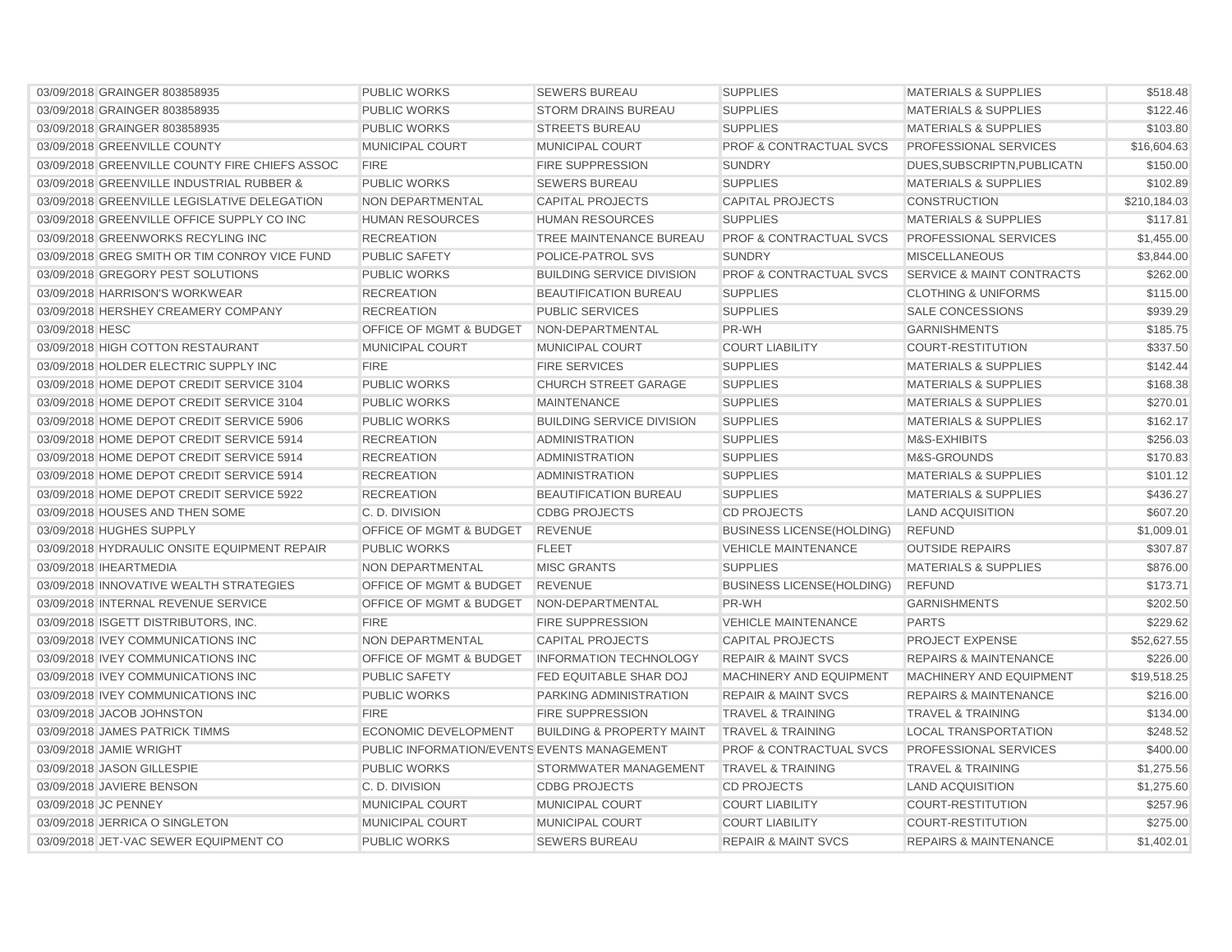| 03/09/2018 GRAINGER 803858935                  | <b>PUBLIC WORKS</b>                         | <b>SEWERS BUREAU</b>                 | <b>SUPPLIES</b>                    | <b>MATERIALS &amp; SUPPLIES</b>      | \$518.48     |
|------------------------------------------------|---------------------------------------------|--------------------------------------|------------------------------------|--------------------------------------|--------------|
| 03/09/2018 GRAINGER 803858935                  | <b>PUBLIC WORKS</b>                         | <b>STORM DRAINS BUREAU</b>           | <b>SUPPLIES</b>                    | <b>MATERIALS &amp; SUPPLIES</b>      | \$122.46     |
| 03/09/2018 GRAINGER 803858935                  | <b>PUBLIC WORKS</b>                         | <b>STREETS BUREAU</b>                | <b>SUPPLIES</b>                    | <b>MATERIALS &amp; SUPPLIES</b>      | \$103.80     |
| 03/09/2018 GREENVILLE COUNTY                   | MUNICIPAL COURT                             | <b>MUNICIPAL COURT</b>               | <b>PROF &amp; CONTRACTUAL SVCS</b> | PROFESSIONAL SERVICES                | \$16,604.63  |
| 03/09/2018 GREENVILLE COUNTY FIRE CHIEFS ASSOC | <b>FIRE</b>                                 | <b>FIRE SUPPRESSION</b>              | <b>SUNDRY</b>                      | DUES, SUBSCRIPTN, PUBLICATN          | \$150.00     |
| 03/09/2018 GREENVILLE INDUSTRIAL RUBBER &      | <b>PUBLIC WORKS</b>                         | <b>SEWERS BUREAU</b>                 | <b>SUPPLIES</b>                    | <b>MATERIALS &amp; SUPPLIES</b>      | \$102.89     |
| 03/09/2018 GREENVILLE LEGISLATIVE DELEGATION   | NON DEPARTMENTAL                            | <b>CAPITAL PROJECTS</b>              | <b>CAPITAL PROJECTS</b>            | <b>CONSTRUCTION</b>                  | \$210,184.03 |
| 03/09/2018 GREENVILLE OFFICE SUPPLY CO INC     | <b>HUMAN RESOURCES</b>                      | <b>HUMAN RESOURCES</b>               | <b>SUPPLIES</b>                    | <b>MATERIALS &amp; SUPPLIES</b>      | \$117.81     |
| 03/09/2018 GREENWORKS RECYLING INC             | <b>RECREATION</b>                           | TREE MAINTENANCE BUREAU              | <b>PROF &amp; CONTRACTUAL SVCS</b> | PROFESSIONAL SERVICES                | \$1,455.00   |
| 03/09/2018 GREG SMITH OR TIM CONROY VICE FUND  | <b>PUBLIC SAFETY</b>                        | POLICE-PATROL SVS                    | <b>SUNDRY</b>                      | <b>MISCELLANEOUS</b>                 | \$3,844.00   |
| 03/09/2018 GREGORY PEST SOLUTIONS              | <b>PUBLIC WORKS</b>                         | <b>BUILDING SERVICE DIVISION</b>     | PROF & CONTRACTUAL SVCS            | <b>SERVICE &amp; MAINT CONTRACTS</b> | \$262.00     |
| 03/09/2018 HARRISON'S WORKWEAR                 | <b>RECREATION</b>                           | <b>BEAUTIFICATION BUREAU</b>         | <b>SUPPLIES</b>                    | <b>CLOTHING &amp; UNIFORMS</b>       | \$115.00     |
| 03/09/2018 HERSHEY CREAMERY COMPANY            | <b>RECREATION</b>                           | <b>PUBLIC SERVICES</b>               | <b>SUPPLIES</b>                    | <b>SALE CONCESSIONS</b>              | \$939.29     |
| 03/09/2018 HESC                                | OFFICE OF MGMT & BUDGET                     | NON-DEPARTMENTAL                     | PR-WH                              | <b>GARNISHMENTS</b>                  | \$185.75     |
| 03/09/2018 HIGH COTTON RESTAURANT              | <b>MUNICIPAL COURT</b>                      | <b>MUNICIPAL COURT</b>               | <b>COURT LIABILITY</b>             | COURT-RESTITUTION                    | \$337.50     |
| 03/09/2018 HOLDER ELECTRIC SUPPLY INC          | <b>FIRE</b>                                 | <b>FIRE SERVICES</b>                 | <b>SUPPLIES</b>                    | <b>MATERIALS &amp; SUPPLIES</b>      | \$142.44     |
| 03/09/2018 HOME DEPOT CREDIT SERVICE 3104      | <b>PUBLIC WORKS</b>                         | <b>CHURCH STREET GARAGE</b>          | <b>SUPPLIES</b>                    | <b>MATERIALS &amp; SUPPLIES</b>      | \$168.38     |
| 03/09/2018 HOME DEPOT CREDIT SERVICE 3104      | <b>PUBLIC WORKS</b>                         | <b>MAINTENANCE</b>                   | <b>SUPPLIES</b>                    | <b>MATERIALS &amp; SUPPLIES</b>      | \$270.01     |
| 03/09/2018 HOME DEPOT CREDIT SERVICE 5906      | <b>PUBLIC WORKS</b>                         | <b>BUILDING SERVICE DIVISION</b>     | <b>SUPPLIES</b>                    | <b>MATERIALS &amp; SUPPLIES</b>      | \$162.17     |
| 03/09/2018 HOME DEPOT CREDIT SERVICE 5914      | <b>RECREATION</b>                           | <b>ADMINISTRATION</b>                | <b>SUPPLIES</b>                    | M&S-EXHIBITS                         | \$256.03     |
| 03/09/2018 HOME DEPOT CREDIT SERVICE 5914      | <b>RECREATION</b>                           | <b>ADMINISTRATION</b>                | <b>SUPPLIES</b>                    | M&S-GROUNDS                          | \$170.83     |
| 03/09/2018 HOME DEPOT CREDIT SERVICE 5914      | <b>RECREATION</b>                           | <b>ADMINISTRATION</b>                | <b>SUPPLIES</b>                    | <b>MATERIALS &amp; SUPPLIES</b>      | \$101.12     |
| 03/09/2018 HOME DEPOT CREDIT SERVICE 5922      | <b>RECREATION</b>                           | <b>BEAUTIFICATION BUREAU</b>         | <b>SUPPLIES</b>                    | <b>MATERIALS &amp; SUPPLIES</b>      | \$436.27     |
| 03/09/2018 HOUSES AND THEN SOME                | C. D. DIVISION                              | <b>CDBG PROJECTS</b>                 | <b>CD PROJECTS</b>                 | <b>LAND ACQUISITION</b>              | \$607.20     |
| 03/09/2018 HUGHES SUPPLY                       | OFFICE OF MGMT & BUDGET                     | <b>REVENUE</b>                       | <b>BUSINESS LICENSE(HOLDING)</b>   | <b>REFUND</b>                        | \$1,009.01   |
| 03/09/2018 HYDRAULIC ONSITE EQUIPMENT REPAIR   | <b>PUBLIC WORKS</b>                         | <b>FLEET</b>                         | <b>VEHICLE MAINTENANCE</b>         | <b>OUTSIDE REPAIRS</b>               | \$307.87     |
| 03/09/2018 IHEARTMEDIA                         | NON DEPARTMENTAL                            | <b>MISC GRANTS</b>                   | <b>SUPPLIES</b>                    | <b>MATERIALS &amp; SUPPLIES</b>      | \$876.00     |
| 03/09/2018 INNOVATIVE WEALTH STRATEGIES        | OFFICE OF MGMT & BUDGET                     | <b>REVENUE</b>                       | <b>BUSINESS LICENSE(HOLDING)</b>   | <b>REFUND</b>                        | \$173.71     |
| 03/09/2018 INTERNAL REVENUE SERVICE            | OFFICE OF MGMT & BUDGET                     | NON-DEPARTMENTAL                     | PR-WH                              | <b>GARNISHMENTS</b>                  | \$202.50     |
| 03/09/2018 ISGETT DISTRIBUTORS, INC.           | <b>FIRE</b>                                 | <b>FIRE SUPPRESSION</b>              | <b>VEHICLE MAINTENANCE</b>         | <b>PARTS</b>                         | \$229.62     |
| 03/09/2018 IVEY COMMUNICATIONS INC             | <b>NON DEPARTMENTAL</b>                     | <b>CAPITAL PROJECTS</b>              | <b>CAPITAL PROJECTS</b>            | <b>PROJECT EXPENSE</b>               | \$52.627.55  |
| 03/09/2018 IVEY COMMUNICATIONS INC             | OFFICE OF MGMT & BUDGET                     | <b>INFORMATION TECHNOLOGY</b>        | <b>REPAIR &amp; MAINT SVCS</b>     | <b>REPAIRS &amp; MAINTENANCE</b>     | \$226.00     |
| 03/09/2018 IVEY COMMUNICATIONS INC             | <b>PUBLIC SAFETY</b>                        | FED EQUITABLE SHAR DOJ               | MACHINERY AND EQUIPMENT            | MACHINERY AND EQUIPMENT              | \$19,518.25  |
| 03/09/2018 IVEY COMMUNICATIONS INC             | <b>PUBLIC WORKS</b>                         | PARKING ADMINISTRATION               | <b>REPAIR &amp; MAINT SVCS</b>     | <b>REPAIRS &amp; MAINTENANCE</b>     | \$216.00     |
| 03/09/2018 JACOB JOHNSTON                      | <b>FIRE</b>                                 | <b>FIRE SUPPRESSION</b>              | <b>TRAVEL &amp; TRAINING</b>       | <b>TRAVEL &amp; TRAINING</b>         | \$134.00     |
| 03/09/2018 JAMES PATRICK TIMMS                 | <b>ECONOMIC DEVELOPMENT</b>                 | <b>BUILDING &amp; PROPERTY MAINT</b> | <b>TRAVEL &amp; TRAINING</b>       | <b>LOCAL TRANSPORTATION</b>          | \$248.52     |
| 03/09/2018 JAMIE WRIGHT                        | PUBLIC INFORMATION/EVENTS EVENTS MANAGEMENT |                                      | <b>PROF &amp; CONTRACTUAL SVCS</b> | PROFESSIONAL SERVICES                | \$400.00     |
| 03/09/2018 JASON GILLESPIE                     | <b>PUBLIC WORKS</b>                         | STORMWATER MANAGEMENT                | <b>TRAVEL &amp; TRAINING</b>       | <b>TRAVEL &amp; TRAINING</b>         | \$1,275.56   |
| 03/09/2018 JAVIERE BENSON                      | C. D. DIVISION                              | <b>CDBG PROJECTS</b>                 | <b>CD PROJECTS</b>                 | <b>LAND ACQUISITION</b>              | \$1,275.60   |
| 03/09/2018 JC PENNEY                           | <b>MUNICIPAL COURT</b>                      | <b>MUNICIPAL COURT</b>               | <b>COURT LIABILITY</b>             | <b>COURT-RESTITUTION</b>             | \$257.96     |
| 03/09/2018 JERRICA O SINGLETON                 | <b>MUNICIPAL COURT</b>                      | <b>MUNICIPAL COURT</b>               | <b>COURT LIABILITY</b>             | <b>COURT-RESTITUTION</b>             | \$275.00     |
| 03/09/2018 JET-VAC SEWER EQUIPMENT CO          | <b>PUBLIC WORKS</b>                         | <b>SEWERS BUREAU</b>                 | <b>REPAIR &amp; MAINT SVCS</b>     | <b>REPAIRS &amp; MAINTENANCE</b>     | \$1,402.01   |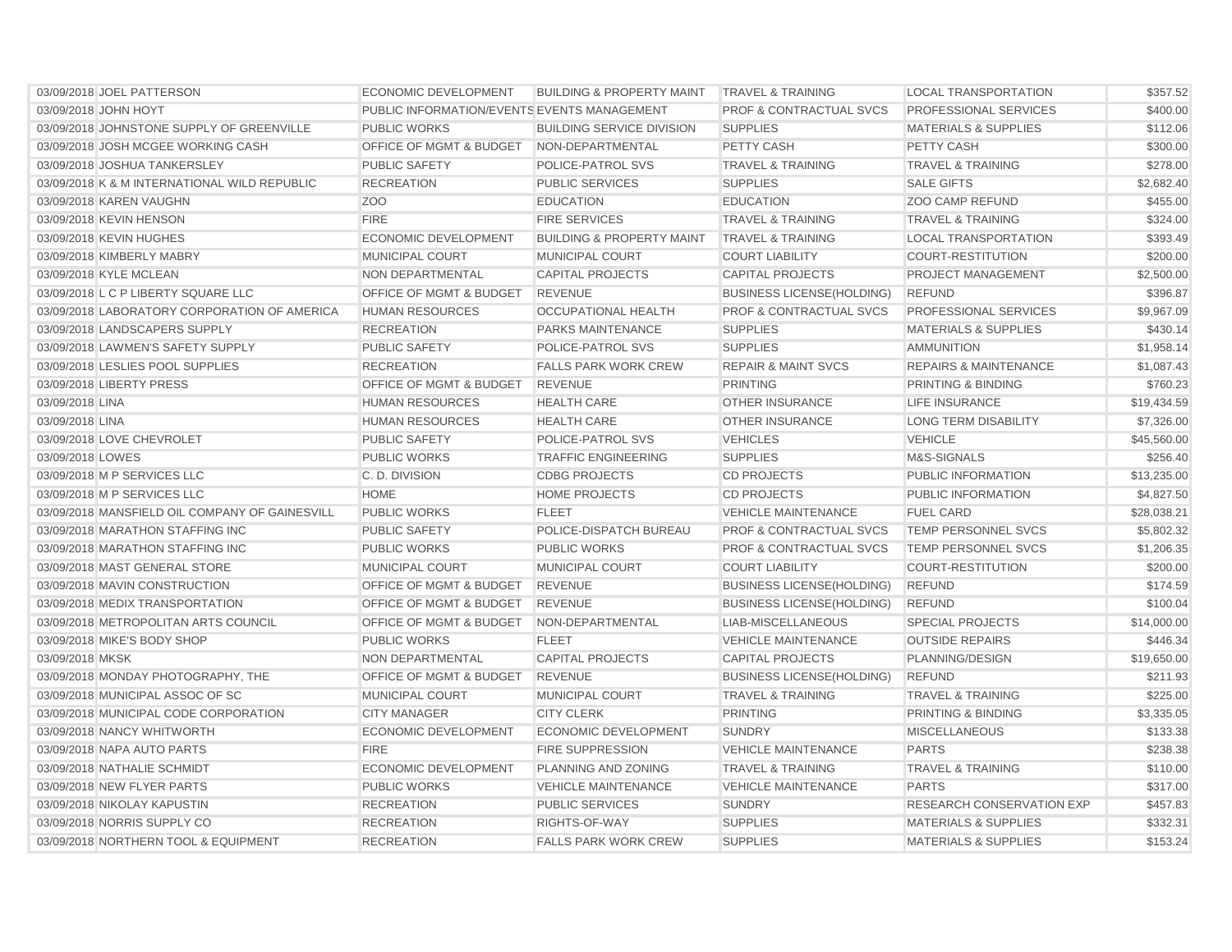| 03/09/2018 JOEL PATTERSON                      | ECONOMIC DEVELOPMENT                        | <b>BUILDING &amp; PROPERTY MAINT</b> | <b>TRAVEL &amp; TRAINING</b>       | <b>LOCAL TRANSPORTATION</b>      | \$357.52    |
|------------------------------------------------|---------------------------------------------|--------------------------------------|------------------------------------|----------------------------------|-------------|
| 03/09/2018 JOHN HOYT                           | PUBLIC INFORMATION/EVENTS EVENTS MANAGEMENT |                                      | <b>PROF &amp; CONTRACTUAL SVCS</b> | <b>PROFESSIONAL SERVICES</b>     | \$400.00    |
| 03/09/2018 JOHNSTONE SUPPLY OF GREENVILLE      | <b>PUBLIC WORKS</b>                         | <b>BUILDING SERVICE DIVISION</b>     | <b>SUPPLIES</b>                    | <b>MATERIALS &amp; SUPPLIES</b>  | \$112.06    |
| 03/09/2018 JOSH MCGEE WORKING CASH             | <b>OFFICE OF MGMT &amp; BUDGET</b>          | NON-DEPARTMENTAL                     | PETTY CASH                         | <b>PETTY CASH</b>                | \$300.00    |
| 03/09/2018 JOSHUA TANKERSLEY                   | <b>PUBLIC SAFETY</b>                        | POLICE-PATROL SVS                    | <b>TRAVEL &amp; TRAINING</b>       | <b>TRAVEL &amp; TRAINING</b>     | \$278.00    |
| 03/09/2018 K & M INTERNATIONAL WILD REPUBLIC   | <b>RECREATION</b>                           | <b>PUBLIC SERVICES</b>               | <b>SUPPLIES</b>                    | <b>SALE GIFTS</b>                | \$2,682.40  |
| 03/09/2018 KAREN VAUGHN                        | Z <sub>O</sub> O                            | <b>EDUCATION</b>                     | <b>EDUCATION</b>                   | <b>ZOO CAMP REFUND</b>           | \$455.00    |
| 03/09/2018 KEVIN HENSON                        | <b>FIRE</b>                                 | <b>FIRE SERVICES</b>                 | <b>TRAVEL &amp; TRAINING</b>       | <b>TRAVEL &amp; TRAINING</b>     | \$324.00    |
| 03/09/2018 KEVIN HUGHES                        | <b>ECONOMIC DEVELOPMENT</b>                 | <b>BUILDING &amp; PROPERTY MAINT</b> | <b>TRAVEL &amp; TRAINING</b>       | <b>LOCAL TRANSPORTATION</b>      | \$393.49    |
| 03/09/2018 KIMBERLY MABRY                      | <b>MUNICIPAL COURT</b>                      | <b>MUNICIPAL COURT</b>               | <b>COURT LIABILITY</b>             | <b>COURT-RESTITUTION</b>         | \$200.00    |
| 03/09/2018 KYLE MCLEAN                         | NON DEPARTMENTAL                            | <b>CAPITAL PROJECTS</b>              | <b>CAPITAL PROJECTS</b>            | <b>PROJECT MANAGEMENT</b>        | \$2,500.00  |
| 03/09/2018 L C P LIBERTY SQUARE LLC            | OFFICE OF MGMT & BUDGET                     | <b>REVENUE</b>                       | <b>BUSINESS LICENSE(HOLDING)</b>   | <b>REFUND</b>                    | \$396.87    |
| 03/09/2018 LABORATORY CORPORATION OF AMERICA   | <b>HUMAN RESOURCES</b>                      | <b>OCCUPATIONAL HEALTH</b>           | <b>PROF &amp; CONTRACTUAL SVCS</b> | PROFESSIONAL SERVICES            | \$9,967.09  |
| 03/09/2018 LANDSCAPERS SUPPLY                  | <b>RECREATION</b>                           | PARKS MAINTENANCE                    | <b>SUPPLIES</b>                    | <b>MATERIALS &amp; SUPPLIES</b>  | \$430.14    |
| 03/09/2018 LAWMEN'S SAFETY SUPPLY              | <b>PUBLIC SAFETY</b>                        | <b>POLICE-PATROL SVS</b>             | <b>SUPPLIES</b>                    | <b>AMMUNITION</b>                | \$1,958.14  |
| 03/09/2018 LESLIES POOL SUPPLIES               | <b>RECREATION</b>                           | <b>FALLS PARK WORK CREW</b>          | <b>REPAIR &amp; MAINT SVCS</b>     | <b>REPAIRS &amp; MAINTENANCE</b> | \$1,087.43  |
| 03/09/2018 LIBERTY PRESS                       | OFFICE OF MGMT & BUDGET                     | <b>REVENUE</b>                       | <b>PRINTING</b>                    | <b>PRINTING &amp; BINDING</b>    | \$760.23    |
| 03/09/2018 LINA                                | <b>HUMAN RESOURCES</b>                      | <b>HEALTH CARE</b>                   | <b>OTHER INSURANCE</b>             | <b>LIFE INSURANCE</b>            | \$19,434.59 |
| 03/09/2018 LINA                                | <b>HUMAN RESOURCES</b>                      | <b>HEALTH CARE</b>                   | <b>OTHER INSURANCE</b>             | <b>LONG TERM DISABILITY</b>      | \$7,326.00  |
| 03/09/2018 LOVE CHEVROLET                      | <b>PUBLIC SAFETY</b>                        | POLICE-PATROL SVS                    | <b>VEHICLES</b>                    | <b>VEHICLE</b>                   | \$45,560.00 |
| 03/09/2018 LOWES                               | <b>PUBLIC WORKS</b>                         | <b>TRAFFIC ENGINEERING</b>           | <b>SUPPLIES</b>                    | M&S-SIGNALS                      | \$256.40    |
| 03/09/2018 M P SERVICES LLC                    | C. D. DIVISION                              | <b>CDBG PROJECTS</b>                 | <b>CD PROJECTS</b>                 | PUBLIC INFORMATION               | \$13,235.00 |
| 03/09/2018 M P SERVICES LLC                    | <b>HOME</b>                                 | <b>HOME PROJECTS</b>                 | <b>CD PROJECTS</b>                 | PUBLIC INFORMATION               | \$4,827.50  |
| 03/09/2018 MANSFIELD OIL COMPANY OF GAINESVILL | <b>PUBLIC WORKS</b>                         | <b>FLEET</b>                         | <b>VEHICLE MAINTENANCE</b>         | <b>FUEL CARD</b>                 | \$28,038.21 |
| 03/09/2018 MARATHON STAFFING INC               | <b>PUBLIC SAFETY</b>                        | POLICE-DISPATCH BUREAU               | <b>PROF &amp; CONTRACTUAL SVCS</b> | <b>TEMP PERSONNEL SVCS</b>       | \$5,802.32  |
| 03/09/2018 MARATHON STAFFING INC               | <b>PUBLIC WORKS</b>                         | <b>PUBLIC WORKS</b>                  | <b>PROF &amp; CONTRACTUAL SVCS</b> | <b>TEMP PERSONNEL SVCS</b>       | \$1,206.35  |
| 03/09/2018 MAST GENERAL STORE                  | <b>MUNICIPAL COURT</b>                      | MUNICIPAL COURT                      | <b>COURT LIABILITY</b>             | <b>COURT-RESTITUTION</b>         | \$200.00    |
| 03/09/2018 MAVIN CONSTRUCTION                  | OFFICE OF MGMT & BUDGET                     | <b>REVENUE</b>                       | <b>BUSINESS LICENSE(HOLDING)</b>   | <b>REFUND</b>                    | \$174.59    |
| 03/09/2018 MEDIX TRANSPORTATION                | <b>OFFICE OF MGMT &amp; BUDGET</b>          | <b>REVENUE</b>                       | <b>BUSINESS LICENSE(HOLDING)</b>   | <b>REFUND</b>                    | \$100.04    |
| 03/09/2018 METROPOLITAN ARTS COUNCIL           | OFFICE OF MGMT & BUDGET                     | NON-DEPARTMENTAL                     | LIAB-MISCELLANEOUS                 | <b>SPECIAL PROJECTS</b>          | \$14,000.00 |
| 03/09/2018 MIKE'S BODY SHOP                    | <b>PUBLIC WORKS</b>                         | <b>FLEET</b>                         | <b>VEHICLE MAINTENANCE</b>         | <b>OUTSIDE REPAIRS</b>           | \$446.34    |
| 03/09/2018 MKSK                                | <b>NON DEPARTMENTAL</b>                     | <b>CAPITAL PROJECTS</b>              | <b>CAPITAL PROJECTS</b>            | PLANNING/DESIGN                  | \$19,650.00 |
| 03/09/2018 MONDAY PHOTOGRAPHY, THE             | <b>OFFICE OF MGMT &amp; BUDGET</b>          | <b>REVENUE</b>                       | <b>BUSINESS LICENSE(HOLDING)</b>   | <b>REFUND</b>                    | \$211.93    |
| 03/09/2018 MUNICIPAL ASSOC OF SC               | <b>MUNICIPAL COURT</b>                      | MUNICIPAL COURT                      | <b>TRAVEL &amp; TRAINING</b>       | <b>TRAVEL &amp; TRAINING</b>     | \$225.00    |
| 03/09/2018 MUNICIPAL CODE CORPORATION          | <b>CITY MANAGER</b>                         | <b>CITY CLERK</b>                    | <b>PRINTING</b>                    | PRINTING & BINDING               | \$3,335.05  |
| 03/09/2018 NANCY WHITWORTH                     | <b>ECONOMIC DEVELOPMENT</b>                 | ECONOMIC DEVELOPMENT                 | <b>SUNDRY</b>                      | <b>MISCELLANEOUS</b>             | \$133.38    |
| 03/09/2018 NAPA AUTO PARTS                     | <b>FIRE</b>                                 | <b>FIRE SUPPRESSION</b>              | <b>VEHICLE MAINTENANCE</b>         | <b>PARTS</b>                     | \$238.38    |
| 03/09/2018 NATHALIE SCHMIDT                    | <b>ECONOMIC DEVELOPMENT</b>                 | <b>PLANNING AND ZONING</b>           | <b>TRAVEL &amp; TRAINING</b>       | <b>TRAVEL &amp; TRAINING</b>     | \$110.00    |
| 03/09/2018 NEW FLYER PARTS                     | <b>PUBLIC WORKS</b>                         | <b>VEHICLE MAINTENANCE</b>           | <b>VEHICLE MAINTENANCE</b>         | <b>PARTS</b>                     | \$317.00    |
| 03/09/2018 NIKOLAY KAPUSTIN                    | <b>RECREATION</b>                           | <b>PUBLIC SERVICES</b>               | <b>SUNDRY</b>                      | <b>RESEARCH CONSERVATION EXP</b> | \$457.83    |
| 03/09/2018 NORRIS SUPPLY CO                    | <b>RECREATION</b>                           | RIGHTS-OF-WAY                        | <b>SUPPLIES</b>                    | <b>MATERIALS &amp; SUPPLIES</b>  | \$332.31    |
| 03/09/2018 NORTHERN TOOL & EQUIPMENT           | <b>RECREATION</b>                           | <b>FALLS PARK WORK CREW</b>          | <b>SUPPLIES</b>                    | <b>MATERIALS &amp; SUPPLIES</b>  | \$153.24    |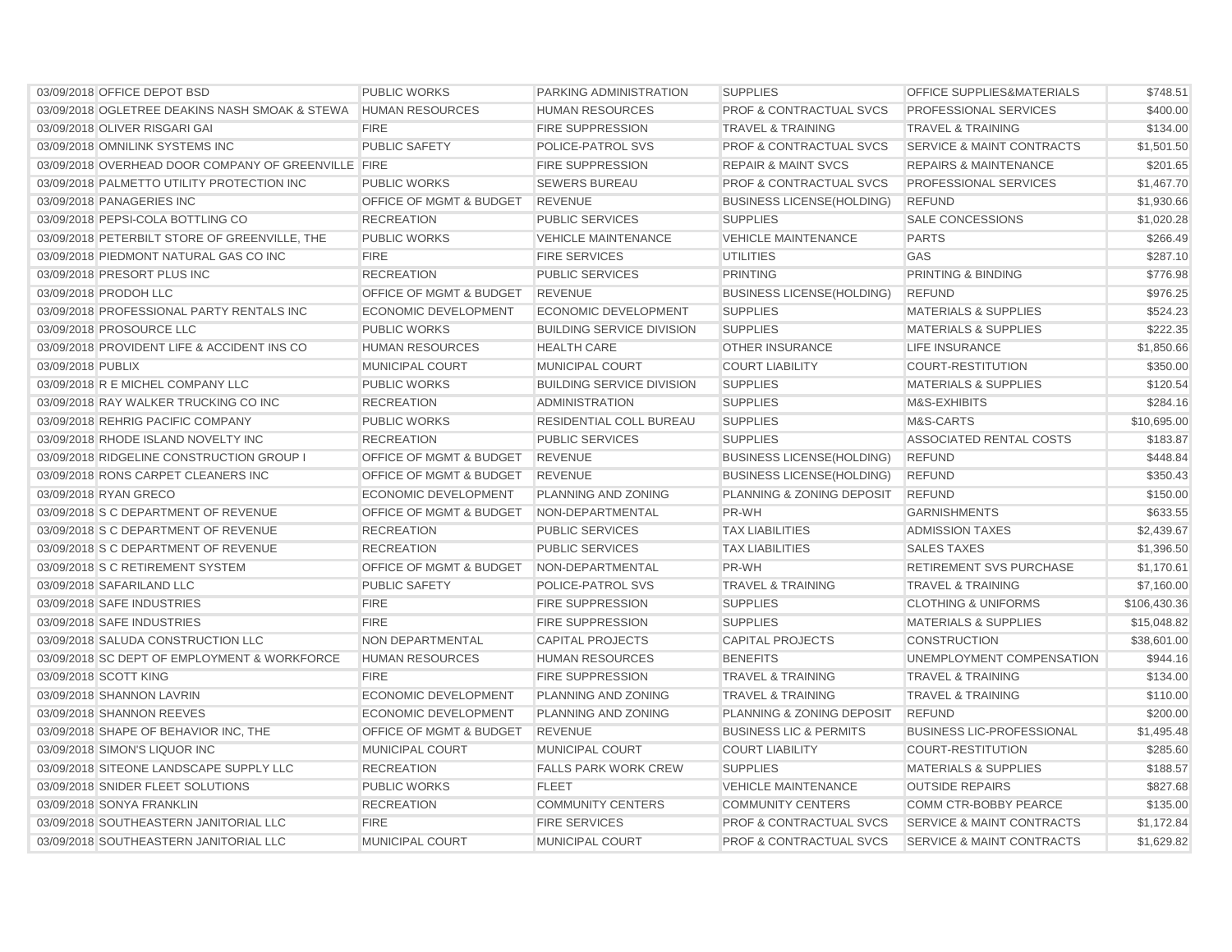| 03/09/2018 OFFICE DEPOT BSD                         | <b>PUBLIC WORKS</b>                | PARKING ADMINISTRATION           | <b>SUPPLIES</b>                    | OFFICE SUPPLIES&MATERIALS            | \$748.51     |
|-----------------------------------------------------|------------------------------------|----------------------------------|------------------------------------|--------------------------------------|--------------|
| 03/09/2018 OGLETREE DEAKINS NASH SMOAK & STEWA      | <b>HUMAN RESOURCES</b>             | <b>HUMAN RESOURCES</b>           | <b>PROF &amp; CONTRACTUAL SVCS</b> | PROFESSIONAL SERVICES                | \$400.00     |
| 03/09/2018 OLIVER RISGARI GAI                       | <b>FIRE</b>                        | <b>FIRE SUPPRESSION</b>          | <b>TRAVEL &amp; TRAINING</b>       | <b>TRAVEL &amp; TRAINING</b>         | \$134.00     |
| 03/09/2018 OMNILINK SYSTEMS INC                     | <b>PUBLIC SAFETY</b>               | POLICE-PATROL SVS                | <b>PROF &amp; CONTRACTUAL SVCS</b> | <b>SERVICE &amp; MAINT CONTRACTS</b> | \$1,501.50   |
| 03/09/2018 OVERHEAD DOOR COMPANY OF GREENVILLE FIRE |                                    | <b>FIRE SUPPRESSION</b>          | <b>REPAIR &amp; MAINT SVCS</b>     | <b>REPAIRS &amp; MAINTENANCE</b>     | \$201.65     |
| 03/09/2018 PALMETTO UTILITY PROTECTION INC          | <b>PUBLIC WORKS</b>                | <b>SEWERS BUREAU</b>             | <b>PROF &amp; CONTRACTUAL SVCS</b> | PROFESSIONAL SERVICES                | \$1,467.70   |
| 03/09/2018 PANAGERIES INC                           | <b>OFFICE OF MGMT &amp; BUDGET</b> | <b>REVENUE</b>                   | <b>BUSINESS LICENSE(HOLDING)</b>   | <b>REFUND</b>                        | \$1,930.66   |
| 03/09/2018 PEPSI-COLA BOTTLING CO                   | <b>RECREATION</b>                  | <b>PUBLIC SERVICES</b>           | <b>SUPPLIES</b>                    | <b>SALE CONCESSIONS</b>              | \$1,020.28   |
| 03/09/2018 PETERBILT STORE OF GREENVILLE, THE       | <b>PUBLIC WORKS</b>                | <b>VEHICLE MAINTENANCE</b>       | <b>VEHICLE MAINTENANCE</b>         | <b>PARTS</b>                         | \$266.49     |
| 03/09/2018 PIEDMONT NATURAL GAS CO INC              | <b>FIRE</b>                        | <b>FIRE SERVICES</b>             | <b>UTILITIES</b>                   | GAS                                  | \$287.10     |
| 03/09/2018 PRESORT PLUS INC                         | <b>RECREATION</b>                  | <b>PUBLIC SERVICES</b>           | <b>PRINTING</b>                    | <b>PRINTING &amp; BINDING</b>        | \$776.98     |
| 03/09/2018 PRODOH LLC                               | OFFICE OF MGMT & BUDGET            | <b>REVENUE</b>                   | <b>BUSINESS LICENSE (HOLDING)</b>  | <b>REFUND</b>                        | \$976.25     |
| 03/09/2018 PROFESSIONAL PARTY RENTALS INC           | <b>ECONOMIC DEVELOPMENT</b>        | ECONOMIC DEVELOPMENT             | <b>SUPPLIES</b>                    | <b>MATERIALS &amp; SUPPLIES</b>      | \$524.23     |
| 03/09/2018 PROSOURCE LLC                            | <b>PUBLIC WORKS</b>                | <b>BUILDING SERVICE DIVISION</b> | <b>SUPPLIES</b>                    | <b>MATERIALS &amp; SUPPLIES</b>      | \$222.35     |
| 03/09/2018 PROVIDENT LIFE & ACCIDENT INS CO         | <b>HUMAN RESOURCES</b>             | <b>HEALTH CARE</b>               | <b>OTHER INSURANCE</b>             | <b>LIFE INSURANCE</b>                | \$1,850.66   |
| 03/09/2018 PUBLIX                                   | <b>MUNICIPAL COURT</b>             | <b>MUNICIPAL COURT</b>           | <b>COURT LIABILITY</b>             | <b>COURT-RESTITUTION</b>             | \$350.00     |
| 03/09/2018 R E MICHEL COMPANY LLC                   | <b>PUBLIC WORKS</b>                | <b>BUILDING SERVICE DIVISION</b> | <b>SUPPLIES</b>                    | <b>MATERIALS &amp; SUPPLIES</b>      | \$120.54     |
| 03/09/2018 RAY WALKER TRUCKING CO INC               | <b>RECREATION</b>                  | <b>ADMINISTRATION</b>            | <b>SUPPLIES</b>                    | M&S-EXHIBITS                         | \$284.16     |
| 03/09/2018 REHRIG PACIFIC COMPANY                   | <b>PUBLIC WORKS</b>                | RESIDENTIAL COLL BUREAU          | <b>SUPPLIES</b>                    | M&S-CARTS                            | \$10,695.00  |
| 03/09/2018 RHODE ISLAND NOVELTY INC                 | <b>RECREATION</b>                  | <b>PUBLIC SERVICES</b>           | <b>SUPPLIES</b>                    | ASSOCIATED RENTAL COSTS              | \$183.87     |
| 03/09/2018 RIDGELINE CONSTRUCTION GROUP I           | OFFICE OF MGMT & BUDGET            | <b>REVENUE</b>                   | <b>BUSINESS LICENSE(HOLDING)</b>   | <b>REFUND</b>                        | \$448.84     |
| 03/09/2018 RONS CARPET CLEANERS INC                 | OFFICE OF MGMT & BUDGET            | <b>REVENUE</b>                   | <b>BUSINESS LICENSE(HOLDING)</b>   | <b>REFUND</b>                        | \$350.43     |
| 03/09/2018 RYAN GRECO                               | <b>ECONOMIC DEVELOPMENT</b>        | PLANNING AND ZONING              | PLANNING & ZONING DEPOSIT          | <b>REFUND</b>                        | \$150.00     |
| 03/09/2018 S C DEPARTMENT OF REVENUE                | <b>OFFICE OF MGMT &amp; BUDGET</b> | NON-DEPARTMENTAL                 | PR-WH                              | <b>GARNISHMENTS</b>                  | \$633.55     |
| 03/09/2018 S C DEPARTMENT OF REVENUE                | <b>RECREATION</b>                  | <b>PUBLIC SERVICES</b>           | <b>TAX LIABILITIES</b>             | <b>ADMISSION TAXES</b>               | \$2,439.67   |
| 03/09/2018 S C DEPARTMENT OF REVENUE                | <b>RECREATION</b>                  | <b>PUBLIC SERVICES</b>           | <b>TAX LIABILITIES</b>             | <b>SALES TAXES</b>                   | \$1,396.50   |
| 03/09/2018 S C RETIREMENT SYSTEM                    | OFFICE OF MGMT & BUDGET            | NON-DEPARTMENTAL                 | PR-WH                              | RETIREMENT SVS PURCHASE              | \$1,170.61   |
| 03/09/2018 SAFARILAND LLC                           | <b>PUBLIC SAFETY</b>               | <b>POLICE-PATROL SVS</b>         | <b>TRAVEL &amp; TRAINING</b>       | <b>TRAVEL &amp; TRAINING</b>         | \$7,160.00   |
| 03/09/2018 SAFE INDUSTRIES                          | <b>FIRE</b>                        | <b>FIRE SUPPRESSION</b>          | <b>SUPPLIES</b>                    | <b>CLOTHING &amp; UNIFORMS</b>       | \$106,430.36 |
| 03/09/2018 SAFE INDUSTRIES                          | <b>FIRE</b>                        | <b>FIRE SUPPRESSION</b>          | <b>SUPPLIES</b>                    | <b>MATERIALS &amp; SUPPLIES</b>      | \$15,048.82  |
| 03/09/2018 SALUDA CONSTRUCTION LLC                  | NON DEPARTMENTAL                   | <b>CAPITAL PROJECTS</b>          | <b>CAPITAL PROJECTS</b>            | <b>CONSTRUCTION</b>                  | \$38,601.00  |
| 03/09/2018 SC DEPT OF EMPLOYMENT & WORKFORCE        | <b>HUMAN RESOURCES</b>             | <b>HUMAN RESOURCES</b>           | <b>BENEFITS</b>                    | UNEMPLOYMENT COMPENSATION            | \$944.16     |
| 03/09/2018 SCOTT KING                               | <b>FIRE</b>                        | <b>FIRE SUPPRESSION</b>          | <b>TRAVEL &amp; TRAINING</b>       | <b>TRAVEL &amp; TRAINING</b>         | \$134.00     |
| 03/09/2018 SHANNON LAVRIN                           | <b>ECONOMIC DEVELOPMENT</b>        | <b>PLANNING AND ZONING</b>       | <b>TRAVEL &amp; TRAINING</b>       | <b>TRAVEL &amp; TRAINING</b>         | \$110.00     |
| 03/09/2018 SHANNON REEVES                           | <b>ECONOMIC DEVELOPMENT</b>        | <b>PLANNING AND ZONING</b>       | PLANNING & ZONING DEPOSIT          | <b>REFUND</b>                        | \$200.00     |
| 03/09/2018 SHAPE OF BEHAVIOR INC, THE               | <b>OFFICE OF MGMT &amp; BUDGET</b> | <b>REVENUE</b>                   | <b>BUSINESS LIC &amp; PERMITS</b>  | <b>BUSINESS LIC-PROFESSIONAL</b>     | \$1,495.48   |
| 03/09/2018 SIMON'S LIQUOR INC                       | <b>MUNICIPAL COURT</b>             | MUNICIPAL COURT                  | <b>COURT LIABILITY</b>             | <b>COURT-RESTITUTION</b>             | \$285.60     |
| 03/09/2018 SITEONE LANDSCAPE SUPPLY LLC             | <b>RECREATION</b>                  | <b>FALLS PARK WORK CREW</b>      | <b>SUPPLIES</b>                    | <b>MATERIALS &amp; SUPPLIES</b>      | \$188.57     |
| 03/09/2018 SNIDER FLEET SOLUTIONS                   | <b>PUBLIC WORKS</b>                | <b>FLEET</b>                     | <b>VEHICLE MAINTENANCE</b>         | <b>OUTSIDE REPAIRS</b>               | \$827.68     |
| 03/09/2018 SONYA FRANKLIN                           | <b>RECREATION</b>                  | <b>COMMUNITY CENTERS</b>         | <b>COMMUNITY CENTERS</b>           | COMM CTR-BOBBY PEARCE                | \$135.00     |
| 03/09/2018 SOUTHEASTERN JANITORIAL LLC              | <b>FIRE</b>                        | <b>FIRE SERVICES</b>             | <b>PROF &amp; CONTRACTUAL SVCS</b> | <b>SERVICE &amp; MAINT CONTRACTS</b> | \$1,172.84   |
| 03/09/2018 SOUTHEASTERN JANITORIAL LLC              | <b>MUNICIPAL COURT</b>             | MUNICIPAL COURT                  | <b>PROF &amp; CONTRACTUAL SVCS</b> | <b>SERVICE &amp; MAINT CONTRACTS</b> | \$1,629.82   |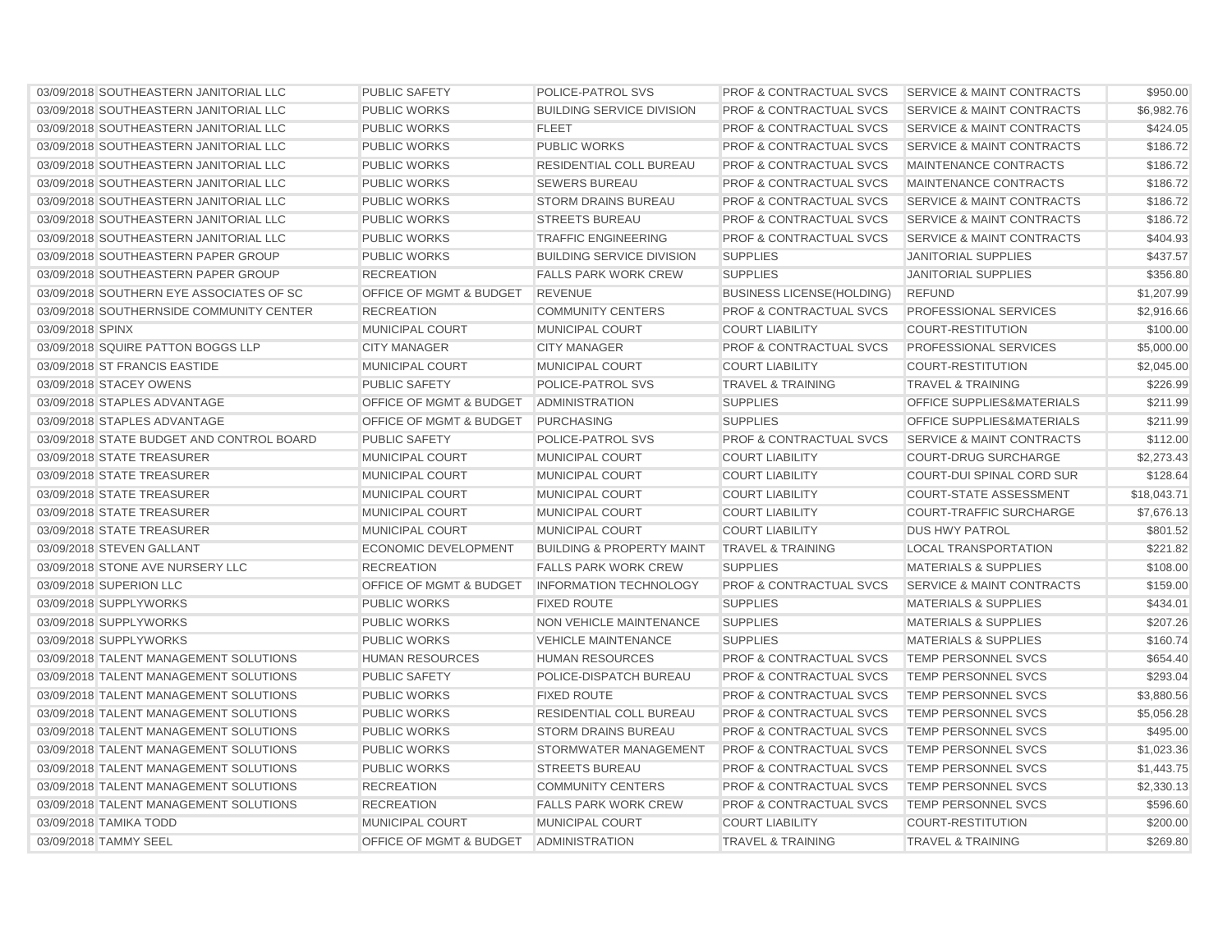| 03/09/2018 SOUTHEASTERN JANITORIAL LLC    | <b>PUBLIC SAFETY</b>               | POLICE-PATROL SVS                    | <b>PROF &amp; CONTRACTUAL SVCS</b> | <b>SERVICE &amp; MAINT CONTRACTS</b> | \$950.00    |
|-------------------------------------------|------------------------------------|--------------------------------------|------------------------------------|--------------------------------------|-------------|
| 03/09/2018 SOUTHEASTERN JANITORIAL LLC    | <b>PUBLIC WORKS</b>                | <b>BUILDING SERVICE DIVISION</b>     | <b>PROF &amp; CONTRACTUAL SVCS</b> | <b>SERVICE &amp; MAINT CONTRACTS</b> | \$6,982.76  |
| 03/09/2018 SOUTHEASTERN JANITORIAL LLC    | <b>PUBLIC WORKS</b>                | <b>FLEET</b>                         | <b>PROF &amp; CONTRACTUAL SVCS</b> | <b>SERVICE &amp; MAINT CONTRACTS</b> | \$424.05    |
| 03/09/2018 SOUTHEASTERN JANITORIAL LLC    | <b>PUBLIC WORKS</b>                | <b>PUBLIC WORKS</b>                  | <b>PROF &amp; CONTRACTUAL SVCS</b> | <b>SERVICE &amp; MAINT CONTRACTS</b> | \$186.72    |
| 03/09/2018 SOUTHEASTERN JANITORIAL LLC    | <b>PUBLIC WORKS</b>                | RESIDENTIAL COLL BUREAU              | <b>PROF &amp; CONTRACTUAL SVCS</b> | MAINTENANCE CONTRACTS                | \$186.72    |
| 03/09/2018 SOUTHEASTERN JANITORIAL LLC    | <b>PUBLIC WORKS</b>                | <b>SEWERS BUREAU</b>                 | <b>PROF &amp; CONTRACTUAL SVCS</b> | MAINTENANCE CONTRACTS                | \$186.72    |
| 03/09/2018 SOUTHEASTERN JANITORIAL LLC    | <b>PUBLIC WORKS</b>                | <b>STORM DRAINS BUREAU</b>           | PROF & CONTRACTUAL SVCS            | <b>SERVICE &amp; MAINT CONTRACTS</b> | \$186.72    |
| 03/09/2018 SOUTHEASTERN JANITORIAL LLC    | <b>PUBLIC WORKS</b>                | <b>STREETS BUREAU</b>                | <b>PROF &amp; CONTRACTUAL SVCS</b> | <b>SERVICE &amp; MAINT CONTRACTS</b> | \$186.72    |
| 03/09/2018 SOUTHEASTERN JANITORIAL LLC    | <b>PUBLIC WORKS</b>                | <b>TRAFFIC ENGINEERING</b>           | <b>PROF &amp; CONTRACTUAL SVCS</b> | <b>SERVICE &amp; MAINT CONTRACTS</b> | \$404.93    |
| 03/09/2018 SOUTHEASTERN PAPER GROUP       | <b>PUBLIC WORKS</b>                | <b>BUILDING SERVICE DIVISION</b>     | <b>SUPPLIES</b>                    | <b>JANITORIAL SUPPLIES</b>           | \$437.57    |
| 03/09/2018 SOUTHEASTERN PAPER GROUP       | <b>RECREATION</b>                  | <b>FALLS PARK WORK CREW</b>          | <b>SUPPLIES</b>                    | <b>JANITORIAL SUPPLIES</b>           | \$356.80    |
| 03/09/2018 SOUTHERN EYE ASSOCIATES OF SC  | OFFICE OF MGMT & BUDGET            | <b>REVENUE</b>                       | <b>BUSINESS LICENSE(HOLDING)</b>   | <b>REFUND</b>                        | \$1,207.99  |
| 03/09/2018 SOUTHERNSIDE COMMUNITY CENTER  | <b>RECREATION</b>                  | <b>COMMUNITY CENTERS</b>             | <b>PROF &amp; CONTRACTUAL SVCS</b> | <b>PROFESSIONAL SERVICES</b>         | \$2,916.66  |
| 03/09/2018 SPINX                          | <b>MUNICIPAL COURT</b>             | MUNICIPAL COURT                      | <b>COURT LIABILITY</b>             | <b>COURT-RESTITUTION</b>             | \$100.00    |
| 03/09/2018 SQUIRE PATTON BOGGS LLP        | <b>CITY MANAGER</b>                | <b>CITY MANAGER</b>                  | <b>PROF &amp; CONTRACTUAL SVCS</b> | PROFESSIONAL SERVICES                | \$5,000.00  |
| 03/09/2018 ST FRANCIS EASTIDE             | <b>MUNICIPAL COURT</b>             | <b>MUNICIPAL COURT</b>               | <b>COURT LIABILITY</b>             | <b>COURT-RESTITUTION</b>             | \$2,045.00  |
| 03/09/2018 STACEY OWENS                   | <b>PUBLIC SAFETY</b>               | POLICE-PATROL SVS                    | <b>TRAVEL &amp; TRAINING</b>       | <b>TRAVEL &amp; TRAINING</b>         | \$226.99    |
| 03/09/2018 STAPLES ADVANTAGE              | <b>OFFICE OF MGMT &amp; BUDGET</b> | <b>ADMINISTRATION</b>                | <b>SUPPLIES</b>                    | OFFICE SUPPLIES&MATERIALS            | \$211.99    |
| 03/09/2018 STAPLES ADVANTAGE              | OFFICE OF MGMT & BUDGET            | <b>PURCHASING</b>                    | <b>SUPPLIES</b>                    | <b>OFFICE SUPPLIES&amp;MATERIALS</b> | \$211.99    |
| 03/09/2018 STATE BUDGET AND CONTROL BOARD | <b>PUBLIC SAFETY</b>               | POLICE-PATROL SVS                    | PROF & CONTRACTUAL SVCS            | SERVICE & MAINT CONTRACTS            | \$112.00    |
| 03/09/2018 STATE TREASURER                | MUNICIPAL COURT                    | <b>MUNICIPAL COURT</b>               | <b>COURT LIABILITY</b>             | <b>COURT-DRUG SURCHARGE</b>          | \$2,273.43  |
| 03/09/2018 STATE TREASURER                | <b>MUNICIPAL COURT</b>             | <b>MUNICIPAL COURT</b>               | <b>COURT LIABILITY</b>             | COURT-DUI SPINAL CORD SUR            | \$128.64    |
| 03/09/2018 STATE TREASURER                | <b>MUNICIPAL COURT</b>             | <b>MUNICIPAL COURT</b>               | <b>COURT LIABILITY</b>             | <b>COURT-STATE ASSESSMENT</b>        | \$18,043.71 |
| 03/09/2018 STATE TREASURER                | <b>MUNICIPAL COURT</b>             | <b>MUNICIPAL COURT</b>               | <b>COURT LIABILITY</b>             | <b>COURT-TRAFFIC SURCHARGE</b>       | \$7,676.13  |
| 03/09/2018 STATE TREASURER                | <b>MUNICIPAL COURT</b>             | <b>MUNICIPAL COURT</b>               | <b>COURT LIABILITY</b>             | <b>DUS HWY PATROL</b>                | \$801.52    |
| 03/09/2018 STEVEN GALLANT                 | <b>ECONOMIC DEVELOPMENT</b>        | <b>BUILDING &amp; PROPERTY MAINT</b> | <b>TRAVEL &amp; TRAINING</b>       | <b>LOCAL TRANSPORTATION</b>          | \$221.82    |
| 03/09/2018 STONE AVE NURSERY LLC          | <b>RECREATION</b>                  | <b>FALLS PARK WORK CREW</b>          | <b>SUPPLIES</b>                    | <b>MATERIALS &amp; SUPPLIES</b>      | \$108.00    |
| 03/09/2018 SUPERION LLC                   | OFFICE OF MGMT & BUDGET            | <b>INFORMATION TECHNOLOGY</b>        | <b>PROF &amp; CONTRACTUAL SVCS</b> | <b>SERVICE &amp; MAINT CONTRACTS</b> | \$159.00    |
| 03/09/2018 SUPPLYWORKS                    | <b>PUBLIC WORKS</b>                | <b>FIXED ROUTE</b>                   | <b>SUPPLIES</b>                    | <b>MATERIALS &amp; SUPPLIES</b>      | \$434.01    |
| 03/09/2018 SUPPLYWORKS                    | PUBLIC WORKS                       | NON VEHICLE MAINTENANCE              | <b>SUPPLIES</b>                    | <b>MATERIALS &amp; SUPPLIES</b>      | \$207.26    |
| 03/09/2018 SUPPLYWORKS                    | <b>PUBLIC WORKS</b>                | <b>VEHICLE MAINTENANCE</b>           | <b>SUPPLIES</b>                    | <b>MATERIALS &amp; SUPPLIES</b>      | \$160.74    |
| 03/09/2018 TALENT MANAGEMENT SOLUTIONS    | <b>HUMAN RESOURCES</b>             | <b>HUMAN RESOURCES</b>               | <b>PROF &amp; CONTRACTUAL SVCS</b> | <b>TEMP PERSONNEL SVCS</b>           | \$654.40    |
| 03/09/2018 TALENT MANAGEMENT SOLUTIONS    | <b>PUBLIC SAFETY</b>               | POLICE-DISPATCH BUREAU               | <b>PROF &amp; CONTRACTUAL SVCS</b> | <b>TEMP PERSONNEL SVCS</b>           | \$293.04    |
| 03/09/2018 TALENT MANAGEMENT SOLUTIONS    | <b>PUBLIC WORKS</b>                | <b>FIXED ROUTE</b>                   | <b>PROF &amp; CONTRACTUAL SVCS</b> | <b>TEMP PERSONNEL SVCS</b>           | \$3,880.56  |
| 03/09/2018 TALENT MANAGEMENT SOLUTIONS    | <b>PUBLIC WORKS</b>                | RESIDENTIAL COLL BUREAU              | PROF & CONTRACTUAL SVCS            | TEMP PERSONNEL SVCS                  | \$5,056.28  |
| 03/09/2018 TALENT MANAGEMENT SOLUTIONS    | <b>PUBLIC WORKS</b>                | <b>STORM DRAINS BUREAU</b>           | <b>PROF &amp; CONTRACTUAL SVCS</b> | <b>TEMP PERSONNEL SVCS</b>           | \$495.00    |
| 03/09/2018 TALENT MANAGEMENT SOLUTIONS    | <b>PUBLIC WORKS</b>                | STORMWATER MANAGEMENT                | <b>PROF &amp; CONTRACTUAL SVCS</b> | TEMP PERSONNEL SVCS                  | \$1,023.36  |
| 03/09/2018 TALENT MANAGEMENT SOLUTIONS    | <b>PUBLIC WORKS</b>                | <b>STREETS BUREAU</b>                | <b>PROF &amp; CONTRACTUAL SVCS</b> | <b>TEMP PERSONNEL SVCS</b>           | \$1,443.75  |
| 03/09/2018 TALENT MANAGEMENT SOLUTIONS    | <b>RECREATION</b>                  | <b>COMMUNITY CENTERS</b>             | <b>PROF &amp; CONTRACTUAL SVCS</b> | TEMP PERSONNEL SVCS                  | \$2,330.13  |
| 03/09/2018 TALENT MANAGEMENT SOLUTIONS    | <b>RECREATION</b>                  | <b>FALLS PARK WORK CREW</b>          | <b>PROF &amp; CONTRACTUAL SVCS</b> | TEMP PERSONNEL SVCS                  | \$596.60    |
| 03/09/2018 TAMIKA TODD                    | <b>MUNICIPAL COURT</b>             | <b>MUNICIPAL COURT</b>               | <b>COURT LIABILITY</b>             | <b>COURT-RESTITUTION</b>             | \$200.00    |
| 03/09/2018 TAMMY SEEL                     | OFFICE OF MGMT & BUDGET            | <b>ADMINISTRATION</b>                | <b>TRAVEL &amp; TRAINING</b>       | <b>TRAVEL &amp; TRAINING</b>         | \$269.80    |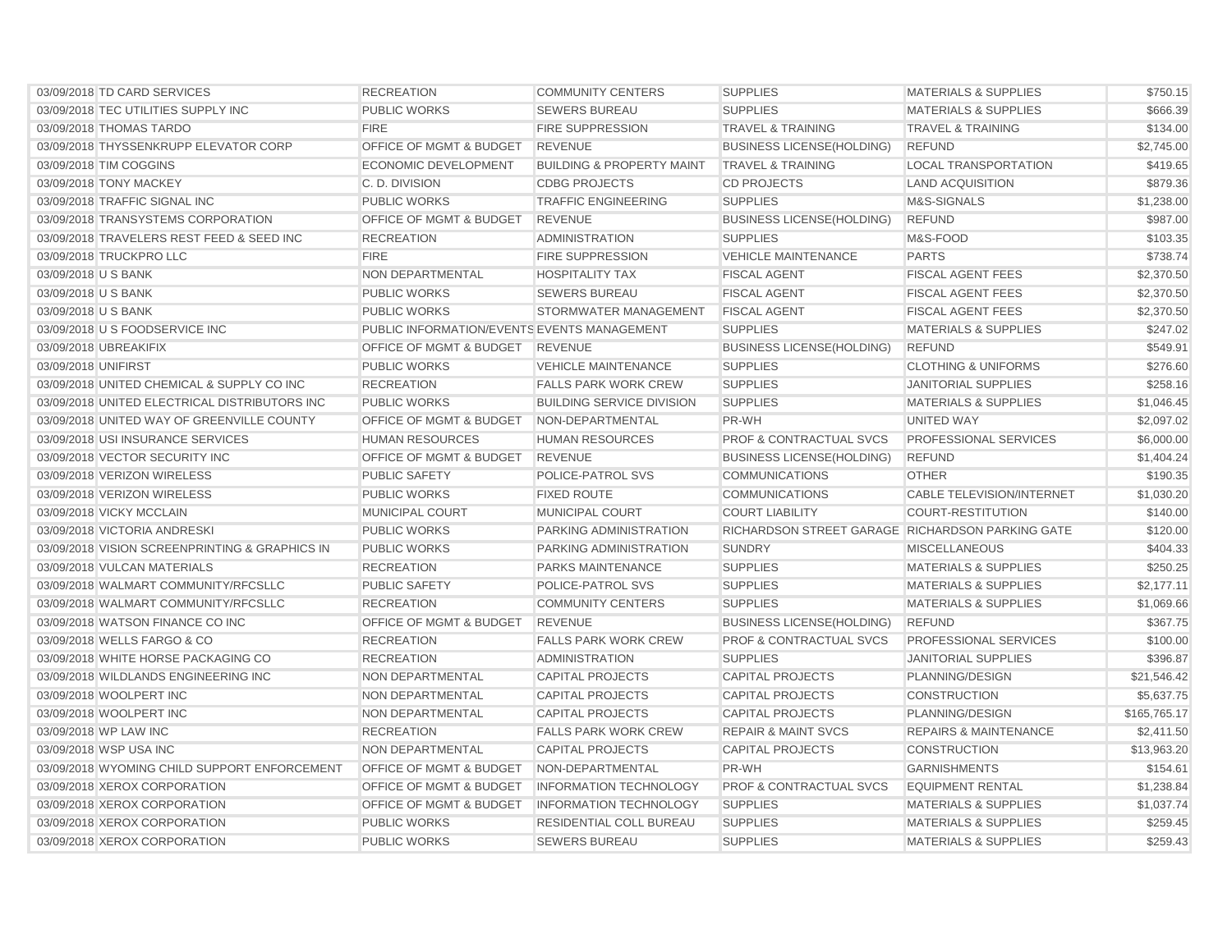| 03/09/2018 TD CARD SERVICES                    | <b>RECREATION</b>                           | <b>COMMUNITY CENTERS</b>             | <b>SUPPLIES</b>                                  | <b>MATERIALS &amp; SUPPLIES</b>  | \$750.15     |
|------------------------------------------------|---------------------------------------------|--------------------------------------|--------------------------------------------------|----------------------------------|--------------|
| 03/09/2018 TEC UTILITIES SUPPLY INC            | <b>PUBLIC WORKS</b>                         | <b>SEWERS BUREAU</b>                 | <b>SUPPLIES</b>                                  | <b>MATERIALS &amp; SUPPLIES</b>  | \$666.39     |
| 03/09/2018 THOMAS TARDO                        | <b>FIRE</b>                                 | <b>FIRE SUPPRESSION</b>              | <b>TRAVEL &amp; TRAINING</b>                     | <b>TRAVEL &amp; TRAINING</b>     | \$134.00     |
| 03/09/2018 THYSSENKRUPP ELEVATOR CORP          | OFFICE OF MGMT & BUDGET                     | <b>REVENUE</b>                       | <b>BUSINESS LICENSE(HOLDING)</b>                 | <b>REFUND</b>                    | \$2,745.00   |
| 03/09/2018 TIM COGGINS                         | <b>ECONOMIC DEVELOPMENT</b>                 | <b>BUILDING &amp; PROPERTY MAINT</b> | <b>TRAVEL &amp; TRAINING</b>                     | <b>LOCAL TRANSPORTATION</b>      | \$419.65     |
| 03/09/2018 TONY MACKEY                         | C. D. DIVISION                              | <b>CDBG PROJECTS</b>                 | <b>CD PROJECTS</b>                               | <b>LAND ACQUISITION</b>          | \$879.36     |
| 03/09/2018 TRAFFIC SIGNAL INC                  | <b>PUBLIC WORKS</b>                         | <b>TRAFFIC ENGINEERING</b>           | <b>SUPPLIES</b>                                  | M&S-SIGNALS                      | \$1,238.00   |
| 03/09/2018 TRANSYSTEMS CORPORATION             | OFFICE OF MGMT & BUDGET                     | <b>REVENUE</b>                       | <b>BUSINESS LICENSE(HOLDING)</b>                 | <b>REFUND</b>                    | \$987.00     |
| 03/09/2018 TRAVELERS REST FEED & SEED INC      | <b>RECREATION</b>                           | <b>ADMINISTRATION</b>                | <b>SUPPLIES</b>                                  | M&S-FOOD                         | \$103.35     |
| 03/09/2018 TRUCKPRO LLC                        | <b>FIRE</b>                                 | <b>FIRE SUPPRESSION</b>              | <b>VEHICLE MAINTENANCE</b>                       | <b>PARTS</b>                     | \$738.74     |
| 03/09/2018 U S BANK                            | <b>NON DEPARTMENTAL</b>                     | <b>HOSPITALITY TAX</b>               | <b>FISCAL AGENT</b>                              | <b>FISCAL AGENT FEES</b>         | \$2,370.50   |
| 03/09/2018 U S BANK                            | <b>PUBLIC WORKS</b>                         | <b>SEWERS BUREAU</b>                 | <b>FISCAL AGENT</b>                              | <b>FISCAL AGENT FEES</b>         | \$2,370.50   |
| 03/09/2018 U S BANK                            | <b>PUBLIC WORKS</b>                         | STORMWATER MANAGEMENT                | <b>FISCAL AGENT</b>                              | <b>FISCAL AGENT FEES</b>         | \$2,370.50   |
| 03/09/2018 U S FOODSERVICE INC                 | PUBLIC INFORMATION/EVENTS EVENTS MANAGEMENT |                                      | <b>SUPPLIES</b>                                  | <b>MATERIALS &amp; SUPPLIES</b>  | \$247.02     |
| 03/09/2018 UBREAKIFIX                          | OFFICE OF MGMT & BUDGET                     | <b>REVENUE</b>                       | <b>BUSINESS LICENSE(HOLDING)</b>                 | <b>REFUND</b>                    | \$549.91     |
| 03/09/2018 UNIFIRST                            | <b>PUBLIC WORKS</b>                         | <b>VEHICLE MAINTENANCE</b>           | <b>SUPPLIES</b>                                  | <b>CLOTHING &amp; UNIFORMS</b>   | \$276.60     |
| 03/09/2018 UNITED CHEMICAL & SUPPLY CO INC     | <b>RECREATION</b>                           | <b>FALLS PARK WORK CREW</b>          | <b>SUPPLIES</b>                                  | <b>JANITORIAL SUPPLIES</b>       | \$258.16     |
| 03/09/2018 UNITED ELECTRICAL DISTRIBUTORS INC  | <b>PUBLIC WORKS</b>                         | <b>BUILDING SERVICE DIVISION</b>     | <b>SUPPLIES</b>                                  | <b>MATERIALS &amp; SUPPLIES</b>  | \$1,046.45   |
| 03/09/2018 UNITED WAY OF GREENVILLE COUNTY     | OFFICE OF MGMT & BUDGET                     | NON-DEPARTMENTAL                     | PR-WH                                            | UNITED WAY                       | \$2,097.02   |
| 03/09/2018 USI INSURANCE SERVICES              | <b>HUMAN RESOURCES</b>                      | <b>HUMAN RESOURCES</b>               | <b>PROF &amp; CONTRACTUAL SVCS</b>               | PROFESSIONAL SERVICES            | \$6,000.00   |
| 03/09/2018 VECTOR SECURITY INC                 | <b>OFFICE OF MGMT &amp; BUDGET</b>          | <b>REVENUE</b>                       | <b>BUSINESS LICENSE(HOLDING)</b>                 | <b>REFUND</b>                    | \$1,404.24   |
| 03/09/2018 VERIZON WIRELESS                    | <b>PUBLIC SAFETY</b>                        | POLICE-PATROL SVS                    | <b>COMMUNICATIONS</b>                            | <b>OTHER</b>                     | \$190.35     |
| 03/09/2018 VERIZON WIRELESS                    | <b>PUBLIC WORKS</b>                         | <b>FIXED ROUTE</b>                   | <b>COMMUNICATIONS</b>                            | <b>CABLE TELEVISION/INTERNET</b> | \$1,030.20   |
| 03/09/2018 VICKY MCCLAIN                       | <b>MUNICIPAL COURT</b>                      | <b>MUNICIPAL COURT</b>               | <b>COURT LIABILITY</b>                           | <b>COURT-RESTITUTION</b>         | \$140.00     |
| 03/09/2018 VICTORIA ANDRESKI                   | <b>PUBLIC WORKS</b>                         | PARKING ADMINISTRATION               | RICHARDSON STREET GARAGE RICHARDSON PARKING GATE |                                  | \$120.00     |
| 03/09/2018 VISION SCREENPRINTING & GRAPHICS IN | <b>PUBLIC WORKS</b>                         | PARKING ADMINISTRATION               | <b>SUNDRY</b>                                    | <b>MISCELLANEOUS</b>             | \$404.33     |
| 03/09/2018 VULCAN MATERIALS                    | <b>RECREATION</b>                           | <b>PARKS MAINTENANCE</b>             | <b>SUPPLIES</b>                                  | <b>MATERIALS &amp; SUPPLIES</b>  | \$250.25     |
| 03/09/2018 WALMART COMMUNITY/RFCSLLC           | <b>PUBLIC SAFETY</b>                        | POLICE-PATROL SVS                    | <b>SUPPLIES</b>                                  | <b>MATERIALS &amp; SUPPLIES</b>  | \$2,177.11   |
| 03/09/2018 WALMART COMMUNITY/RFCSLLC           | <b>RECREATION</b>                           | <b>COMMUNITY CENTERS</b>             | <b>SUPPLIES</b>                                  | <b>MATERIALS &amp; SUPPLIES</b>  | \$1,069.66   |
| 03/09/2018 WATSON FINANCE CO INC               | <b>OFFICE OF MGMT &amp; BUDGET</b>          | <b>REVENUE</b>                       | <b>BUSINESS LICENSE(HOLDING)</b>                 | <b>REFUND</b>                    | \$367.75     |
| 03/09/2018 WELLS FARGO & CO                    | <b>RECREATION</b>                           | <b>FALLS PARK WORK CREW</b>          | <b>PROF &amp; CONTRACTUAL SVCS</b>               | PROFESSIONAL SERVICES            | \$100.00     |
| 03/09/2018 WHITE HORSE PACKAGING CO            | <b>RECREATION</b>                           | <b>ADMINISTRATION</b>                | <b>SUPPLIES</b>                                  | <b>JANITORIAL SUPPLIES</b>       | \$396.87     |
| 03/09/2018 WILDLANDS ENGINEERING INC           | NON DEPARTMENTAL                            | <b>CAPITAL PROJECTS</b>              | <b>CAPITAL PROJECTS</b>                          | PLANNING/DESIGN                  | \$21,546.42  |
| 03/09/2018 WOOLPERT INC                        | NON DEPARTMENTAL                            | <b>CAPITAL PROJECTS</b>              | <b>CAPITAL PROJECTS</b>                          | <b>CONSTRUCTION</b>              | \$5,637.75   |
| 03/09/2018 WOOLPERT INC                        | NON DEPARTMENTAL                            | <b>CAPITAL PROJECTS</b>              | <b>CAPITAL PROJECTS</b>                          | PLANNING/DESIGN                  | \$165.765.17 |
| 03/09/2018 WP LAW INC                          | <b>RECREATION</b>                           | <b>FALLS PARK WORK CREW</b>          | <b>REPAIR &amp; MAINT SVCS</b>                   | <b>REPAIRS &amp; MAINTENANCE</b> | \$2,411.50   |
| 03/09/2018 WSP USA INC                         | <b>NON DEPARTMENTAL</b>                     | <b>CAPITAL PROJECTS</b>              | <b>CAPITAL PROJECTS</b>                          | <b>CONSTRUCTION</b>              | \$13,963.20  |
| 03/09/2018 WYOMING CHILD SUPPORT ENFORCEMENT   | OFFICE OF MGMT & BUDGET                     | NON-DEPARTMENTAL                     | PR-WH                                            | <b>GARNISHMENTS</b>              | \$154.61     |
| 03/09/2018 XEROX CORPORATION                   | OFFICE OF MGMT & BUDGET                     | <b>INFORMATION TECHNOLOGY</b>        | <b>PROF &amp; CONTRACTUAL SVCS</b>               | <b>EQUIPMENT RENTAL</b>          | \$1,238.84   |
| 03/09/2018 XEROX CORPORATION                   | <b>OFFICE OF MGMT &amp; BUDGET</b>          | <b>INFORMATION TECHNOLOGY</b>        | <b>SUPPLIES</b>                                  | <b>MATERIALS &amp; SUPPLIES</b>  | \$1,037.74   |
| 03/09/2018 XEROX CORPORATION                   | <b>PUBLIC WORKS</b>                         | RESIDENTIAL COLL BUREAU              | <b>SUPPLIES</b>                                  | <b>MATERIALS &amp; SUPPLIES</b>  | \$259.45     |
| 03/09/2018 XEROX CORPORATION                   | <b>PUBLIC WORKS</b>                         | <b>SEWERS BUREAU</b>                 | <b>SUPPLIES</b>                                  | <b>MATERIALS &amp; SUPPLIES</b>  | \$259.43     |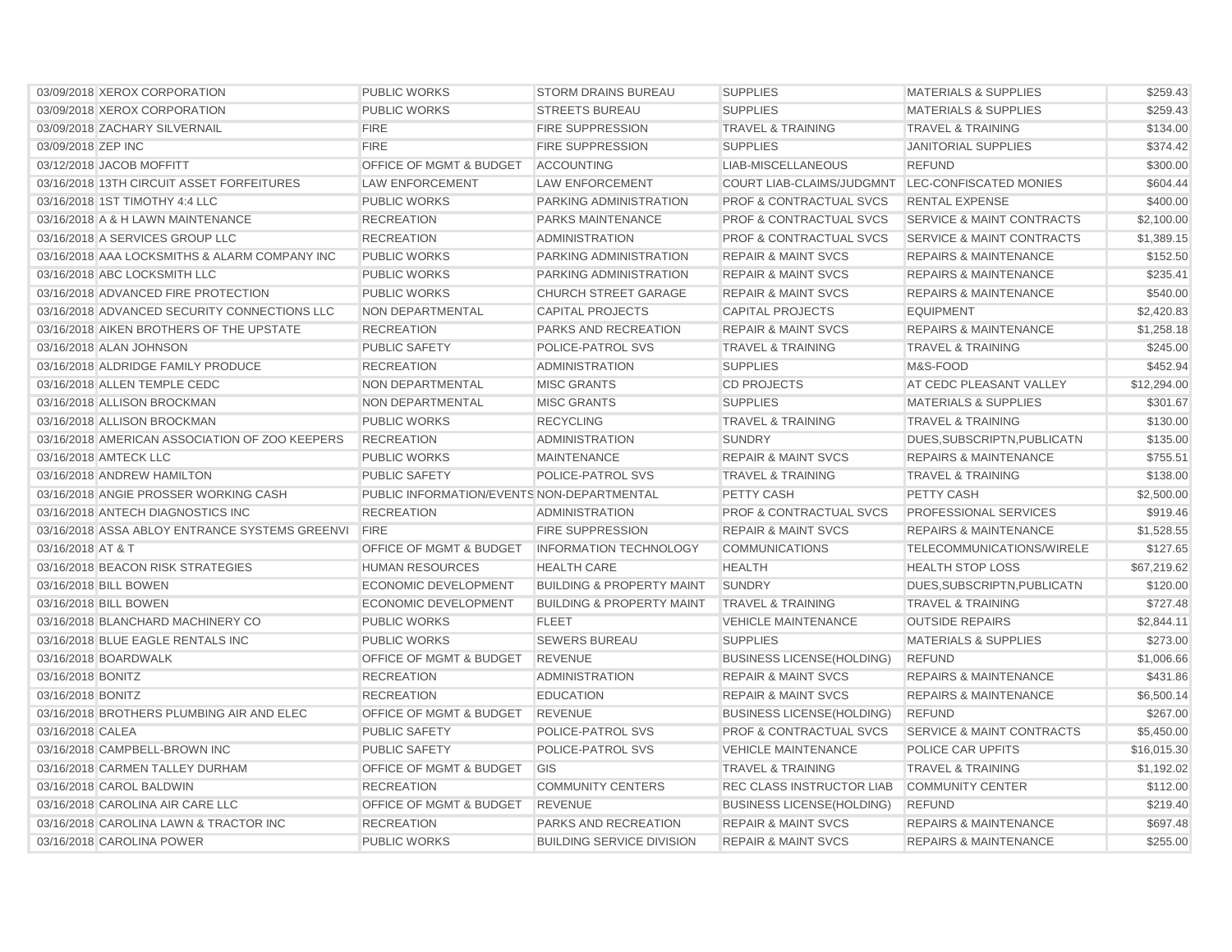| 03/09/2018 XEROX CORPORATION                   | <b>PUBLIC WORKS</b>                        | <b>STORM DRAINS BUREAU</b>           | <b>SUPPLIES</b>                                  | <b>MATERIALS &amp; SUPPLIES</b>      | \$259.43    |
|------------------------------------------------|--------------------------------------------|--------------------------------------|--------------------------------------------------|--------------------------------------|-------------|
| 03/09/2018 XEROX CORPORATION                   | <b>PUBLIC WORKS</b>                        | <b>STREETS BUREAU</b>                | <b>SUPPLIES</b>                                  | <b>MATERIALS &amp; SUPPLIES</b>      | \$259.43    |
| 03/09/2018 ZACHARY SILVERNAIL                  | <b>FIRE</b>                                | <b>FIRE SUPPRESSION</b>              | <b>TRAVEL &amp; TRAINING</b>                     | <b>TRAVEL &amp; TRAINING</b>         | \$134.00    |
| 03/09/2018 ZEP INC                             | <b>FIRE</b>                                | <b>FIRE SUPPRESSION</b>              | <b>SUPPLIES</b>                                  | <b>JANITORIAL SUPPLIES</b>           | \$374.42    |
| 03/12/2018 JACOB MOFFITT                       | OFFICE OF MGMT & BUDGET                    | <b>ACCOUNTING</b>                    | LIAB-MISCELLANEOUS                               | <b>REFUND</b>                        | \$300.00    |
| 03/16/2018 13TH CIRCUIT ASSET FORFEITURES      | <b>LAW ENFORCEMENT</b>                     | <b>LAW ENFORCEMENT</b>               | COURT LIAB-CLAIMS/JUDGMNT LEC-CONFISCATED MONIES |                                      | \$604.44    |
| 03/16/2018 1ST TIMOTHY 4:4 LLC                 | <b>PUBLIC WORKS</b>                        | PARKING ADMINISTRATION               | <b>PROF &amp; CONTRACTUAL SVCS</b>               | <b>RENTAL EXPENSE</b>                | \$400.00    |
| 03/16/2018 A & H LAWN MAINTENANCE              | <b>RECREATION</b>                          | PARKS MAINTENANCE                    | <b>PROF &amp; CONTRACTUAL SVCS</b>               | <b>SERVICE &amp; MAINT CONTRACTS</b> | \$2,100.00  |
| 03/16/2018 A SERVICES GROUP LLC                | <b>RECREATION</b>                          | <b>ADMINISTRATION</b>                | <b>PROF &amp; CONTRACTUAL SVCS</b>               | <b>SERVICE &amp; MAINT CONTRACTS</b> | \$1,389.15  |
| 03/16/2018 AAA LOCKSMITHS & ALARM COMPANY INC  | <b>PUBLIC WORKS</b>                        | PARKING ADMINISTRATION               | <b>REPAIR &amp; MAINT SVCS</b>                   | <b>REPAIRS &amp; MAINTENANCE</b>     | \$152.50    |
| 03/16/2018 ABC LOCKSMITH LLC                   | <b>PUBLIC WORKS</b>                        | PARKING ADMINISTRATION               | <b>REPAIR &amp; MAINT SVCS</b>                   | <b>REPAIRS &amp; MAINTENANCE</b>     | \$235.41    |
| 03/16/2018 ADVANCED FIRE PROTECTION            | <b>PUBLIC WORKS</b>                        | <b>CHURCH STREET GARAGE</b>          | <b>REPAIR &amp; MAINT SVCS</b>                   | <b>REPAIRS &amp; MAINTENANCE</b>     | \$540.00    |
| 03/16/2018 ADVANCED SECURITY CONNECTIONS LLC   | <b>NON DEPARTMENTAL</b>                    | <b>CAPITAL PROJECTS</b>              | <b>CAPITAL PROJECTS</b>                          | <b>EQUIPMENT</b>                     | \$2,420.83  |
| 03/16/2018 AIKEN BROTHERS OF THE UPSTATE       | <b>RECREATION</b>                          | <b>PARKS AND RECREATION</b>          | <b>REPAIR &amp; MAINT SVCS</b>                   | <b>REPAIRS &amp; MAINTENANCE</b>     | \$1,258.18  |
| 03/16/2018 ALAN JOHNSON                        | <b>PUBLIC SAFETY</b>                       | <b>POLICE-PATROL SVS</b>             | <b>TRAVEL &amp; TRAINING</b>                     | <b>TRAVEL &amp; TRAINING</b>         | \$245.00    |
| 03/16/2018 ALDRIDGE FAMILY PRODUCE             | <b>RECREATION</b>                          | <b>ADMINISTRATION</b>                | <b>SUPPLIES</b>                                  | M&S-FOOD                             | \$452.94    |
| 03/16/2018 ALLEN TEMPLE CEDC                   | NON DEPARTMENTAL                           | <b>MISC GRANTS</b>                   | <b>CD PROJECTS</b>                               | AT CEDC PLEASANT VALLEY              | \$12,294.00 |
| 03/16/2018 ALLISON BROCKMAN                    | <b>NON DEPARTMENTAL</b>                    | <b>MISC GRANTS</b>                   | <b>SUPPLIES</b>                                  | <b>MATERIALS &amp; SUPPLIES</b>      | \$301.67    |
| 03/16/2018 ALLISON BROCKMAN                    | <b>PUBLIC WORKS</b>                        | <b>RECYCLING</b>                     | <b>TRAVEL &amp; TRAINING</b>                     | <b>TRAVEL &amp; TRAINING</b>         | \$130.00    |
| 03/16/2018 AMERICAN ASSOCIATION OF ZOO KEEPERS | <b>RECREATION</b>                          | <b>ADMINISTRATION</b>                | <b>SUNDRY</b>                                    | DUES, SUBSCRIPTN, PUBLICATN          | \$135.00    |
| 03/16/2018 AMTECK LLC                          | <b>PUBLIC WORKS</b>                        | <b>MAINTENANCE</b>                   | <b>REPAIR &amp; MAINT SVCS</b>                   | <b>REPAIRS &amp; MAINTENANCE</b>     | \$755.51    |
| 03/16/2018 ANDREW HAMILTON                     | <b>PUBLIC SAFETY</b>                       | <b>POLICE-PATROL SVS</b>             | <b>TRAVEL &amp; TRAINING</b>                     | <b>TRAVEL &amp; TRAINING</b>         | \$138.00    |
| 03/16/2018 ANGIE PROSSER WORKING CASH          | PUBLIC INFORMATION/EVENTS NON-DEPARTMENTAL |                                      | <b>PETTY CASH</b>                                | <b>PETTY CASH</b>                    | \$2,500.00  |
| 03/16/2018 ANTECH DIAGNOSTICS INC              | <b>RECREATION</b>                          | <b>ADMINISTRATION</b>                | <b>PROF &amp; CONTRACTUAL SVCS</b>               | <b>PROFESSIONAL SERVICES</b>         | \$919.46    |
| 03/16/2018 ASSA ABLOY ENTRANCE SYSTEMS GREENVI | <b>FIRE</b>                                | <b>FIRE SUPPRESSION</b>              | <b>REPAIR &amp; MAINT SVCS</b>                   | <b>REPAIRS &amp; MAINTENANCE</b>     | \$1,528.55  |
| 03/16/2018 AT & T                              | <b>OFFICE OF MGMT &amp; BUDGET</b>         | <b>INFORMATION TECHNOLOGY</b>        | <b>COMMUNICATIONS</b>                            | TELECOMMUNICATIONS/WIRELE            | \$127.65    |
| 03/16/2018 BEACON RISK STRATEGIES              | <b>HUMAN RESOURCES</b>                     | <b>HEALTH CARE</b>                   | <b>HEALTH</b>                                    | <b>HEALTH STOP LOSS</b>              | \$67,219.62 |
| 03/16/2018 BILL BOWEN                          | <b>ECONOMIC DEVELOPMENT</b>                | <b>BUILDING &amp; PROPERTY MAINT</b> | <b>SUNDRY</b>                                    | DUES, SUBSCRIPTN, PUBLICATN          | \$120.00    |
| 03/16/2018 BILL BOWEN                          | <b>ECONOMIC DEVELOPMENT</b>                | <b>BUILDING &amp; PROPERTY MAINT</b> | <b>TRAVEL &amp; TRAINING</b>                     | <b>TRAVEL &amp; TRAINING</b>         | \$727.48    |
| 03/16/2018 BLANCHARD MACHINERY CO              | <b>PUBLIC WORKS</b>                        | <b>FLEET</b>                         | <b>VEHICLE MAINTENANCE</b>                       | <b>OUTSIDE REPAIRS</b>               | \$2,844.11  |
| 03/16/2018 BLUE EAGLE RENTALS INC              | <b>PUBLIC WORKS</b>                        | <b>SEWERS BUREAU</b>                 | <b>SUPPLIES</b>                                  | <b>MATERIALS &amp; SUPPLIES</b>      | \$273.00    |
| 03/16/2018 BOARDWALK                           | OFFICE OF MGMT & BUDGET                    | <b>REVENUE</b>                       | <b>BUSINESS LICENSE(HOLDING)</b>                 | <b>REFUND</b>                        | \$1,006.66  |
| 03/16/2018 BONITZ                              | <b>RECREATION</b>                          | <b>ADMINISTRATION</b>                | <b>REPAIR &amp; MAINT SVCS</b>                   | <b>REPAIRS &amp; MAINTENANCE</b>     | \$431.86    |
| 03/16/2018 BONITZ                              | <b>RECREATION</b>                          | <b>EDUCATION</b>                     | <b>REPAIR &amp; MAINT SVCS</b>                   | <b>REPAIRS &amp; MAINTENANCE</b>     | \$6,500.14  |
| 03/16/2018 BROTHERS PLUMBING AIR AND ELEC      | <b>OFFICE OF MGMT &amp; BUDGET</b>         | <b>REVENUE</b>                       | <b>BUSINESS LICENSE(HOLDING)</b>                 | <b>REFUND</b>                        | \$267.00    |
| 03/16/2018 CALEA                               | <b>PUBLIC SAFETY</b>                       | POLICE-PATROL SVS                    | <b>PROF &amp; CONTRACTUAL SVCS</b>               | <b>SERVICE &amp; MAINT CONTRACTS</b> | \$5,450.00  |
| 03/16/2018 CAMPBELL-BROWN INC                  | <b>PUBLIC SAFETY</b>                       | POLICE-PATROL SVS                    | <b>VEHICLE MAINTENANCE</b>                       | POLICE CAR UPFITS                    | \$16,015.30 |
| 03/16/2018 CARMEN TALLEY DURHAM                | <b>OFFICE OF MGMT &amp; BUDGET</b>         | <b>GIS</b>                           | <b>TRAVEL &amp; TRAINING</b>                     | <b>TRAVEL &amp; TRAINING</b>         | \$1,192.02  |
| 03/16/2018 CAROL BALDWIN                       | <b>RECREATION</b>                          | <b>COMMUNITY CENTERS</b>             | REC CLASS INSTRUCTOR LIAB                        | <b>COMMUNITY CENTER</b>              | \$112.00    |
| 03/16/2018 CAROLINA AIR CARE LLC               | OFFICE OF MGMT & BUDGET                    | <b>REVENUE</b>                       | <b>BUSINESS LICENSE(HOLDING)</b>                 | <b>REFUND</b>                        | \$219.40    |
| 03/16/2018 CAROLINA LAWN & TRACTOR INC         | <b>RECREATION</b>                          | <b>PARKS AND RECREATION</b>          | <b>REPAIR &amp; MAINT SVCS</b>                   | <b>REPAIRS &amp; MAINTENANCE</b>     | \$697.48    |
| 03/16/2018 CAROLINA POWER                      | <b>PUBLIC WORKS</b>                        | <b>BUILDING SERVICE DIVISION</b>     | <b>REPAIR &amp; MAINT SVCS</b>                   | <b>REPAIRS &amp; MAINTENANCE</b>     | \$255.00    |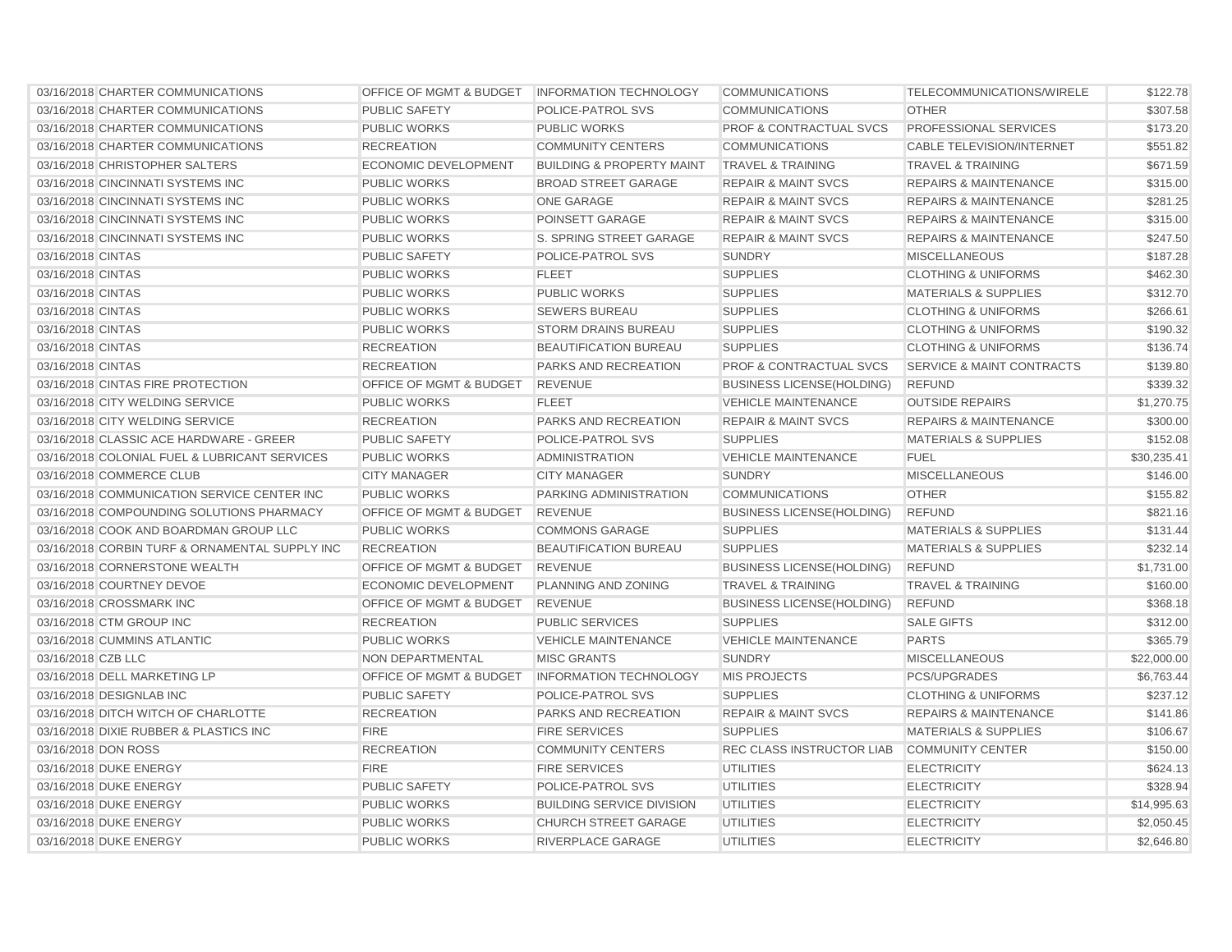| 03/16/2018 CHARTER COMMUNICATIONS              | OFFICE OF MGMT & BUDGET   INFORMATION TECHNOLOGY |                                      | <b>COMMUNICATIONS</b>              | TELECOMMUNICATIONS/WIRELE            | \$122.78    |
|------------------------------------------------|--------------------------------------------------|--------------------------------------|------------------------------------|--------------------------------------|-------------|
| 03/16/2018 CHARTER COMMUNICATIONS              | <b>PUBLIC SAFETY</b>                             | POLICE-PATROL SVS                    | <b>COMMUNICATIONS</b>              | <b>OTHER</b>                         | \$307.58    |
| 03/16/2018 CHARTER COMMUNICATIONS              | <b>PUBLIC WORKS</b>                              | <b>PUBLIC WORKS</b>                  | <b>PROF &amp; CONTRACTUAL SVCS</b> | PROFESSIONAL SERVICES                | \$173.20    |
| 03/16/2018 CHARTER COMMUNICATIONS              | <b>RECREATION</b>                                | <b>COMMUNITY CENTERS</b>             | <b>COMMUNICATIONS</b>              | <b>CABLE TELEVISION/INTERNET</b>     | \$551.82    |
| 03/16/2018 CHRISTOPHER SALTERS                 | <b>ECONOMIC DEVELOPMENT</b>                      | <b>BUILDING &amp; PROPERTY MAINT</b> | <b>TRAVEL &amp; TRAINING</b>       | <b>TRAVEL &amp; TRAINING</b>         | \$671.59    |
| 03/16/2018 CINCINNATI SYSTEMS INC              | <b>PUBLIC WORKS</b>                              | <b>BROAD STREET GARAGE</b>           | <b>REPAIR &amp; MAINT SVCS</b>     | <b>REPAIRS &amp; MAINTENANCE</b>     | \$315.00    |
| 03/16/2018 CINCINNATI SYSTEMS INC              | <b>PUBLIC WORKS</b>                              | ONE GARAGE                           | <b>REPAIR &amp; MAINT SVCS</b>     | <b>REPAIRS &amp; MAINTENANCE</b>     | \$281.25    |
| 03/16/2018 CINCINNATI SYSTEMS INC              | <b>PUBLIC WORKS</b>                              | POINSETT GARAGE                      | <b>REPAIR &amp; MAINT SVCS</b>     | <b>REPAIRS &amp; MAINTENANCE</b>     | \$315.00    |
| 03/16/2018 CINCINNATI SYSTEMS INC              | <b>PUBLIC WORKS</b>                              | S. SPRING STREET GARAGE              | <b>REPAIR &amp; MAINT SVCS</b>     | <b>REPAIRS &amp; MAINTENANCE</b>     | \$247.50    |
| 03/16/2018 CINTAS                              | PUBLIC SAFETY                                    | <b>POLICE-PATROL SVS</b>             | <b>SUNDRY</b>                      | <b>MISCELLANEOUS</b>                 | \$187.28    |
| 03/16/2018 CINTAS                              | <b>PUBLIC WORKS</b>                              | <b>FLEET</b>                         | <b>SUPPLIES</b>                    | <b>CLOTHING &amp; UNIFORMS</b>       | \$462.30    |
| 03/16/2018 CINTAS                              | <b>PUBLIC WORKS</b>                              | <b>PUBLIC WORKS</b>                  | <b>SUPPLIES</b>                    | <b>MATERIALS &amp; SUPPLIES</b>      | \$312.70    |
| 03/16/2018 CINTAS                              | <b>PUBLIC WORKS</b>                              | <b>SEWERS BUREAU</b>                 | <b>SUPPLIES</b>                    | <b>CLOTHING &amp; UNIFORMS</b>       | \$266.61    |
| 03/16/2018 CINTAS                              | <b>PUBLIC WORKS</b>                              | <b>STORM DRAINS BUREAU</b>           | <b>SUPPLIES</b>                    | <b>CLOTHING &amp; UNIFORMS</b>       | \$190.32    |
| 03/16/2018 CINTAS                              | <b>RECREATION</b>                                | <b>BEAUTIFICATION BUREAU</b>         | <b>SUPPLIES</b>                    | <b>CLOTHING &amp; UNIFORMS</b>       | \$136.74    |
| 03/16/2018 CINTAS                              | <b>RECREATION</b>                                | PARKS AND RECREATION                 | PROF & CONTRACTUAL SVCS            | <b>SERVICE &amp; MAINT CONTRACTS</b> | \$139.80    |
| 03/16/2018 CINTAS FIRE PROTECTION              | OFFICE OF MGMT & BUDGET                          | <b>REVENUE</b>                       | <b>BUSINESS LICENSE(HOLDING)</b>   | <b>REFUND</b>                        | \$339.32    |
| 03/16/2018 CITY WELDING SERVICE                | <b>PUBLIC WORKS</b>                              | <b>FLEET</b>                         | <b>VEHICLE MAINTENANCE</b>         | <b>OUTSIDE REPAIRS</b>               | \$1,270.75  |
| 03/16/2018 CITY WELDING SERVICE                | <b>RECREATION</b>                                | PARKS AND RECREATION                 | <b>REPAIR &amp; MAINT SVCS</b>     | <b>REPAIRS &amp; MAINTENANCE</b>     | \$300.00    |
| 03/16/2018 CLASSIC ACE HARDWARE - GREER        | <b>PUBLIC SAFETY</b>                             | POLICE-PATROL SVS                    | <b>SUPPLIES</b>                    | <b>MATERIALS &amp; SUPPLIES</b>      | \$152.08    |
| 03/16/2018 COLONIAL FUEL & LUBRICANT SERVICES  | <b>PUBLIC WORKS</b>                              | <b>ADMINISTRATION</b>                | <b>VEHICLE MAINTENANCE</b>         | <b>FUEL</b>                          | \$30,235.41 |
| 03/16/2018 COMMERCE CLUB                       | <b>CITY MANAGER</b>                              | <b>CITY MANAGER</b>                  | <b>SUNDRY</b>                      | <b>MISCELLANEOUS</b>                 | \$146.00    |
| 03/16/2018 COMMUNICATION SERVICE CENTER INC    | <b>PUBLIC WORKS</b>                              | PARKING ADMINISTRATION               | <b>COMMUNICATIONS</b>              | <b>OTHER</b>                         | \$155.82    |
| 03/16/2018 COMPOUNDING SOLUTIONS PHARMACY      | <b>OFFICE OF MGMT &amp; BUDGET</b>               | <b>REVENUE</b>                       | <b>BUSINESS LICENSE(HOLDING)</b>   | <b>REFUND</b>                        | \$821.16    |
| 03/16/2018 COOK AND BOARDMAN GROUP LLC         | <b>PUBLIC WORKS</b>                              | <b>COMMONS GARAGE</b>                | <b>SUPPLIES</b>                    | <b>MATERIALS &amp; SUPPLIES</b>      | \$131.44    |
| 03/16/2018 CORBIN TURF & ORNAMENTAL SUPPLY INC | <b>RECREATION</b>                                | <b>BEAUTIFICATION BUREAU</b>         | <b>SUPPLIES</b>                    | <b>MATERIALS &amp; SUPPLIES</b>      | \$232.14    |
| 03/16/2018 CORNERSTONE WEALTH                  | OFFICE OF MGMT & BUDGET                          | <b>REVENUE</b>                       | <b>BUSINESS LICENSE(HOLDING)</b>   | <b>REFUND</b>                        | \$1,731.00  |
| 03/16/2018 COURTNEY DEVOE                      | <b>ECONOMIC DEVELOPMENT</b>                      | PLANNING AND ZONING                  | <b>TRAVEL &amp; TRAINING</b>       | <b>TRAVEL &amp; TRAINING</b>         | \$160.00    |
| 03/16/2018 CROSSMARK INC                       | OFFICE OF MGMT & BUDGET                          | <b>REVENUE</b>                       | <b>BUSINESS LICENSE(HOLDING)</b>   | <b>REFUND</b>                        | \$368.18    |
| 03/16/2018 CTM GROUP INC                       | <b>RECREATION</b>                                | <b>PUBLIC SERVICES</b>               | <b>SUPPLIES</b>                    | <b>SALE GIFTS</b>                    | \$312.00    |
| 03/16/2018 CUMMINS ATLANTIC                    | <b>PUBLIC WORKS</b>                              | <b>VEHICLE MAINTENANCE</b>           | <b>VEHICLE MAINTENANCE</b>         | <b>PARTS</b>                         | \$365.79    |
| 03/16/2018 CZB LLC                             | <b>NON DEPARTMENTAL</b>                          | <b>MISC GRANTS</b>                   | <b>SUNDRY</b>                      | <b>MISCELLANEOUS</b>                 | \$22,000.00 |
| 03/16/2018 DELL MARKETING LP                   | <b>OFFICE OF MGMT &amp; BUDGET</b>               | <b>INFORMATION TECHNOLOGY</b>        | <b>MIS PROJECTS</b>                | PCS/UPGRADES                         | \$6,763.44  |
| 03/16/2018 DESIGNLAB INC                       | PUBLIC SAFETY                                    | POLICE-PATROL SVS                    | <b>SUPPLIES</b>                    | <b>CLOTHING &amp; UNIFORMS</b>       | \$237.12    |
| 03/16/2018 DITCH WITCH OF CHARLOTTE            | <b>RECREATION</b>                                | <b>PARKS AND RECREATION</b>          | <b>REPAIR &amp; MAINT SVCS</b>     | <b>REPAIRS &amp; MAINTENANCE</b>     | \$141.86    |
| 03/16/2018 DIXIE RUBBER & PLASTICS INC         | <b>FIRE</b>                                      | <b>FIRE SERVICES</b>                 | <b>SUPPLIES</b>                    | <b>MATERIALS &amp; SUPPLIES</b>      | \$106.67    |
| 03/16/2018 DON ROSS                            | <b>RECREATION</b>                                | <b>COMMUNITY CENTERS</b>             | REC CLASS INSTRUCTOR LIAB          | <b>COMMUNITY CENTER</b>              | \$150.00    |
| 03/16/2018 DUKE ENERGY                         | <b>FIRE</b>                                      | <b>FIRE SERVICES</b>                 | <b>UTILITIES</b>                   | <b>ELECTRICITY</b>                   | \$624.13    |
| 03/16/2018 DUKE ENERGY                         | <b>PUBLIC SAFETY</b>                             | <b>POLICE-PATROL SVS</b>             | <b>UTILITIES</b>                   | <b>ELECTRICITY</b>                   | \$328.94    |
| 03/16/2018 DUKE ENERGY                         | <b>PUBLIC WORKS</b>                              | <b>BUILDING SERVICE DIVISION</b>     | <b>UTILITIES</b>                   | <b>ELECTRICITY</b>                   | \$14,995.63 |
| 03/16/2018 DUKE ENERGY                         | <b>PUBLIC WORKS</b>                              | <b>CHURCH STREET GARAGE</b>          | <b>UTILITIES</b>                   | <b>ELECTRICITY</b>                   | \$2,050.45  |
| 03/16/2018 DUKE ENERGY                         | <b>PUBLIC WORKS</b>                              | RIVERPLACE GARAGE                    | <b>UTILITIES</b>                   | <b>ELECTRICITY</b>                   | \$2,646.80  |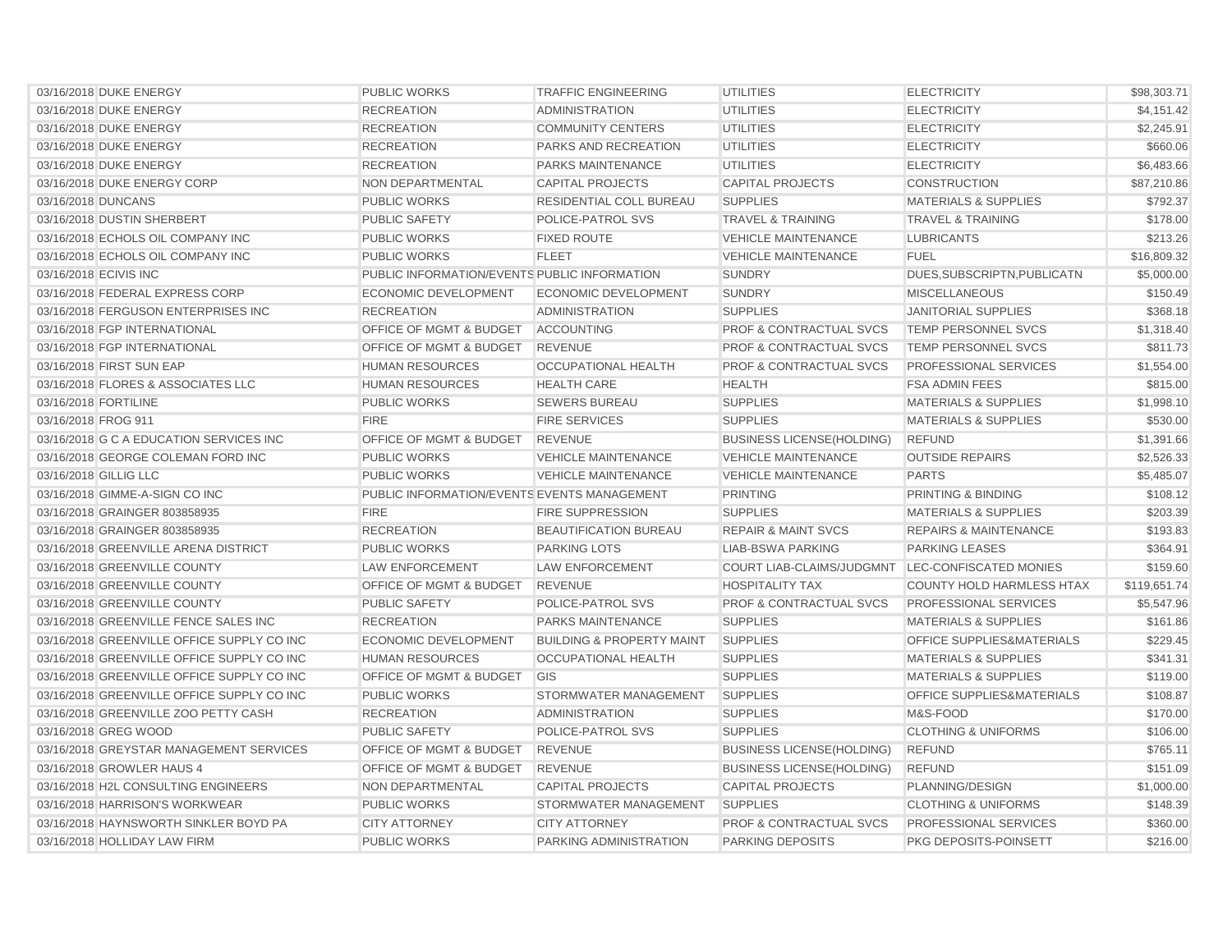| 03/16/2018 DUKE ENERGY                     | <b>PUBLIC WORKS</b>                          | <b>TRAFFIC ENGINEERING</b>           | <b>UTILITIES</b>                                 | <b>ELECTRICITY</b>                   | \$98,303.71  |
|--------------------------------------------|----------------------------------------------|--------------------------------------|--------------------------------------------------|--------------------------------------|--------------|
| 03/16/2018 DUKE ENERGY                     | <b>RECREATION</b>                            | <b>ADMINISTRATION</b>                | <b>UTILITIES</b>                                 | <b>ELECTRICITY</b>                   | \$4,151.42   |
| 03/16/2018 DUKE ENERGY                     | <b>RECREATION</b>                            | <b>COMMUNITY CENTERS</b>             | <b>UTILITIES</b>                                 | <b>ELECTRICITY</b>                   | \$2,245.91   |
| 03/16/2018 DUKE ENERGY                     | <b>RECREATION</b>                            | PARKS AND RECREATION                 | <b>UTILITIES</b>                                 | <b>ELECTRICITY</b>                   | \$660.06     |
| 03/16/2018 DUKE ENERGY                     | <b>RECREATION</b>                            | <b>PARKS MAINTENANCE</b>             | <b>UTILITIES</b>                                 | <b>ELECTRICITY</b>                   | \$6,483.66   |
| 03/16/2018 DUKE ENERGY CORP                | <b>NON DEPARTMENTAL</b>                      | <b>CAPITAL PROJECTS</b>              | <b>CAPITAL PROJECTS</b>                          | <b>CONSTRUCTION</b>                  | \$87,210.86  |
| 03/16/2018 DUNCANS                         | <b>PUBLIC WORKS</b>                          | <b>RESIDENTIAL COLL BUREAU</b>       | <b>SUPPLIES</b>                                  | <b>MATERIALS &amp; SUPPLIES</b>      | \$792.37     |
| 03/16/2018 DUSTIN SHERBERT                 | <b>PUBLIC SAFETY</b>                         | <b>POLICE-PATROL SVS</b>             | <b>TRAVEL &amp; TRAINING</b>                     | <b>TRAVEL &amp; TRAINING</b>         | \$178.00     |
| 03/16/2018 ECHOLS OIL COMPANY INC          | <b>PUBLIC WORKS</b>                          | <b>FIXED ROUTE</b>                   | <b>VEHICLE MAINTENANCE</b>                       | <b>LUBRICANTS</b>                    | \$213.26     |
| 03/16/2018 ECHOLS OIL COMPANY INC          | <b>PUBLIC WORKS</b>                          | <b>FLEET</b>                         | <b>VEHICLE MAINTENANCE</b>                       | <b>FUEL</b>                          | \$16,809.32  |
| 03/16/2018 ECIVIS INC                      | PUBLIC INFORMATION/EVENTS PUBLIC INFORMATION |                                      | <b>SUNDRY</b>                                    | DUES, SUBSCRIPTN, PUBLICATN          | \$5,000.00   |
| 03/16/2018 FEDERAL EXPRESS CORP            | <b>ECONOMIC DEVELOPMENT</b>                  | <b>ECONOMIC DEVELOPMENT</b>          | <b>SUNDRY</b>                                    | <b>MISCELLANEOUS</b>                 | \$150.49     |
| 03/16/2018 FERGUSON ENTERPRISES INC        | <b>RECREATION</b>                            | <b>ADMINISTRATION</b>                | <b>SUPPLIES</b>                                  | <b>JANITORIAL SUPPLIES</b>           | \$368.18     |
| 03/16/2018 FGP INTERNATIONAL               | OFFICE OF MGMT & BUDGET                      | <b>ACCOUNTING</b>                    | PROF & CONTRACTUAL SVCS                          | TEMP PERSONNEL SVCS                  | \$1,318.40   |
| 03/16/2018 FGP INTERNATIONAL               | <b>OFFICE OF MGMT &amp; BUDGET</b>           | <b>REVENUE</b>                       | <b>PROF &amp; CONTRACTUAL SVCS</b>               | <b>TEMP PERSONNEL SVCS</b>           | \$811.73     |
| 03/16/2018 FIRST SUN EAP                   | <b>HUMAN RESOURCES</b>                       | <b>OCCUPATIONAL HEALTH</b>           | <b>PROF &amp; CONTRACTUAL SVCS</b>               | <b>PROFESSIONAL SERVICES</b>         | \$1,554.00   |
| 03/16/2018 FLORES & ASSOCIATES LLC         | <b>HUMAN RESOURCES</b>                       | <b>HEALTH CARE</b>                   | <b>HEALTH</b>                                    | <b>FSA ADMIN FEES</b>                | \$815.00     |
| 03/16/2018 FORTILINE                       | <b>PUBLIC WORKS</b>                          | <b>SEWERS BUREAU</b>                 | <b>SUPPLIES</b>                                  | <b>MATERIALS &amp; SUPPLIES</b>      | \$1,998.10   |
| 03/16/2018 FROG 911                        | <b>FIRE</b>                                  | <b>FIRE SERVICES</b>                 | <b>SUPPLIES</b>                                  | <b>MATERIALS &amp; SUPPLIES</b>      | \$530.00     |
| 03/16/2018 G C A EDUCATION SERVICES INC    | <b>OFFICE OF MGMT &amp; BUDGET</b>           | <b>REVENUE</b>                       | <b>BUSINESS LICENSE(HOLDING)</b>                 | <b>REFUND</b>                        | \$1,391.66   |
| 03/16/2018 GEORGE COLEMAN FORD INC         | <b>PUBLIC WORKS</b>                          | <b>VEHICLE MAINTENANCE</b>           | <b>VEHICLE MAINTENANCE</b>                       | <b>OUTSIDE REPAIRS</b>               | \$2,526.33   |
| 03/16/2018 GILLIG LLC                      | <b>PUBLIC WORKS</b>                          | <b>VEHICLE MAINTENANCE</b>           | <b>VEHICLE MAINTENANCE</b>                       | <b>PARTS</b>                         | \$5,485.07   |
| 03/16/2018 GIMME-A-SIGN CO INC             | PUBLIC INFORMATION/EVENTS EVENTS MANAGEMENT  |                                      | <b>PRINTING</b>                                  | PRINTING & BINDING                   | \$108.12     |
| 03/16/2018 GRAINGER 803858935              | <b>FIRE</b>                                  | <b>FIRE SUPPRESSION</b>              | <b>SUPPLIES</b>                                  | <b>MATERIALS &amp; SUPPLIES</b>      | \$203.39     |
| 03/16/2018 GRAINGER 803858935              | <b>RECREATION</b>                            | <b>BEAUTIFICATION BUREAU</b>         | <b>REPAIR &amp; MAINT SVCS</b>                   | <b>REPAIRS &amp; MAINTENANCE</b>     | \$193.83     |
| 03/16/2018 GREENVILLE ARENA DISTRICT       | <b>PUBLIC WORKS</b>                          | <b>PARKING LOTS</b>                  | <b>LIAB-BSWA PARKING</b>                         | <b>PARKING LEASES</b>                | \$364.91     |
| 03/16/2018 GREENVILLE COUNTY               | <b>LAW ENFORCEMENT</b>                       | <b>LAW ENFORCEMENT</b>               | COURT LIAB-CLAIMS/JUDGMNT LEC-CONFISCATED MONIES |                                      | \$159.60     |
| 03/16/2018 GREENVILLE COUNTY               | <b>OFFICE OF MGMT &amp; BUDGET</b>           | <b>REVENUE</b>                       | <b>HOSPITALITY TAX</b>                           | <b>COUNTY HOLD HARMLESS HTAX</b>     | \$119,651.74 |
| 03/16/2018 GREENVILLE COUNTY               | <b>PUBLIC SAFETY</b>                         | POLICE-PATROL SVS                    | <b>PROF &amp; CONTRACTUAL SVCS</b>               | <b>PROFESSIONAL SERVICES</b>         | \$5,547.96   |
| 03/16/2018 GREENVILLE FENCE SALES INC      | <b>RECREATION</b>                            | <b>PARKS MAINTENANCE</b>             | <b>SUPPLIES</b>                                  | <b>MATERIALS &amp; SUPPLIES</b>      | \$161.86     |
| 03/16/2018 GREENVILLE OFFICE SUPPLY CO INC | <b>ECONOMIC DEVELOPMENT</b>                  | <b>BUILDING &amp; PROPERTY MAINT</b> | <b>SUPPLIES</b>                                  | OFFICE SUPPLIES&MATERIALS            | \$229.45     |
| 03/16/2018 GREENVILLE OFFICE SUPPLY CO INC | <b>HUMAN RESOURCES</b>                       | <b>OCCUPATIONAL HEALTH</b>           | <b>SUPPLIES</b>                                  | <b>MATERIALS &amp; SUPPLIES</b>      | \$341.31     |
| 03/16/2018 GREENVILLE OFFICE SUPPLY CO INC | OFFICE OF MGMT & BUDGET                      | <b>GIS</b>                           | <b>SUPPLIES</b>                                  | <b>MATERIALS &amp; SUPPLIES</b>      | \$119.00     |
| 03/16/2018 GREENVILLE OFFICE SUPPLY CO INC | <b>PUBLIC WORKS</b>                          | STORMWATER MANAGEMENT                | <b>SUPPLIES</b>                                  | <b>OFFICE SUPPLIES&amp;MATERIALS</b> | \$108.87     |
| 03/16/2018 GREENVILLE ZOO PETTY CASH       | <b>RECREATION</b>                            | <b>ADMINISTRATION</b>                | <b>SUPPLIES</b>                                  | M&S-FOOD                             | \$170.00     |
| 03/16/2018 GREG WOOD                       | <b>PUBLIC SAFETY</b>                         | POLICE-PATROL SVS                    | <b>SUPPLIES</b>                                  | <b>CLOTHING &amp; UNIFORMS</b>       | \$106.00     |
| 03/16/2018 GREYSTAR MANAGEMENT SERVICES    | <b>OFFICE OF MGMT &amp; BUDGET</b>           | <b>REVENUE</b>                       | <b>BUSINESS LICENSE (HOLDING)</b>                | <b>REFUND</b>                        | \$765.11     |
| 03/16/2018 GROWLER HAUS 4                  | <b>OFFICE OF MGMT &amp; BUDGET</b>           | <b>REVENUE</b>                       | <b>BUSINESS LICENSE (HOLDING)</b>                | <b>REFUND</b>                        | \$151.09     |
| 03/16/2018 H2L CONSULTING ENGINEERS        | <b>NON DEPARTMENTAL</b>                      | <b>CAPITAL PROJECTS</b>              | <b>CAPITAL PROJECTS</b>                          | PLANNING/DESIGN                      | \$1,000.00   |
| 03/16/2018 HARRISON'S WORKWEAR             | <b>PUBLIC WORKS</b>                          | STORMWATER MANAGEMENT                | <b>SUPPLIES</b>                                  | <b>CLOTHING &amp; UNIFORMS</b>       | \$148.39     |
| 03/16/2018 HAYNSWORTH SINKLER BOYD PA      | <b>CITY ATTORNEY</b>                         | <b>CITY ATTORNEY</b>                 | <b>PROF &amp; CONTRACTUAL SVCS</b>               | <b>PROFESSIONAL SERVICES</b>         | \$360.00     |
| 03/16/2018 HOLLIDAY LAW FIRM               | <b>PUBLIC WORKS</b>                          | PARKING ADMINISTRATION               | <b>PARKING DEPOSITS</b>                          | PKG DEPOSITS-POINSETT                | \$216.00     |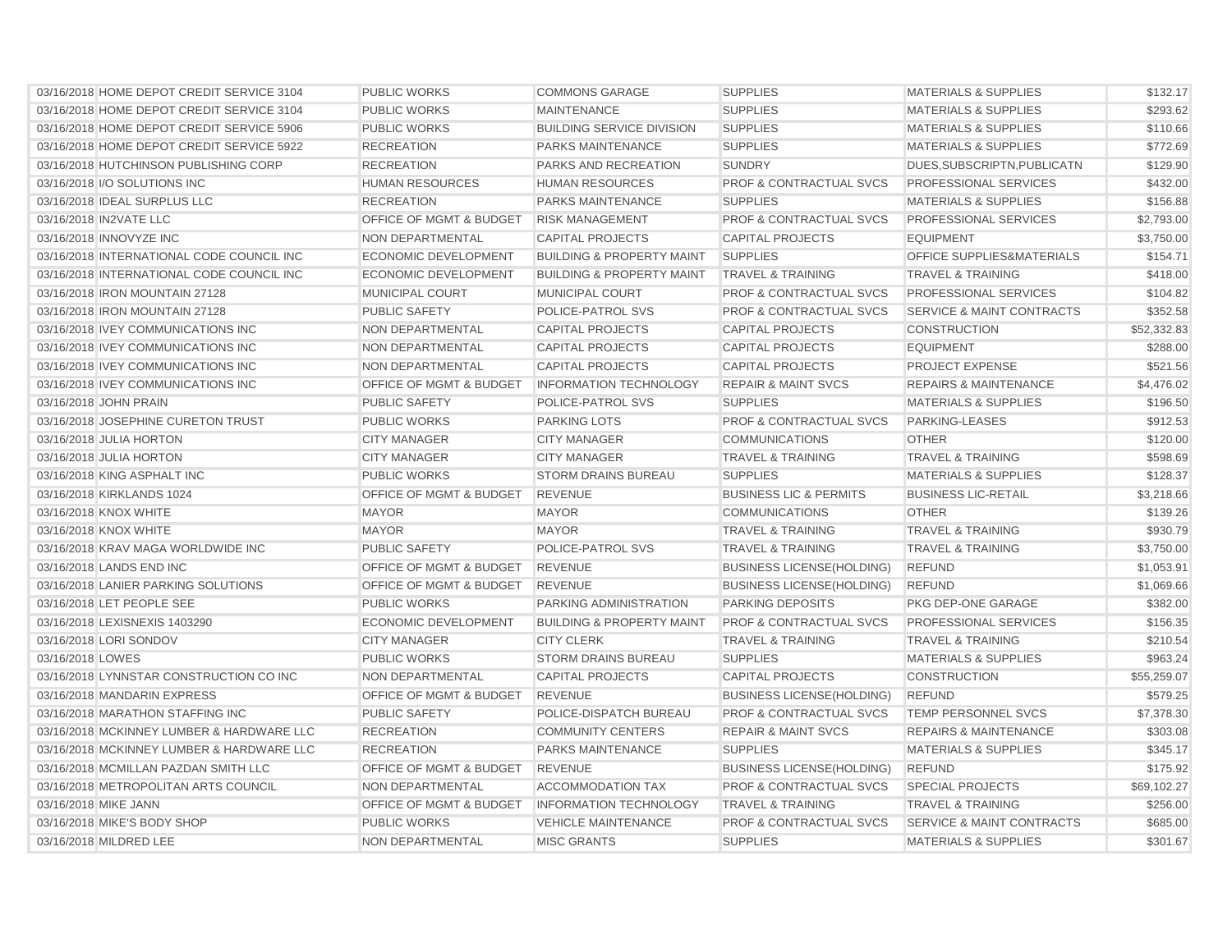| 03/16/2018 HOME DEPOT CREDIT SERVICE 3104 | <b>PUBLIC WORKS</b>                | <b>COMMONS GARAGE</b>                | <b>SUPPLIES</b>                    | <b>MATERIALS &amp; SUPPLIES</b>      | \$132.17    |
|-------------------------------------------|------------------------------------|--------------------------------------|------------------------------------|--------------------------------------|-------------|
| 03/16/2018 HOME DEPOT CREDIT SERVICE 3104 | <b>PUBLIC WORKS</b>                | <b>MAINTENANCE</b>                   | <b>SUPPLIES</b>                    | <b>MATERIALS &amp; SUPPLIES</b>      | \$293.62    |
| 03/16/2018 HOME DEPOT CREDIT SERVICE 5906 | <b>PUBLIC WORKS</b>                | <b>BUILDING SERVICE DIVISION</b>     | <b>SUPPLIES</b>                    | <b>MATERIALS &amp; SUPPLIES</b>      | \$110.66    |
| 03/16/2018 HOME DEPOT CREDIT SERVICE 5922 | <b>RECREATION</b>                  | PARKS MAINTENANCE                    | <b>SUPPLIES</b>                    | <b>MATERIALS &amp; SUPPLIES</b>      | \$772.69    |
| 03/16/2018 HUTCHINSON PUBLISHING CORP     | <b>RECREATION</b>                  | PARKS AND RECREATION                 | <b>SUNDRY</b>                      | DUES, SUBSCRIPTN, PUBLICATN          | \$129.90    |
| 03/16/2018 I/O SOLUTIONS INC              | <b>HUMAN RESOURCES</b>             | <b>HUMAN RESOURCES</b>               | <b>PROF &amp; CONTRACTUAL SVCS</b> | PROFESSIONAL SERVICES                | \$432.00    |
| 03/16/2018 IDEAL SURPLUS LLC              | <b>RECREATION</b>                  | <b>PARKS MAINTENANCE</b>             | <b>SUPPLIES</b>                    | <b>MATERIALS &amp; SUPPLIES</b>      | \$156.88    |
| 03/16/2018 IN2VATE LLC                    | OFFICE OF MGMT & BUDGET            | <b>RISK MANAGEMENT</b>               | <b>PROF &amp; CONTRACTUAL SVCS</b> | PROFESSIONAL SERVICES                | \$2,793.00  |
| 03/16/2018 INNOVYZE INC                   | NON DEPARTMENTAL                   | <b>CAPITAL PROJECTS</b>              | <b>CAPITAL PROJECTS</b>            | <b>EQUIPMENT</b>                     | \$3,750.00  |
| 03/16/2018 INTERNATIONAL CODE COUNCIL INC | <b>ECONOMIC DEVELOPMENT</b>        | <b>BUILDING &amp; PROPERTY MAINT</b> | <b>SUPPLIES</b>                    | OFFICE SUPPLIES&MATERIALS            | \$154.71    |
| 03/16/2018 INTERNATIONAL CODE COUNCIL INC | <b>ECONOMIC DEVELOPMENT</b>        | <b>BUILDING &amp; PROPERTY MAINT</b> | <b>TRAVEL &amp; TRAINING</b>       | <b>TRAVEL &amp; TRAINING</b>         | \$418.00    |
| 03/16/2018 IRON MOUNTAIN 27128            | <b>MUNICIPAL COURT</b>             | <b>MUNICIPAL COURT</b>               | <b>PROF &amp; CONTRACTUAL SVCS</b> | <b>PROFESSIONAL SERVICES</b>         | \$104.82    |
| 03/16/2018 IRON MOUNTAIN 27128            | <b>PUBLIC SAFETY</b>               | POLICE-PATROL SVS                    | <b>PROF &amp; CONTRACTUAL SVCS</b> | <b>SERVICE &amp; MAINT CONTRACTS</b> | \$352.58    |
| 03/16/2018 IVEY COMMUNICATIONS INC        | <b>NON DEPARTMENTAL</b>            | <b>CAPITAL PROJECTS</b>              | <b>CAPITAL PROJECTS</b>            | <b>CONSTRUCTION</b>                  | \$52,332.83 |
| 03/16/2018 IVEY COMMUNICATIONS INC        | <b>NON DEPARTMENTAL</b>            | <b>CAPITAL PROJECTS</b>              | <b>CAPITAL PROJECTS</b>            | <b>EQUIPMENT</b>                     | \$288.00    |
| 03/16/2018 IVEY COMMUNICATIONS INC        | <b>NON DEPARTMENTAL</b>            | <b>CAPITAL PROJECTS</b>              | <b>CAPITAL PROJECTS</b>            | <b>PROJECT EXPENSE</b>               | \$521.56    |
| 03/16/2018 IVEY COMMUNICATIONS INC        | OFFICE OF MGMT & BUDGET            | <b>INFORMATION TECHNOLOGY</b>        | <b>REPAIR &amp; MAINT SVCS</b>     | <b>REPAIRS &amp; MAINTENANCE</b>     | \$4,476.02  |
| 03/16/2018 JOHN PRAIN                     | <b>PUBLIC SAFETY</b>               | POLICE-PATROL SVS                    | <b>SUPPLIES</b>                    | <b>MATERIALS &amp; SUPPLIES</b>      | \$196.50    |
| 03/16/2018 JOSEPHINE CURETON TRUST        | <b>PUBLIC WORKS</b>                | <b>PARKING LOTS</b>                  | <b>PROF &amp; CONTRACTUAL SVCS</b> | PARKING-LEASES                       | \$912.53    |
| 03/16/2018 JULIA HORTON                   | <b>CITY MANAGER</b>                | <b>CITY MANAGER</b>                  | <b>COMMUNICATIONS</b>              | <b>OTHER</b>                         | \$120.00    |
| 03/16/2018 JULIA HORTON                   | <b>CITY MANAGER</b>                | <b>CITY MANAGER</b>                  | <b>TRAVEL &amp; TRAINING</b>       | <b>TRAVEL &amp; TRAINING</b>         | \$598.69    |
| 03/16/2018 KING ASPHALT INC               | <b>PUBLIC WORKS</b>                | <b>STORM DRAINS BUREAU</b>           | <b>SUPPLIES</b>                    | <b>MATERIALS &amp; SUPPLIES</b>      | \$128.37    |
| 03/16/2018 KIRKLANDS 1024                 | <b>OFFICE OF MGMT &amp; BUDGET</b> | <b>REVENUE</b>                       | <b>BUSINESS LIC &amp; PERMITS</b>  | <b>BUSINESS LIC-RETAIL</b>           | \$3,218.66  |
| 03/16/2018 KNOX WHITE                     | <b>MAYOR</b>                       | <b>MAYOR</b>                         | <b>COMMUNICATIONS</b>              | <b>OTHER</b>                         | \$139.26    |
| 03/16/2018 KNOX WHITE                     | <b>MAYOR</b>                       | <b>MAYOR</b>                         | <b>TRAVEL &amp; TRAINING</b>       | <b>TRAVEL &amp; TRAINING</b>         | \$930.79    |
| 03/16/2018 KRAV MAGA WORLDWIDE INC        | PUBLIC SAFETY                      | <b>POLICE-PATROL SVS</b>             | <b>TRAVEL &amp; TRAINING</b>       | <b>TRAVEL &amp; TRAINING</b>         | \$3,750.00  |
| 03/16/2018 LANDS END INC                  | OFFICE OF MGMT & BUDGET            | <b>REVENUE</b>                       | <b>BUSINESS LICENSE(HOLDING)</b>   | <b>REFUND</b>                        | \$1,053.91  |
| 03/16/2018 LANIER PARKING SOLUTIONS       | OFFICE OF MGMT & BUDGET            | <b>REVENUE</b>                       | <b>BUSINESS LICENSE(HOLDING)</b>   | <b>REFUND</b>                        | \$1,069.66  |
| 03/16/2018 LET PEOPLE SEE                 | <b>PUBLIC WORKS</b>                | PARKING ADMINISTRATION               | <b>PARKING DEPOSITS</b>            | PKG DEP-ONE GARAGE                   | \$382.00    |
| 03/16/2018 LEXISNEXIS 1403290             | <b>ECONOMIC DEVELOPMENT</b>        | <b>BUILDING &amp; PROPERTY MAINT</b> | <b>PROF &amp; CONTRACTUAL SVCS</b> | PROFESSIONAL SERVICES                | \$156.35    |
| 03/16/2018 LORI SONDOV                    | <b>CITY MANAGER</b>                | <b>CITY CLERK</b>                    | <b>TRAVEL &amp; TRAINING</b>       | <b>TRAVEL &amp; TRAINING</b>         | \$210.54    |
| 03/16/2018 LOWES                          | <b>PUBLIC WORKS</b>                | <b>STORM DRAINS BUREAU</b>           | <b>SUPPLIES</b>                    | <b>MATERIALS &amp; SUPPLIES</b>      | \$963.24    |
| 03/16/2018 LYNNSTAR CONSTRUCTION CO INC   | <b>NON DEPARTMENTAL</b>            | <b>CAPITAL PROJECTS</b>              | <b>CAPITAL PROJECTS</b>            | <b>CONSTRUCTION</b>                  | \$55,259.07 |
| 03/16/2018 MANDARIN EXPRESS               | OFFICE OF MGMT & BUDGET            | <b>REVENUE</b>                       | <b>BUSINESS LICENSE(HOLDING)</b>   | <b>REFUND</b>                        | \$579.25    |
| 03/16/2018 MARATHON STAFFING INC          | <b>PUBLIC SAFETY</b>               | POLICE-DISPATCH BUREAU               | PROF & CONTRACTUAL SVCS            | <b>TEMP PERSONNEL SVCS</b>           | \$7,378.30  |
| 03/16/2018 MCKINNEY LUMBER & HARDWARE LLC | <b>RECREATION</b>                  | <b>COMMUNITY CENTERS</b>             | <b>REPAIR &amp; MAINT SVCS</b>     | <b>REPAIRS &amp; MAINTENANCE</b>     | \$303.08    |
| 03/16/2018 MCKINNEY LUMBER & HARDWARE LLC | <b>RECREATION</b>                  | <b>PARKS MAINTENANCE</b>             | <b>SUPPLIES</b>                    | <b>MATERIALS &amp; SUPPLIES</b>      | \$345.17    |
| 03/16/2018 MCMILLAN PAZDAN SMITH LLC      | OFFICE OF MGMT & BUDGET            | <b>REVENUE</b>                       | <b>BUSINESS LICENSE (HOLDING)</b>  | <b>REFUND</b>                        | \$175.92    |
| 03/16/2018 METROPOLITAN ARTS COUNCIL      | NON DEPARTMENTAL                   | <b>ACCOMMODATION TAX</b>             | <b>PROF &amp; CONTRACTUAL SVCS</b> | <b>SPECIAL PROJECTS</b>              | \$69,102.27 |
| 03/16/2018 MIKE JANN                      | OFFICE OF MGMT & BUDGET            | <b>INFORMATION TECHNOLOGY</b>        | <b>TRAVEL &amp; TRAINING</b>       | <b>TRAVEL &amp; TRAINING</b>         | \$256.00    |
| 03/16/2018 MIKE'S BODY SHOP               | <b>PUBLIC WORKS</b>                | <b>VEHICLE MAINTENANCE</b>           | PROF & CONTRACTUAL SVCS            | SERVICE & MAINT CONTRACTS            | \$685.00    |
| 03/16/2018 MILDRED LEE                    | NON DEPARTMENTAL                   | <b>MISC GRANTS</b>                   | <b>SUPPLIES</b>                    | <b>MATERIALS &amp; SUPPLIES</b>      | \$301.67    |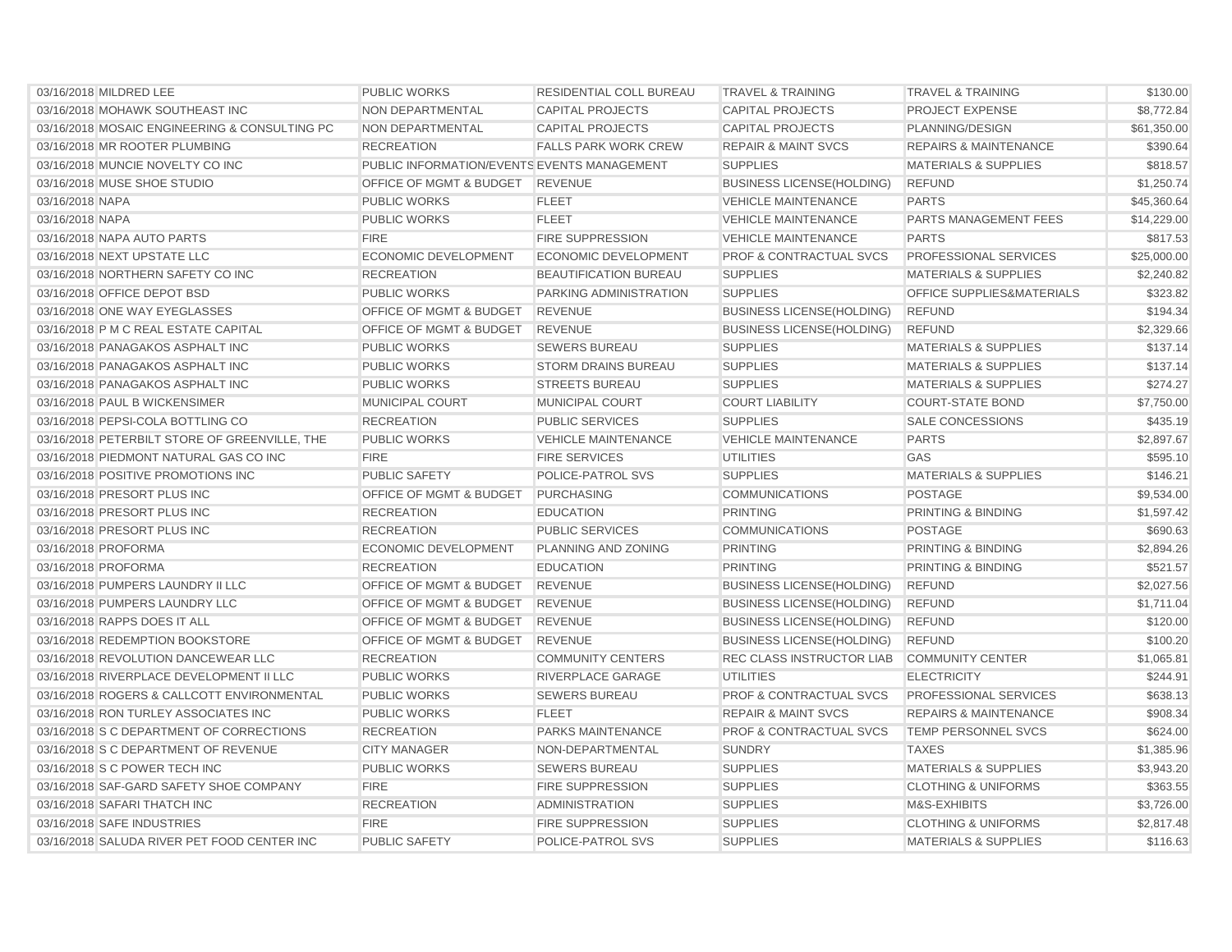| 03/16/2018 MILDRED LEE                        | <b>PUBLIC WORKS</b>                         | RESIDENTIAL COLL BUREAU     | <b>TRAVEL &amp; TRAINING</b>       | <b>TRAVEL &amp; TRAINING</b>         | \$130.00    |
|-----------------------------------------------|---------------------------------------------|-----------------------------|------------------------------------|--------------------------------------|-------------|
| 03/16/2018 MOHAWK SOUTHEAST INC               | NON DEPARTMENTAL                            | <b>CAPITAL PROJECTS</b>     | <b>CAPITAL PROJECTS</b>            | <b>PROJECT EXPENSE</b>               | \$8,772.84  |
| 03/16/2018 MOSAIC ENGINEERING & CONSULTING PC | NON DEPARTMENTAL                            | <b>CAPITAL PROJECTS</b>     | <b>CAPITAL PROJECTS</b>            | PLANNING/DESIGN                      | \$61,350.00 |
| 03/16/2018 MR ROOTER PLUMBING                 | <b>RECREATION</b>                           | <b>FALLS PARK WORK CREW</b> | <b>REPAIR &amp; MAINT SVCS</b>     | <b>REPAIRS &amp; MAINTENANCE</b>     | \$390.64    |
| 03/16/2018 MUNCIE NOVELTY CO INC              | PUBLIC INFORMATION/EVENTS EVENTS MANAGEMENT |                             | <b>SUPPLIES</b>                    | <b>MATERIALS &amp; SUPPLIES</b>      | \$818.57    |
| 03/16/2018 MUSE SHOE STUDIO                   | OFFICE OF MGMT & BUDGET                     | <b>REVENUE</b>              | <b>BUSINESS LICENSE(HOLDING)</b>   | <b>REFUND</b>                        | \$1,250.74  |
| 03/16/2018 NAPA                               | <b>PUBLIC WORKS</b>                         | <b>FLEET</b>                | <b>VEHICLE MAINTENANCE</b>         | <b>PARTS</b>                         | \$45,360.64 |
| 03/16/2018 NAPA                               | <b>PUBLIC WORKS</b>                         | <b>FLEET</b>                | <b>VEHICLE MAINTENANCE</b>         | PARTS MANAGEMENT FEES                | \$14,229.00 |
| 03/16/2018 NAPA AUTO PARTS                    | <b>FIRE</b>                                 | <b>FIRE SUPPRESSION</b>     | <b>VEHICLE MAINTENANCE</b>         | <b>PARTS</b>                         | \$817.53    |
| 03/16/2018 NEXT UPSTATE LLC                   | <b>ECONOMIC DEVELOPMENT</b>                 | <b>ECONOMIC DEVELOPMENT</b> | <b>PROF &amp; CONTRACTUAL SVCS</b> | PROFESSIONAL SERVICES                | \$25,000.00 |
| 03/16/2018 NORTHERN SAFETY CO INC             | <b>RECREATION</b>                           | BEAUTIFICATION BUREAU       | <b>SUPPLIES</b>                    | <b>MATERIALS &amp; SUPPLIES</b>      | \$2,240.82  |
| 03/16/2018 OFFICE DEPOT BSD                   | <b>PUBLIC WORKS</b>                         | PARKING ADMINISTRATION      | <b>SUPPLIES</b>                    | <b>OFFICE SUPPLIES&amp;MATERIALS</b> | \$323.82    |
| 03/16/2018 ONE WAY EYEGLASSES                 | OFFICE OF MGMT & BUDGET                     | <b>REVENUE</b>              | <b>BUSINESS LICENSE(HOLDING)</b>   | <b>REFUND</b>                        | \$194.34    |
| 03/16/2018 P M C REAL ESTATE CAPITAL          | OFFICE OF MGMT & BUDGET                     | <b>REVENUE</b>              | <b>BUSINESS LICENSE(HOLDING)</b>   | <b>REFUND</b>                        | \$2,329.66  |
| 03/16/2018 PANAGAKOS ASPHALT INC              | <b>PUBLIC WORKS</b>                         | <b>SEWERS BUREAU</b>        | <b>SUPPLIES</b>                    | <b>MATERIALS &amp; SUPPLIES</b>      | \$137.14    |
| 03/16/2018 PANAGAKOS ASPHALT INC              | <b>PUBLIC WORKS</b>                         | <b>STORM DRAINS BUREAU</b>  | <b>SUPPLIES</b>                    | <b>MATERIALS &amp; SUPPLIES</b>      | \$137.14    |
| 03/16/2018 PANAGAKOS ASPHALT INC              | <b>PUBLIC WORKS</b>                         | <b>STREETS BUREAU</b>       | <b>SUPPLIES</b>                    | <b>MATERIALS &amp; SUPPLIES</b>      | \$274.27    |
| 03/16/2018 PAUL B WICKENSIMER                 | MUNICIPAL COURT                             | <b>MUNICIPAL COURT</b>      | <b>COURT LIABILITY</b>             | <b>COURT-STATE BOND</b>              | \$7,750.00  |
| 03/16/2018 PEPSI-COLA BOTTLING CO             | <b>RECREATION</b>                           | <b>PUBLIC SERVICES</b>      | <b>SUPPLIES</b>                    | <b>SALE CONCESSIONS</b>              | \$435.19    |
| 03/16/2018 PETERBILT STORE OF GREENVILLE, THE | <b>PUBLIC WORKS</b>                         | <b>VEHICLE MAINTENANCE</b>  | <b>VEHICLE MAINTENANCE</b>         | <b>PARTS</b>                         | \$2,897.67  |
| 03/16/2018 PIEDMONT NATURAL GAS CO INC        | <b>FIRE</b>                                 | <b>FIRE SERVICES</b>        | <b>UTILITIES</b>                   | <b>GAS</b>                           | \$595.10    |
| 03/16/2018 POSITIVE PROMOTIONS INC            | <b>PUBLIC SAFETY</b>                        | POLICE-PATROL SVS           | <b>SUPPLIES</b>                    | <b>MATERIALS &amp; SUPPLIES</b>      | \$146.21    |
| 03/16/2018 PRESORT PLUS INC                   | OFFICE OF MGMT & BUDGET                     | PURCHASING                  | <b>COMMUNICATIONS</b>              | <b>POSTAGE</b>                       | \$9,534.00  |
| 03/16/2018 PRESORT PLUS INC                   | <b>RECREATION</b>                           | <b>EDUCATION</b>            | <b>PRINTING</b>                    | PRINTING & BINDING                   | \$1,597.42  |
| 03/16/2018 PRESORT PLUS INC                   | <b>RECREATION</b>                           | <b>PUBLIC SERVICES</b>      | <b>COMMUNICATIONS</b>              | <b>POSTAGE</b>                       | \$690.63    |
| 03/16/2018 PROFORMA                           | <b>ECONOMIC DEVELOPMENT</b>                 | <b>PLANNING AND ZONING</b>  | <b>PRINTING</b>                    | PRINTING & BINDING                   | \$2,894.26  |
| 03/16/2018 PROFORMA                           | <b>RECREATION</b>                           | <b>EDUCATION</b>            | <b>PRINTING</b>                    | PRINTING & BINDING                   | \$521.57    |
| 03/16/2018 PUMPERS LAUNDRY II LLC             | OFFICE OF MGMT & BUDGET                     | <b>REVENUE</b>              | <b>BUSINESS LICENSE(HOLDING)</b>   | <b>REFUND</b>                        | \$2,027.56  |
| 03/16/2018 PUMPERS LAUNDRY LLC                | OFFICE OF MGMT & BUDGET                     | <b>REVENUE</b>              | <b>BUSINESS LICENSE(HOLDING)</b>   | <b>REFUND</b>                        | \$1,711.04  |
| 03/16/2018 RAPPS DOES IT ALL                  | <b>OFFICE OF MGMT &amp; BUDGET</b>          | <b>REVENUE</b>              | <b>BUSINESS LICENSE(HOLDING)</b>   | <b>REFUND</b>                        | \$120.00    |
| 03/16/2018 REDEMPTION BOOKSTORE               | <b>OFFICE OF MGMT &amp; BUDGET</b>          | <b>REVENUE</b>              | <b>BUSINESS LICENSE(HOLDING)</b>   | <b>REFUND</b>                        | \$100.20    |
| 03/16/2018 REVOLUTION DANCEWEAR LLC           | <b>RECREATION</b>                           | <b>COMMUNITY CENTERS</b>    | <b>REC CLASS INSTRUCTOR LIAB</b>   | <b>COMMUNITY CENTER</b>              | \$1,065.81  |
| 03/16/2018 RIVERPLACE DEVELOPMENT II LLC      | <b>PUBLIC WORKS</b>                         | RIVERPLACE GARAGE           | <b>UTILITIES</b>                   | <b>ELECTRICITY</b>                   | \$244.91    |
| 03/16/2018 ROGERS & CALLCOTT ENVIRONMENTAL    | <b>PUBLIC WORKS</b>                         | <b>SEWERS BUREAU</b>        | <b>PROF &amp; CONTRACTUAL SVCS</b> | PROFESSIONAL SERVICES                | \$638.13    |
| 03/16/2018 RON TURLEY ASSOCIATES INC          | <b>PUBLIC WORKS</b>                         | <b>FLEET</b>                | <b>REPAIR &amp; MAINT SVCS</b>     | <b>REPAIRS &amp; MAINTENANCE</b>     | \$908.34    |
| 03/16/2018 S C DEPARTMENT OF CORRECTIONS      | <b>RECREATION</b>                           | <b>PARKS MAINTENANCE</b>    | <b>PROF &amp; CONTRACTUAL SVCS</b> | <b>TEMP PERSONNEL SVCS</b>           | \$624.00    |
| 03/16/2018 S C DEPARTMENT OF REVENUE          | <b>CITY MANAGER</b>                         | NON-DEPARTMENTAL            | <b>SUNDRY</b>                      | <b>TAXES</b>                         | \$1,385.96  |
| 03/16/2018 S C POWER TECH INC                 | <b>PUBLIC WORKS</b>                         | <b>SEWERS BUREAU</b>        | <b>SUPPLIES</b>                    | <b>MATERIALS &amp; SUPPLIES</b>      | \$3,943.20  |
| 03/16/2018 SAF-GARD SAFETY SHOE COMPANY       | <b>FIRE</b>                                 | <b>FIRE SUPPRESSION</b>     | <b>SUPPLIES</b>                    | <b>CLOTHING &amp; UNIFORMS</b>       | \$363.55    |
| 03/16/2018 SAFARI THATCH INC                  | <b>RECREATION</b>                           | <b>ADMINISTRATION</b>       | <b>SUPPLIES</b>                    | M&S-EXHIBITS                         | \$3.726.00  |
| 03/16/2018 SAFE INDUSTRIES                    | <b>FIRE</b>                                 | <b>FIRE SUPPRESSION</b>     | <b>SUPPLIES</b>                    | <b>CLOTHING &amp; UNIFORMS</b>       | \$2,817.48  |
| 03/16/2018 SALUDA RIVER PET FOOD CENTER INC   | <b>PUBLIC SAFETY</b>                        | <b>POLICE-PATROL SVS</b>    | <b>SUPPLIES</b>                    | <b>MATERIALS &amp; SUPPLIES</b>      | \$116.63    |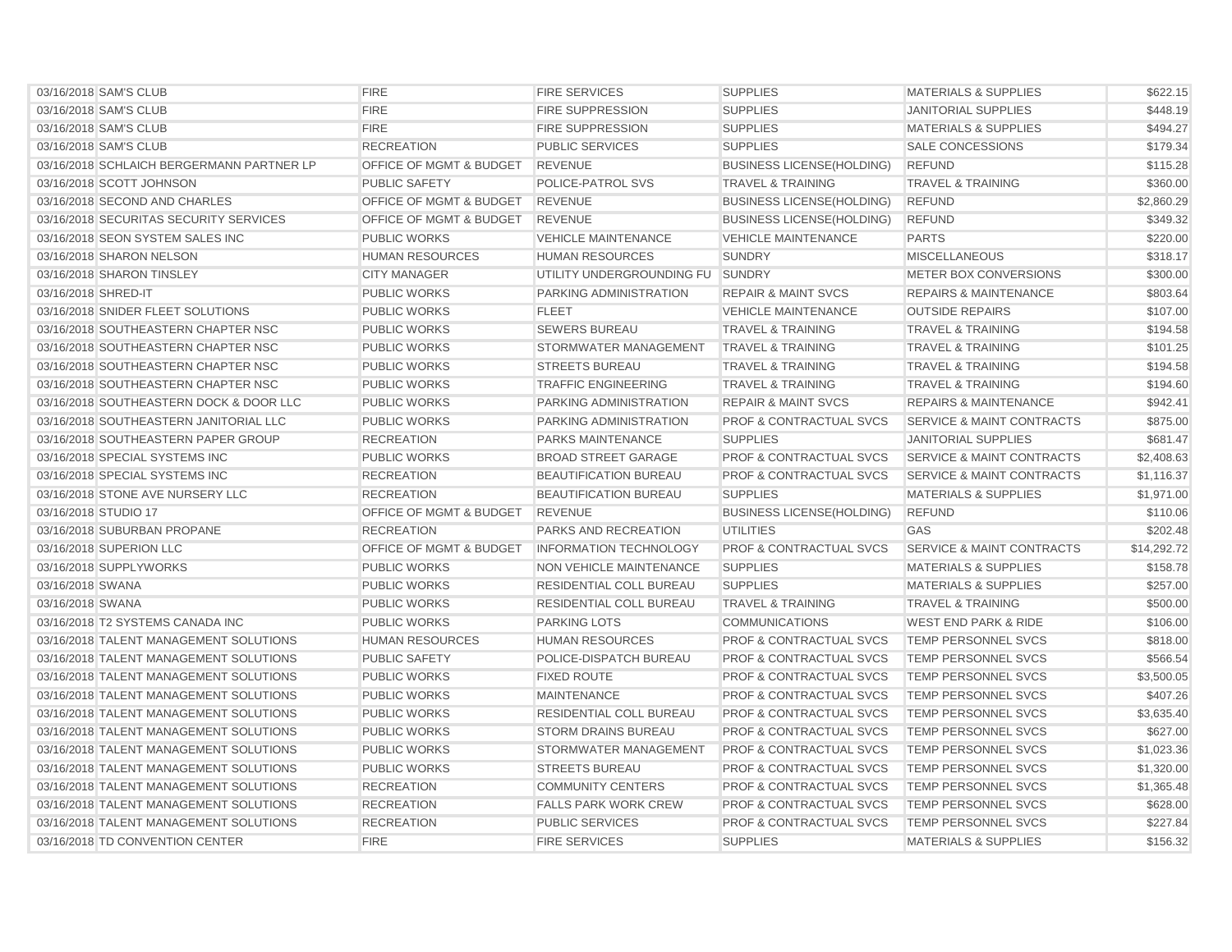| 03/16/2018 SAM'S CLUB                     | <b>FIRE</b>                        | <b>FIRE SERVICES</b>             | <b>SUPPLIES</b>                    | <b>MATERIALS &amp; SUPPLIES</b>      | \$622.15    |
|-------------------------------------------|------------------------------------|----------------------------------|------------------------------------|--------------------------------------|-------------|
| 03/16/2018 SAM'S CLUB                     | <b>FIRE</b>                        | <b>FIRE SUPPRESSION</b>          | <b>SUPPLIES</b>                    | <b>JANITORIAL SUPPLIES</b>           | \$448.19    |
| 03/16/2018 SAM'S CLUB                     | <b>FIRE</b>                        | <b>FIRE SUPPRESSION</b>          | <b>SUPPLIES</b>                    | <b>MATERIALS &amp; SUPPLIES</b>      | \$494.27    |
| 03/16/2018 SAM'S CLUB                     | <b>RECREATION</b>                  | <b>PUBLIC SERVICES</b>           | <b>SUPPLIES</b>                    | <b>SALE CONCESSIONS</b>              | \$179.34    |
| 03/16/2018 SCHLAICH BERGERMANN PARTNER LP | OFFICE OF MGMT & BUDGET            | <b>REVENUE</b>                   | <b>BUSINESS LICENSE(HOLDING)</b>   | <b>REFUND</b>                        | \$115.28    |
| 03/16/2018 SCOTT JOHNSON                  | PUBLIC SAFETY                      | POLICE-PATROL SVS                | <b>TRAVEL &amp; TRAINING</b>       | <b>TRAVEL &amp; TRAINING</b>         | \$360.00    |
| 03/16/2018 SECOND AND CHARLES             | OFFICE OF MGMT & BUDGET            | <b>REVENUE</b>                   | <b>BUSINESS LICENSE (HOLDING)</b>  | <b>REFUND</b>                        | \$2,860.29  |
| 03/16/2018 SECURITAS SECURITY SERVICES    | OFFICE OF MGMT & BUDGET            | <b>REVENUE</b>                   | <b>BUSINESS LICENSE(HOLDING)</b>   | <b>REFUND</b>                        | \$349.32    |
| 03/16/2018 SEON SYSTEM SALES INC          | <b>PUBLIC WORKS</b>                | <b>VEHICLE MAINTENANCE</b>       | <b>VEHICLE MAINTENANCE</b>         | <b>PARTS</b>                         | \$220.00    |
| 03/16/2018 SHARON NELSON                  | <b>HUMAN RESOURCES</b>             | <b>HUMAN RESOURCES</b>           | <b>SUNDRY</b>                      | <b>MISCELLANEOUS</b>                 | \$318.17    |
| 03/16/2018 SHARON TINSLEY                 | <b>CITY MANAGER</b>                | UTILITY UNDERGROUNDING FU SUNDRY |                                    | <b>METER BOX CONVERSIONS</b>         | \$300.00    |
| 03/16/2018 SHRED-IT                       | <b>PUBLIC WORKS</b>                | PARKING ADMINISTRATION           | <b>REPAIR &amp; MAINT SVCS</b>     | <b>REPAIRS &amp; MAINTENANCE</b>     | \$803.64    |
| 03/16/2018 SNIDER FLEET SOLUTIONS         | <b>PUBLIC WORKS</b>                | <b>FLEET</b>                     | <b>VEHICLE MAINTENANCE</b>         | <b>OUTSIDE REPAIRS</b>               | \$107.00    |
| 03/16/2018 SOUTHEASTERN CHAPTER NSC       | <b>PUBLIC WORKS</b>                | <b>SEWERS BUREAU</b>             | <b>TRAVEL &amp; TRAINING</b>       | <b>TRAVEL &amp; TRAINING</b>         | \$194.58    |
| 03/16/2018 SOUTHEASTERN CHAPTER NSC       | <b>PUBLIC WORKS</b>                | STORMWATER MANAGEMENT            | <b>TRAVEL &amp; TRAINING</b>       | <b>TRAVEL &amp; TRAINING</b>         | \$101.25    |
| 03/16/2018 SOUTHEASTERN CHAPTER NSC       | <b>PUBLIC WORKS</b>                | <b>STREETS BUREAU</b>            | <b>TRAVEL &amp; TRAINING</b>       | <b>TRAVEL &amp; TRAINING</b>         | \$194.58    |
| 03/16/2018 SOUTHEASTERN CHAPTER NSC       | <b>PUBLIC WORKS</b>                | <b>TRAFFIC ENGINEERING</b>       | <b>TRAVEL &amp; TRAINING</b>       | <b>TRAVEL &amp; TRAINING</b>         | \$194.60    |
| 03/16/2018 SOUTHEASTERN DOCK & DOOR LLC   | <b>PUBLIC WORKS</b>                | PARKING ADMINISTRATION           | <b>REPAIR &amp; MAINT SVCS</b>     | <b>REPAIRS &amp; MAINTENANCE</b>     | \$942.41    |
| 03/16/2018 SOUTHEASTERN JANITORIAL LLC    | <b>PUBLIC WORKS</b>                | PARKING ADMINISTRATION           | PROF & CONTRACTUAL SVCS            | <b>SERVICE &amp; MAINT CONTRACTS</b> | \$875.00    |
| 03/16/2018 SOUTHEASTERN PAPER GROUP       | <b>RECREATION</b>                  | <b>PARKS MAINTENANCE</b>         | <b>SUPPLIES</b>                    | <b>JANITORIAL SUPPLIES</b>           | \$681.47    |
| 03/16/2018 SPECIAL SYSTEMS INC            | <b>PUBLIC WORKS</b>                | <b>BROAD STREET GARAGE</b>       | PROF & CONTRACTUAL SVCS            | <b>SERVICE &amp; MAINT CONTRACTS</b> | \$2,408.63  |
| 03/16/2018 SPECIAL SYSTEMS INC            | <b>RECREATION</b>                  | <b>BEAUTIFICATION BUREAU</b>     | <b>PROF &amp; CONTRACTUAL SVCS</b> | <b>SERVICE &amp; MAINT CONTRACTS</b> | \$1,116.37  |
| 03/16/2018 STONE AVE NURSERY LLC          | <b>RECREATION</b>                  | <b>BEAUTIFICATION BUREAU</b>     | <b>SUPPLIES</b>                    | <b>MATERIALS &amp; SUPPLIES</b>      | \$1,971.00  |
| 03/16/2018 STUDIO 17                      | OFFICE OF MGMT & BUDGET            | <b>REVENUE</b>                   | <b>BUSINESS LICENSE(HOLDING)</b>   | <b>REFUND</b>                        | \$110.06    |
| 03/16/2018 SUBURBAN PROPANE               | <b>RECREATION</b>                  | <b>PARKS AND RECREATION</b>      | <b>UTILITIES</b>                   | GAS                                  | \$202.48    |
| 03/16/2018 SUPERION LLC                   | <b>OFFICE OF MGMT &amp; BUDGET</b> | <b>INFORMATION TECHNOLOGY</b>    | <b>PROF &amp; CONTRACTUAL SVCS</b> | <b>SERVICE &amp; MAINT CONTRACTS</b> | \$14,292.72 |
| 03/16/2018 SUPPLYWORKS                    | <b>PUBLIC WORKS</b>                | NON VEHICLE MAINTENANCE          | <b>SUPPLIES</b>                    | <b>MATERIALS &amp; SUPPLIES</b>      | \$158.78    |
| 03/16/2018 SWANA                          | <b>PUBLIC WORKS</b>                | RESIDENTIAL COLL BUREAU          | <b>SUPPLIES</b>                    | <b>MATERIALS &amp; SUPPLIES</b>      | \$257.00    |
| 03/16/2018 SWANA                          | <b>PUBLIC WORKS</b>                | RESIDENTIAL COLL BUREAU          | <b>TRAVEL &amp; TRAINING</b>       | <b>TRAVEL &amp; TRAINING</b>         | \$500.00    |
| 03/16/2018 T2 SYSTEMS CANADA INC          | <b>PUBLIC WORKS</b>                | <b>PARKING LOTS</b>              | <b>COMMUNICATIONS</b>              | <b>WEST END PARK &amp; RIDE</b>      | \$106.00    |
| 03/16/2018 TALENT MANAGEMENT SOLUTIONS    | <b>HUMAN RESOURCES</b>             | <b>HUMAN RESOURCES</b>           | <b>PROF &amp; CONTRACTUAL SVCS</b> | <b>TEMP PERSONNEL SVCS</b>           | \$818.00    |
| 03/16/2018 TALENT MANAGEMENT SOLUTIONS    | <b>PUBLIC SAFETY</b>               | POLICE-DISPATCH BUREAU           | <b>PROF &amp; CONTRACTUAL SVCS</b> | <b>TEMP PERSONNEL SVCS</b>           | \$566.54    |
| 03/16/2018 TALENT MANAGEMENT SOLUTIONS    | <b>PUBLIC WORKS</b>                | <b>FIXED ROUTE</b>               | PROF & CONTRACTUAL SVCS            | TEMP PERSONNEL SVCS                  | \$3,500.05  |
| 03/16/2018 TALENT MANAGEMENT SOLUTIONS    | <b>PUBLIC WORKS</b>                | <b>MAINTENANCE</b>               | PROF & CONTRACTUAL SVCS            | <b>TEMP PERSONNEL SVCS</b>           | \$407.26    |
| 03/16/2018 TALENT MANAGEMENT SOLUTIONS    | <b>PUBLIC WORKS</b>                | RESIDENTIAL COLL BUREAU          | <b>PROF &amp; CONTRACTUAL SVCS</b> | <b>TEMP PERSONNEL SVCS</b>           | \$3,635.40  |
| 03/16/2018 TALENT MANAGEMENT SOLUTIONS    | <b>PUBLIC WORKS</b>                | <b>STORM DRAINS BUREAU</b>       | <b>PROF &amp; CONTRACTUAL SVCS</b> | <b>TEMP PERSONNEL SVCS</b>           | \$627.00    |
| 03/16/2018 TALENT MANAGEMENT SOLUTIONS    | <b>PUBLIC WORKS</b>                | STORMWATER MANAGEMENT            | <b>PROF &amp; CONTRACTUAL SVCS</b> | <b>TEMP PERSONNEL SVCS</b>           | \$1,023.36  |
| 03/16/2018 TALENT MANAGEMENT SOLUTIONS    | <b>PUBLIC WORKS</b>                | <b>STREETS BUREAU</b>            | <b>PROF &amp; CONTRACTUAL SVCS</b> | <b>TEMP PERSONNEL SVCS</b>           | \$1,320.00  |
| 03/16/2018 TALENT MANAGEMENT SOLUTIONS    | <b>RECREATION</b>                  | <b>COMMUNITY CENTERS</b>         | PROF & CONTRACTUAL SVCS            | <b>TEMP PERSONNEL SVCS</b>           | \$1,365.48  |
| 03/16/2018 TALENT MANAGEMENT SOLUTIONS    | <b>RECREATION</b>                  | <b>FALLS PARK WORK CREW</b>      | <b>PROF &amp; CONTRACTUAL SVCS</b> | TEMP PERSONNEL SVCS                  | \$628.00    |
| 03/16/2018 TALENT MANAGEMENT SOLUTIONS    | <b>RECREATION</b>                  | <b>PUBLIC SERVICES</b>           | <b>PROF &amp; CONTRACTUAL SVCS</b> | <b>TEMP PERSONNEL SVCS</b>           | \$227.84    |
| 03/16/2018 TD CONVENTION CENTER           | <b>FIRE</b>                        | <b>FIRE SERVICES</b>             | <b>SUPPLIES</b>                    | <b>MATERIALS &amp; SUPPLIES</b>      | \$156.32    |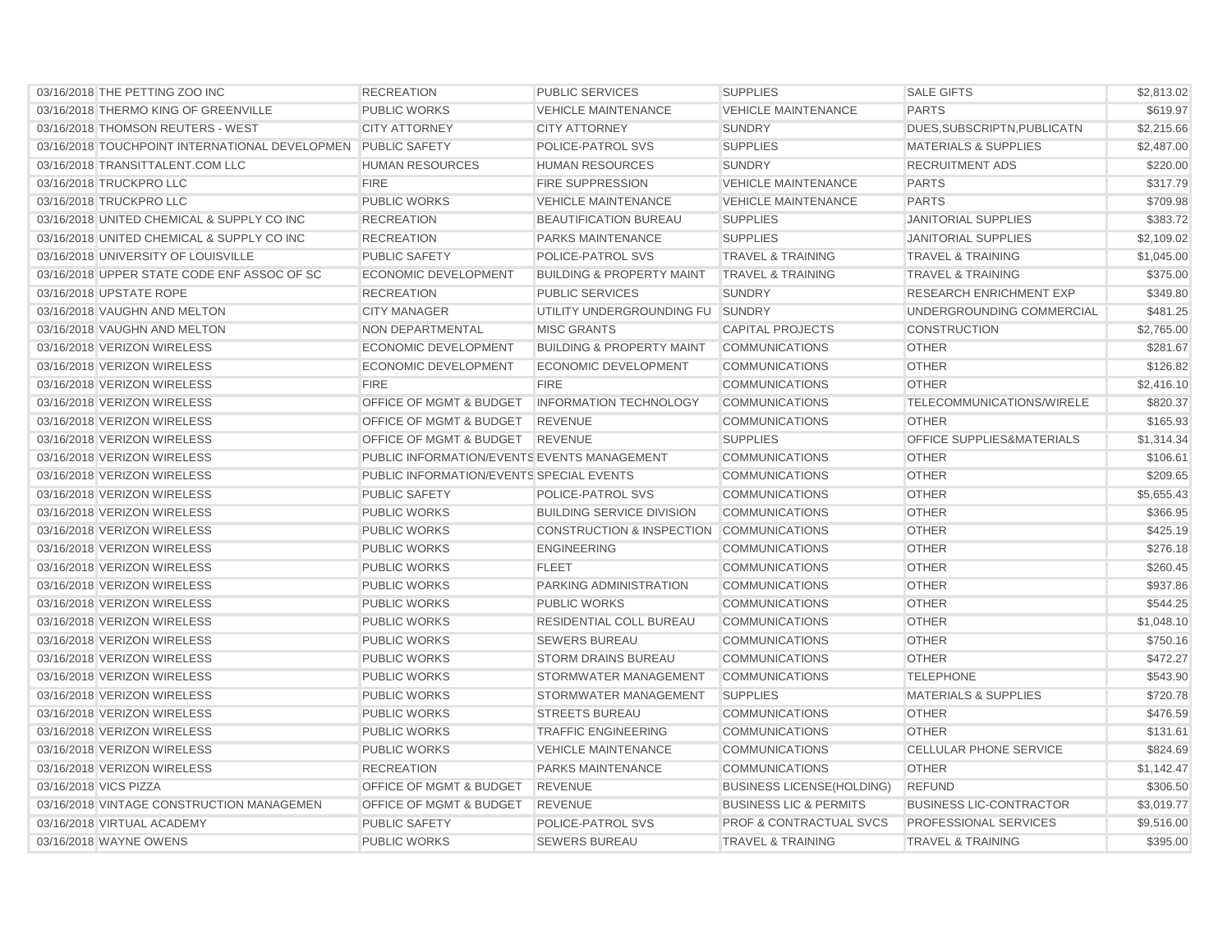| 03/16/2018 THE PETTING ZOO INC                               | <b>RECREATION</b>                           | PUBLIC SERVICES                          | <b>SUPPLIES</b>                    | <b>SALE GIFTS</b>                | \$2,813.02 |
|--------------------------------------------------------------|---------------------------------------------|------------------------------------------|------------------------------------|----------------------------------|------------|
| 03/16/2018 THERMO KING OF GREENVILLE                         | <b>PUBLIC WORKS</b>                         | <b>VEHICLE MAINTENANCE</b>               | <b>VEHICLE MAINTENANCE</b>         | <b>PARTS</b>                     | \$619.97   |
| 03/16/2018 THOMSON REUTERS - WEST                            | <b>CITY ATTORNEY</b>                        | <b>CITY ATTORNEY</b>                     | <b>SUNDRY</b>                      | DUES, SUBSCRIPTN, PUBLICATN      | \$2,215.66 |
| 03/16/2018 TOUCHPOINT INTERNATIONAL DEVELOPMEN PUBLIC SAFETY |                                             | POLICE-PATROL SVS                        | <b>SUPPLIES</b>                    | <b>MATERIALS &amp; SUPPLIES</b>  | \$2,487.00 |
| 03/16/2018 TRANSITTALENT.COM LLC                             | <b>HUMAN RESOURCES</b>                      | <b>HUMAN RESOURCES</b>                   | <b>SUNDRY</b>                      | <b>RECRUITMENT ADS</b>           | \$220.00   |
| 03/16/2018 TRUCKPRO LLC                                      | <b>FIRE</b>                                 | <b>FIRE SUPPRESSION</b>                  | <b>VEHICLE MAINTENANCE</b>         | <b>PARTS</b>                     | \$317.79   |
| 03/16/2018 TRUCKPRO LLC                                      | <b>PUBLIC WORKS</b>                         | <b>VEHICLE MAINTENANCE</b>               | <b>VEHICLE MAINTENANCE</b>         | <b>PARTS</b>                     | \$709.98   |
| 03/16/2018 UNITED CHEMICAL & SUPPLY CO INC                   | <b>RECREATION</b>                           | <b>BEAUTIFICATION BUREAU</b>             | <b>SUPPLIES</b>                    | <b>JANITORIAL SUPPLIES</b>       | \$383.72   |
| 03/16/2018 UNITED CHEMICAL & SUPPLY CO INC                   | <b>RECREATION</b>                           | <b>PARKS MAINTENANCE</b>                 | <b>SUPPLIES</b>                    | <b>JANITORIAL SUPPLIES</b>       | \$2,109.02 |
| 03/16/2018 UNIVERSITY OF LOUISVILLE                          | <b>PUBLIC SAFETY</b>                        | POLICE-PATROL SVS                        | <b>TRAVEL &amp; TRAINING</b>       | <b>TRAVEL &amp; TRAINING</b>     | \$1,045.00 |
| 03/16/2018 UPPER STATE CODE ENF ASSOC OF SC                  | <b>ECONOMIC DEVELOPMENT</b>                 | <b>BUILDING &amp; PROPERTY MAINT</b>     | <b>TRAVEL &amp; TRAINING</b>       | <b>TRAVEL &amp; TRAINING</b>     | \$375.00   |
| 03/16/2018 UPSTATE ROPE                                      | <b>RECREATION</b>                           | <b>PUBLIC SERVICES</b>                   | <b>SUNDRY</b>                      | <b>RESEARCH ENRICHMENT EXP</b>   | \$349.80   |
| 03/16/2018 VAUGHN AND MELTON                                 | <b>CITY MANAGER</b>                         | UTILITY UNDERGROUNDING FU SUNDRY         |                                    | UNDERGROUNDING COMMERCIAL        | \$481.25   |
| 03/16/2018 VAUGHN AND MELTON                                 | <b>NON DEPARTMENTAL</b>                     | <b>MISC GRANTS</b>                       | CAPITAL PROJECTS                   | <b>CONSTRUCTION</b>              | \$2,765.00 |
| 03/16/2018 VERIZON WIRELESS                                  | <b>ECONOMIC DEVELOPMENT</b>                 | <b>BUILDING &amp; PROPERTY MAINT</b>     | <b>COMMUNICATIONS</b>              | <b>OTHER</b>                     | \$281.67   |
| 03/16/2018 VERIZON WIRELESS                                  | <b>ECONOMIC DEVELOPMENT</b>                 | <b>ECONOMIC DEVELOPMENT</b>              | <b>COMMUNICATIONS</b>              | <b>OTHER</b>                     | \$126.82   |
| 03/16/2018 VERIZON WIRELESS                                  | <b>FIRE</b>                                 | <b>FIRE</b>                              | <b>COMMUNICATIONS</b>              | <b>OTHER</b>                     | \$2,416.10 |
| 03/16/2018 VERIZON WIRELESS                                  | <b>OFFICE OF MGMT &amp; BUDGET</b>          | <b>INFORMATION TECHNOLOGY</b>            | <b>COMMUNICATIONS</b>              | <b>TELECOMMUNICATIONS/WIRELE</b> | \$820.37   |
| 03/16/2018 VERIZON WIRELESS                                  | <b>OFFICE OF MGMT &amp; BUDGET</b>          | <b>REVENUE</b>                           | <b>COMMUNICATIONS</b>              | <b>OTHER</b>                     | \$165.93   |
| 03/16/2018 VERIZON WIRELESS                                  | <b>OFFICE OF MGMT &amp; BUDGET</b>          | <b>REVENUE</b>                           | <b>SUPPLIES</b>                    | OFFICE SUPPLIES&MATERIALS        | \$1,314.34 |
| 03/16/2018 VERIZON WIRELESS                                  | PUBLIC INFORMATION/EVENTS EVENTS MANAGEMENT |                                          | <b>COMMUNICATIONS</b>              | <b>OTHER</b>                     | \$106.61   |
| 03/16/2018 VERIZON WIRELESS                                  | PUBLIC INFORMATION/EVENTS SPECIAL EVENTS    |                                          | <b>COMMUNICATIONS</b>              | <b>OTHER</b>                     | \$209.65   |
| 03/16/2018 VERIZON WIRELESS                                  | <b>PUBLIC SAFETY</b>                        | POLICE-PATROL SVS                        | <b>COMMUNICATIONS</b>              | <b>OTHER</b>                     | \$5,655.43 |
| 03/16/2018 VERIZON WIRELESS                                  | <b>PUBLIC WORKS</b>                         | <b>BUILDING SERVICE DIVISION</b>         | <b>COMMUNICATIONS</b>              | <b>OTHER</b>                     | \$366.95   |
| 03/16/2018 VERIZON WIRELESS                                  | <b>PUBLIC WORKS</b>                         | CONSTRUCTION & INSPECTION COMMUNICATIONS |                                    | <b>OTHER</b>                     | \$425.19   |
| 03/16/2018 VERIZON WIRELESS                                  | <b>PUBLIC WORKS</b>                         | <b>ENGINEERING</b>                       | <b>COMMUNICATIONS</b>              | <b>OTHER</b>                     | \$276.18   |
| 03/16/2018 VERIZON WIRELESS                                  | <b>PUBLIC WORKS</b>                         | <b>FLEET</b>                             | <b>COMMUNICATIONS</b>              | <b>OTHER</b>                     | \$260.45   |
| 03/16/2018 VERIZON WIRELESS                                  | <b>PUBLIC WORKS</b>                         | PARKING ADMINISTRATION                   | <b>COMMUNICATIONS</b>              | <b>OTHER</b>                     | \$937.86   |
| 03/16/2018 VERIZON WIRELESS                                  | <b>PUBLIC WORKS</b>                         | <b>PUBLIC WORKS</b>                      | <b>COMMUNICATIONS</b>              | <b>OTHER</b>                     | \$544.25   |
| 03/16/2018 VERIZON WIRELESS                                  | <b>PUBLIC WORKS</b>                         | RESIDENTIAL COLL BUREAU                  | <b>COMMUNICATIONS</b>              | <b>OTHER</b>                     | \$1,048.10 |
| 03/16/2018 VERIZON WIRELESS                                  | <b>PUBLIC WORKS</b>                         | <b>SEWERS BUREAU</b>                     | <b>COMMUNICATIONS</b>              | <b>OTHER</b>                     | \$750.16   |
| 03/16/2018 VERIZON WIRELESS                                  | <b>PUBLIC WORKS</b>                         | <b>STORM DRAINS BUREAU</b>               | <b>COMMUNICATIONS</b>              | <b>OTHER</b>                     | \$472.27   |
| 03/16/2018 VERIZON WIRELESS                                  | <b>PUBLIC WORKS</b>                         | <b>STORMWATER MANAGEMENT</b>             | <b>COMMUNICATIONS</b>              | <b>TELEPHONE</b>                 | \$543.90   |
| 03/16/2018 VERIZON WIRELESS                                  | <b>PUBLIC WORKS</b>                         | <b>STORMWATER MANAGEMENT</b>             | <b>SUPPLIES</b>                    | <b>MATERIALS &amp; SUPPLIES</b>  | \$720.78   |
| 03/16/2018 VERIZON WIRELESS                                  | <b>PUBLIC WORKS</b>                         | <b>STREETS BUREAU</b>                    | <b>COMMUNICATIONS</b>              | <b>OTHER</b>                     | \$476.59   |
| 03/16/2018 VERIZON WIRELESS                                  | <b>PUBLIC WORKS</b>                         | <b>TRAFFIC ENGINEERING</b>               | <b>COMMUNICATIONS</b>              | <b>OTHER</b>                     | \$131.61   |
| 03/16/2018 VERIZON WIRELESS                                  | <b>PUBLIC WORKS</b>                         | <b>VEHICLE MAINTENANCE</b>               | <b>COMMUNICATIONS</b>              | <b>CELLULAR PHONE SERVICE</b>    | \$824.69   |
| 03/16/2018 VERIZON WIRELESS                                  | <b>RECREATION</b>                           | PARKS MAINTENANCE                        | <b>COMMUNICATIONS</b>              | <b>OTHER</b>                     | \$1,142.47 |
| 03/16/2018 VICS PIZZA                                        | OFFICE OF MGMT & BUDGET                     | <b>REVENUE</b>                           | <b>BUSINESS LICENSE(HOLDING)</b>   | <b>REFUND</b>                    | \$306.50   |
| 03/16/2018 VINTAGE CONSTRUCTION MANAGEMEN                    | <b>OFFICE OF MGMT &amp; BUDGET</b>          | <b>REVENUE</b>                           | <b>BUSINESS LIC &amp; PERMITS</b>  | <b>BUSINESS LIC-CONTRACTOR</b>   | \$3,019.77 |
| 03/16/2018 VIRTUAL ACADEMY                                   | <b>PUBLIC SAFETY</b>                        | POLICE-PATROL SVS                        | <b>PROF &amp; CONTRACTUAL SVCS</b> | PROFESSIONAL SERVICES            | \$9,516.00 |
| 03/16/2018 WAYNE OWENS                                       | <b>PUBLIC WORKS</b>                         | <b>SEWERS BUREAU</b>                     | <b>TRAVEL &amp; TRAINING</b>       | <b>TRAVEL &amp; TRAINING</b>     | \$395.00   |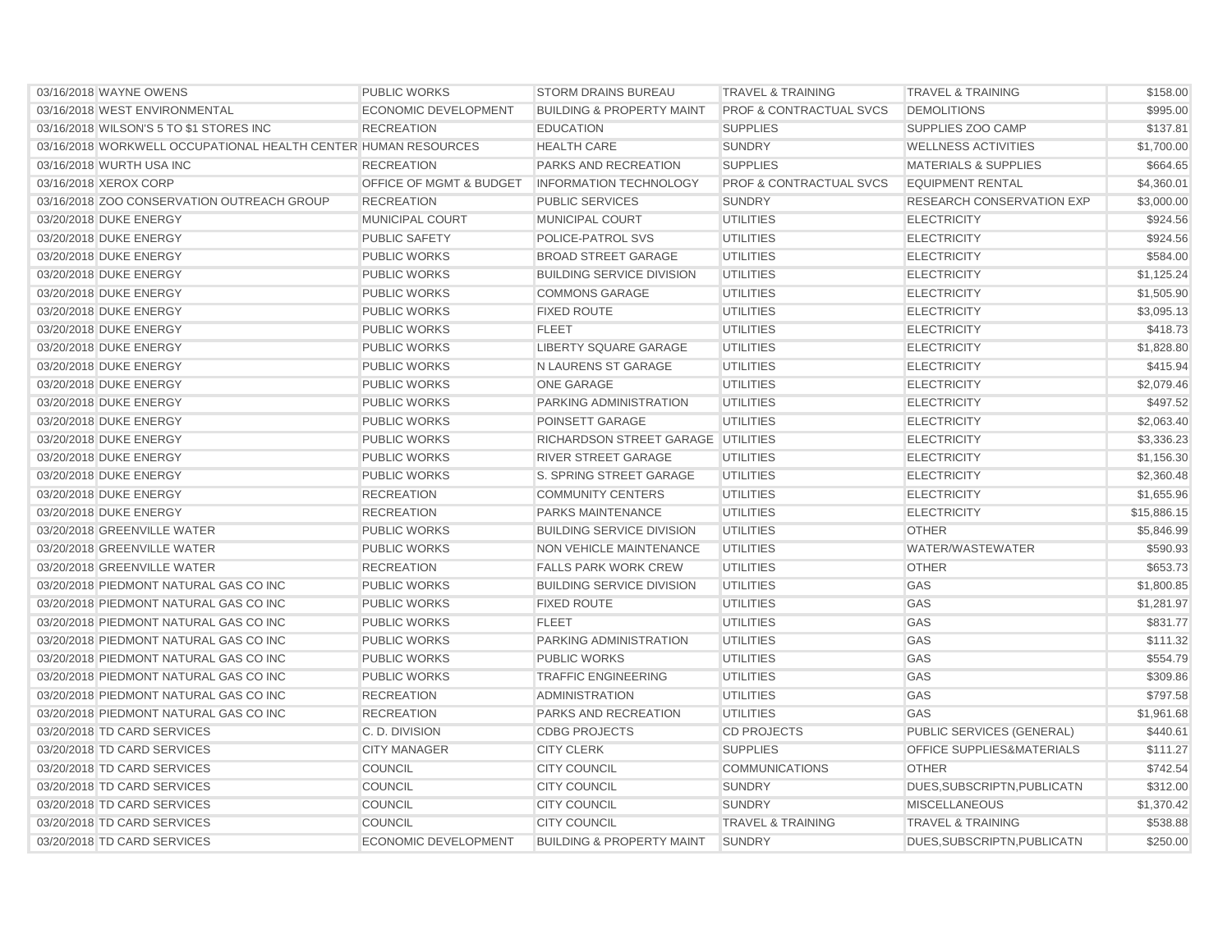| 03/16/2018 WAYNE OWENS                                         | <b>PUBLIC WORKS</b>                | <b>STORM DRAINS BUREAU</b>                | <b>TRAVEL &amp; TRAINING</b>       | <b>TRAVEL &amp; TRAINING</b>         | \$158.00    |
|----------------------------------------------------------------|------------------------------------|-------------------------------------------|------------------------------------|--------------------------------------|-------------|
| 03/16/2018 WEST ENVIRONMENTAL                                  | <b>ECONOMIC DEVELOPMENT</b>        | <b>BUILDING &amp; PROPERTY MAINT</b>      | <b>PROF &amp; CONTRACTUAL SVCS</b> | <b>DEMOLITIONS</b>                   | \$995.00    |
| 03/16/2018 WILSON'S 5 TO \$1 STORES INC                        | <b>RECREATION</b>                  | <b>EDUCATION</b>                          | <b>SUPPLIES</b>                    | SUPPLIES ZOO CAMP                    | \$137.81    |
| 03/16/2018 WORKWELL OCCUPATIONAL HEALTH CENTER HUMAN RESOURCES |                                    | <b>HEALTH CARE</b>                        | <b>SUNDRY</b>                      | <b>WELLNESS ACTIVITIES</b>           | \$1,700.00  |
| 03/16/2018 WURTH USA INC                                       | <b>RECREATION</b>                  | PARKS AND RECREATION                      | <b>SUPPLIES</b>                    | <b>MATERIALS &amp; SUPPLIES</b>      | \$664.65    |
| 03/16/2018 XEROX CORP                                          | <b>OFFICE OF MGMT &amp; BUDGET</b> | <b>INFORMATION TECHNOLOGY</b>             | <b>PROF &amp; CONTRACTUAL SVCS</b> | <b>EQUIPMENT RENTAL</b>              | \$4,360.01  |
| 03/16/2018 ZOO CONSERVATION OUTREACH GROUP                     | <b>RECREATION</b>                  | <b>PUBLIC SERVICES</b>                    | <b>SUNDRY</b>                      | <b>RESEARCH CONSERVATION EXP</b>     | \$3,000.00  |
| 03/20/2018 DUKE ENERGY                                         | MUNICIPAL COURT                    | MUNICIPAL COURT                           | UTILITIES                          | <b>ELECTRICITY</b>                   | \$924.56    |
| 03/20/2018 DUKE ENERGY                                         | <b>PUBLIC SAFETY</b>               | POLICE-PATROL SVS                         | <b>UTILITIES</b>                   | <b>ELECTRICITY</b>                   | \$924.56    |
| 03/20/2018 DUKE ENERGY                                         | <b>PUBLIC WORKS</b>                | <b>BROAD STREET GARAGE</b>                | <b>UTILITIES</b>                   | <b>ELECTRICITY</b>                   | \$584.00    |
| 03/20/2018 DUKE ENERGY                                         | <b>PUBLIC WORKS</b>                | <b>BUILDING SERVICE DIVISION</b>          | <b>UTILITIES</b>                   | <b>ELECTRICITY</b>                   | \$1,125.24  |
| 03/20/2018 DUKE ENERGY                                         | <b>PUBLIC WORKS</b>                | <b>COMMONS GARAGE</b>                     | UTILITIES                          | <b>ELECTRICITY</b>                   | \$1,505.90  |
| 03/20/2018 DUKE ENERGY                                         | <b>PUBLIC WORKS</b>                | <b>FIXED ROUTE</b>                        | <b>UTILITIES</b>                   | <b>ELECTRICITY</b>                   | \$3,095.13  |
| 03/20/2018 DUKE ENERGY                                         | <b>PUBLIC WORKS</b>                | <b>FLEET</b>                              | <b>UTILITIES</b>                   | <b>ELECTRICITY</b>                   | \$418.73    |
| 03/20/2018 DUKE ENERGY                                         | <b>PUBLIC WORKS</b>                | <b>LIBERTY SQUARE GARAGE</b>              | <b>UTILITIES</b>                   | <b>ELECTRICITY</b>                   | \$1,828.80  |
| 03/20/2018 DUKE ENERGY                                         | <b>PUBLIC WORKS</b>                | N LAURENS ST GARAGE                       | <b>UTILITIES</b>                   | <b>ELECTRICITY</b>                   | \$415.94    |
| 03/20/2018 DUKE ENERGY                                         | <b>PUBLIC WORKS</b>                | <b>ONE GARAGE</b>                         | UTILITIES                          | <b>ELECTRICITY</b>                   | \$2,079.46  |
| 03/20/2018 DUKE ENERGY                                         | <b>PUBLIC WORKS</b>                | PARKING ADMINISTRATION                    | <b>UTILITIES</b>                   | <b>ELECTRICITY</b>                   | \$497.52    |
| 03/20/2018 DUKE ENERGY                                         | <b>PUBLIC WORKS</b>                | <b>POINSETT GARAGE</b>                    | <b>UTILITIES</b>                   | <b>ELECTRICITY</b>                   | \$2,063.40  |
| 03/20/2018 DUKE ENERGY                                         | <b>PUBLIC WORKS</b>                | <b>RICHARDSON STREET GARAGE UTILITIES</b> |                                    | <b>ELECTRICITY</b>                   | \$3,336.23  |
| 03/20/2018 DUKE ENERGY                                         | <b>PUBLIC WORKS</b>                | <b>RIVER STREET GARAGE</b>                | UTILITIES                          | <b>ELECTRICITY</b>                   | \$1,156.30  |
| 03/20/2018 DUKE ENERGY                                         | <b>PUBLIC WORKS</b>                | S. SPRING STREET GARAGE                   | UTILITIES                          | <b>ELECTRICITY</b>                   | \$2,360.48  |
| 03/20/2018 DUKE ENERGY                                         | <b>RECREATION</b>                  | <b>COMMUNITY CENTERS</b>                  | <b>UTILITIES</b>                   | <b>ELECTRICITY</b>                   | \$1,655.96  |
| 03/20/2018 DUKE ENERGY                                         | <b>RECREATION</b>                  | PARKS MAINTENANCE                         | <b>UTILITIES</b>                   | <b>ELECTRICITY</b>                   | \$15,886.15 |
| 03/20/2018 GREENVILLE WATER                                    | <b>PUBLIC WORKS</b>                | <b>BUILDING SERVICE DIVISION</b>          | <b>UTILITIES</b>                   | <b>OTHER</b>                         | \$5.846.99  |
| 03/20/2018 GREENVILLE WATER                                    | <b>PUBLIC WORKS</b>                | NON VEHICLE MAINTENANCE                   | UTILITIES                          | WATER/WASTEWATER                     | \$590.93    |
| 03/20/2018 GREENVILLE WATER                                    | <b>RECREATION</b>                  | <b>FALLS PARK WORK CREW</b>               | <b>UTILITIES</b>                   | <b>OTHER</b>                         | \$653.73    |
| 03/20/2018 PIEDMONT NATURAL GAS CO INC                         | <b>PUBLIC WORKS</b>                | <b>BUILDING SERVICE DIVISION</b>          | <b>UTILITIES</b>                   | GAS                                  | \$1,800.85  |
| 03/20/2018 PIEDMONT NATURAL GAS CO INC                         | <b>PUBLIC WORKS</b>                | <b>FIXED ROUTE</b>                        | <b>UTILITIES</b>                   | GAS                                  | \$1,281.97  |
| 03/20/2018 PIEDMONT NATURAL GAS CO INC                         | <b>PUBLIC WORKS</b>                | <b>FLEET</b>                              | UTILITIES                          | GAS                                  | \$831.77    |
| 03/20/2018 PIEDMONT NATURAL GAS CO INC                         | <b>PUBLIC WORKS</b>                | <b>PARKING ADMINISTRATION</b>             | UTILITIES                          | GAS                                  | \$111.32    |
| 03/20/2018 PIEDMONT NATURAL GAS CO INC                         | <b>PUBLIC WORKS</b>                | <b>PUBLIC WORKS</b>                       | <b>UTILITIES</b>                   | GAS                                  | \$554.79    |
| 03/20/2018 PIEDMONT NATURAL GAS CO INC                         | <b>PUBLIC WORKS</b>                | <b>TRAFFIC ENGINEERING</b>                | <b>UTILITIES</b>                   | GAS                                  | \$309.86    |
| 03/20/2018 PIEDMONT NATURAL GAS CO INC                         | <b>RECREATION</b>                  | <b>ADMINISTRATION</b>                     | <b>UTILITIES</b>                   | GAS                                  | \$797.58    |
| 03/20/2018 PIEDMONT NATURAL GAS CO INC                         | <b>RECREATION</b>                  | <b>PARKS AND RECREATION</b>               | <b>UTILITIES</b>                   | GAS                                  | \$1,961.68  |
| 03/20/2018 TD CARD SERVICES                                    | C. D. DIVISION                     | <b>CDBG PROJECTS</b>                      | <b>CD PROJECTS</b>                 | PUBLIC SERVICES (GENERAL)            | \$440.61    |
| 03/20/2018 TD CARD SERVICES                                    | <b>CITY MANAGER</b>                | <b>CITY CLERK</b>                         | <b>SUPPLIES</b>                    | <b>OFFICE SUPPLIES&amp;MATERIALS</b> | \$111.27    |
| 03/20/2018 TD CARD SERVICES                                    | <b>COUNCIL</b>                     | <b>CITY COUNCIL</b>                       | <b>COMMUNICATIONS</b>              | <b>OTHER</b>                         | \$742.54    |
| 03/20/2018 TD CARD SERVICES                                    | <b>COUNCIL</b>                     | <b>CITY COUNCIL</b>                       | <b>SUNDRY</b>                      | DUES, SUBSCRIPTN, PUBLICATN          | \$312.00    |
| 03/20/2018 TD CARD SERVICES                                    | <b>COUNCIL</b>                     | <b>CITY COUNCIL</b>                       | <b>SUNDRY</b>                      | <b>MISCELLANEOUS</b>                 | \$1,370.42  |
| 03/20/2018 TD CARD SERVICES                                    | <b>COUNCIL</b>                     | <b>CITY COUNCIL</b>                       | <b>TRAVEL &amp; TRAINING</b>       | <b>TRAVEL &amp; TRAINING</b>         | \$538.88    |
| 03/20/2018 TD CARD SERVICES                                    | <b>ECONOMIC DEVELOPMENT</b>        | <b>BUILDING &amp; PROPERTY MAINT</b>      | <b>SUNDRY</b>                      | DUES, SUBSCRIPTN, PUBLICATN          | \$250.00    |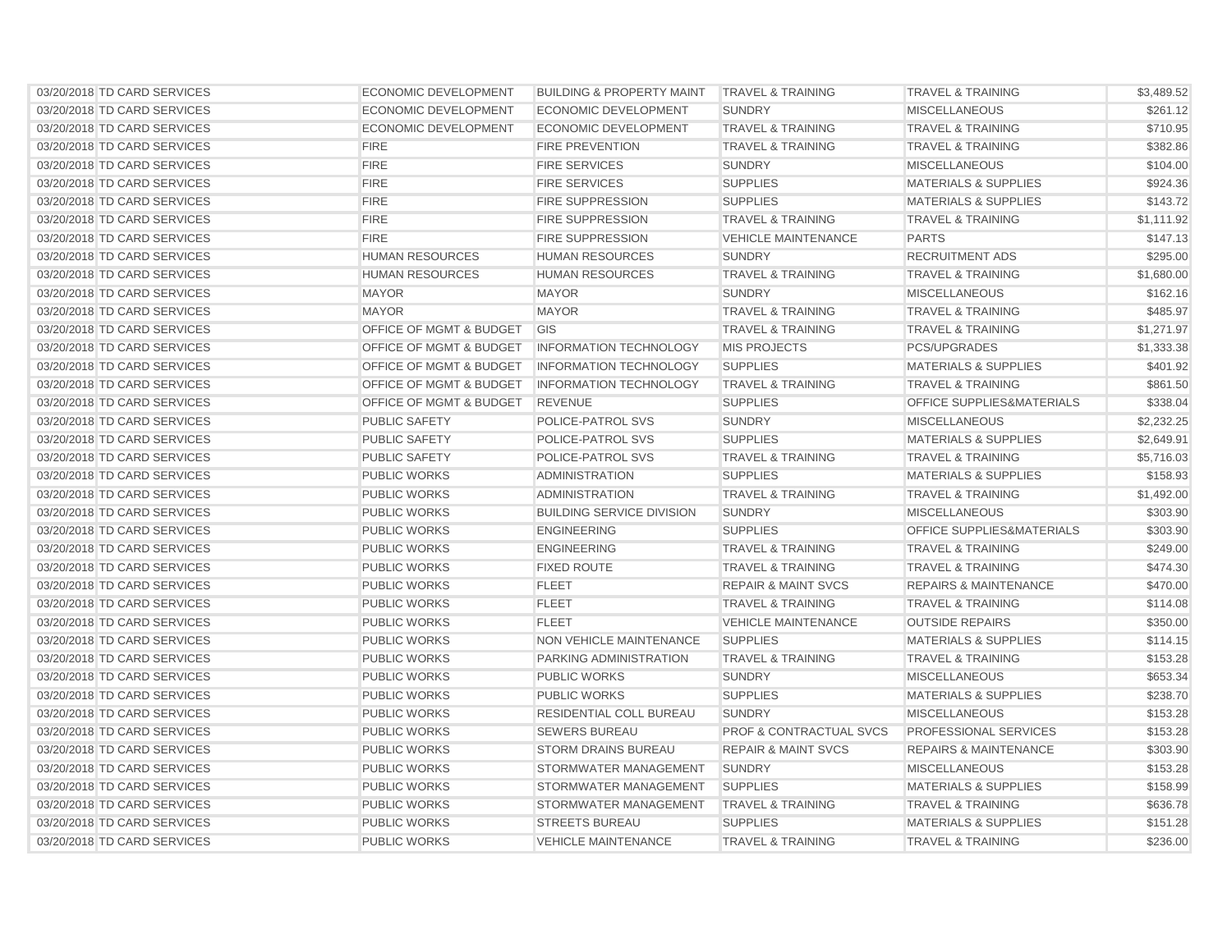| 03/20/2018 TD CARD SERVICES | ECONOMIC DEVELOPMENT               | <b>BUILDING &amp; PROPERTY MAINT</b> | <b>TRAVEL &amp; TRAINING</b>       | <b>TRAVEL &amp; TRAINING</b>         | \$3,489.52 |
|-----------------------------|------------------------------------|--------------------------------------|------------------------------------|--------------------------------------|------------|
| 03/20/2018 TD CARD SERVICES | ECONOMIC DEVELOPMENT               | ECONOMIC DEVELOPMENT                 | <b>SUNDRY</b>                      | <b>MISCELLANEOUS</b>                 | \$261.12   |
| 03/20/2018 TD CARD SERVICES | <b>ECONOMIC DEVELOPMENT</b>        | ECONOMIC DEVELOPMENT                 | <b>TRAVEL &amp; TRAINING</b>       | <b>TRAVEL &amp; TRAINING</b>         | \$710.95   |
| 03/20/2018 TD CARD SERVICES | <b>FIRE</b>                        | <b>FIRE PREVENTION</b>               | <b>TRAVEL &amp; TRAINING</b>       | <b>TRAVEL &amp; TRAINING</b>         | \$382.86   |
| 03/20/2018 TD CARD SERVICES | <b>FIRE</b>                        | <b>FIRE SERVICES</b>                 | <b>SUNDRY</b>                      | <b>MISCELLANEOUS</b>                 | \$104.00   |
| 03/20/2018 TD CARD SERVICES | <b>FIRE</b>                        | <b>FIRE SERVICES</b>                 | <b>SUPPLIES</b>                    | <b>MATERIALS &amp; SUPPLIES</b>      | \$924.36   |
| 03/20/2018 TD CARD SERVICES | <b>FIRE</b>                        | <b>FIRE SUPPRESSION</b>              | <b>SUPPLIES</b>                    | <b>MATERIALS &amp; SUPPLIES</b>      | \$143.72   |
| 03/20/2018 TD CARD SERVICES | <b>FIRE</b>                        | <b>FIRE SUPPRESSION</b>              | <b>TRAVEL &amp; TRAINING</b>       | <b>TRAVEL &amp; TRAINING</b>         | \$1,111.92 |
| 03/20/2018 TD CARD SERVICES | <b>FIRE</b>                        | <b>FIRE SUPPRESSION</b>              | <b>VEHICLE MAINTENANCE</b>         | <b>PARTS</b>                         | \$147.13   |
| 03/20/2018 TD CARD SERVICES | <b>HUMAN RESOURCES</b>             | <b>HUMAN RESOURCES</b>               | <b>SUNDRY</b>                      | <b>RECRUITMENT ADS</b>               | \$295.00   |
| 03/20/2018 TD CARD SERVICES | <b>HUMAN RESOURCES</b>             | <b>HUMAN RESOURCES</b>               | <b>TRAVEL &amp; TRAINING</b>       | <b>TRAVEL &amp; TRAINING</b>         | \$1,680.00 |
| 03/20/2018 TD CARD SERVICES | <b>MAYOR</b>                       | <b>MAYOR</b>                         | <b>SUNDRY</b>                      | <b>MISCELLANEOUS</b>                 | \$162.16   |
| 03/20/2018 TD CARD SERVICES | <b>MAYOR</b>                       | <b>MAYOR</b>                         | <b>TRAVEL &amp; TRAINING</b>       | <b>TRAVEL &amp; TRAINING</b>         | \$485.97   |
| 03/20/2018 TD CARD SERVICES | OFFICE OF MGMT & BUDGET            | GIS                                  | <b>TRAVEL &amp; TRAINING</b>       | <b>TRAVEL &amp; TRAINING</b>         | \$1,271.97 |
| 03/20/2018 TD CARD SERVICES | <b>OFFICE OF MGMT &amp; BUDGET</b> | <b>INFORMATION TECHNOLOGY</b>        | <b>MIS PROJECTS</b>                | <b>PCS/UPGRADES</b>                  | \$1,333.38 |
| 03/20/2018 TD CARD SERVICES | <b>OFFICE OF MGMT &amp; BUDGET</b> | <b>INFORMATION TECHNOLOGY</b>        | <b>SUPPLIES</b>                    | <b>MATERIALS &amp; SUPPLIES</b>      | \$401.92   |
| 03/20/2018 TD CARD SERVICES | <b>OFFICE OF MGMT &amp; BUDGET</b> | <b>INFORMATION TECHNOLOGY</b>        | <b>TRAVEL &amp; TRAINING</b>       | <b>TRAVEL &amp; TRAINING</b>         | \$861.50   |
| 03/20/2018 TD CARD SERVICES | OFFICE OF MGMT & BUDGET            | <b>REVENUE</b>                       | <b>SUPPLIES</b>                    | <b>OFFICE SUPPLIES&amp;MATERIALS</b> | \$338.04   |
| 03/20/2018 TD CARD SERVICES | <b>PUBLIC SAFETY</b>               | <b>POLICE-PATROL SVS</b>             | <b>SUNDRY</b>                      | <b>MISCELLANEOUS</b>                 | \$2,232.25 |
| 03/20/2018 TD CARD SERVICES | <b>PUBLIC SAFETY</b>               | <b>POLICE-PATROL SVS</b>             | <b>SUPPLIES</b>                    | <b>MATERIALS &amp; SUPPLIES</b>      | \$2,649.91 |
| 03/20/2018 TD CARD SERVICES | <b>PUBLIC SAFETY</b>               | POLICE-PATROL SVS                    | <b>TRAVEL &amp; TRAINING</b>       | <b>TRAVEL &amp; TRAINING</b>         | \$5,716.03 |
| 03/20/2018 TD CARD SERVICES | <b>PUBLIC WORKS</b>                | <b>ADMINISTRATION</b>                | <b>SUPPLIES</b>                    | <b>MATERIALS &amp; SUPPLIES</b>      | \$158.93   |
| 03/20/2018 TD CARD SERVICES | <b>PUBLIC WORKS</b>                | <b>ADMINISTRATION</b>                | <b>TRAVEL &amp; TRAINING</b>       | <b>TRAVEL &amp; TRAINING</b>         | \$1,492.00 |
| 03/20/2018 TD CARD SERVICES | <b>PUBLIC WORKS</b>                | <b>BUILDING SERVICE DIVISION</b>     | <b>SUNDRY</b>                      | <b>MISCELLANEOUS</b>                 | \$303.90   |
| 03/20/2018 TD CARD SERVICES | <b>PUBLIC WORKS</b>                | <b>ENGINEERING</b>                   | <b>SUPPLIES</b>                    | <b>OFFICE SUPPLIES&amp;MATERIALS</b> | \$303.90   |
| 03/20/2018 TD CARD SERVICES | <b>PUBLIC WORKS</b>                | <b>ENGINEERING</b>                   | <b>TRAVEL &amp; TRAINING</b>       | <b>TRAVEL &amp; TRAINING</b>         | \$249.00   |
| 03/20/2018 TD CARD SERVICES | <b>PUBLIC WORKS</b>                | <b>FIXED ROUTE</b>                   | <b>TRAVEL &amp; TRAINING</b>       | <b>TRAVEL &amp; TRAINING</b>         | \$474.30   |
| 03/20/2018 TD CARD SERVICES | <b>PUBLIC WORKS</b>                | <b>FLEET</b>                         | <b>REPAIR &amp; MAINT SVCS</b>     | <b>REPAIRS &amp; MAINTENANCE</b>     | \$470.00   |
| 03/20/2018 TD CARD SERVICES | <b>PUBLIC WORKS</b>                | <b>FLEET</b>                         | <b>TRAVEL &amp; TRAINING</b>       | <b>TRAVEL &amp; TRAINING</b>         | \$114.08   |
| 03/20/2018 TD CARD SERVICES | <b>PUBLIC WORKS</b>                | <b>FLEET</b>                         | <b>VEHICLE MAINTENANCE</b>         | <b>OUTSIDE REPAIRS</b>               | \$350.00   |
| 03/20/2018 TD CARD SERVICES | <b>PUBLIC WORKS</b>                | NON VEHICLE MAINTENANCE              | <b>SUPPLIES</b>                    | <b>MATERIALS &amp; SUPPLIES</b>      | \$114.15   |
| 03/20/2018 TD CARD SERVICES | <b>PUBLIC WORKS</b>                | PARKING ADMINISTRATION               | <b>TRAVEL &amp; TRAINING</b>       | <b>TRAVEL &amp; TRAINING</b>         | \$153.28   |
| 03/20/2018 TD CARD SERVICES | <b>PUBLIC WORKS</b>                | <b>PUBLIC WORKS</b>                  | <b>SUNDRY</b>                      | <b>MISCELLANEOUS</b>                 | \$653.34   |
| 03/20/2018 TD CARD SERVICES | <b>PUBLIC WORKS</b>                | <b>PUBLIC WORKS</b>                  | <b>SUPPLIES</b>                    | <b>MATERIALS &amp; SUPPLIES</b>      | \$238.70   |
| 03/20/2018 TD CARD SERVICES | <b>PUBLIC WORKS</b>                | <b>RESIDENTIAL COLL BUREAU</b>       | <b>SUNDRY</b>                      | <b>MISCELLANEOUS</b>                 | \$153.28   |
| 03/20/2018 TD CARD SERVICES | <b>PUBLIC WORKS</b>                | <b>SEWERS BUREAU</b>                 | <b>PROF &amp; CONTRACTUAL SVCS</b> | <b>PROFESSIONAL SERVICES</b>         | \$153.28   |
| 03/20/2018 TD CARD SERVICES | <b>PUBLIC WORKS</b>                | <b>STORM DRAINS BUREAU</b>           | <b>REPAIR &amp; MAINT SVCS</b>     | <b>REPAIRS &amp; MAINTENANCE</b>     | \$303.90   |
| 03/20/2018 TD CARD SERVICES | <b>PUBLIC WORKS</b>                | STORMWATER MANAGEMENT                | <b>SUNDRY</b>                      | <b>MISCELLANEOUS</b>                 | \$153.28   |
| 03/20/2018 TD CARD SERVICES | <b>PUBLIC WORKS</b>                | STORMWATER MANAGEMENT                | <b>SUPPLIES</b>                    | <b>MATERIALS &amp; SUPPLIES</b>      |            |
|                             |                                    |                                      |                                    |                                      | \$158.99   |
| 03/20/2018 TD CARD SERVICES | <b>PUBLIC WORKS</b>                | STORMWATER MANAGEMENT                | <b>TRAVEL &amp; TRAINING</b>       | <b>TRAVEL &amp; TRAINING</b>         | \$636.78   |
| 03/20/2018 TD CARD SERVICES | <b>PUBLIC WORKS</b>                | <b>STREETS BUREAU</b>                | <b>SUPPLIES</b>                    | <b>MATERIALS &amp; SUPPLIES</b>      | \$151.28   |
| 03/20/2018 TD CARD SERVICES | <b>PUBLIC WORKS</b>                | <b>VEHICLE MAINTENANCE</b>           | <b>TRAVEL &amp; TRAINING</b>       | <b>TRAVEL &amp; TRAINING</b>         | \$236.00   |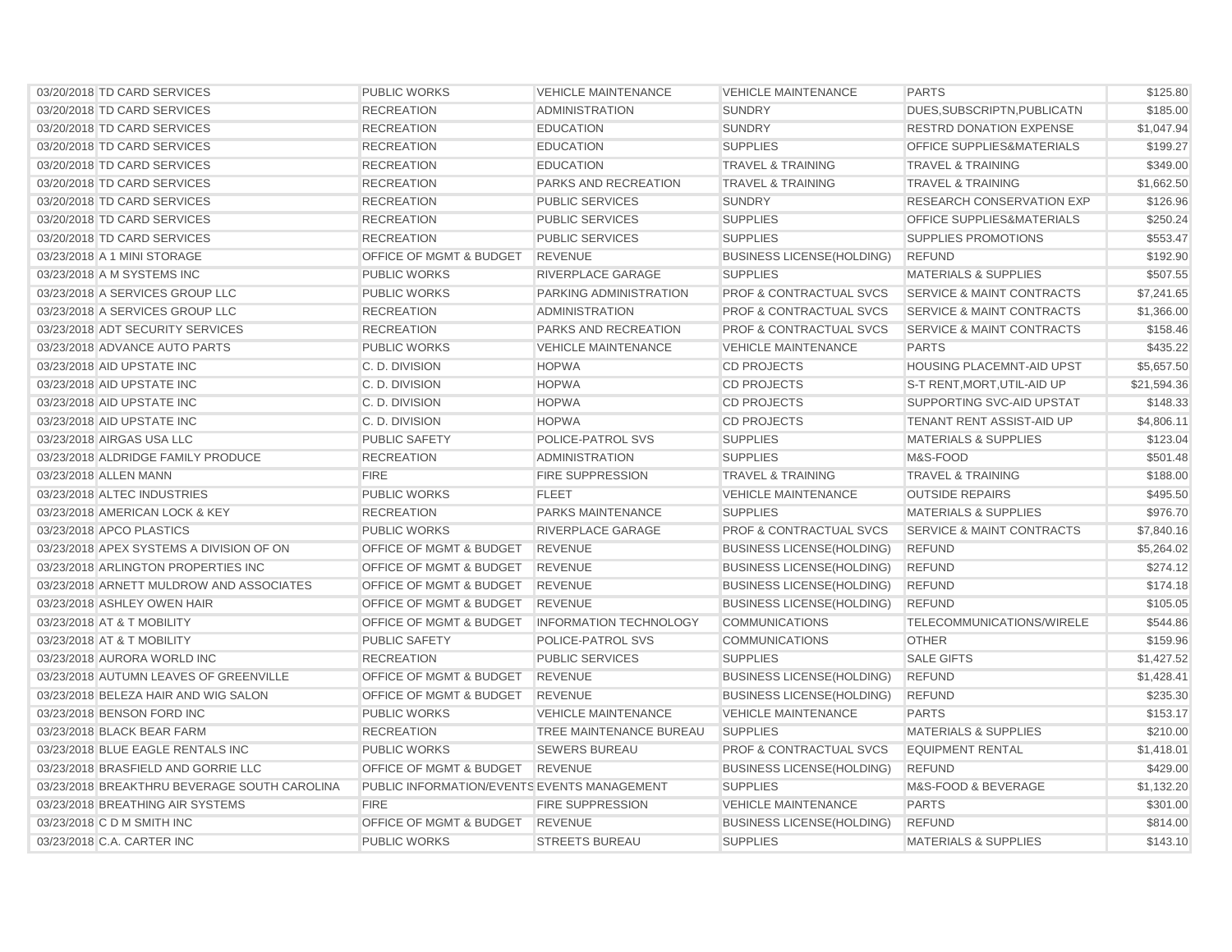| 03/20/2018 TD CARD SERVICES                  | <b>PUBLIC WORKS</b>                         | <b>VEHICLE MAINTENANCE</b>     | <b>VEHICLE MAINTENANCE</b>         | <b>PARTS</b>                         | \$125.80    |
|----------------------------------------------|---------------------------------------------|--------------------------------|------------------------------------|--------------------------------------|-------------|
| 03/20/2018 TD CARD SERVICES                  | <b>RECREATION</b>                           | <b>ADMINISTRATION</b>          | <b>SUNDRY</b>                      | DUES, SUBSCRIPTN, PUBLICATN          | \$185.00    |
| 03/20/2018 TD CARD SERVICES                  | <b>RECREATION</b>                           | <b>EDUCATION</b>               | <b>SUNDRY</b>                      | <b>RESTRD DONATION EXPENSE</b>       | \$1,047.94  |
| 03/20/2018 TD CARD SERVICES                  | <b>RECREATION</b>                           | <b>EDUCATION</b>               | <b>SUPPLIES</b>                    | <b>OFFICE SUPPLIES&amp;MATERIALS</b> | \$199.27    |
| 03/20/2018 TD CARD SERVICES                  | <b>RECREATION</b>                           | <b>EDUCATION</b>               | <b>TRAVEL &amp; TRAINING</b>       | <b>TRAVEL &amp; TRAINING</b>         | \$349.00    |
| 03/20/2018 TD CARD SERVICES                  | <b>RECREATION</b>                           | PARKS AND RECREATION           | <b>TRAVEL &amp; TRAINING</b>       | <b>TRAVEL &amp; TRAINING</b>         | \$1,662.50  |
| 03/20/2018 TD CARD SERVICES                  | <b>RECREATION</b>                           | <b>PUBLIC SERVICES</b>         | <b>SUNDRY</b>                      | <b>RESEARCH CONSERVATION EXP</b>     | \$126.96    |
| 03/20/2018 TD CARD SERVICES                  | <b>RECREATION</b>                           | <b>PUBLIC SERVICES</b>         | <b>SUPPLIES</b>                    | <b>OFFICE SUPPLIES&amp;MATERIALS</b> | \$250.24    |
| 03/20/2018 TD CARD SERVICES                  | <b>RECREATION</b>                           | <b>PUBLIC SERVICES</b>         | <b>SUPPLIES</b>                    | <b>SUPPLIES PROMOTIONS</b>           | \$553.47    |
| 03/23/2018 A 1 MINI STORAGE                  | OFFICE OF MGMT & BUDGET                     | <b>REVENUE</b>                 | <b>BUSINESS LICENSE (HOLDING)</b>  | <b>REFUND</b>                        | \$192.90    |
| 03/23/2018 A M SYSTEMS INC                   | <b>PUBLIC WORKS</b>                         | RIVERPLACE GARAGE              | <b>SUPPLIES</b>                    | <b>MATERIALS &amp; SUPPLIES</b>      | \$507.55    |
| 03/23/2018 A SERVICES GROUP LLC              | <b>PUBLIC WORKS</b>                         | PARKING ADMINISTRATION         | PROF & CONTRACTUAL SVCS            | <b>SERVICE &amp; MAINT CONTRACTS</b> | \$7,241.65  |
| 03/23/2018 A SERVICES GROUP LLC              | <b>RECREATION</b>                           | <b>ADMINISTRATION</b>          | <b>PROF &amp; CONTRACTUAL SVCS</b> | <b>SERVICE &amp; MAINT CONTRACTS</b> | \$1,366.00  |
| 03/23/2018 ADT SECURITY SERVICES             | <b>RECREATION</b>                           | PARKS AND RECREATION           | <b>PROF &amp; CONTRACTUAL SVCS</b> | <b>SERVICE &amp; MAINT CONTRACTS</b> | \$158.46    |
| 03/23/2018 ADVANCE AUTO PARTS                | <b>PUBLIC WORKS</b>                         | <b>VEHICLE MAINTENANCE</b>     | <b>VEHICLE MAINTENANCE</b>         | <b>PARTS</b>                         | \$435.22    |
| 03/23/2018 AID UPSTATE INC                   | C. D. DIVISION                              | <b>HOPWA</b>                   | <b>CD PROJECTS</b>                 | <b>HOUSING PLACEMNT-AID UPST</b>     | \$5,657.50  |
| 03/23/2018 AID UPSTATE INC                   | C. D. DIVISION                              | <b>HOPWA</b>                   | <b>CD PROJECTS</b>                 | S-T RENT, MORT, UTIL-AID UP          | \$21,594.36 |
| 03/23/2018 AID UPSTATE INC                   | C. D. DIVISION                              | <b>HOPWA</b>                   | <b>CD PROJECTS</b>                 | SUPPORTING SVC-AID UPSTAT            | \$148.33    |
| 03/23/2018 AID UPSTATE INC                   | C. D. DIVISION                              | <b>HOPWA</b>                   | <b>CD PROJECTS</b>                 | TENANT RENT ASSIST-AID UP            | \$4,806.11  |
| 03/23/2018 AIRGAS USA LLC                    | <b>PUBLIC SAFETY</b>                        | POLICE-PATROL SVS              | <b>SUPPLIES</b>                    | <b>MATERIALS &amp; SUPPLIES</b>      | \$123.04    |
| 03/23/2018 ALDRIDGE FAMILY PRODUCE           | <b>RECREATION</b>                           | <b>ADMINISTRATION</b>          | <b>SUPPLIES</b>                    | M&S-FOOD                             | \$501.48    |
| 03/23/2018 ALLEN MANN                        | <b>FIRE</b>                                 | <b>FIRE SUPPRESSION</b>        | <b>TRAVEL &amp; TRAINING</b>       | <b>TRAVEL &amp; TRAINING</b>         | \$188.00    |
| 03/23/2018 ALTEC INDUSTRIES                  | <b>PUBLIC WORKS</b>                         | <b>FLEET</b>                   | <b>VEHICLE MAINTENANCE</b>         | <b>OUTSIDE REPAIRS</b>               | \$495.50    |
| 03/23/2018 AMERICAN LOCK & KEY               | <b>RECREATION</b>                           | <b>PARKS MAINTENANCE</b>       | <b>SUPPLIES</b>                    | <b>MATERIALS &amp; SUPPLIES</b>      | \$976.70    |
| 03/23/2018 APCO PLASTICS                     | <b>PUBLIC WORKS</b>                         | <b>RIVERPLACE GARAGE</b>       | <b>PROF &amp; CONTRACTUAL SVCS</b> | <b>SERVICE &amp; MAINT CONTRACTS</b> | \$7,840.16  |
| 03/23/2018 APEX SYSTEMS A DIVISION OF ON     | <b>OFFICE OF MGMT &amp; BUDGET</b>          | <b>REVENUE</b>                 | <b>BUSINESS LICENSE(HOLDING)</b>   | <b>REFUND</b>                        | \$5,264.02  |
| 03/23/2018 ARLINGTON PROPERTIES INC          | OFFICE OF MGMT & BUDGET                     | <b>REVENUE</b>                 | <b>BUSINESS LICENSE(HOLDING)</b>   | <b>REFUND</b>                        | \$274.12    |
| 03/23/2018 ARNETT MULDROW AND ASSOCIATES     | OFFICE OF MGMT & BUDGET                     | <b>REVENUE</b>                 | <b>BUSINESS LICENSE(HOLDING)</b>   | <b>REFUND</b>                        | \$174.18    |
| 03/23/2018 ASHLEY OWEN HAIR                  | <b>OFFICE OF MGMT &amp; BUDGET</b>          | <b>REVENUE</b>                 | <b>BUSINESS LICENSE(HOLDING)</b>   | <b>REFUND</b>                        | \$105.05    |
| 03/23/2018 AT & T MOBILITY                   | <b>OFFICE OF MGMT &amp; BUDGET</b>          | <b>INFORMATION TECHNOLOGY</b>  | <b>COMMUNICATIONS</b>              | TELECOMMUNICATIONS/WIRELE            | \$544.86    |
| 03/23/2018 AT & T MOBILITY                   | <b>PUBLIC SAFETY</b>                        | <b>POLICE-PATROL SVS</b>       | <b>COMMUNICATIONS</b>              | <b>OTHER</b>                         | \$159.96    |
| 03/23/2018 AURORA WORLD INC                  | <b>RECREATION</b>                           | <b>PUBLIC SERVICES</b>         | <b>SUPPLIES</b>                    | <b>SALE GIFTS</b>                    | \$1,427.52  |
| 03/23/2018 AUTUMN LEAVES OF GREENVILLE       | OFFICE OF MGMT & BUDGET                     | <b>REVENUE</b>                 | <b>BUSINESS LICENSE(HOLDING)</b>   | <b>REFUND</b>                        | \$1,428.41  |
| 03/23/2018 BELEZA HAIR AND WIG SALON         | <b>OFFICE OF MGMT &amp; BUDGET</b>          | <b>REVENUE</b>                 | <b>BUSINESS LICENSE(HOLDING)</b>   | <b>REFUND</b>                        | \$235.30    |
| 03/23/2018 BENSON FORD INC                   | <b>PUBLIC WORKS</b>                         | <b>VEHICLE MAINTENANCE</b>     | <b>VEHICLE MAINTENANCE</b>         | <b>PARTS</b>                         | \$153.17    |
| 03/23/2018 BLACK BEAR FARM                   | <b>RECREATION</b>                           | <b>TREE MAINTENANCE BUREAU</b> | <b>SUPPLIES</b>                    | <b>MATERIALS &amp; SUPPLIES</b>      | \$210.00    |
| 03/23/2018 BLUE EAGLE RENTALS INC            | <b>PUBLIC WORKS</b>                         | <b>SEWERS BUREAU</b>           | <b>PROF &amp; CONTRACTUAL SVCS</b> | <b>EQUIPMENT RENTAL</b>              | \$1,418.01  |
| 03/23/2018 BRASFIELD AND GORRIE LLC          | OFFICE OF MGMT & BUDGET                     | <b>REVENUE</b>                 | <b>BUSINESS LICENSE (HOLDING)</b>  | <b>REFUND</b>                        | \$429.00    |
| 03/23/2018 BREAKTHRU BEVERAGE SOUTH CAROLINA | PUBLIC INFORMATION/EVENTS EVENTS MANAGEMENT |                                | <b>SUPPLIES</b>                    | M&S-FOOD & BEVERAGE                  | \$1,132.20  |
| 03/23/2018 BREATHING AIR SYSTEMS             | <b>FIRE</b>                                 | <b>FIRE SUPPRESSION</b>        | <b>VEHICLE MAINTENANCE</b>         | <b>PARTS</b>                         | \$301.00    |
| 03/23/2018 C D M SMITH INC                   | OFFICE OF MGMT & BUDGET                     | <b>REVENUE</b>                 | <b>BUSINESS LICENSE(HOLDING)</b>   | <b>REFUND</b>                        | \$814.00    |
| 03/23/2018 C.A. CARTER INC                   | <b>PUBLIC WORKS</b>                         | <b>STREETS BUREAU</b>          | <b>SUPPLIES</b>                    | <b>MATERIALS &amp; SUPPLIES</b>      | \$143.10    |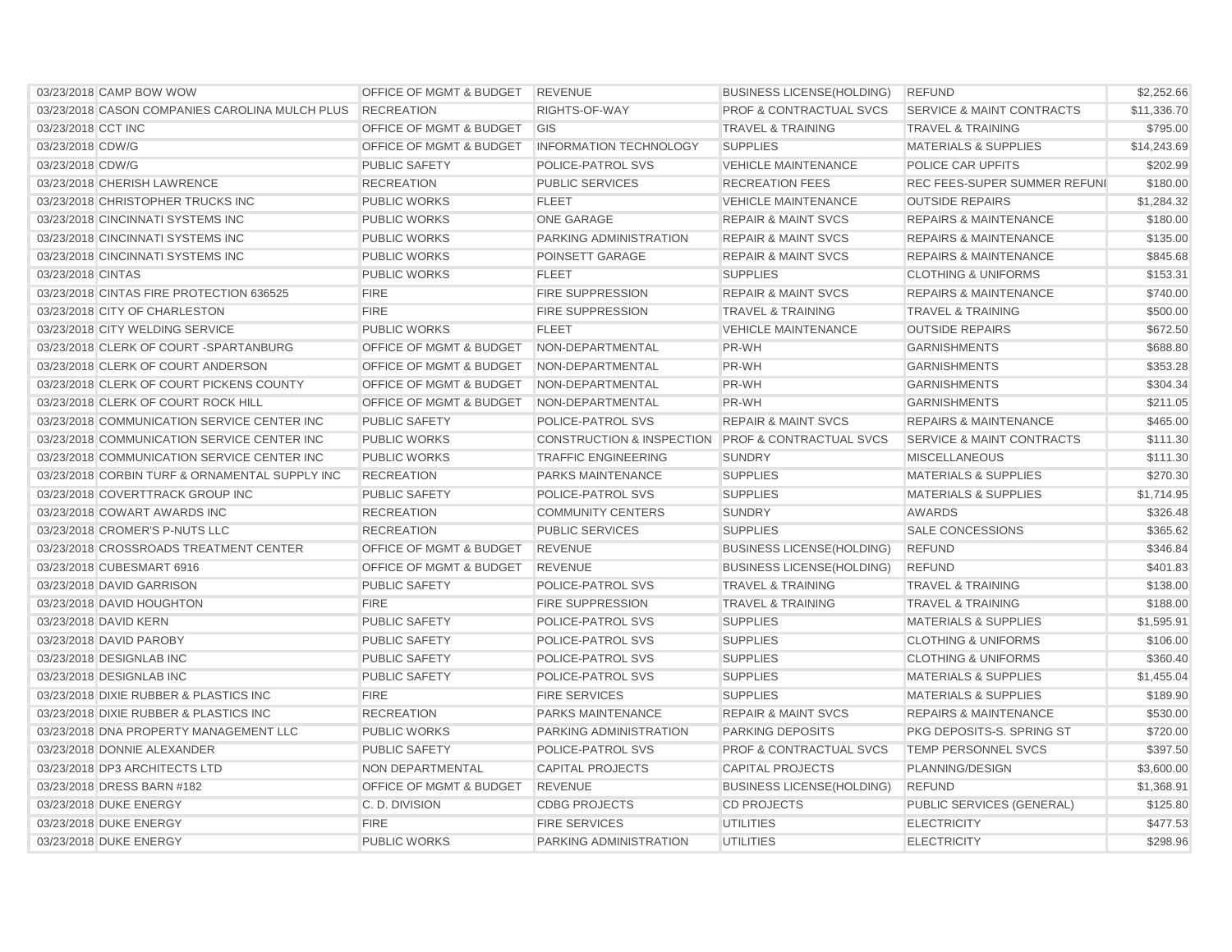| 03/23/2018 CAMP BOW WOW                        | OFFICE OF MGMT & BUDGET REVENUE    |                                                   | <b>BUSINESS LICENSE(HOLDING)</b>   | <b>REFUND</b>                        | \$2,252.66  |
|------------------------------------------------|------------------------------------|---------------------------------------------------|------------------------------------|--------------------------------------|-------------|
| 03/23/2018 CASON COMPANIES CAROLINA MULCH PLUS | <b>RECREATION</b>                  | RIGHTS-OF-WAY                                     | <b>PROF &amp; CONTRACTUAL SVCS</b> | <b>SERVICE &amp; MAINT CONTRACTS</b> | \$11.336.70 |
| 03/23/2018 CCT INC                             | <b>OFFICE OF MGMT &amp; BUDGET</b> | GIS                                               | <b>TRAVEL &amp; TRAINING</b>       | <b>TRAVEL &amp; TRAINING</b>         | \$795.00    |
| 03/23/2018 CDW/G                               | <b>OFFICE OF MGMT &amp; BUDGET</b> | <b>INFORMATION TECHNOLOGY</b>                     | <b>SUPPLIES</b>                    | <b>MATERIALS &amp; SUPPLIES</b>      | \$14,243.69 |
| 03/23/2018 CDW/G                               | <b>PUBLIC SAFETY</b>               | POLICE-PATROL SVS                                 | <b>VEHICLE MAINTENANCE</b>         | POLICE CAR UPFITS                    | \$202.99    |
| 03/23/2018 CHERISH LAWRENCE                    | <b>RECREATION</b>                  | <b>PUBLIC SERVICES</b>                            | <b>RECREATION FEES</b>             | REC FEES-SUPER SUMMER REFUNI         | \$180.00    |
| 03/23/2018 CHRISTOPHER TRUCKS INC              | <b>PUBLIC WORKS</b>                | <b>FLEET</b>                                      | <b>VEHICLE MAINTENANCE</b>         | <b>OUTSIDE REPAIRS</b>               | \$1,284.32  |
| 03/23/2018 CINCINNATI SYSTEMS INC              | <b>PUBLIC WORKS</b>                | <b>ONE GARAGE</b>                                 | <b>REPAIR &amp; MAINT SVCS</b>     | <b>REPAIRS &amp; MAINTENANCE</b>     | \$180.00    |
| 03/23/2018 CINCINNATI SYSTEMS INC              | <b>PUBLIC WORKS</b>                | PARKING ADMINISTRATION                            | <b>REPAIR &amp; MAINT SVCS</b>     | <b>REPAIRS &amp; MAINTENANCE</b>     | \$135.00    |
| 03/23/2018 CINCINNATI SYSTEMS INC              | <b>PUBLIC WORKS</b>                | POINSETT GARAGE                                   | <b>REPAIR &amp; MAINT SVCS</b>     | <b>REPAIRS &amp; MAINTENANCE</b>     | \$845.68    |
| 03/23/2018 CINTAS                              | <b>PUBLIC WORKS</b>                | <b>FLEET</b>                                      | <b>SUPPLIES</b>                    | <b>CLOTHING &amp; UNIFORMS</b>       | \$153.31    |
| 03/23/2018 CINTAS FIRE PROTECTION 636525       | <b>FIRE</b>                        | FIRE SUPPRESSION                                  | <b>REPAIR &amp; MAINT SVCS</b>     | <b>REPAIRS &amp; MAINTENANCE</b>     | \$740.00    |
| 03/23/2018 CITY OF CHARLESTON                  | <b>FIRE</b>                        | <b>FIRE SUPPRESSION</b>                           | <b>TRAVEL &amp; TRAINING</b>       | <b>TRAVEL &amp; TRAINING</b>         | \$500.00    |
| 03/23/2018 CITY WELDING SERVICE                | <b>PUBLIC WORKS</b>                | <b>FLEET</b>                                      | <b>VEHICLE MAINTENANCE</b>         | <b>OUTSIDE REPAIRS</b>               | \$672.50    |
| 03/23/2018 CLERK OF COURT-SPARTANBURG          | <b>OFFICE OF MGMT &amp; BUDGET</b> | NON-DEPARTMENTAL                                  | PR-WH                              | <b>GARNISHMENTS</b>                  | \$688.80    |
| 03/23/2018 CLERK OF COURT ANDERSON             | OFFICE OF MGMT & BUDGET            | NON-DEPARTMENTAL                                  | PR-WH                              | <b>GARNISHMENTS</b>                  | \$353.28    |
| 03/23/2018 CLERK OF COURT PICKENS COUNTY       | <b>OFFICE OF MGMT &amp; BUDGET</b> | NON-DEPARTMENTAL                                  | PR-WH                              | <b>GARNISHMENTS</b>                  | \$304.34    |
| 03/23/2018 CLERK OF COURT ROCK HILL            | <b>OFFICE OF MGMT &amp; BUDGET</b> | NON-DEPARTMENTAL                                  | PR-WH                              | <b>GARNISHMENTS</b>                  | \$211.05    |
| 03/23/2018 COMMUNICATION SERVICE CENTER INC    | <b>PUBLIC SAFETY</b>               | <b>POLICE-PATROL SVS</b>                          | <b>REPAIR &amp; MAINT SVCS</b>     | <b>REPAIRS &amp; MAINTENANCE</b>     | \$465.00    |
| 03/23/2018 COMMUNICATION SERVICE CENTER INC    | <b>PUBLIC WORKS</b>                | CONSTRUCTION & INSPECTION PROF & CONTRACTUAL SVCS |                                    | <b>SERVICE &amp; MAINT CONTRACTS</b> | \$111.30    |
| 03/23/2018 COMMUNICATION SERVICE CENTER INC    | <b>PUBLIC WORKS</b>                | <b>TRAFFIC ENGINEERING</b>                        | <b>SUNDRY</b>                      | <b>MISCELLANEOUS</b>                 | \$111.30    |
| 03/23/2018 CORBIN TURF & ORNAMENTAL SUPPLY INC | <b>RECREATION</b>                  | PARKS MAINTENANCE                                 | <b>SUPPLIES</b>                    | <b>MATERIALS &amp; SUPPLIES</b>      | \$270.30    |
| 03/23/2018 COVERTTRACK GROUP INC               | <b>PUBLIC SAFETY</b>               | <b>POLICE-PATROL SVS</b>                          | <b>SUPPLIES</b>                    | <b>MATERIALS &amp; SUPPLIES</b>      | \$1,714.95  |
| 03/23/2018 COWART AWARDS INC                   | <b>RECREATION</b>                  | <b>COMMUNITY CENTERS</b>                          | <b>SUNDRY</b>                      | <b>AWARDS</b>                        | \$326.48    |
| 03/23/2018 CROMER'S P-NUTS LLC                 | <b>RECREATION</b>                  | <b>PUBLIC SERVICES</b>                            | <b>SUPPLIES</b>                    | <b>SALE CONCESSIONS</b>              | \$365.62    |
| 03/23/2018 CROSSROADS TREATMENT CENTER         | OFFICE OF MGMT & BUDGET            | <b>REVENUE</b>                                    | <b>BUSINESS LICENSE(HOLDING)</b>   | <b>REFUND</b>                        | \$346.84    |
| 03/23/2018 CUBESMART 6916                      | OFFICE OF MGMT & BUDGET            | <b>REVENUE</b>                                    | <b>BUSINESS LICENSE(HOLDING)</b>   | <b>REFUND</b>                        | \$401.83    |
| 03/23/2018 DAVID GARRISON                      | <b>PUBLIC SAFETY</b>               | POLICE-PATROL SVS                                 | <b>TRAVEL &amp; TRAINING</b>       | <b>TRAVEL &amp; TRAINING</b>         | \$138.00    |
| 03/23/2018 DAVID HOUGHTON                      | <b>FIRE</b>                        | <b>FIRE SUPPRESSION</b>                           | <b>TRAVEL &amp; TRAINING</b>       | <b>TRAVEL &amp; TRAINING</b>         | \$188.00    |
| 03/23/2018 DAVID KERN                          | <b>PUBLIC SAFETY</b>               | POLICE-PATROL SVS                                 | <b>SUPPLIES</b>                    | <b>MATERIALS &amp; SUPPLIES</b>      | \$1,595.91  |
| 03/23/2018 DAVID PAROBY                        | <b>PUBLIC SAFETY</b>               | POLICE-PATROL SVS                                 | <b>SUPPLIES</b>                    | <b>CLOTHING &amp; UNIFORMS</b>       | \$106.00    |
| 03/23/2018 DESIGNLAB INC                       | <b>PUBLIC SAFETY</b>               | POLICE-PATROL SVS                                 | <b>SUPPLIES</b>                    | <b>CLOTHING &amp; UNIFORMS</b>       | \$360.40    |
| 03/23/2018 DESIGNLAB INC                       | <b>PUBLIC SAFETY</b>               | POLICE-PATROL SVS                                 | <b>SUPPLIES</b>                    | <b>MATERIALS &amp; SUPPLIES</b>      | \$1,455.04  |
| 03/23/2018 DIXIE RUBBER & PLASTICS INC         | <b>FIRE</b>                        | <b>FIRE SERVICES</b>                              | <b>SUPPLIES</b>                    | <b>MATERIALS &amp; SUPPLIES</b>      | \$189.90    |
| 03/23/2018 DIXIE RUBBER & PLASTICS INC         | <b>RECREATION</b>                  | <b>PARKS MAINTENANCE</b>                          | <b>REPAIR &amp; MAINT SVCS</b>     | <b>REPAIRS &amp; MAINTENANCE</b>     | \$530.00    |
| 03/23/2018 DNA PROPERTY MANAGEMENT LLC         | <b>PUBLIC WORKS</b>                | PARKING ADMINISTRATION                            | <b>PARKING DEPOSITS</b>            | PKG DEPOSITS-S. SPRING ST            | \$720.00    |
| 03/23/2018 DONNIE ALEXANDER                    | <b>PUBLIC SAFETY</b>               | POLICE-PATROL SVS                                 | <b>PROF &amp; CONTRACTUAL SVCS</b> | TEMP PERSONNEL SVCS                  | \$397.50    |
| 03/23/2018 DP3 ARCHITECTS LTD                  | NON DEPARTMENTAL                   | <b>CAPITAL PROJECTS</b>                           | <b>CAPITAL PROJECTS</b>            | PLANNING/DESIGN                      | \$3,600.00  |
| 03/23/2018 DRESS BARN #182                     | <b>OFFICE OF MGMT &amp; BUDGET</b> | <b>REVENUE</b>                                    | <b>BUSINESS LICENSE (HOLDING)</b>  | <b>REFUND</b>                        | \$1,368.91  |
| 03/23/2018 DUKE ENERGY                         | C. D. DIVISION                     | <b>CDBG PROJECTS</b>                              | <b>CD PROJECTS</b>                 | PUBLIC SERVICES (GENERAL)            | \$125.80    |
| 03/23/2018 DUKE ENERGY                         | <b>FIRE</b>                        | <b>FIRE SERVICES</b>                              | <b>UTILITIES</b>                   | <b>ELECTRICITY</b>                   | \$477.53    |
| 03/23/2018 DUKE ENERGY                         | <b>PUBLIC WORKS</b>                | PARKING ADMINISTRATION                            | <b>UTILITIES</b>                   | <b>ELECTRICITY</b>                   | \$298.96    |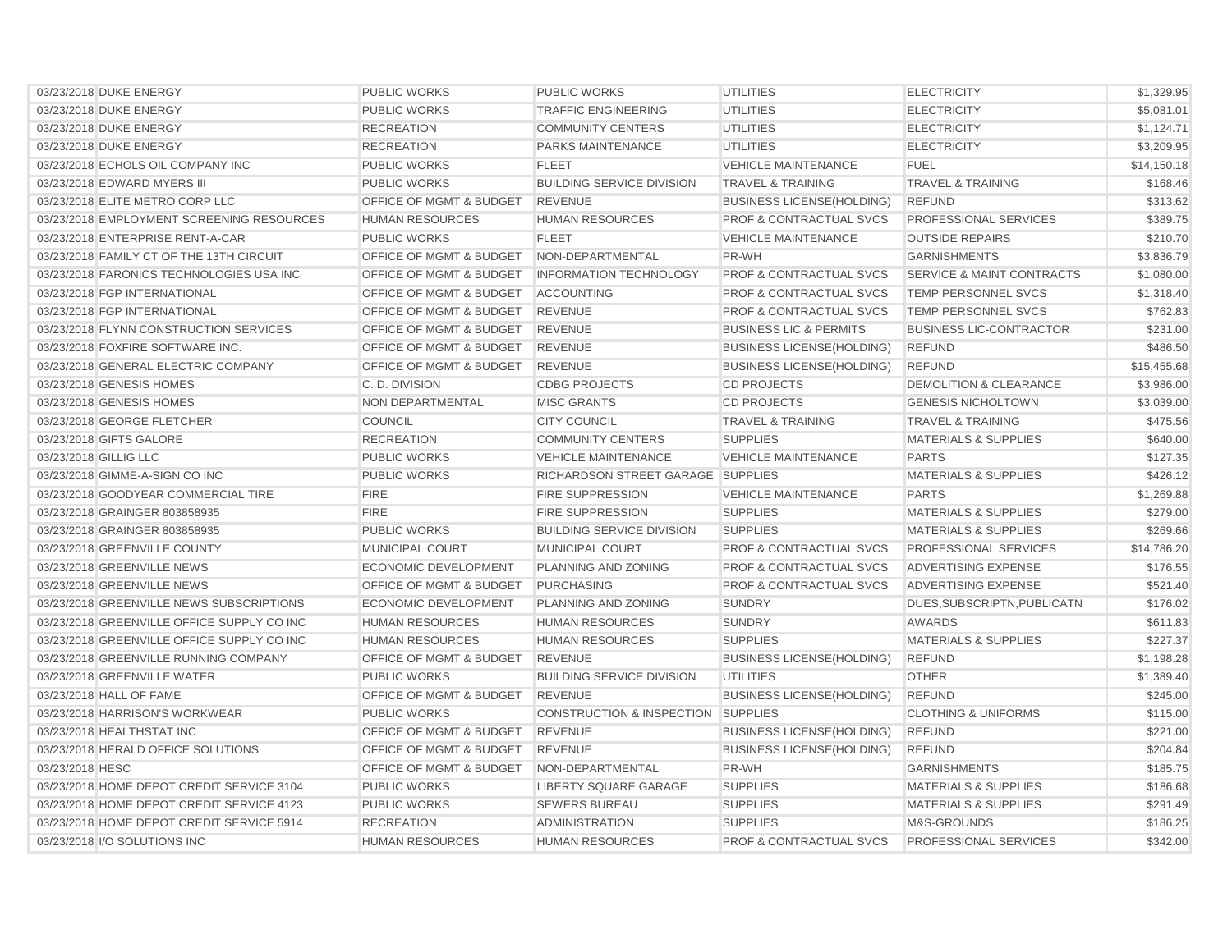| 03/23/2018 DUKE ENERGY                     | <b>PUBLIC WORKS</b>                | <b>PUBLIC WORKS</b>                           | <b>UTILITIES</b>                   | <b>ELECTRICITY</b>                   | \$1,329.95  |
|--------------------------------------------|------------------------------------|-----------------------------------------------|------------------------------------|--------------------------------------|-------------|
| 03/23/2018 DUKE ENERGY                     | <b>PUBLIC WORKS</b>                | <b>TRAFFIC ENGINEERING</b>                    | <b>UTILITIES</b>                   | <b>ELECTRICITY</b>                   | \$5,081.01  |
| 03/23/2018 DUKE ENERGY                     | <b>RECREATION</b>                  | <b>COMMUNITY CENTERS</b>                      | <b>UTILITIES</b>                   | <b>ELECTRICITY</b>                   | \$1,124.71  |
| 03/23/2018 DUKE ENERGY                     | <b>RECREATION</b>                  | <b>PARKS MAINTENANCE</b>                      | <b>UTILITIES</b>                   | <b>ELECTRICITY</b>                   | \$3,209.95  |
| 03/23/2018 ECHOLS OIL COMPANY INC          | <b>PUBLIC WORKS</b>                | <b>FLEET</b>                                  | <b>VEHICLE MAINTENANCE</b>         | <b>FUEL</b>                          | \$14,150.18 |
| 03/23/2018 EDWARD MYERS III                | <b>PUBLIC WORKS</b>                | <b>BUILDING SERVICE DIVISION</b>              | <b>TRAVEL &amp; TRAINING</b>       | <b>TRAVEL &amp; TRAINING</b>         | \$168.46    |
| 03/23/2018 ELITE METRO CORP LLC            | OFFICE OF MGMT & BUDGET            | <b>REVENUE</b>                                | <b>BUSINESS LICENSE(HOLDING)</b>   | <b>REFUND</b>                        | \$313.62    |
| 03/23/2018 EMPLOYMENT SCREENING RESOURCES  | <b>HUMAN RESOURCES</b>             | <b>HUMAN RESOURCES</b>                        | PROF & CONTRACTUAL SVCS            | PROFESSIONAL SERVICES                | \$389.75    |
| 03/23/2018 ENTERPRISE RENT-A-CAR           | <b>PUBLIC WORKS</b>                | <b>FLEET</b>                                  | <b>VEHICLE MAINTENANCE</b>         | <b>OUTSIDE REPAIRS</b>               | \$210.70    |
| 03/23/2018 FAMILY CT OF THE 13TH CIRCUIT   | OFFICE OF MGMT & BUDGET            | NON-DEPARTMENTAL                              | PR-WH                              | <b>GARNISHMENTS</b>                  | \$3,836.79  |
| 03/23/2018 FARONICS TECHNOLOGIES USA INC   | <b>OFFICE OF MGMT &amp; BUDGET</b> | <b>INFORMATION TECHNOLOGY</b>                 | <b>PROF &amp; CONTRACTUAL SVCS</b> | <b>SERVICE &amp; MAINT CONTRACTS</b> | \$1,080.00  |
| 03/23/2018 FGP INTERNATIONAL               | OFFICE OF MGMT & BUDGET            | <b>ACCOUNTING</b>                             | <b>PROF &amp; CONTRACTUAL SVCS</b> | <b>TEMP PERSONNEL SVCS</b>           | \$1,318.40  |
| 03/23/2018 FGP INTERNATIONAL               | OFFICE OF MGMT & BUDGET            | <b>REVENUE</b>                                | <b>PROF &amp; CONTRACTUAL SVCS</b> | <b>TEMP PERSONNEL SVCS</b>           | \$762.83    |
| 03/23/2018 FLYNN CONSTRUCTION SERVICES     | OFFICE OF MGMT & BUDGET            | <b>REVENUE</b>                                | <b>BUSINESS LIC &amp; PERMITS</b>  | <b>BUSINESS LIC-CONTRACTOR</b>       | \$231.00    |
| 03/23/2018 FOXFIRE SOFTWARE INC.           | <b>OFFICE OF MGMT &amp; BUDGET</b> | <b>REVENUE</b>                                | <b>BUSINESS LICENSE (HOLDING)</b>  | <b>REFUND</b>                        | \$486.50    |
| 03/23/2018 GENERAL ELECTRIC COMPANY        | OFFICE OF MGMT & BUDGET            | <b>REVENUE</b>                                | <b>BUSINESS LICENSE (HOLDING)</b>  | <b>REFUND</b>                        | \$15,455.68 |
| 03/23/2018 GENESIS HOMES                   | C. D. DIVISION                     | <b>CDBG PROJECTS</b>                          | <b>CD PROJECTS</b>                 | <b>DEMOLITION &amp; CLEARANCE</b>    | \$3,986.00  |
| 03/23/2018 GENESIS HOMES                   | NON DEPARTMENTAL                   | <b>MISC GRANTS</b>                            | <b>CD PROJECTS</b>                 | <b>GENESIS NICHOLTOWN</b>            | \$3,039.00  |
| 03/23/2018 GEORGE FLETCHER                 | <b>COUNCIL</b>                     | <b>CITY COUNCIL</b>                           | <b>TRAVEL &amp; TRAINING</b>       | <b>TRAVEL &amp; TRAINING</b>         | \$475.56    |
| 03/23/2018 GIFTS GALORE                    | <b>RECREATION</b>                  | <b>COMMUNITY CENTERS</b>                      | <b>SUPPLIES</b>                    | <b>MATERIALS &amp; SUPPLIES</b>      | \$640.00    |
| 03/23/2018 GILLIG LLC                      | <b>PUBLIC WORKS</b>                | <b>VEHICLE MAINTENANCE</b>                    | <b>VEHICLE MAINTENANCE</b>         | <b>PARTS</b>                         | \$127.35    |
| 03/23/2018 GIMME-A-SIGN CO INC             | <b>PUBLIC WORKS</b>                | RICHARDSON STREET GARAGE SUPPLIES             |                                    | <b>MATERIALS &amp; SUPPLIES</b>      | \$426.12    |
| 03/23/2018 GOODYEAR COMMERCIAL TIRE        | <b>FIRE</b>                        | <b>FIRE SUPPRESSION</b>                       | <b>VEHICLE MAINTENANCE</b>         | <b>PARTS</b>                         | \$1,269.88  |
| 03/23/2018 GRAINGER 803858935              | <b>FIRE</b>                        | <b>FIRE SUPPRESSION</b>                       | <b>SUPPLIES</b>                    | <b>MATERIALS &amp; SUPPLIES</b>      | \$279.00    |
| 03/23/2018 GRAINGER 803858935              | <b>PUBLIC WORKS</b>                | <b>BUILDING SERVICE DIVISION</b>              | <b>SUPPLIES</b>                    | <b>MATERIALS &amp; SUPPLIES</b>      | \$269.66    |
| 03/23/2018 GREENVILLE COUNTY               | MUNICIPAL COURT                    | <b>MUNICIPAL COURT</b>                        | <b>PROF &amp; CONTRACTUAL SVCS</b> | <b>PROFESSIONAL SERVICES</b>         | \$14,786.20 |
| 03/23/2018 GREENVILLE NEWS                 | <b>ECONOMIC DEVELOPMENT</b>        | PLANNING AND ZONING                           | <b>PROF &amp; CONTRACTUAL SVCS</b> | ADVERTISING EXPENSE                  | \$176.55    |
| 03/23/2018 GREENVILLE NEWS                 | OFFICE OF MGMT & BUDGET            | <b>PURCHASING</b>                             | <b>PROF &amp; CONTRACTUAL SVCS</b> | ADVERTISING EXPENSE                  | \$521.40    |
| 03/23/2018 GREENVILLE NEWS SUBSCRIPTIONS   | <b>ECONOMIC DEVELOPMENT</b>        | PLANNING AND ZONING                           | <b>SUNDRY</b>                      | DUES, SUBSCRIPTN, PUBLICATN          | \$176.02    |
| 03/23/2018 GREENVILLE OFFICE SUPPLY CO INC | <b>HUMAN RESOURCES</b>             | <b>HUMAN RESOURCES</b>                        | <b>SUNDRY</b>                      | <b>AWARDS</b>                        | \$611.83    |
| 03/23/2018 GREENVILLE OFFICE SUPPLY CO INC | <b>HUMAN RESOURCES</b>             | <b>HUMAN RESOURCES</b>                        | <b>SUPPLIES</b>                    | <b>MATERIALS &amp; SUPPLIES</b>      | \$227.37    |
| 03/23/2018 GREENVILLE RUNNING COMPANY      | OFFICE OF MGMT & BUDGET            | <b>REVENUE</b>                                | <b>BUSINESS LICENSE (HOLDING)</b>  | <b>REFUND</b>                        | \$1,198.28  |
| 03/23/2018 GREENVILLE WATER                | <b>PUBLIC WORKS</b>                | <b>BUILDING SERVICE DIVISION</b>              | <b>UTILITIES</b>                   | <b>OTHER</b>                         | \$1,389.40  |
| 03/23/2018 HALL OF FAME                    | OFFICE OF MGMT & BUDGET            | <b>REVENUE</b>                                | <b>BUSINESS LICENSE(HOLDING)</b>   | <b>REFUND</b>                        | \$245.00    |
| 03/23/2018 HARRISON'S WORKWEAR             | <b>PUBLIC WORKS</b>                | <b>CONSTRUCTION &amp; INSPECTION SUPPLIES</b> |                                    | <b>CLOTHING &amp; UNIFORMS</b>       | \$115.00    |
| 03/23/2018 HEALTHSTAT INC                  | <b>OFFICE OF MGMT &amp; BUDGET</b> | <b>REVENUE</b>                                | <b>BUSINESS LICENSE (HOLDING)</b>  | <b>REFUND</b>                        | \$221.00    |
| 03/23/2018 HERALD OFFICE SOLUTIONS         | OFFICE OF MGMT & BUDGET            | <b>REVENUE</b>                                | <b>BUSINESS LICENSE (HOLDING)</b>  | <b>REFUND</b>                        | \$204.84    |
| 03/23/2018 HESC                            | OFFICE OF MGMT & BUDGET            | NON-DEPARTMENTAL                              | PR-WH                              | <b>GARNISHMENTS</b>                  | \$185.75    |
| 03/23/2018 HOME DEPOT CREDIT SERVICE 3104  | <b>PUBLIC WORKS</b>                | <b>LIBERTY SQUARE GARAGE</b>                  | <b>SUPPLIES</b>                    | <b>MATERIALS &amp; SUPPLIES</b>      | \$186.68    |
| 03/23/2018 HOME DEPOT CREDIT SERVICE 4123  | <b>PUBLIC WORKS</b>                | <b>SEWERS BUREAU</b>                          | <b>SUPPLIES</b>                    | <b>MATERIALS &amp; SUPPLIES</b>      | \$291.49    |
| 03/23/2018 HOME DEPOT CREDIT SERVICE 5914  | <b>RECREATION</b>                  | <b>ADMINISTRATION</b>                         | <b>SUPPLIES</b>                    | M&S-GROUNDS                          | \$186.25    |
| 03/23/2018 I/O SOLUTIONS INC               | <b>HUMAN RESOURCES</b>             | <b>HUMAN RESOURCES</b>                        | <b>PROF &amp; CONTRACTUAL SVCS</b> | PROFESSIONAL SERVICES                | \$342.00    |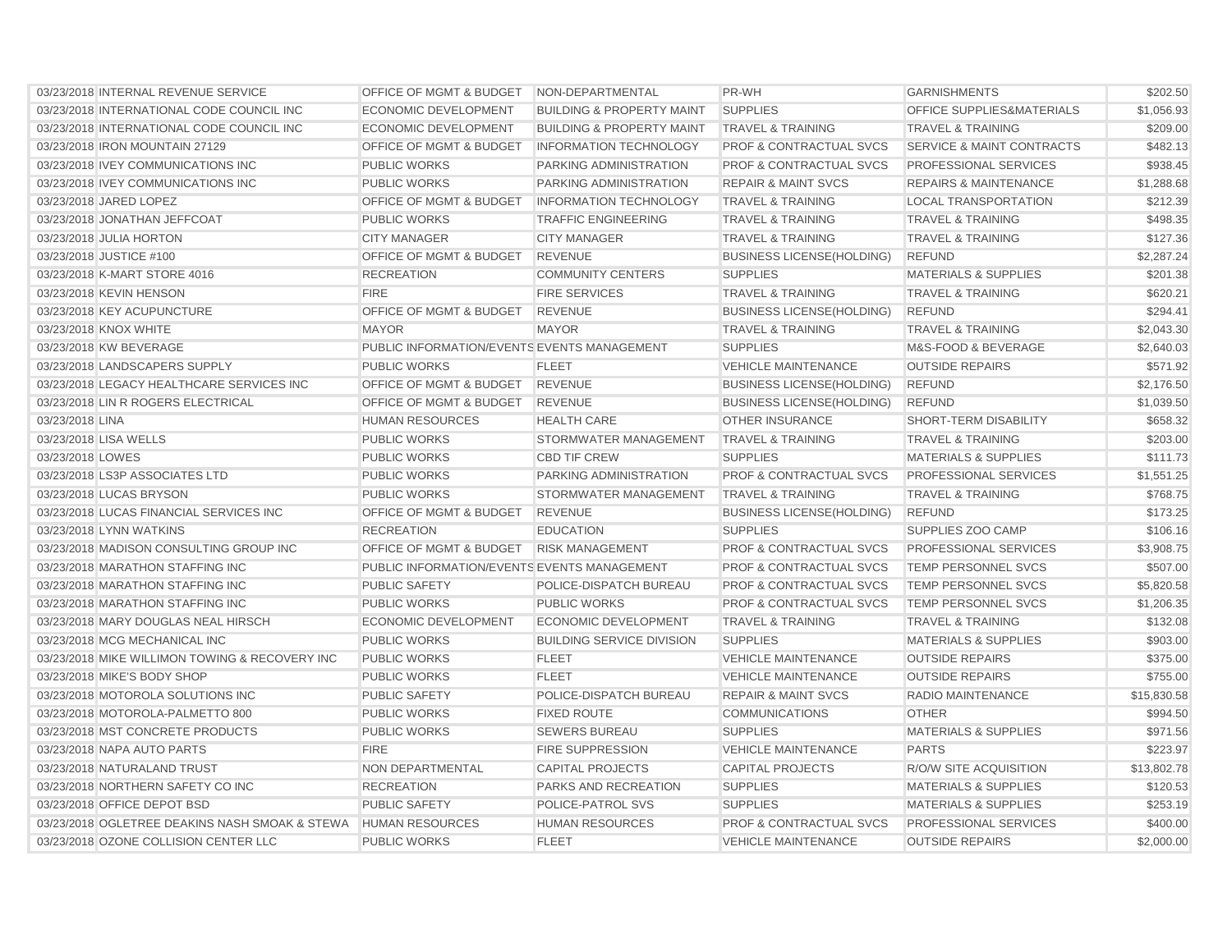| 03/23/2018 INTERNAL REVENUE SERVICE            | OFFICE OF MGMT & BUDGET                     | NON-DEPARTMENTAL                     | PR-WH                              | <b>GARNISHMENTS</b>              | \$202.50    |
|------------------------------------------------|---------------------------------------------|--------------------------------------|------------------------------------|----------------------------------|-------------|
| 03/23/2018 INTERNATIONAL CODE COUNCIL INC      | <b>ECONOMIC DEVELOPMENT</b>                 | <b>BUILDING &amp; PROPERTY MAINT</b> | <b>SUPPLIES</b>                    | OFFICE SUPPLIES&MATERIALS        | \$1,056.93  |
| 03/23/2018 INTERNATIONAL CODE COUNCIL INC      | <b>ECONOMIC DEVELOPMENT</b>                 | <b>BUILDING &amp; PROPERTY MAINT</b> | <b>TRAVEL &amp; TRAINING</b>       | <b>TRAVEL &amp; TRAINING</b>     | \$209.00    |
| 03/23/2018 IRON MOUNTAIN 27129                 | <b>OFFICE OF MGMT &amp; BUDGET</b>          | <b>INFORMATION TECHNOLOGY</b>        | <b>PROF &amp; CONTRACTUAL SVCS</b> | SERVICE & MAINT CONTRACTS        | \$482.13    |
| 03/23/2018 IVEY COMMUNICATIONS INC             | <b>PUBLIC WORKS</b>                         | PARKING ADMINISTRATION               | <b>PROF &amp; CONTRACTUAL SVCS</b> | PROFESSIONAL SERVICES            | \$938.45    |
| 03/23/2018 IVEY COMMUNICATIONS INC             | <b>PUBLIC WORKS</b>                         | PARKING ADMINISTRATION               | <b>REPAIR &amp; MAINT SVCS</b>     | <b>REPAIRS &amp; MAINTENANCE</b> | \$1,288.68  |
| 03/23/2018 JARED LOPEZ                         | OFFICE OF MGMT & BUDGET                     | <b>INFORMATION TECHNOLOGY</b>        | <b>TRAVEL &amp; TRAINING</b>       | <b>LOCAL TRANSPORTATION</b>      | \$212.39    |
| 03/23/2018 JONATHAN JEFFCOAT                   | <b>PUBLIC WORKS</b>                         | <b>TRAFFIC ENGINEERING</b>           | <b>TRAVEL &amp; TRAINING</b>       | <b>TRAVEL &amp; TRAINING</b>     | \$498.35    |
| 03/23/2018 JULIA HORTON                        | <b>CITY MANAGER</b>                         | <b>CITY MANAGER</b>                  | <b>TRAVEL &amp; TRAINING</b>       | <b>TRAVEL &amp; TRAINING</b>     | \$127.36    |
| 03/23/2018 JUSTICE #100                        | OFFICE OF MGMT & BUDGET                     | <b>REVENUE</b>                       | <b>BUSINESS LICENSE(HOLDING)</b>   | <b>REFUND</b>                    | \$2,287.24  |
| 03/23/2018 K-MART STORE 4016                   | <b>RECREATION</b>                           | <b>COMMUNITY CENTERS</b>             | <b>SUPPLIES</b>                    | <b>MATERIALS &amp; SUPPLIES</b>  | \$201.38    |
| 03/23/2018 KEVIN HENSON                        | <b>FIRE</b>                                 | <b>FIRE SERVICES</b>                 | <b>TRAVEL &amp; TRAINING</b>       | <b>TRAVEL &amp; TRAINING</b>     | \$620.21    |
| 03/23/2018 KEY ACUPUNCTURE                     | OFFICE OF MGMT & BUDGET                     | <b>REVENUE</b>                       | <b>BUSINESS LICENSE(HOLDING)</b>   | <b>REFUND</b>                    | \$294.41    |
| 03/23/2018 KNOX WHITE                          | <b>MAYOR</b>                                | <b>MAYOR</b>                         | <b>TRAVEL &amp; TRAINING</b>       | <b>TRAVEL &amp; TRAINING</b>     | \$2,043.30  |
| 03/23/2018 KW BEVERAGE                         | PUBLIC INFORMATION/EVENTS EVENTS MANAGEMENT |                                      | <b>SUPPLIES</b>                    | M&S-FOOD & BEVERAGE              | \$2,640.03  |
| 03/23/2018 LANDSCAPERS SUPPLY                  | <b>PUBLIC WORKS</b>                         | <b>FLEET</b>                         | <b>VEHICLE MAINTENANCE</b>         | <b>OUTSIDE REPAIRS</b>           | \$571.92    |
| 03/23/2018 LEGACY HEALTHCARE SERVICES INC      | <b>OFFICE OF MGMT &amp; BUDGET</b>          | <b>REVENUE</b>                       | <b>BUSINESS LICENSE(HOLDING)</b>   | <b>REFUND</b>                    | \$2,176.50  |
| 03/23/2018 LIN R ROGERS ELECTRICAL             | OFFICE OF MGMT & BUDGET                     | <b>REVENUE</b>                       | <b>BUSINESS LICENSE(HOLDING)</b>   | <b>REFUND</b>                    | \$1,039.50  |
| 03/23/2018 LINA                                | <b>HUMAN RESOURCES</b>                      | <b>HEALTH CARE</b>                   | <b>OTHER INSURANCE</b>             | SHORT-TERM DISABILITY            | \$658.32    |
| 03/23/2018 LISA WELLS                          | <b>PUBLIC WORKS</b>                         | STORMWATER MANAGEMENT                | <b>TRAVEL &amp; TRAINING</b>       | <b>TRAVEL &amp; TRAINING</b>     | \$203.00    |
| 03/23/2018 LOWES                               | <b>PUBLIC WORKS</b>                         | <b>CBD TIF CREW</b>                  | <b>SUPPLIES</b>                    | <b>MATERIALS &amp; SUPPLIES</b>  | \$111.73    |
| 03/23/2018 LS3P ASSOCIATES LTD                 | <b>PUBLIC WORKS</b>                         | PARKING ADMINISTRATION               | <b>PROF &amp; CONTRACTUAL SVCS</b> | PROFESSIONAL SERVICES            | \$1,551.25  |
| 03/23/2018 LUCAS BRYSON                        | <b>PUBLIC WORKS</b>                         | STORMWATER MANAGEMENT                | <b>TRAVEL &amp; TRAINING</b>       | <b>TRAVEL &amp; TRAINING</b>     | \$768.75    |
| 03/23/2018 LUCAS FINANCIAL SERVICES INC        | OFFICE OF MGMT & BUDGET                     | <b>REVENUE</b>                       | <b>BUSINESS LICENSE(HOLDING)</b>   | <b>REFUND</b>                    | \$173.25    |
| 03/23/2018 LYNN WATKINS                        | <b>RECREATION</b>                           | <b>EDUCATION</b>                     | <b>SUPPLIES</b>                    | SUPPLIES ZOO CAMP                | \$106.16    |
| 03/23/2018 MADISON CONSULTING GROUP INC        | <b>OFFICE OF MGMT &amp; BUDGET</b>          | <b>RISK MANAGEMENT</b>               | <b>PROF &amp; CONTRACTUAL SVCS</b> | <b>PROFESSIONAL SERVICES</b>     | \$3,908.75  |
| 03/23/2018 MARATHON STAFFING INC               | PUBLIC INFORMATION/EVENTS EVENTS MANAGEMENT |                                      | <b>PROF &amp; CONTRACTUAL SVCS</b> | TEMP PERSONNEL SVCS              | \$507.00    |
| 03/23/2018 MARATHON STAFFING INC               | <b>PUBLIC SAFETY</b>                        | POLICE-DISPATCH BUREAU               | <b>PROF &amp; CONTRACTUAL SVCS</b> | TEMP PERSONNEL SVCS              | \$5,820.58  |
| 03/23/2018 MARATHON STAFFING INC               | <b>PUBLIC WORKS</b>                         | <b>PUBLIC WORKS</b>                  | <b>PROF &amp; CONTRACTUAL SVCS</b> | TEMP PERSONNEL SVCS              | \$1,206.35  |
| 03/23/2018 MARY DOUGLAS NEAL HIRSCH            | <b>ECONOMIC DEVELOPMENT</b>                 | <b>ECONOMIC DEVELOPMENT</b>          | <b>TRAVEL &amp; TRAINING</b>       | <b>TRAVEL &amp; TRAINING</b>     | \$132.08    |
| 03/23/2018 MCG MECHANICAL INC                  | <b>PUBLIC WORKS</b>                         | <b>BUILDING SERVICE DIVISION</b>     | <b>SUPPLIES</b>                    | <b>MATERIALS &amp; SUPPLIES</b>  | \$903.00    |
| 03/23/2018 MIKE WILLIMON TOWING & RECOVERY INC | <b>PUBLIC WORKS</b>                         | <b>FLEET</b>                         | <b>VEHICLE MAINTENANCE</b>         | <b>OUTSIDE REPAIRS</b>           | \$375.00    |
| 03/23/2018 MIKE'S BODY SHOP                    | <b>PUBLIC WORKS</b>                         | <b>FLEET</b>                         | <b>VEHICLE MAINTENANCE</b>         | <b>OUTSIDE REPAIRS</b>           | \$755.00    |
| 03/23/2018 MOTOROLA SOLUTIONS INC              | <b>PUBLIC SAFETY</b>                        | POLICE-DISPATCH BUREAU               | <b>REPAIR &amp; MAINT SVCS</b>     | <b>RADIO MAINTENANCE</b>         | \$15,830.58 |
| 03/23/2018 MOTOROLA-PALMETTO 800               | <b>PUBLIC WORKS</b>                         | <b>FIXED ROUTE</b>                   | <b>COMMUNICATIONS</b>              | <b>OTHER</b>                     | \$994.50    |
| 03/23/2018 MST CONCRETE PRODUCTS               | <b>PUBLIC WORKS</b>                         | <b>SEWERS BUREAU</b>                 | <b>SUPPLIES</b>                    | <b>MATERIALS &amp; SUPPLIES</b>  | \$971.56    |
| 03/23/2018 NAPA AUTO PARTS                     | <b>FIRE</b>                                 | <b>FIRE SUPPRESSION</b>              | <b>VEHICLE MAINTENANCE</b>         | <b>PARTS</b>                     | \$223.97    |
| 03/23/2018 NATURALAND TRUST                    | NON DEPARTMENTAL                            | <b>CAPITAL PROJECTS</b>              | <b>CAPITAL PROJECTS</b>            | R/O/W SITE ACQUISITION           | \$13,802.78 |
| 03/23/2018 NORTHERN SAFETY CO INC              | <b>RECREATION</b>                           | <b>PARKS AND RECREATION</b>          | <b>SUPPLIES</b>                    | <b>MATERIALS &amp; SUPPLIES</b>  | \$120.53    |
| 03/23/2018 OFFICE DEPOT BSD                    | <b>PUBLIC SAFETY</b>                        | POLICE-PATROL SVS                    | <b>SUPPLIES</b>                    | <b>MATERIALS &amp; SUPPLIES</b>  | \$253.19    |
| 03/23/2018 OGLETREE DEAKINS NASH SMOAK & STEWA | <b>HUMAN RESOURCES</b>                      | <b>HUMAN RESOURCES</b>               | <b>PROF &amp; CONTRACTUAL SVCS</b> | PROFESSIONAL SERVICES            | \$400.00    |
| 03/23/2018 OZONE COLLISION CENTER LLC          | <b>PUBLIC WORKS</b>                         | <b>FLEET</b>                         | <b>VEHICLE MAINTENANCE</b>         | <b>OUTSIDE REPAIRS</b>           | \$2,000.00  |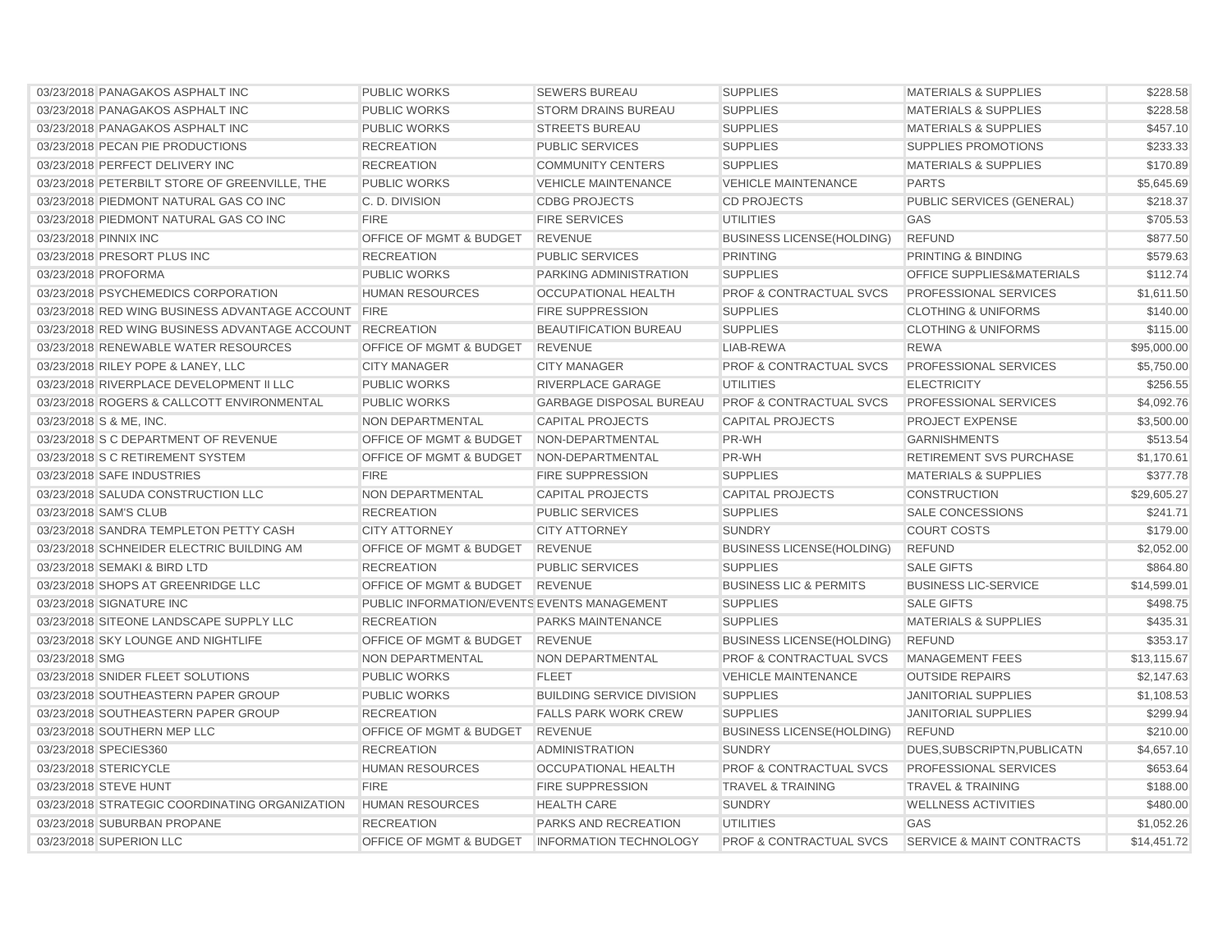| 03/23/2018 PANAGAKOS ASPHALT INC                          | <b>PUBLIC WORKS</b>                         | <b>SEWERS BUREAU</b>             | <b>SUPPLIES</b>                    | <b>MATERIALS &amp; SUPPLIES</b>      | \$228.58    |
|-----------------------------------------------------------|---------------------------------------------|----------------------------------|------------------------------------|--------------------------------------|-------------|
| 03/23/2018 PANAGAKOS ASPHALT INC                          | <b>PUBLIC WORKS</b>                         | <b>STORM DRAINS BUREAU</b>       | <b>SUPPLIES</b>                    | <b>MATERIALS &amp; SUPPLIES</b>      | \$228.58    |
| 03/23/2018 PANAGAKOS ASPHALT INC                          | <b>PUBLIC WORKS</b>                         | <b>STREETS BUREAU</b>            | <b>SUPPLIES</b>                    | <b>MATERIALS &amp; SUPPLIES</b>      | \$457.10    |
| 03/23/2018 PECAN PIE PRODUCTIONS                          | <b>RECREATION</b>                           | <b>PUBLIC SERVICES</b>           | <b>SUPPLIES</b>                    | <b>SUPPLIES PROMOTIONS</b>           | \$233.33    |
| 03/23/2018 PERFECT DELIVERY INC                           | <b>RECREATION</b>                           | <b>COMMUNITY CENTERS</b>         | <b>SUPPLIES</b>                    | <b>MATERIALS &amp; SUPPLIES</b>      | \$170.89    |
| 03/23/2018 PETERBILT STORE OF GREENVILLE, THE             | <b>PUBLIC WORKS</b>                         | <b>VEHICLE MAINTENANCE</b>       | <b>VEHICLE MAINTENANCE</b>         | <b>PARTS</b>                         | \$5,645.69  |
| 03/23/2018 PIEDMONT NATURAL GAS CO INC                    | C. D. DIVISION                              | <b>CDBG PROJECTS</b>             | <b>CD PROJECTS</b>                 | PUBLIC SERVICES (GENERAL)            | \$218.37    |
| 03/23/2018 PIEDMONT NATURAL GAS CO INC                    | <b>FIRE</b>                                 | <b>FIRE SERVICES</b>             | <b>UTILITIES</b>                   | GAS                                  | \$705.53    |
| 03/23/2018 PINNIX INC                                     | OFFICE OF MGMT & BUDGET                     | <b>REVENUE</b>                   | <b>BUSINESS LICENSE(HOLDING)</b>   | <b>REFUND</b>                        | \$877.50    |
| 03/23/2018 PRESORT PLUS INC                               | <b>RECREATION</b>                           | <b>PUBLIC SERVICES</b>           | <b>PRINTING</b>                    | PRINTING & BINDING                   | \$579.63    |
| 03/23/2018 PROFORMA                                       | <b>PUBLIC WORKS</b>                         | PARKING ADMINISTRATION           | <b>SUPPLIES</b>                    | <b>OFFICE SUPPLIES&amp;MATERIALS</b> | \$112.74    |
| 03/23/2018 PSYCHEMEDICS CORPORATION                       | <b>HUMAN RESOURCES</b>                      | OCCUPATIONAL HEALTH              | PROF & CONTRACTUAL SVCS            | PROFESSIONAL SERVICES                | \$1,611.50  |
| 03/23/2018 RED WING BUSINESS ADVANTAGE ACCOUNT FIRE       |                                             | <b>FIRE SUPPRESSION</b>          | <b>SUPPLIES</b>                    | <b>CLOTHING &amp; UNIFORMS</b>       | \$140.00    |
| 03/23/2018 RED WING BUSINESS ADVANTAGE ACCOUNT RECREATION |                                             | <b>BEAUTIFICATION BUREAU</b>     | <b>SUPPLIES</b>                    | <b>CLOTHING &amp; UNIFORMS</b>       | \$115.00    |
| 03/23/2018 RENEWABLE WATER RESOURCES                      | OFFICE OF MGMT & BUDGET                     | <b>REVENUE</b>                   | LIAB-REWA                          | <b>REWA</b>                          | \$95,000.00 |
| 03/23/2018 RILEY POPE & LANEY, LLC                        | <b>CITY MANAGER</b>                         | <b>CITY MANAGER</b>              | <b>PROF &amp; CONTRACTUAL SVCS</b> | PROFESSIONAL SERVICES                | \$5,750.00  |
| 03/23/2018 RIVERPLACE DEVELOPMENT II LLC                  | <b>PUBLIC WORKS</b>                         | RIVERPLACE GARAGE                | <b>UTILITIES</b>                   | <b>ELECTRICITY</b>                   | \$256.55    |
| 03/23/2018 ROGERS & CALLCOTT ENVIRONMENTAL                | <b>PUBLIC WORKS</b>                         | <b>GARBAGE DISPOSAL BUREAU</b>   | <b>PROF &amp; CONTRACTUAL SVCS</b> | PROFESSIONAL SERVICES                | \$4,092.76  |
| 03/23/2018 S & ME, INC.                                   | NON DEPARTMENTAL                            | <b>CAPITAL PROJECTS</b>          | <b>CAPITAL PROJECTS</b>            | <b>PROJECT EXPENSE</b>               | \$3,500.00  |
| 03/23/2018 S C DEPARTMENT OF REVENUE                      | OFFICE OF MGMT & BUDGET                     | NON-DEPARTMENTAL                 | PR-WH                              | <b>GARNISHMENTS</b>                  | \$513.54    |
| 03/23/2018 S C RETIREMENT SYSTEM                          | OFFICE OF MGMT & BUDGET                     | NON-DEPARTMENTAL                 | PR-WH                              | <b>RETIREMENT SVS PURCHASE</b>       | \$1,170.61  |
| 03/23/2018 SAFE INDUSTRIES                                | <b>FIRE</b>                                 | <b>FIRE SUPPRESSION</b>          | <b>SUPPLIES</b>                    | <b>MATERIALS &amp; SUPPLIES</b>      | \$377.78    |
| 03/23/2018 SALUDA CONSTRUCTION LLC                        | <b>NON DEPARTMENTAL</b>                     | <b>CAPITAL PROJECTS</b>          | <b>CAPITAL PROJECTS</b>            | <b>CONSTRUCTION</b>                  | \$29,605.27 |
| 03/23/2018 SAM'S CLUB                                     | <b>RECREATION</b>                           | <b>PUBLIC SERVICES</b>           | <b>SUPPLIES</b>                    | <b>SALE CONCESSIONS</b>              | \$241.71    |
| 03/23/2018 SANDRA TEMPLETON PETTY CASH                    | <b>CITY ATTORNEY</b>                        | <b>CITY ATTORNEY</b>             | <b>SUNDRY</b>                      | <b>COURT COSTS</b>                   | \$179.00    |
| 03/23/2018 SCHNEIDER ELECTRIC BUILDING AM                 | <b>OFFICE OF MGMT &amp; BUDGET</b>          | <b>REVENUE</b>                   | <b>BUSINESS LICENSE(HOLDING)</b>   | <b>REFUND</b>                        | \$2,052.00  |
| 03/23/2018 SEMAKI & BIRD LTD                              | <b>RECREATION</b>                           | <b>PUBLIC SERVICES</b>           | <b>SUPPLIES</b>                    | <b>SALE GIFTS</b>                    | \$864.80    |
| 03/23/2018 SHOPS AT GREENRIDGE LLC                        | OFFICE OF MGMT & BUDGET                     | <b>REVENUE</b>                   | <b>BUSINESS LIC &amp; PERMITS</b>  | <b>BUSINESS LIC-SERVICE</b>          | \$14,599.01 |
| 03/23/2018 SIGNATURE INC                                  | PUBLIC INFORMATION/EVENTS EVENTS MANAGEMENT |                                  | <b>SUPPLIES</b>                    | <b>SALE GIFTS</b>                    | \$498.75    |
| 03/23/2018 SITEONE LANDSCAPE SUPPLY LLC                   | <b>RECREATION</b>                           | <b>PARKS MAINTENANCE</b>         | <b>SUPPLIES</b>                    | <b>MATERIALS &amp; SUPPLIES</b>      | \$435.31    |
| 03/23/2018 SKY LOUNGE AND NIGHTLIFE                       | <b>OFFICE OF MGMT &amp; BUDGET</b>          | <b>REVENUE</b>                   | <b>BUSINESS LICENSE(HOLDING)</b>   | <b>REFUND</b>                        | \$353.17    |
| 03/23/2018 SMG                                            | <b>NON DEPARTMENTAL</b>                     | NON DEPARTMENTAL                 | <b>PROF &amp; CONTRACTUAL SVCS</b> | <b>MANAGEMENT FEES</b>               | \$13,115.67 |
| 03/23/2018 SNIDER FLEET SOLUTIONS                         | <b>PUBLIC WORKS</b>                         | <b>FLEET</b>                     | <b>VEHICLE MAINTENANCE</b>         | <b>OUTSIDE REPAIRS</b>               | \$2,147.63  |
| 03/23/2018 SOUTHEASTERN PAPER GROUP                       | PUBLIC WORKS                                | <b>BUILDING SERVICE DIVISION</b> | <b>SUPPLIES</b>                    | <b>JANITORIAL SUPPLIES</b>           | \$1,108.53  |
| 03/23/2018 SOUTHEASTERN PAPER GROUP                       | <b>RECREATION</b>                           | <b>FALLS PARK WORK CREW</b>      | <b>SUPPLIES</b>                    | <b>JANITORIAL SUPPLIES</b>           | \$299.94    |
| 03/23/2018 SOUTHERN MEP LLC                               | OFFICE OF MGMT & BUDGET                     | <b>REVENUE</b>                   | <b>BUSINESS LICENSE(HOLDING)</b>   | <b>REFUND</b>                        | \$210.00    |
| 03/23/2018 SPECIES360                                     | <b>RECREATION</b>                           | <b>ADMINISTRATION</b>            | <b>SUNDRY</b>                      | DUES, SUBSCRIPTN, PUBLICATN          | \$4,657.10  |
| 03/23/2018 STERICYCLE                                     | <b>HUMAN RESOURCES</b>                      | <b>OCCUPATIONAL HEALTH</b>       | PROF & CONTRACTUAL SVCS            | PROFESSIONAL SERVICES                | \$653.64    |
| 03/23/2018 STEVE HUNT                                     | <b>FIRE</b>                                 | <b>FIRE SUPPRESSION</b>          | <b>TRAVEL &amp; TRAINING</b>       | <b>TRAVEL &amp; TRAINING</b>         | \$188.00    |
| 03/23/2018 STRATEGIC COORDINATING ORGANIZATION            | <b>HUMAN RESOURCES</b>                      | <b>HEALTH CARE</b>               | <b>SUNDRY</b>                      | <b>WELLNESS ACTIVITIES</b>           | \$480.00    |
| 03/23/2018 SUBURBAN PROPANE                               | <b>RECREATION</b>                           | <b>PARKS AND RECREATION</b>      | <b>UTILITIES</b>                   | GAS                                  | \$1,052.26  |
| 03/23/2018 SUPERION LLC                                   | OFFICE OF MGMT & BUDGET                     | <b>INFORMATION TECHNOLOGY</b>    | <b>PROF &amp; CONTRACTUAL SVCS</b> | <b>SERVICE &amp; MAINT CONTRACTS</b> | \$14,451.72 |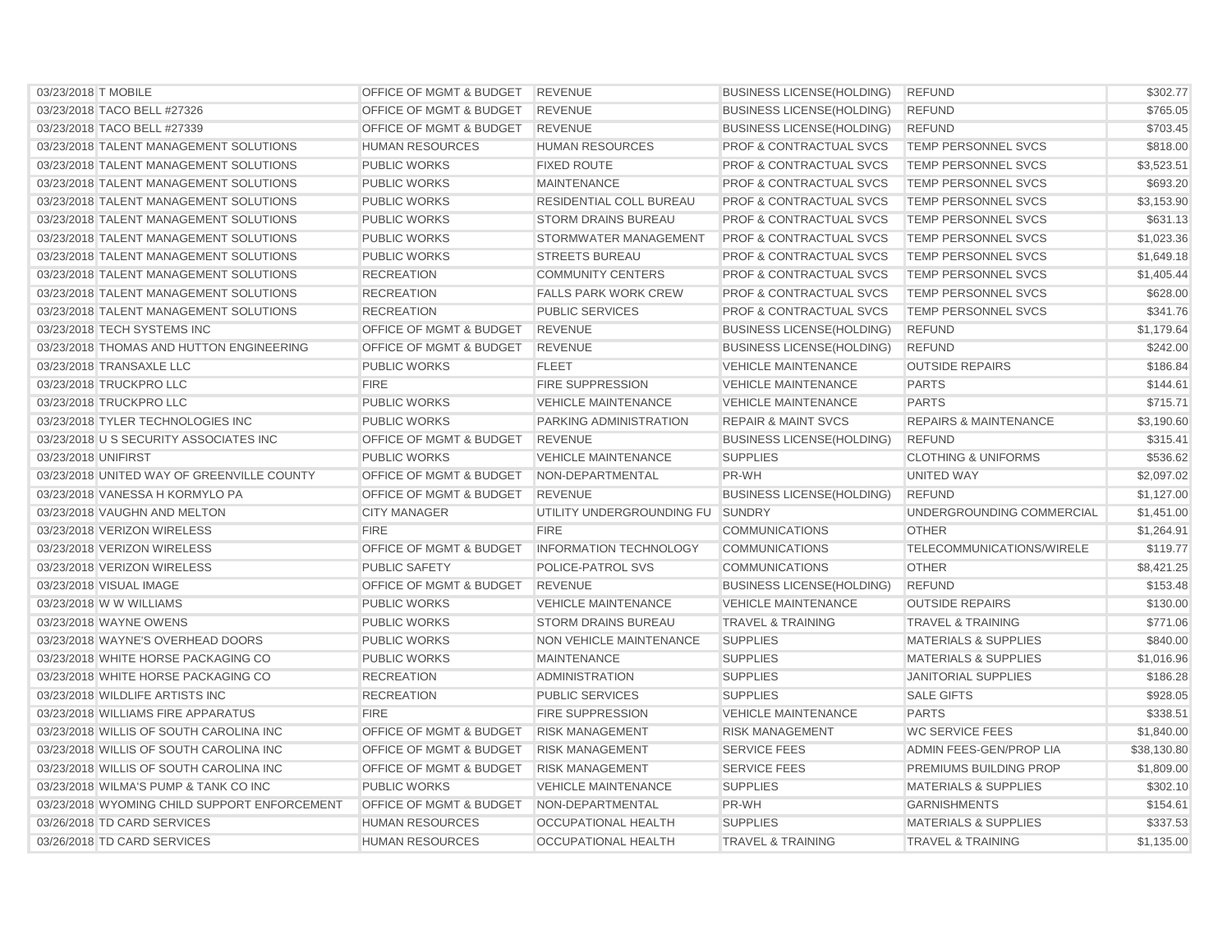| 03/23/2018 T MOBILE                          | <b>OFFICE OF MGMT &amp; BUDGET</b> | <b>REVENUE</b>                | <b>BUSINESS LICENSE(HOLDING)</b>   | <b>REFUND</b>                    | \$302.77    |
|----------------------------------------------|------------------------------------|-------------------------------|------------------------------------|----------------------------------|-------------|
| 03/23/2018 TACO BELL #27326                  | OFFICE OF MGMT & BUDGET            | <b>REVENUE</b>                | <b>BUSINESS LICENSE(HOLDING)</b>   | <b>REFUND</b>                    | \$765.05    |
| 03/23/2018 TACO BELL #27339                  | OFFICE OF MGMT & BUDGET            | <b>REVENUE</b>                | <b>BUSINESS LICENSE(HOLDING)</b>   | <b>REFUND</b>                    | \$703.45    |
| 03/23/2018 TALENT MANAGEMENT SOLUTIONS       | <b>HUMAN RESOURCES</b>             | <b>HUMAN RESOURCES</b>        | <b>PROF &amp; CONTRACTUAL SVCS</b> | TEMP PERSONNEL SVCS              | \$818.00    |
| 03/23/2018 TALENT MANAGEMENT SOLUTIONS       | <b>PUBLIC WORKS</b>                | <b>FIXED ROUTE</b>            | <b>PROF &amp; CONTRACTUAL SVCS</b> | <b>TEMP PERSONNEL SVCS</b>       | \$3,523.51  |
| 03/23/2018 TALENT MANAGEMENT SOLUTIONS       | <b>PUBLIC WORKS</b>                | <b>MAINTENANCE</b>            | <b>PROF &amp; CONTRACTUAL SVCS</b> | <b>TEMP PERSONNEL SVCS</b>       | \$693.20    |
| 03/23/2018 TALENT MANAGEMENT SOLUTIONS       | <b>PUBLIC WORKS</b>                | RESIDENTIAL COLL BUREAU       | <b>PROF &amp; CONTRACTUAL SVCS</b> | TEMP PERSONNEL SVCS              | \$3,153.90  |
| 03/23/2018 TALENT MANAGEMENT SOLUTIONS       | <b>PUBLIC WORKS</b>                | <b>STORM DRAINS BUREAU</b>    | <b>PROF &amp; CONTRACTUAL SVCS</b> | <b>TEMP PERSONNEL SVCS</b>       | \$631.13    |
| 03/23/2018 TALENT MANAGEMENT SOLUTIONS       | <b>PUBLIC WORKS</b>                | <b>STORMWATER MANAGEMENT</b>  | <b>PROF &amp; CONTRACTUAL SVCS</b> | <b>TEMP PERSONNEL SVCS</b>       | \$1,023.36  |
| 03/23/2018 TALENT MANAGEMENT SOLUTIONS       | <b>PUBLIC WORKS</b>                | <b>STREETS BUREAU</b>         | <b>PROF &amp; CONTRACTUAL SVCS</b> | <b>TEMP PERSONNEL SVCS</b>       | \$1,649.18  |
| 03/23/2018 TALENT MANAGEMENT SOLUTIONS       | <b>RECREATION</b>                  | <b>COMMUNITY CENTERS</b>      | <b>PROF &amp; CONTRACTUAL SVCS</b> | <b>TEMP PERSONNEL SVCS</b>       | \$1,405.44  |
| 03/23/2018 TALENT MANAGEMENT SOLUTIONS       | <b>RECREATION</b>                  | <b>FALLS PARK WORK CREW</b>   | <b>PROF &amp; CONTRACTUAL SVCS</b> | <b>TEMP PERSONNEL SVCS</b>       | \$628.00    |
| 03/23/2018 TALENT MANAGEMENT SOLUTIONS       | <b>RECREATION</b>                  | <b>PUBLIC SERVICES</b>        | <b>PROF &amp; CONTRACTUAL SVCS</b> | <b>TEMP PERSONNEL SVCS</b>       | \$341.76    |
| 03/23/2018 TECH SYSTEMS INC                  | OFFICE OF MGMT & BUDGET            | <b>REVENUE</b>                | <b>BUSINESS LICENSE(HOLDING)</b>   | <b>REFUND</b>                    | \$1,179.64  |
| 03/23/2018 THOMAS AND HUTTON ENGINEERING     | <b>OFFICE OF MGMT &amp; BUDGET</b> | <b>REVENUE</b>                | <b>BUSINESS LICENSE (HOLDING)</b>  | <b>REFUND</b>                    | \$242.00    |
| 03/23/2018 TRANSAXLE LLC                     | <b>PUBLIC WORKS</b>                | <b>FLEET</b>                  | <b>VEHICLE MAINTENANCE</b>         | <b>OUTSIDE REPAIRS</b>           | \$186.84    |
| 03/23/2018 TRUCKPRO LLC                      | <b>FIRE</b>                        | <b>FIRE SUPPRESSION</b>       | <b>VEHICLE MAINTENANCE</b>         | <b>PARTS</b>                     | \$144.61    |
| 03/23/2018 TRUCKPRO LLC                      | <b>PUBLIC WORKS</b>                | <b>VEHICLE MAINTENANCE</b>    | <b>VEHICLE MAINTENANCE</b>         | <b>PARTS</b>                     | \$715.71    |
| 03/23/2018 TYLER TECHNOLOGIES INC            | <b>PUBLIC WORKS</b>                | PARKING ADMINISTRATION        | <b>REPAIR &amp; MAINT SVCS</b>     | <b>REPAIRS &amp; MAINTENANCE</b> | \$3,190.60  |
| 03/23/2018 U S SECURITY ASSOCIATES INC       | OFFICE OF MGMT & BUDGET            | <b>REVENUE</b>                | <b>BUSINESS LICENSE(HOLDING)</b>   | <b>REFUND</b>                    | \$315.41    |
| 03/23/2018 UNIFIRST                          | <b>PUBLIC WORKS</b>                | <b>VEHICLE MAINTENANCE</b>    | <b>SUPPLIES</b>                    | <b>CLOTHING &amp; UNIFORMS</b>   | \$536.62    |
| 03/23/2018 UNITED WAY OF GREENVILLE COUNTY   | <b>OFFICE OF MGMT &amp; BUDGET</b> | NON-DEPARTMENTAL              | PR-WH                              | <b>UNITED WAY</b>                | \$2,097.02  |
| 03/23/2018 VANESSA H KORMYLO PA              | OFFICE OF MGMT & BUDGET            | <b>REVENUE</b>                | <b>BUSINESS LICENSE(HOLDING)</b>   | <b>REFUND</b>                    | \$1,127.00  |
| 03/23/2018 VAUGHN AND MELTON                 | <b>CITY MANAGER</b>                | UTILITY UNDERGROUNDING FU     | <b>SUNDRY</b>                      | UNDERGROUNDING COMMERCIAL        | \$1,451.00  |
| 03/23/2018 VERIZON WIRELESS                  | <b>FIRE</b>                        | <b>FIRE</b>                   | <b>COMMUNICATIONS</b>              | <b>OTHER</b>                     | \$1,264.91  |
| 03/23/2018 VERIZON WIRELESS                  | OFFICE OF MGMT & BUDGET            | <b>INFORMATION TECHNOLOGY</b> | <b>COMMUNICATIONS</b>              | TELECOMMUNICATIONS/WIRELE        | \$119.77    |
| 03/23/2018 VERIZON WIRELESS                  | <b>PUBLIC SAFETY</b>               | POLICE-PATROL SVS             | <b>COMMUNICATIONS</b>              | <b>OTHER</b>                     | \$8,421.25  |
| 03/23/2018 VISUAL IMAGE                      | OFFICE OF MGMT & BUDGET            | <b>REVENUE</b>                | <b>BUSINESS LICENSE(HOLDING)</b>   | <b>REFUND</b>                    | \$153.48    |
| 03/23/2018 W W WILLIAMS                      | <b>PUBLIC WORKS</b>                | <b>VEHICLE MAINTENANCE</b>    | <b>VEHICLE MAINTENANCE</b>         | <b>OUTSIDE REPAIRS</b>           | \$130.00    |
| 03/23/2018 WAYNE OWENS                       | <b>PUBLIC WORKS</b>                | <b>STORM DRAINS BUREAU</b>    | <b>TRAVEL &amp; TRAINING</b>       | <b>TRAVEL &amp; TRAINING</b>     | \$771.06    |
| 03/23/2018 WAYNE'S OVERHEAD DOORS            | <b>PUBLIC WORKS</b>                | NON VEHICLE MAINTENANCE       | <b>SUPPLIES</b>                    | <b>MATERIALS &amp; SUPPLIES</b>  | \$840.00    |
| 03/23/2018 WHITE HORSE PACKAGING CO          | <b>PUBLIC WORKS</b>                | <b>MAINTENANCE</b>            | <b>SUPPLIES</b>                    | <b>MATERIALS &amp; SUPPLIES</b>  | \$1,016.96  |
| 03/23/2018 WHITE HORSE PACKAGING CO          | <b>RECREATION</b>                  | <b>ADMINISTRATION</b>         | <b>SUPPLIES</b>                    | <b>JANITORIAL SUPPLIES</b>       | \$186.28    |
| 03/23/2018 WILDLIFE ARTISTS INC              | <b>RECREATION</b>                  | <b>PUBLIC SERVICES</b>        | <b>SUPPLIES</b>                    | <b>SALE GIFTS</b>                | \$928.05    |
| 03/23/2018 WILLIAMS FIRE APPARATUS           | <b>FIRE</b>                        | <b>FIRE SUPPRESSION</b>       | <b>VEHICLE MAINTENANCE</b>         | <b>PARTS</b>                     | \$338.51    |
| 03/23/2018 WILLIS OF SOUTH CAROLINA INC      | OFFICE OF MGMT & BUDGET            | <b>RISK MANAGEMENT</b>        | <b>RISK MANAGEMENT</b>             | <b>WC SERVICE FEES</b>           | \$1,840.00  |
| 03/23/2018 WILLIS OF SOUTH CAROLINA INC      | OFFICE OF MGMT & BUDGET            | <b>RISK MANAGEMENT</b>        | <b>SERVICE FEES</b>                | ADMIN FEES-GEN/PROP LIA          | \$38,130.80 |
| 03/23/2018 WILLIS OF SOUTH CAROLINA INC      | OFFICE OF MGMT & BUDGET            | <b>RISK MANAGEMENT</b>        | <b>SERVICE FEES</b>                | PREMIUMS BUILDING PROP           | \$1,809.00  |
| 03/23/2018 WILMA'S PUMP & TANK CO INC        | <b>PUBLIC WORKS</b>                | <b>VEHICLE MAINTENANCE</b>    | <b>SUPPLIES</b>                    | <b>MATERIALS &amp; SUPPLIES</b>  | \$302.10    |
| 03/23/2018 WYOMING CHILD SUPPORT ENFORCEMENT | OFFICE OF MGMT & BUDGET            | NON-DEPARTMENTAL              | PR-WH                              | <b>GARNISHMENTS</b>              | \$154.61    |
| 03/26/2018 TD CARD SERVICES                  | <b>HUMAN RESOURCES</b>             | <b>OCCUPATIONAL HEALTH</b>    | <b>SUPPLIES</b>                    | <b>MATERIALS &amp; SUPPLIES</b>  | \$337.53    |
| 03/26/2018 TD CARD SERVICES                  | <b>HUMAN RESOURCES</b>             | <b>OCCUPATIONAL HEALTH</b>    | <b>TRAVEL &amp; TRAINING</b>       | <b>TRAVEL &amp; TRAINING</b>     | \$1,135.00  |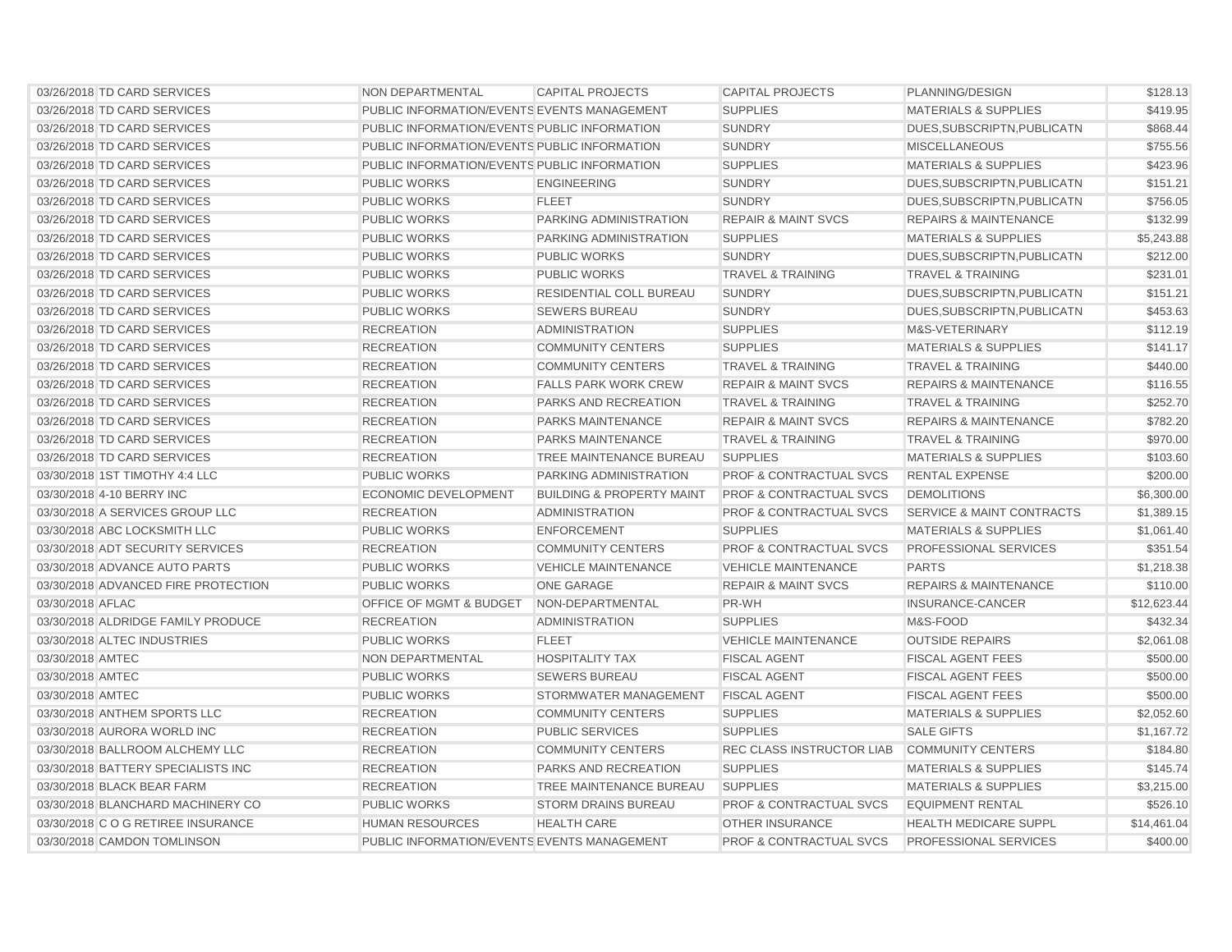| 03/26/2018 TD CARD SERVICES         | NON DEPARTMENTAL                             | <b>CAPITAL PROJECTS</b>              | <b>CAPITAL PROJECTS</b>            | PLANNING/DESIGN                      | \$128.13    |
|-------------------------------------|----------------------------------------------|--------------------------------------|------------------------------------|--------------------------------------|-------------|
| 03/26/2018 TD CARD SERVICES         | PUBLIC INFORMATION/EVENTS EVENTS MANAGEMENT  |                                      | <b>SUPPLIES</b>                    | <b>MATERIALS &amp; SUPPLIES</b>      | \$419.95    |
| 03/26/2018 TD CARD SERVICES         | PUBLIC INFORMATION/EVENTS PUBLIC INFORMATION |                                      | <b>SUNDRY</b>                      | DUES.SUBSCRIPTN.PUBLICATN            | \$868.44    |
| 03/26/2018 TD CARD SERVICES         | PUBLIC INFORMATION/EVENTS PUBLIC INFORMATION |                                      | <b>SUNDRY</b>                      | <b>MISCELLANEOUS</b>                 | \$755.56    |
| 03/26/2018 TD CARD SERVICES         | PUBLIC INFORMATION/EVENTS PUBLIC INFORMATION |                                      | <b>SUPPLIES</b>                    | <b>MATERIALS &amp; SUPPLIES</b>      | \$423.96    |
| 03/26/2018 TD CARD SERVICES         | <b>PUBLIC WORKS</b>                          | <b>ENGINEERING</b>                   | <b>SUNDRY</b>                      | DUES, SUBSCRIPTN, PUBLICATN          | \$151.21    |
| 03/26/2018 TD CARD SERVICES         | <b>PUBLIC WORKS</b>                          | <b>FLEET</b>                         | <b>SUNDRY</b>                      | DUES, SUBSCRIPTN, PUBLICATN          | \$756.05    |
| 03/26/2018 TD CARD SERVICES         | <b>PUBLIC WORKS</b>                          | <b>PARKING ADMINISTRATION</b>        | <b>REPAIR &amp; MAINT SVCS</b>     | <b>REPAIRS &amp; MAINTENANCE</b>     | \$132.99    |
| 03/26/2018 TD CARD SERVICES         | <b>PUBLIC WORKS</b>                          | <b>PARKING ADMINISTRATION</b>        | <b>SUPPLIES</b>                    | <b>MATERIALS &amp; SUPPLIES</b>      | \$5,243.88  |
| 03/26/2018 TD CARD SERVICES         | <b>PUBLIC WORKS</b>                          | <b>PUBLIC WORKS</b>                  | <b>SUNDRY</b>                      | DUES, SUBSCRIPTN, PUBLICATN          | \$212.00    |
| 03/26/2018 TD CARD SERVICES         | <b>PUBLIC WORKS</b>                          | <b>PUBLIC WORKS</b>                  | <b>TRAVEL &amp; TRAINING</b>       | <b>TRAVEL &amp; TRAINING</b>         | \$231.01    |
| 03/26/2018 TD CARD SERVICES         | <b>PUBLIC WORKS</b>                          | <b>RESIDENTIAL COLL BUREAU</b>       | <b>SUNDRY</b>                      | DUES, SUBSCRIPTN, PUBLICATN          | \$151.21    |
| 03/26/2018 TD CARD SERVICES         | <b>PUBLIC WORKS</b>                          | <b>SEWERS BUREAU</b>                 | <b>SUNDRY</b>                      | DUES, SUBSCRIPTN, PUBLICATN          | \$453.63    |
| 03/26/2018 TD CARD SERVICES         | <b>RECREATION</b>                            | ADMINISTRATION                       | <b>SUPPLIES</b>                    | M&S-VETERINARY                       | \$112.19    |
| 03/26/2018 TD CARD SERVICES         | <b>RECREATION</b>                            | <b>COMMUNITY CENTERS</b>             | <b>SUPPLIES</b>                    | <b>MATERIALS &amp; SUPPLIES</b>      | \$141.17    |
| 03/26/2018 TD CARD SERVICES         | <b>RECREATION</b>                            | <b>COMMUNITY CENTERS</b>             | <b>TRAVEL &amp; TRAINING</b>       | <b>TRAVEL &amp; TRAINING</b>         | \$440.00    |
| 03/26/2018 TD CARD SERVICES         | <b>RECREATION</b>                            | <b>FALLS PARK WORK CREW</b>          | <b>REPAIR &amp; MAINT SVCS</b>     | <b>REPAIRS &amp; MAINTENANCE</b>     | \$116.55    |
| 03/26/2018 TD CARD SERVICES         | <b>RECREATION</b>                            | PARKS AND RECREATION                 | <b>TRAVEL &amp; TRAINING</b>       | <b>TRAVEL &amp; TRAINING</b>         | \$252.70    |
| 03/26/2018 TD CARD SERVICES         | <b>RECREATION</b>                            | <b>PARKS MAINTENANCE</b>             | <b>REPAIR &amp; MAINT SVCS</b>     | <b>REPAIRS &amp; MAINTENANCE</b>     | \$782.20    |
| 03/26/2018 TD CARD SERVICES         | <b>RECREATION</b>                            | <b>PARKS MAINTENANCE</b>             | <b>TRAVEL &amp; TRAINING</b>       | <b>TRAVEL &amp; TRAINING</b>         | \$970.00    |
| 03/26/2018 TD CARD SERVICES         | <b>RECREATION</b>                            | TREE MAINTENANCE BUREAU              | <b>SUPPLIES</b>                    | <b>MATERIALS &amp; SUPPLIES</b>      | \$103.60    |
| 03/30/2018 1ST TIMOTHY 4:4 LLC      | <b>PUBLIC WORKS</b>                          | PARKING ADMINISTRATION               | <b>PROF &amp; CONTRACTUAL SVCS</b> | <b>RENTAL EXPENSE</b>                | \$200.00    |
| 03/30/2018 4-10 BERRY INC           | <b>ECONOMIC DEVELOPMENT</b>                  | <b>BUILDING &amp; PROPERTY MAINT</b> | <b>PROF &amp; CONTRACTUAL SVCS</b> | <b>DEMOLITIONS</b>                   | \$6,300.00  |
| 03/30/2018 A SERVICES GROUP LLC     | <b>RECREATION</b>                            | <b>ADMINISTRATION</b>                | <b>PROF &amp; CONTRACTUAL SVCS</b> | <b>SERVICE &amp; MAINT CONTRACTS</b> | \$1,389.15  |
| 03/30/2018 ABC LOCKSMITH LLC        | <b>PUBLIC WORKS</b>                          | <b>ENFORCEMENT</b>                   | <b>SUPPLIES</b>                    | <b>MATERIALS &amp; SUPPLIES</b>      | \$1,061.40  |
| 03/30/2018 ADT SECURITY SERVICES    | <b>RECREATION</b>                            | <b>COMMUNITY CENTERS</b>             | <b>PROF &amp; CONTRACTUAL SVCS</b> | PROFESSIONAL SERVICES                | \$351.54    |
| 03/30/2018 ADVANCE AUTO PARTS       | <b>PUBLIC WORKS</b>                          | <b>VEHICLE MAINTENANCE</b>           | <b>VEHICLE MAINTENANCE</b>         | <b>PARTS</b>                         | \$1,218.38  |
| 03/30/2018 ADVANCED FIRE PROTECTION | <b>PUBLIC WORKS</b>                          | <b>ONE GARAGE</b>                    | <b>REPAIR &amp; MAINT SVCS</b>     | <b>REPAIRS &amp; MAINTENANCE</b>     | \$110.00    |
| 03/30/2018 AFLAC                    | OFFICE OF MGMT & BUDGET                      | NON-DEPARTMENTAL                     | PR-WH                              | <b>INSURANCE-CANCER</b>              | \$12,623.44 |
| 03/30/2018 ALDRIDGE FAMILY PRODUCE  | <b>RECREATION</b>                            | <b>ADMINISTRATION</b>                | <b>SUPPLIES</b>                    | M&S-FOOD                             | \$432.34    |
| 03/30/2018 ALTEC INDUSTRIES         | <b>PUBLIC WORKS</b>                          | <b>FLEET</b>                         | <b>VEHICLE MAINTENANCE</b>         | <b>OUTSIDE REPAIRS</b>               | \$2,061.08  |
| 03/30/2018 AMTEC                    | NON DEPARTMENTAL                             | <b>HOSPITALITY TAX</b>               | <b>FISCAL AGENT</b>                | <b>FISCAL AGENT FEES</b>             | \$500.00    |
| 03/30/2018 AMTEC                    | <b>PUBLIC WORKS</b>                          | <b>SEWERS BUREAU</b>                 | <b>FISCAL AGENT</b>                | <b>FISCAL AGENT FEES</b>             | \$500.00    |
| 03/30/2018 AMTEC                    | <b>PUBLIC WORKS</b>                          | <b>STORMWATER MANAGEMENT</b>         | <b>FISCAL AGENT</b>                | <b>FISCAL AGENT FEES</b>             | \$500.00    |
| 03/30/2018 ANTHEM SPORTS LLC        | <b>RECREATION</b>                            | <b>COMMUNITY CENTERS</b>             | <b>SUPPLIES</b>                    | <b>MATERIALS &amp; SUPPLIES</b>      | \$2,052.60  |
| 03/30/2018 AURORA WORLD INC         | <b>RECREATION</b>                            | <b>PUBLIC SERVICES</b>               | <b>SUPPLIES</b>                    | <b>SALE GIFTS</b>                    | \$1,167.72  |
| 03/30/2018 BALLROOM ALCHEMY LLC     | <b>RECREATION</b>                            | <b>COMMUNITY CENTERS</b>             | <b>REC CLASS INSTRUCTOR LIAB</b>   | <b>COMMUNITY CENTERS</b>             | \$184.80    |
| 03/30/2018 BATTERY SPECIALISTS INC  | <b>RECREATION</b>                            | PARKS AND RECREATION                 | <b>SUPPLIES</b>                    | <b>MATERIALS &amp; SUPPLIES</b>      | \$145.74    |
| 03/30/2018 BLACK BEAR FARM          | <b>RECREATION</b>                            | <b>TREE MAINTENANCE BUREAU</b>       | <b>SUPPLIES</b>                    | <b>MATERIALS &amp; SUPPLIES</b>      | \$3,215.00  |
| 03/30/2018 BLANCHARD MACHINERY CO   | <b>PUBLIC WORKS</b>                          | <b>STORM DRAINS BUREAU</b>           | <b>PROF &amp; CONTRACTUAL SVCS</b> | <b>EQUIPMENT RENTAL</b>              | \$526.10    |
| 03/30/2018 C O G RETIREE INSURANCE  | <b>HUMAN RESOURCES</b>                       | <b>HEALTH CARE</b>                   | <b>OTHER INSURANCE</b>             | <b>HEALTH MEDICARE SUPPL</b>         | \$14,461.04 |
| 03/30/2018 CAMDON TOMLINSON         | PUBLIC INFORMATION/EVENTS EVENTS MANAGEMENT  |                                      | <b>PROF &amp; CONTRACTUAL SVCS</b> | <b>PROFESSIONAL SERVICES</b>         | \$400.00    |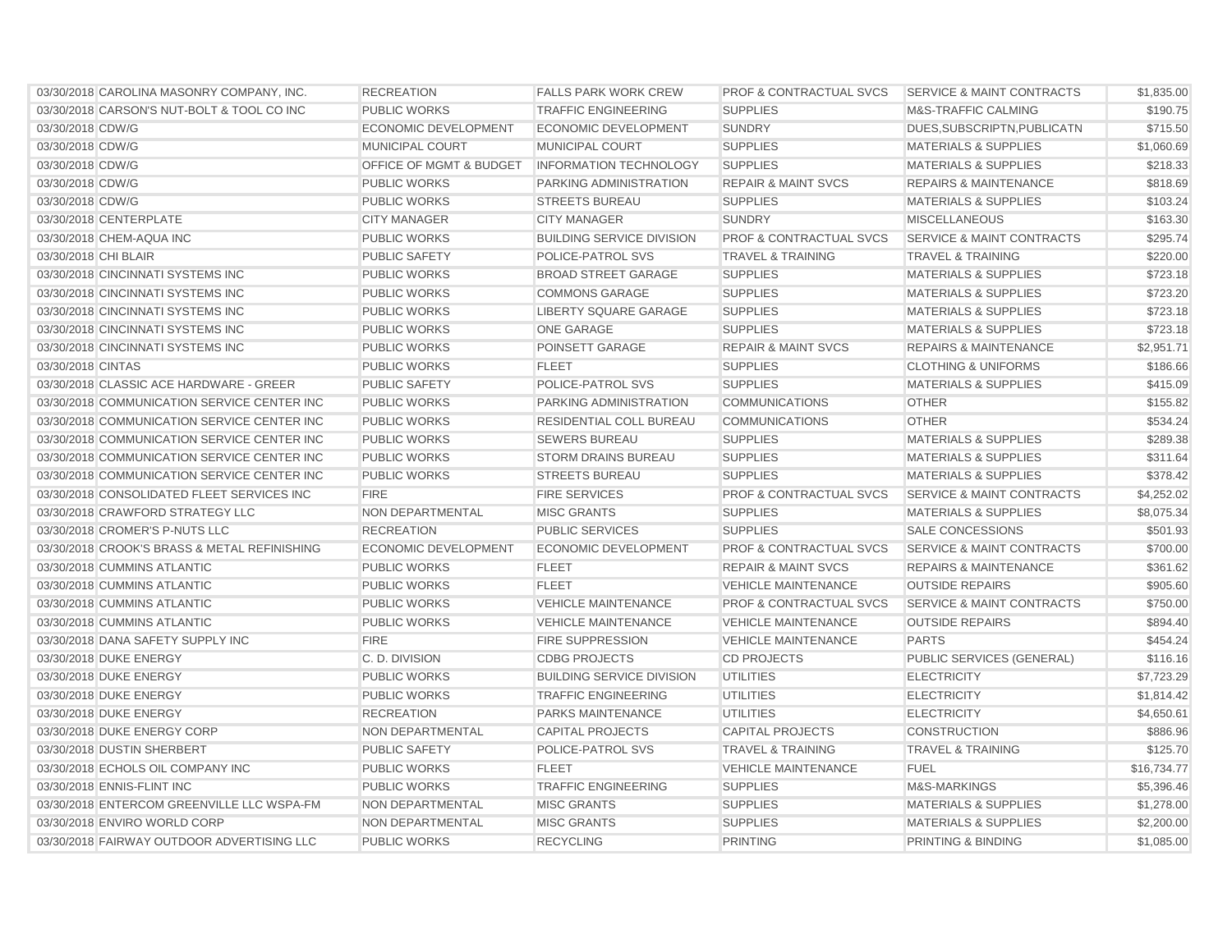| 03/30/2018 CAROLINA MASONRY COMPANY, INC.    | <b>RECREATION</b>           | <b>FALLS PARK WORK CREW</b>      | <b>PROF &amp; CONTRACTUAL SVCS</b> | <b>SERVICE &amp; MAINT CONTRACTS</b> | \$1,835.00  |
|----------------------------------------------|-----------------------------|----------------------------------|------------------------------------|--------------------------------------|-------------|
| 03/30/2018 CARSON'S NUT-BOLT & TOOL CO INC   | <b>PUBLIC WORKS</b>         | <b>TRAFFIC ENGINEERING</b>       | <b>SUPPLIES</b>                    | <b>M&amp;S-TRAFFIC CALMING</b>       | \$190.75    |
| 03/30/2018 CDW/G                             | ECONOMIC DEVELOPMENT        | ECONOMIC DEVELOPMENT             | <b>SUNDRY</b>                      | DUES, SUBSCRIPTN, PUBLICATN          | \$715.50    |
| 03/30/2018 CDW/G                             | MUNICIPAL COURT             | MUNICIPAL COURT                  | <b>SUPPLIES</b>                    | <b>MATERIALS &amp; SUPPLIES</b>      | \$1,060.69  |
| 03/30/2018 CDW/G                             | OFFICE OF MGMT & BUDGET     | <b>INFORMATION TECHNOLOGY</b>    | <b>SUPPLIES</b>                    | <b>MATERIALS &amp; SUPPLIES</b>      | \$218.33    |
| 03/30/2018 CDW/G                             | <b>PUBLIC WORKS</b>         | PARKING ADMINISTRATION           | <b>REPAIR &amp; MAINT SVCS</b>     | <b>REPAIRS &amp; MAINTENANCE</b>     | \$818.69    |
| 03/30/2018 CDW/G                             | <b>PUBLIC WORKS</b>         | <b>STREETS BUREAU</b>            | <b>SUPPLIES</b>                    | <b>MATERIALS &amp; SUPPLIES</b>      | \$103.24    |
| 03/30/2018 CENTERPLATE                       | <b>CITY MANAGER</b>         | <b>CITY MANAGER</b>              | <b>SUNDRY</b>                      | <b>MISCELLANEOUS</b>                 | \$163.30    |
| 03/30/2018 CHEM-AQUA INC                     | <b>PUBLIC WORKS</b>         | <b>BUILDING SERVICE DIVISION</b> | PROF & CONTRACTUAL SVCS            | <b>SERVICE &amp; MAINT CONTRACTS</b> | \$295.74    |
| 03/30/2018 CHI BLAIR                         | <b>PUBLIC SAFETY</b>        | POLICE-PATROL SVS                | <b>TRAVEL &amp; TRAINING</b>       | <b>TRAVEL &amp; TRAINING</b>         | \$220.00    |
| 03/30/2018 CINCINNATI SYSTEMS INC            | <b>PUBLIC WORKS</b>         | <b>BROAD STREET GARAGE</b>       | <b>SUPPLIES</b>                    | <b>MATERIALS &amp; SUPPLIES</b>      | \$723.18    |
| 03/30/2018 CINCINNATI SYSTEMS INC            | PUBLIC WORKS                | <b>COMMONS GARAGE</b>            | <b>SUPPLIES</b>                    | <b>MATERIALS &amp; SUPPLIES</b>      | \$723.20    |
| 03/30/2018 CINCINNATI SYSTEMS INC            | <b>PUBLIC WORKS</b>         | <b>LIBERTY SQUARE GARAGE</b>     | <b>SUPPLIES</b>                    | <b>MATERIALS &amp; SUPPLIES</b>      | \$723.18    |
| 03/30/2018 CINCINNATI SYSTEMS INC            | <b>PUBLIC WORKS</b>         | <b>ONE GARAGE</b>                | <b>SUPPLIES</b>                    | <b>MATERIALS &amp; SUPPLIES</b>      | \$723.18    |
| 03/30/2018 CINCINNATI SYSTEMS INC            | <b>PUBLIC WORKS</b>         | POINSETT GARAGE                  | <b>REPAIR &amp; MAINT SVCS</b>     | <b>REPAIRS &amp; MAINTENANCE</b>     | \$2,951.71  |
| 03/30/2018 CINTAS                            | <b>PUBLIC WORKS</b>         | <b>FLEET</b>                     | <b>SUPPLIES</b>                    | <b>CLOTHING &amp; UNIFORMS</b>       | \$186.66    |
| 03/30/2018 CLASSIC ACE HARDWARE - GREER      | <b>PUBLIC SAFETY</b>        | POLICE-PATROL SVS                | <b>SUPPLIES</b>                    | <b>MATERIALS &amp; SUPPLIES</b>      | \$415.09    |
| 03/30/2018 COMMUNICATION SERVICE CENTER INC  | <b>PUBLIC WORKS</b>         | <b>PARKING ADMINISTRATION</b>    | <b>COMMUNICATIONS</b>              | <b>OTHER</b>                         | \$155.82    |
| 03/30/2018 COMMUNICATION SERVICE CENTER INC  | <b>PUBLIC WORKS</b>         | RESIDENTIAL COLL BUREAU          | <b>COMMUNICATIONS</b>              | <b>OTHER</b>                         | \$534.24    |
| 03/30/2018 COMMUNICATION SERVICE CENTER INC  | <b>PUBLIC WORKS</b>         | <b>SEWERS BUREAU</b>             | <b>SUPPLIES</b>                    | <b>MATERIALS &amp; SUPPLIES</b>      | \$289.38    |
| 03/30/2018 COMMUNICATION SERVICE CENTER INC  | <b>PUBLIC WORKS</b>         | <b>STORM DRAINS BUREAU</b>       | <b>SUPPLIES</b>                    | <b>MATERIALS &amp; SUPPLIES</b>      | \$311.64    |
| 03/30/2018 COMMUNICATION SERVICE CENTER INC  | <b>PUBLIC WORKS</b>         | <b>STREETS BUREAU</b>            | <b>SUPPLIES</b>                    | <b>MATERIALS &amp; SUPPLIES</b>      | \$378.42    |
| 03/30/2018 CONSOLIDATED FLEET SERVICES INC   | <b>FIRE</b>                 | <b>FIRE SERVICES</b>             | <b>PROF &amp; CONTRACTUAL SVCS</b> | <b>SERVICE &amp; MAINT CONTRACTS</b> | \$4,252.02  |
| 03/30/2018 CRAWFORD STRATEGY LLC             | <b>NON DEPARTMENTAL</b>     | <b>MISC GRANTS</b>               | <b>SUPPLIES</b>                    | <b>MATERIALS &amp; SUPPLIES</b>      | \$8,075.34  |
| 03/30/2018 CROMER'S P-NUTS LLC               | <b>RECREATION</b>           | <b>PUBLIC SERVICES</b>           | <b>SUPPLIES</b>                    | <b>SALE CONCESSIONS</b>              | \$501.93    |
| 03/30/2018 CROOK'S BRASS & METAL REFINISHING | <b>ECONOMIC DEVELOPMENT</b> | <b>ECONOMIC DEVELOPMENT</b>      | <b>PROF &amp; CONTRACTUAL SVCS</b> | <b>SERVICE &amp; MAINT CONTRACTS</b> | \$700.00    |
| 03/30/2018 CUMMINS ATLANTIC                  | <b>PUBLIC WORKS</b>         | <b>FLEET</b>                     | <b>REPAIR &amp; MAINT SVCS</b>     | <b>REPAIRS &amp; MAINTENANCE</b>     | \$361.62    |
| 03/30/2018 CUMMINS ATLANTIC                  | <b>PUBLIC WORKS</b>         | <b>FLEET</b>                     | <b>VEHICLE MAINTENANCE</b>         | <b>OUTSIDE REPAIRS</b>               | \$905.60    |
| 03/30/2018 CUMMINS ATLANTIC                  | <b>PUBLIC WORKS</b>         | <b>VEHICLE MAINTENANCE</b>       | <b>PROF &amp; CONTRACTUAL SVCS</b> | <b>SERVICE &amp; MAINT CONTRACTS</b> | \$750.00    |
| 03/30/2018 CUMMINS ATLANTIC                  | <b>PUBLIC WORKS</b>         | <b>VEHICLE MAINTENANCE</b>       | <b>VEHICLE MAINTENANCE</b>         | <b>OUTSIDE REPAIRS</b>               | \$894.40    |
| 03/30/2018 DANA SAFETY SUPPLY INC            | <b>FIRE</b>                 | <b>FIRE SUPPRESSION</b>          | <b>VEHICLE MAINTENANCE</b>         | <b>PARTS</b>                         | \$454.24    |
| 03/30/2018 DUKE ENERGY                       | C. D. DIVISION              | <b>CDBG PROJECTS</b>             | <b>CD PROJECTS</b>                 | PUBLIC SERVICES (GENERAL)            | \$116.16    |
| 03/30/2018 DUKE ENERGY                       | <b>PUBLIC WORKS</b>         | <b>BUILDING SERVICE DIVISION</b> | <b>UTILITIES</b>                   | <b>ELECTRICITY</b>                   | \$7,723.29  |
| 03/30/2018 DUKE ENERGY                       | <b>PUBLIC WORKS</b>         | <b>TRAFFIC ENGINEERING</b>       | <b>UTILITIES</b>                   | <b>ELECTRICITY</b>                   | \$1,814.42  |
| 03/30/2018 DUKE ENERGY                       | <b>RECREATION</b>           | <b>PARKS MAINTENANCE</b>         | <b>UTILITIES</b>                   | <b>ELECTRICITY</b>                   | \$4,650.61  |
| 03/30/2018 DUKE ENERGY CORP                  | NON DEPARTMENTAL            | <b>CAPITAL PROJECTS</b>          | <b>CAPITAL PROJECTS</b>            | <b>CONSTRUCTION</b>                  | \$886.96    |
| 03/30/2018 DUSTIN SHERBERT                   | <b>PUBLIC SAFETY</b>        | POLICE-PATROL SVS                | <b>TRAVEL &amp; TRAINING</b>       | <b>TRAVEL &amp; TRAINING</b>         | \$125.70    |
| 03/30/2018 ECHOLS OIL COMPANY INC            | <b>PUBLIC WORKS</b>         | <b>FLEET</b>                     | <b>VEHICLE MAINTENANCE</b>         | <b>FUEL</b>                          | \$16,734.77 |
| 03/30/2018 ENNIS-FLINT INC                   | <b>PUBLIC WORKS</b>         | <b>TRAFFIC ENGINEERING</b>       | <b>SUPPLIES</b>                    | <b>M&amp;S-MARKINGS</b>              | \$5,396.46  |
| 03/30/2018 ENTERCOM GREENVILLE LLC WSPA-FM   | NON DEPARTMENTAL            | <b>MISC GRANTS</b>               | <b>SUPPLIES</b>                    | <b>MATERIALS &amp; SUPPLIES</b>      | \$1,278.00  |
| 03/30/2018 ENVIRO WORLD CORP                 | NON DEPARTMENTAL            | <b>MISC GRANTS</b>               | <b>SUPPLIES</b>                    | <b>MATERIALS &amp; SUPPLIES</b>      | \$2,200.00  |
| 03/30/2018 FAIRWAY OUTDOOR ADVERTISING LLC   | <b>PUBLIC WORKS</b>         | <b>RECYCLING</b>                 | <b>PRINTING</b>                    | PRINTING & BINDING                   | \$1,085.00  |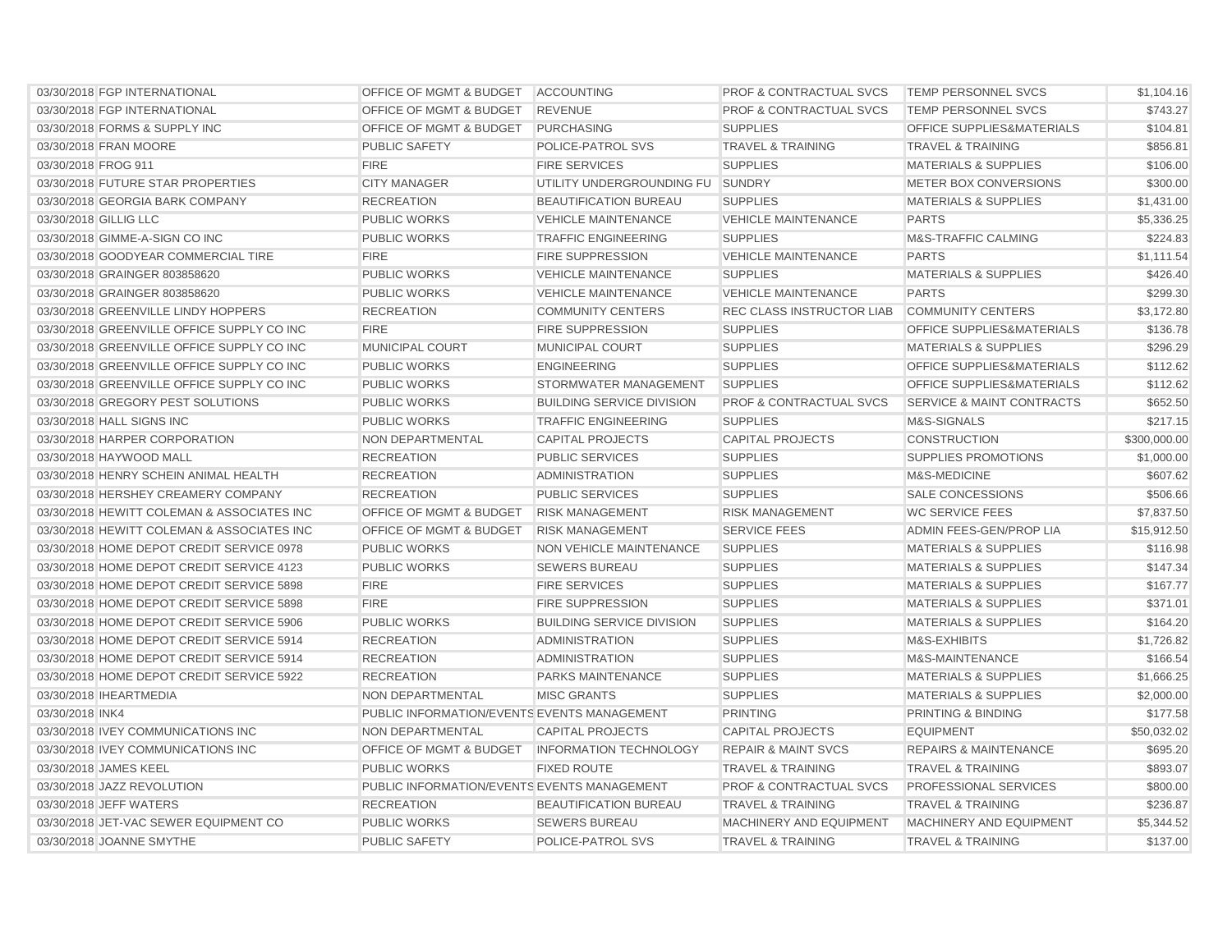| 03/30/2018 FGP INTERNATIONAL               | OFFICE OF MGMT & BUDGET ACCOUNTING          |                                  | <b>PROF &amp; CONTRACTUAL SVCS</b> | <b>TEMP PERSONNEL SVCS</b>           | \$1,104.16   |
|--------------------------------------------|---------------------------------------------|----------------------------------|------------------------------------|--------------------------------------|--------------|
| 03/30/2018 FGP INTERNATIONAL               | OFFICE OF MGMT & BUDGET                     | <b>REVENUE</b>                   | <b>PROF &amp; CONTRACTUAL SVCS</b> | <b>TEMP PERSONNEL SVCS</b>           | \$743.27     |
| 03/30/2018 FORMS & SUPPLY INC              | <b>OFFICE OF MGMT &amp; BUDGET</b>          | <b>PURCHASING</b>                | <b>SUPPLIES</b>                    | <b>OFFICE SUPPLIES&amp;MATERIALS</b> | \$104.81     |
| 03/30/2018 FRAN MOORE                      | <b>PUBLIC SAFETY</b>                        | <b>POLICE-PATROL SVS</b>         | <b>TRAVEL &amp; TRAINING</b>       | <b>TRAVEL &amp; TRAINING</b>         | \$856.81     |
| 03/30/2018 FROG 911                        | <b>FIRE</b>                                 | <b>FIRE SERVICES</b>             | <b>SUPPLIES</b>                    | <b>MATERIALS &amp; SUPPLIES</b>      | \$106.00     |
| 03/30/2018 FUTURE STAR PROPERTIES          | <b>CITY MANAGER</b>                         | UTILITY UNDERGROUNDING FU SUNDRY |                                    | METER BOX CONVERSIONS                | \$300.00     |
| 03/30/2018 GEORGIA BARK COMPANY            | <b>RECREATION</b>                           | <b>BEAUTIFICATION BUREAU</b>     | <b>SUPPLIES</b>                    | <b>MATERIALS &amp; SUPPLIES</b>      | \$1,431.00   |
| 03/30/2018 GILLIG LLC                      | <b>PUBLIC WORKS</b>                         | <b>VEHICLE MAINTENANCE</b>       | <b>VEHICLE MAINTENANCE</b>         | <b>PARTS</b>                         | \$5,336.25   |
| 03/30/2018 GIMME-A-SIGN CO INC             | <b>PUBLIC WORKS</b>                         | <b>TRAFFIC ENGINEERING</b>       | <b>SUPPLIES</b>                    | <b>M&amp;S-TRAFFIC CALMING</b>       | \$224.83     |
| 03/30/2018 GOODYEAR COMMERCIAL TIRE        | <b>FIRE</b>                                 | <b>FIRE SUPPRESSION</b>          | <b>VEHICLE MAINTENANCE</b>         | <b>PARTS</b>                         | \$1,111.54   |
| 03/30/2018 GRAINGER 803858620              | <b>PUBLIC WORKS</b>                         | <b>VEHICLE MAINTENANCE</b>       | <b>SUPPLIES</b>                    | <b>MATERIALS &amp; SUPPLIES</b>      | \$426.40     |
| 03/30/2018 GRAINGER 803858620              | <b>PUBLIC WORKS</b>                         | <b>VEHICLE MAINTENANCE</b>       | <b>VEHICLE MAINTENANCE</b>         | <b>PARTS</b>                         | \$299.30     |
| 03/30/2018 GREENVILLE LINDY HOPPERS        | <b>RECREATION</b>                           | <b>COMMUNITY CENTERS</b>         | REC CLASS INSTRUCTOR LIAB          | <b>COMMUNITY CENTERS</b>             | \$3,172.80   |
| 03/30/2018 GREENVILLE OFFICE SUPPLY CO INC | <b>FIRE</b>                                 | <b>FIRE SUPPRESSION</b>          | <b>SUPPLIES</b>                    | <b>OFFICE SUPPLIES&amp;MATERIALS</b> | \$136.78     |
| 03/30/2018 GREENVILLE OFFICE SUPPLY CO INC | <b>MUNICIPAL COURT</b>                      | <b>MUNICIPAL COURT</b>           | <b>SUPPLIES</b>                    | <b>MATERIALS &amp; SUPPLIES</b>      | \$296.29     |
| 03/30/2018 GREENVILLE OFFICE SUPPLY CO INC | <b>PUBLIC WORKS</b>                         | <b>ENGINEERING</b>               | <b>SUPPLIES</b>                    | <b>OFFICE SUPPLIES&amp;MATERIALS</b> | \$112.62     |
| 03/30/2018 GREENVILLE OFFICE SUPPLY CO INC | <b>PUBLIC WORKS</b>                         | STORMWATER MANAGEMENT            | <b>SUPPLIES</b>                    | <b>OFFICE SUPPLIES&amp;MATERIALS</b> | \$112.62     |
| 03/30/2018 GREGORY PEST SOLUTIONS          | <b>PUBLIC WORKS</b>                         | <b>BUILDING SERVICE DIVISION</b> | <b>PROF &amp; CONTRACTUAL SVCS</b> | <b>SERVICE &amp; MAINT CONTRACTS</b> | \$652.50     |
| 03/30/2018 HALL SIGNS INC                  | <b>PUBLIC WORKS</b>                         | <b>TRAFFIC ENGINEERING</b>       | <b>SUPPLIES</b>                    | M&S-SIGNALS                          | \$217.15     |
| 03/30/2018 HARPER CORPORATION              | NON DEPARTMENTAL                            | <b>CAPITAL PROJECTS</b>          | <b>CAPITAL PROJECTS</b>            | <b>CONSTRUCTION</b>                  | \$300,000.00 |
| 03/30/2018 HAYWOOD MALL                    | <b>RECREATION</b>                           | <b>PUBLIC SERVICES</b>           | <b>SUPPLIES</b>                    | <b>SUPPLIES PROMOTIONS</b>           | \$1,000.00   |
| 03/30/2018 HENRY SCHEIN ANIMAL HEALTH      | <b>RECREATION</b>                           | <b>ADMINISTRATION</b>            | <b>SUPPLIES</b>                    | M&S-MEDICINE                         | \$607.62     |
| 03/30/2018 HERSHEY CREAMERY COMPANY        | <b>RECREATION</b>                           | <b>PUBLIC SERVICES</b>           | <b>SUPPLIES</b>                    | <b>SALE CONCESSIONS</b>              | \$506.66     |
| 03/30/2018 HEWITT COLEMAN & ASSOCIATES INC | OFFICE OF MGMT & BUDGET                     | <b>RISK MANAGEMENT</b>           | <b>RISK MANAGEMENT</b>             | <b>WC SERVICE FEES</b>               | \$7,837.50   |
| 03/30/2018 HEWITT COLEMAN & ASSOCIATES INC | <b>OFFICE OF MGMT &amp; BUDGET</b>          | <b>RISK MANAGEMENT</b>           | <b>SERVICE FEES</b>                | ADMIN FEES-GEN/PROP LIA              | \$15,912.50  |
| 03/30/2018 HOME DEPOT CREDIT SERVICE 0978  | <b>PUBLIC WORKS</b>                         | NON VEHICLE MAINTENANCE          | <b>SUPPLIES</b>                    | <b>MATERIALS &amp; SUPPLIES</b>      | \$116.98     |
| 03/30/2018 HOME DEPOT CREDIT SERVICE 4123  | <b>PUBLIC WORKS</b>                         | <b>SEWERS BUREAU</b>             | <b>SUPPLIES</b>                    | <b>MATERIALS &amp; SUPPLIES</b>      | \$147.34     |
| 03/30/2018 HOME DEPOT CREDIT SERVICE 5898  | <b>FIRE</b>                                 | <b>FIRE SERVICES</b>             | <b>SUPPLIES</b>                    | <b>MATERIALS &amp; SUPPLIES</b>      | \$167.77     |
| 03/30/2018 HOME DEPOT CREDIT SERVICE 5898  | <b>FIRE</b>                                 | <b>FIRE SUPPRESSION</b>          | <b>SUPPLIES</b>                    | <b>MATERIALS &amp; SUPPLIES</b>      | \$371.01     |
| 03/30/2018 HOME DEPOT CREDIT SERVICE 5906  | <b>PUBLIC WORKS</b>                         | <b>BUILDING SERVICE DIVISION</b> | <b>SUPPLIES</b>                    | <b>MATERIALS &amp; SUPPLIES</b>      | \$164.20     |
| 03/30/2018 HOME DEPOT CREDIT SERVICE 5914  | <b>RECREATION</b>                           | <b>ADMINISTRATION</b>            | <b>SUPPLIES</b>                    | M&S-EXHIBITS                         | \$1,726.82   |
| 03/30/2018 HOME DEPOT CREDIT SERVICE 5914  | <b>RECREATION</b>                           | <b>ADMINISTRATION</b>            | <b>SUPPLIES</b>                    | M&S-MAINTENANCE                      | \$166.54     |
| 03/30/2018 HOME DEPOT CREDIT SERVICE 5922  | <b>RECREATION</b>                           | <b>PARKS MAINTENANCE</b>         | <b>SUPPLIES</b>                    | <b>MATERIALS &amp; SUPPLIES</b>      | \$1,666.25   |
| 03/30/2018 IHEARTMEDIA                     | NON DEPARTMENTAL                            | <b>MISC GRANTS</b>               | <b>SUPPLIES</b>                    | <b>MATERIALS &amp; SUPPLIES</b>      | \$2,000.00   |
| 03/30/2018 INK4                            | PUBLIC INFORMATION/EVENTS EVENTS MANAGEMENT |                                  | <b>PRINTING</b>                    | PRINTING & BINDING                   | \$177.58     |
| 03/30/2018 IVEY COMMUNICATIONS INC         | NON DEPARTMENTAL                            | <b>CAPITAL PROJECTS</b>          | <b>CAPITAL PROJECTS</b>            | <b>EQUIPMENT</b>                     | \$50,032.02  |
| 03/30/2018 IVEY COMMUNICATIONS INC         | OFFICE OF MGMT & BUDGET                     | <b>INFORMATION TECHNOLOGY</b>    | <b>REPAIR &amp; MAINT SVCS</b>     | <b>REPAIRS &amp; MAINTENANCE</b>     | \$695.20     |
| 03/30/2018 JAMES KEEL                      | <b>PUBLIC WORKS</b>                         | <b>FIXED ROUTE</b>               | <b>TRAVEL &amp; TRAINING</b>       | <b>TRAVEL &amp; TRAINING</b>         | \$893.07     |
| 03/30/2018 JAZZ REVOLUTION                 | PUBLIC INFORMATION/EVENTS EVENTS MANAGEMENT |                                  | PROF & CONTRACTUAL SVCS            | <b>PROFESSIONAL SERVICES</b>         | \$800.00     |
| 03/30/2018 JEFF WATERS                     | <b>RECREATION</b>                           | <b>BEAUTIFICATION BUREAU</b>     | <b>TRAVEL &amp; TRAINING</b>       | <b>TRAVEL &amp; TRAINING</b>         | \$236.87     |
| 03/30/2018 JET-VAC SEWER EQUIPMENT CO      | <b>PUBLIC WORKS</b>                         | <b>SEWERS BUREAU</b>             | MACHINERY AND EQUIPMENT            | MACHINERY AND EQUIPMENT              | \$5,344.52   |
| 03/30/2018 JOANNE SMYTHE                   | <b>PUBLIC SAFETY</b>                        | POLICE-PATROL SVS                | <b>TRAVEL &amp; TRAINING</b>       | <b>TRAVEL &amp; TRAINING</b>         | \$137.00     |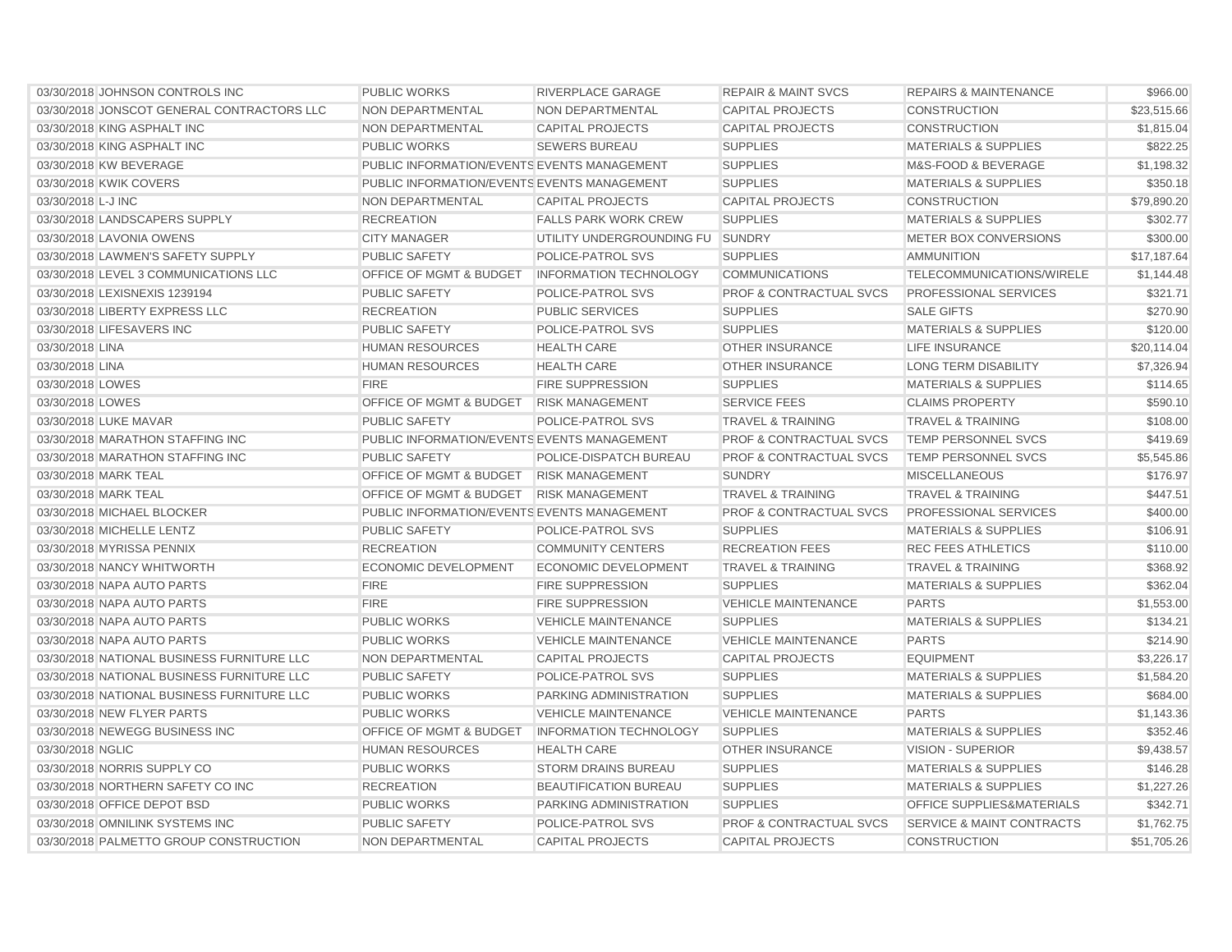| 03/30/2018 JOHNSON CONTROLS INC            | <b>PUBLIC WORKS</b>                         | <b>RIVERPLACE GARAGE</b>         | <b>REPAIR &amp; MAINT SVCS</b>     | <b>REPAIRS &amp; MAINTENANCE</b>     | \$966.00    |
|--------------------------------------------|---------------------------------------------|----------------------------------|------------------------------------|--------------------------------------|-------------|
| 03/30/2018 JONSCOT GENERAL CONTRACTORS LLC | NON DEPARTMENTAL                            | NON DEPARTMENTAL                 | <b>CAPITAL PROJECTS</b>            | <b>CONSTRUCTION</b>                  | \$23,515.66 |
| 03/30/2018 KING ASPHALT INC                | NON DEPARTMENTAL                            | <b>CAPITAL PROJECTS</b>          | <b>CAPITAL PROJECTS</b>            | <b>CONSTRUCTION</b>                  | \$1.815.04  |
| 03/30/2018 KING ASPHALT INC                | <b>PUBLIC WORKS</b>                         | <b>SEWERS BUREAU</b>             | <b>SUPPLIES</b>                    | <b>MATERIALS &amp; SUPPLIES</b>      | \$822.25    |
| 03/30/2018 KW BEVERAGE                     | PUBLIC INFORMATION/EVENTS EVENTS MANAGEMENT |                                  | <b>SUPPLIES</b>                    | M&S-FOOD & BEVERAGE                  | \$1,198.32  |
| 03/30/2018 KWIK COVERS                     | PUBLIC INFORMATION/EVENTS EVENTS MANAGEMENT |                                  | <b>SUPPLIES</b>                    | <b>MATERIALS &amp; SUPPLIES</b>      | \$350.18    |
| 03/30/2018 L-J INC                         | NON DEPARTMENTAL                            | <b>CAPITAL PROJECTS</b>          | <b>CAPITAL PROJECTS</b>            | <b>CONSTRUCTION</b>                  | \$79,890.20 |
| 03/30/2018 LANDSCAPERS SUPPLY              | <b>RECREATION</b>                           | <b>FALLS PARK WORK CREW</b>      | <b>SUPPLIES</b>                    | <b>MATERIALS &amp; SUPPLIES</b>      | \$302.77    |
| 03/30/2018 LAVONIA OWENS                   | <b>CITY MANAGER</b>                         | UTILITY UNDERGROUNDING FU SUNDRY |                                    | METER BOX CONVERSIONS                | \$300.00    |
| 03/30/2018 LAWMEN'S SAFETY SUPPLY          | <b>PUBLIC SAFETY</b>                        | POLICE-PATROL SVS                | <b>SUPPLIES</b>                    | <b>AMMUNITION</b>                    | \$17,187.64 |
| 03/30/2018 LEVEL 3 COMMUNICATIONS LLC      | OFFICE OF MGMT & BUDGET                     | <b>INFORMATION TECHNOLOGY</b>    | <b>COMMUNICATIONS</b>              | TELECOMMUNICATIONS/WIRELE            | \$1,144.48  |
| 03/30/2018 LEXISNEXIS 1239194              | <b>PUBLIC SAFETY</b>                        | POLICE-PATROL SVS                | <b>PROF &amp; CONTRACTUAL SVCS</b> | PROFESSIONAL SERVICES                | \$321.71    |
| 03/30/2018 LIBERTY EXPRESS LLC             | <b>RECREATION</b>                           | <b>PUBLIC SERVICES</b>           | <b>SUPPLIES</b>                    | <b>SALE GIFTS</b>                    | \$270.90    |
| 03/30/2018 LIFESAVERS INC                  | <b>PUBLIC SAFETY</b>                        | POLICE-PATROL SVS                | <b>SUPPLIES</b>                    | <b>MATERIALS &amp; SUPPLIES</b>      | \$120.00    |
| 03/30/2018 LINA                            | <b>HUMAN RESOURCES</b>                      | <b>HEALTH CARE</b>               | <b>OTHER INSURANCE</b>             | <b>LIFE INSURANCE</b>                | \$20,114.04 |
| 03/30/2018 LINA                            | <b>HUMAN RESOURCES</b>                      | <b>HEALTH CARE</b>               | <b>OTHER INSURANCE</b>             | <b>LONG TERM DISABILITY</b>          | \$7,326.94  |
| 03/30/2018 LOWES                           | <b>FIRE</b>                                 | <b>FIRE SUPPRESSION</b>          | <b>SUPPLIES</b>                    | <b>MATERIALS &amp; SUPPLIES</b>      | \$114.65    |
| 03/30/2018 LOWES                           | OFFICE OF MGMT & BUDGET                     | <b>RISK MANAGEMENT</b>           | <b>SERVICE FEES</b>                | <b>CLAIMS PROPERTY</b>               | \$590.10    |
| 03/30/2018 LUKE MAVAR                      | <b>PUBLIC SAFETY</b>                        | POLICE-PATROL SVS                | <b>TRAVEL &amp; TRAINING</b>       | <b>TRAVEL &amp; TRAINING</b>         | \$108.00    |
| 03/30/2018 MARATHON STAFFING INC           | PUBLIC INFORMATION/EVENTS EVENTS MANAGEMENT |                                  | <b>PROF &amp; CONTRACTUAL SVCS</b> | <b>TEMP PERSONNEL SVCS</b>           | \$419.69    |
| 03/30/2018 MARATHON STAFFING INC           | <b>PUBLIC SAFETY</b>                        | POLICE-DISPATCH BUREAU           | <b>PROF &amp; CONTRACTUAL SVCS</b> | TEMP PERSONNEL SVCS                  | \$5,545.86  |
| 03/30/2018 MARK TEAL                       | OFFICE OF MGMT & BUDGET                     | <b>RISK MANAGEMENT</b>           | <b>SUNDRY</b>                      | <b>MISCELLANEOUS</b>                 | \$176.97    |
| 03/30/2018 MARK TEAL                       | OFFICE OF MGMT & BUDGET                     | <b>RISK MANAGEMENT</b>           | <b>TRAVEL &amp; TRAINING</b>       | <b>TRAVEL &amp; TRAINING</b>         | \$447.51    |
| 03/30/2018 MICHAEL BLOCKER                 | PUBLIC INFORMATION/EVENTS EVENTS MANAGEMENT |                                  | <b>PROF &amp; CONTRACTUAL SVCS</b> | PROFESSIONAL SERVICES                | \$400.00    |
| 03/30/2018 MICHELLE LENTZ                  | <b>PUBLIC SAFETY</b>                        | POLICE-PATROL SVS                | <b>SUPPLIES</b>                    | <b>MATERIALS &amp; SUPPLIES</b>      | \$106.91    |
| 03/30/2018 MYRISSA PENNIX                  | <b>RECREATION</b>                           | <b>COMMUNITY CENTERS</b>         | <b>RECREATION FEES</b>             | <b>REC FEES ATHLETICS</b>            | \$110.00    |
| 03/30/2018 NANCY WHITWORTH                 | <b>ECONOMIC DEVELOPMENT</b>                 | <b>ECONOMIC DEVELOPMENT</b>      | <b>TRAVEL &amp; TRAINING</b>       | <b>TRAVEL &amp; TRAINING</b>         | \$368.92    |
| 03/30/2018 NAPA AUTO PARTS                 | <b>FIRE</b>                                 | <b>FIRE SUPPRESSION</b>          | <b>SUPPLIES</b>                    | <b>MATERIALS &amp; SUPPLIES</b>      | \$362.04    |
| 03/30/2018 NAPA AUTO PARTS                 | <b>FIRE</b>                                 | <b>FIRE SUPPRESSION</b>          | <b>VEHICLE MAINTENANCE</b>         | <b>PARTS</b>                         | \$1,553.00  |
| 03/30/2018 NAPA AUTO PARTS                 | <b>PUBLIC WORKS</b>                         | <b>VEHICLE MAINTENANCE</b>       | <b>SUPPLIES</b>                    | <b>MATERIALS &amp; SUPPLIES</b>      | \$134.21    |
| 03/30/2018 NAPA AUTO PARTS                 | <b>PUBLIC WORKS</b>                         | <b>VEHICLE MAINTENANCE</b>       | <b>VEHICLE MAINTENANCE</b>         | <b>PARTS</b>                         | \$214.90    |
| 03/30/2018 NATIONAL BUSINESS FURNITURE LLC | NON DEPARTMENTAL                            | <b>CAPITAL PROJECTS</b>          | <b>CAPITAL PROJECTS</b>            | <b>EQUIPMENT</b>                     | \$3,226.17  |
| 03/30/2018 NATIONAL BUSINESS FURNITURE LLC | <b>PUBLIC SAFETY</b>                        | POLICE-PATROL SVS                | <b>SUPPLIES</b>                    | <b>MATERIALS &amp; SUPPLIES</b>      | \$1,584.20  |
| 03/30/2018 NATIONAL BUSINESS FURNITURE LLC | <b>PUBLIC WORKS</b>                         | PARKING ADMINISTRATION           | <b>SUPPLIES</b>                    | <b>MATERIALS &amp; SUPPLIES</b>      | \$684.00    |
| 03/30/2018 NEW FLYER PARTS                 | <b>PUBLIC WORKS</b>                         | <b>VEHICLE MAINTENANCE</b>       | <b>VEHICLE MAINTENANCE</b>         | <b>PARTS</b>                         | \$1,143.36  |
| 03/30/2018 NEWEGG BUSINESS INC             | <b>OFFICE OF MGMT &amp; BUDGET</b>          | <b>INFORMATION TECHNOLOGY</b>    | <b>SUPPLIES</b>                    | <b>MATERIALS &amp; SUPPLIES</b>      | \$352.46    |
| 03/30/2018 NGLIC                           | <b>HUMAN RESOURCES</b>                      | <b>HEALTH CARE</b>               | <b>OTHER INSURANCE</b>             | <b>VISION - SUPERIOR</b>             | \$9,438.57  |
| 03/30/2018 NORRIS SUPPLY CO                | <b>PUBLIC WORKS</b>                         | <b>STORM DRAINS BUREAU</b>       | <b>SUPPLIES</b>                    | <b>MATERIALS &amp; SUPPLIES</b>      | \$146.28    |
| 03/30/2018 NORTHERN SAFETY CO INC          | <b>RECREATION</b>                           | <b>BEAUTIFICATION BUREAU</b>     | <b>SUPPLIES</b>                    | <b>MATERIALS &amp; SUPPLIES</b>      | \$1,227.26  |
| 03/30/2018 OFFICE DEPOT BSD                | <b>PUBLIC WORKS</b>                         | PARKING ADMINISTRATION           | <b>SUPPLIES</b>                    | <b>OFFICE SUPPLIES&amp;MATERIALS</b> | \$342.71    |
| 03/30/2018 OMNILINK SYSTEMS INC            | <b>PUBLIC SAFETY</b>                        | <b>POLICE-PATROL SVS</b>         | <b>PROF &amp; CONTRACTUAL SVCS</b> | <b>SERVICE &amp; MAINT CONTRACTS</b> | \$1,762.75  |
| 03/30/2018 PALMETTO GROUP CONSTRUCTION     | <b>NON DEPARTMENTAL</b>                     | <b>CAPITAL PROJECTS</b>          | <b>CAPITAL PROJECTS</b>            | <b>CONSTRUCTION</b>                  | \$51,705.26 |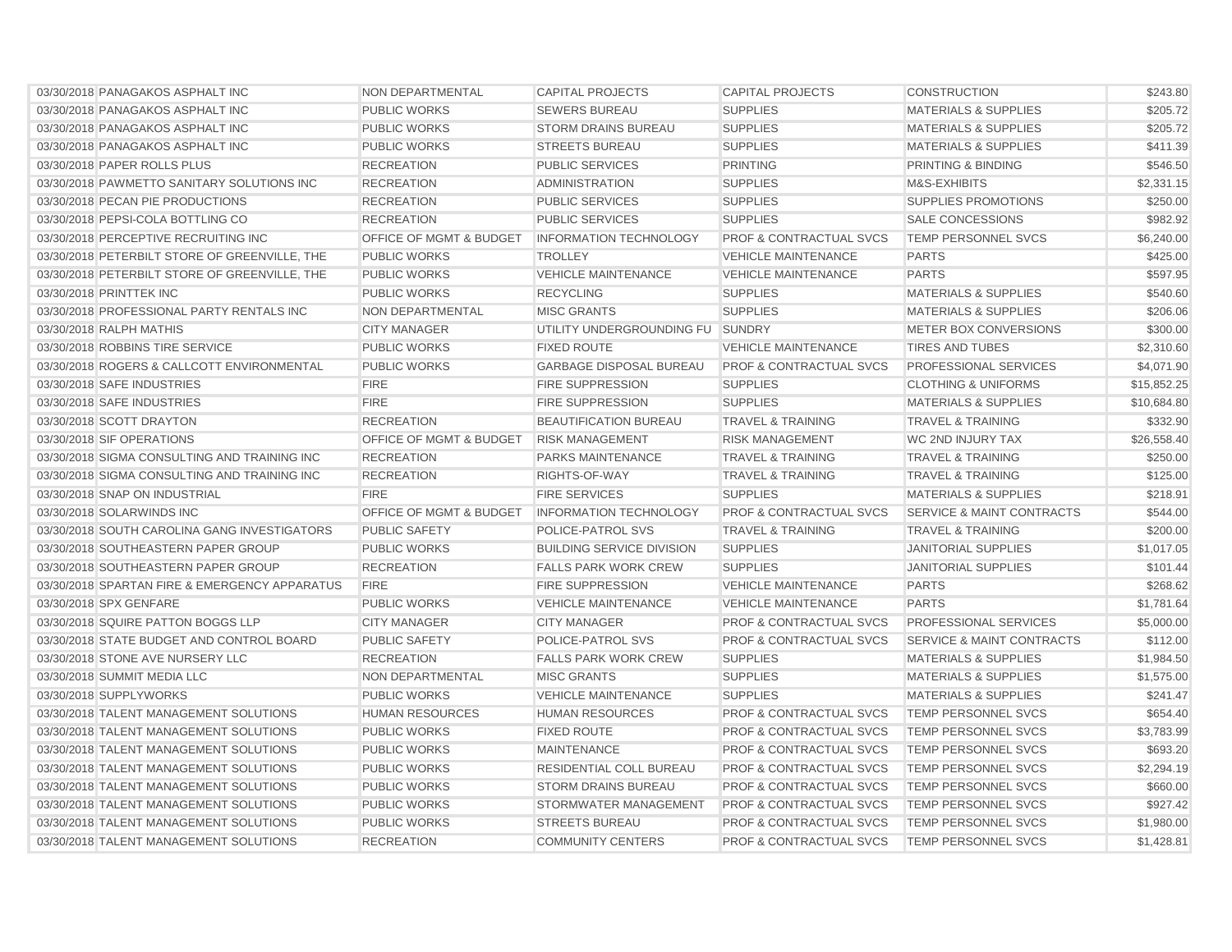| 03/30/2018 PANAGAKOS ASPHALT INC              | <b>NON DEPARTMENTAL</b>            | <b>CAPITAL PROJECTS</b>          | <b>CAPITAL PROJECTS</b>            | <b>CONSTRUCTION</b>                  | \$243.80    |
|-----------------------------------------------|------------------------------------|----------------------------------|------------------------------------|--------------------------------------|-------------|
| 03/30/2018 PANAGAKOS ASPHALT INC              | PUBLIC WORKS                       | <b>SEWERS BUREAU</b>             | <b>SUPPLIES</b>                    | <b>MATERIALS &amp; SUPPLIES</b>      | \$205.72    |
| 03/30/2018 PANAGAKOS ASPHALT INC              | <b>PUBLIC WORKS</b>                | <b>STORM DRAINS BUREAU</b>       | <b>SUPPLIES</b>                    | <b>MATERIALS &amp; SUPPLIES</b>      | \$205.72    |
| 03/30/2018 PANAGAKOS ASPHALT INC              | <b>PUBLIC WORKS</b>                | <b>STREETS BUREAU</b>            | <b>SUPPLIES</b>                    | <b>MATERIALS &amp; SUPPLIES</b>      | \$411.39    |
| 03/30/2018 PAPER ROLLS PLUS                   | <b>RECREATION</b>                  | <b>PUBLIC SERVICES</b>           | <b>PRINTING</b>                    | PRINTING & BINDING                   | \$546.50    |
| 03/30/2018 PAWMETTO SANITARY SOLUTIONS INC    | <b>RECREATION</b>                  | <b>ADMINISTRATION</b>            | <b>SUPPLIES</b>                    | M&S-EXHIBITS                         | \$2,331.15  |
| 03/30/2018 PECAN PIE PRODUCTIONS              | <b>RECREATION</b>                  | <b>PUBLIC SERVICES</b>           | <b>SUPPLIES</b>                    | <b>SUPPLIES PROMOTIONS</b>           | \$250.00    |
| 03/30/2018 PEPSI-COLA BOTTLING CO             | <b>RECREATION</b>                  | <b>PUBLIC SERVICES</b>           | <b>SUPPLIES</b>                    | <b>SALE CONCESSIONS</b>              | \$982.92    |
| 03/30/2018 PERCEPTIVE RECRUITING INC          | <b>OFFICE OF MGMT &amp; BUDGET</b> | <b>INFORMATION TECHNOLOGY</b>    | <b>PROF &amp; CONTRACTUAL SVCS</b> | <b>TEMP PERSONNEL SVCS</b>           | \$6,240.00  |
| 03/30/2018 PETERBILT STORE OF GREENVILLE, THE | <b>PUBLIC WORKS</b>                | <b>TROLLEY</b>                   | <b>VEHICLE MAINTENANCE</b>         | <b>PARTS</b>                         | \$425.00    |
| 03/30/2018 PETERBILT STORE OF GREENVILLE, THE | <b>PUBLIC WORKS</b>                | <b>VEHICLE MAINTENANCE</b>       | <b>VEHICLE MAINTENANCE</b>         | <b>PARTS</b>                         | \$597.95    |
| 03/30/2018 PRINTTEK INC                       | <b>PUBLIC WORKS</b>                | <b>RECYCLING</b>                 | <b>SUPPLIES</b>                    | <b>MATERIALS &amp; SUPPLIES</b>      | \$540.60    |
| 03/30/2018 PROFESSIONAL PARTY RENTALS INC     | <b>NON DEPARTMENTAL</b>            | <b>MISC GRANTS</b>               | <b>SUPPLIES</b>                    | <b>MATERIALS &amp; SUPPLIES</b>      | \$206.06    |
| 03/30/2018 RALPH MATHIS                       | <b>CITY MANAGER</b>                | UTILITY UNDERGROUNDING FU SUNDRY |                                    | METER BOX CONVERSIONS                | \$300.00    |
| 03/30/2018 ROBBINS TIRE SERVICE               | <b>PUBLIC WORKS</b>                | <b>FIXED ROUTE</b>               | <b>VEHICLE MAINTENANCE</b>         | <b>TIRES AND TUBES</b>               | \$2,310.60  |
| 03/30/2018 ROGERS & CALLCOTT ENVIRONMENTAL    | <b>PUBLIC WORKS</b>                | <b>GARBAGE DISPOSAL BUREAU</b>   | <b>PROF &amp; CONTRACTUAL SVCS</b> | <b>PROFESSIONAL SERVICES</b>         | \$4,071.90  |
| 03/30/2018 SAFE INDUSTRIES                    | <b>FIRE</b>                        | <b>FIRE SUPPRESSION</b>          | <b>SUPPLIES</b>                    | <b>CLOTHING &amp; UNIFORMS</b>       | \$15,852.25 |
| 03/30/2018 SAFE INDUSTRIES                    | <b>FIRE</b>                        | <b>FIRE SUPPRESSION</b>          | <b>SUPPLIES</b>                    | <b>MATERIALS &amp; SUPPLIES</b>      | \$10,684.80 |
| 03/30/2018 SCOTT DRAYTON                      | <b>RECREATION</b>                  | <b>BEAUTIFICATION BUREAU</b>     | <b>TRAVEL &amp; TRAINING</b>       | <b>TRAVEL &amp; TRAINING</b>         | \$332.90    |
| 03/30/2018 SIF OPERATIONS                     | OFFICE OF MGMT & BUDGET            | <b>RISK MANAGEMENT</b>           | <b>RISK MANAGEMENT</b>             | WC 2ND INJURY TAX                    | \$26,558.40 |
| 03/30/2018 SIGMA CONSULTING AND TRAINING INC  | <b>RECREATION</b>                  | <b>PARKS MAINTENANCE</b>         | <b>TRAVEL &amp; TRAINING</b>       | <b>TRAVEL &amp; TRAINING</b>         | \$250.00    |
| 03/30/2018 SIGMA CONSULTING AND TRAINING INC  | <b>RECREATION</b>                  | RIGHTS-OF-WAY                    | <b>TRAVEL &amp; TRAINING</b>       | <b>TRAVEL &amp; TRAINING</b>         | \$125.00    |
| 03/30/2018 SNAP ON INDUSTRIAL                 | <b>FIRE</b>                        | <b>FIRE SERVICES</b>             | <b>SUPPLIES</b>                    | <b>MATERIALS &amp; SUPPLIES</b>      | \$218.91    |
| 03/30/2018 SOLARWINDS INC                     | OFFICE OF MGMT & BUDGET            | <b>INFORMATION TECHNOLOGY</b>    | <b>PROF &amp; CONTRACTUAL SVCS</b> | <b>SERVICE &amp; MAINT CONTRACTS</b> | \$544.00    |
| 03/30/2018 SOUTH CAROLINA GANG INVESTIGATORS  | <b>PUBLIC SAFETY</b>               | POLICE-PATROL SVS                | <b>TRAVEL &amp; TRAINING</b>       | <b>TRAVEL &amp; TRAINING</b>         | \$200.00    |
| 03/30/2018 SOUTHEASTERN PAPER GROUP           | <b>PUBLIC WORKS</b>                | <b>BUILDING SERVICE DIVISION</b> | <b>SUPPLIES</b>                    | <b>JANITORIAL SUPPLIES</b>           | \$1,017.05  |
| 03/30/2018 SOUTHEASTERN PAPER GROUP           | <b>RECREATION</b>                  | <b>FALLS PARK WORK CREW</b>      | <b>SUPPLIES</b>                    | <b>JANITORIAL SUPPLIES</b>           | \$101.44    |
| 03/30/2018 SPARTAN FIRE & EMERGENCY APPARATUS | <b>FIRE</b>                        | <b>FIRE SUPPRESSION</b>          | <b>VEHICLE MAINTENANCE</b>         | <b>PARTS</b>                         | \$268.62    |
| 03/30/2018 SPX GENFARE                        | <b>PUBLIC WORKS</b>                | <b>VEHICLE MAINTENANCE</b>       | <b>VEHICLE MAINTENANCE</b>         | <b>PARTS</b>                         | \$1,781.64  |
| 03/30/2018 SQUIRE PATTON BOGGS LLP            | <b>CITY MANAGER</b>                | <b>CITY MANAGER</b>              | <b>PROF &amp; CONTRACTUAL SVCS</b> | PROFESSIONAL SERVICES                | \$5,000.00  |
| 03/30/2018 STATE BUDGET AND CONTROL BOARD     | <b>PUBLIC SAFETY</b>               | POLICE-PATROL SVS                | <b>PROF &amp; CONTRACTUAL SVCS</b> | <b>SERVICE &amp; MAINT CONTRACTS</b> | \$112.00    |
| 03/30/2018 STONE AVE NURSERY LLC              | <b>RECREATION</b>                  | <b>FALLS PARK WORK CREW</b>      | <b>SUPPLIES</b>                    | <b>MATERIALS &amp; SUPPLIES</b>      | \$1,984.50  |
| 03/30/2018 SUMMIT MEDIA LLC                   | <b>NON DEPARTMENTAL</b>            | <b>MISC GRANTS</b>               | <b>SUPPLIES</b>                    | <b>MATERIALS &amp; SUPPLIES</b>      | \$1,575.00  |
| 03/30/2018 SUPPLYWORKS                        | <b>PUBLIC WORKS</b>                | <b>VEHICLE MAINTENANCE</b>       | <b>SUPPLIES</b>                    | <b>MATERIALS &amp; SUPPLIES</b>      | \$241.47    |
| 03/30/2018 TALENT MANAGEMENT SOLUTIONS        | <b>HUMAN RESOURCES</b>             | <b>HUMAN RESOURCES</b>           | <b>PROF &amp; CONTRACTUAL SVCS</b> | TEMP PERSONNEL SVCS                  | \$654.40    |
| 03/30/2018 TALENT MANAGEMENT SOLUTIONS        | <b>PUBLIC WORKS</b>                | <b>FIXED ROUTE</b>               | <b>PROF &amp; CONTRACTUAL SVCS</b> | TEMP PERSONNEL SVCS                  | \$3,783.99  |
| 03/30/2018 TALENT MANAGEMENT SOLUTIONS        | <b>PUBLIC WORKS</b>                | <b>MAINTENANCE</b>               | <b>PROF &amp; CONTRACTUAL SVCS</b> | <b>TEMP PERSONNEL SVCS</b>           | \$693.20    |
| 03/30/2018 TALENT MANAGEMENT SOLUTIONS        | <b>PUBLIC WORKS</b>                | <b>RESIDENTIAL COLL BUREAU</b>   | <b>PROF &amp; CONTRACTUAL SVCS</b> | <b>TEMP PERSONNEL SVCS</b>           | \$2,294.19  |
| 03/30/2018 TALENT MANAGEMENT SOLUTIONS        | <b>PUBLIC WORKS</b>                | <b>STORM DRAINS BUREAU</b>       | <b>PROF &amp; CONTRACTUAL SVCS</b> | <b>TEMP PERSONNEL SVCS</b>           | \$660.00    |
| 03/30/2018 TALENT MANAGEMENT SOLUTIONS        | <b>PUBLIC WORKS</b>                | STORMWATER MANAGEMENT            | <b>PROF &amp; CONTRACTUAL SVCS</b> | <b>TEMP PERSONNEL SVCS</b>           | \$927.42    |
| 03/30/2018 TALENT MANAGEMENT SOLUTIONS        | <b>PUBLIC WORKS</b>                | <b>STREETS BUREAU</b>            | <b>PROF &amp; CONTRACTUAL SVCS</b> | TEMP PERSONNEL SVCS                  | \$1,980.00  |
| 03/30/2018 TALENT MANAGEMENT SOLUTIONS        | <b>RECREATION</b>                  | <b>COMMUNITY CENTERS</b>         | <b>PROF &amp; CONTRACTUAL SVCS</b> | TEMP PERSONNEL SVCS                  | \$1,428.81  |